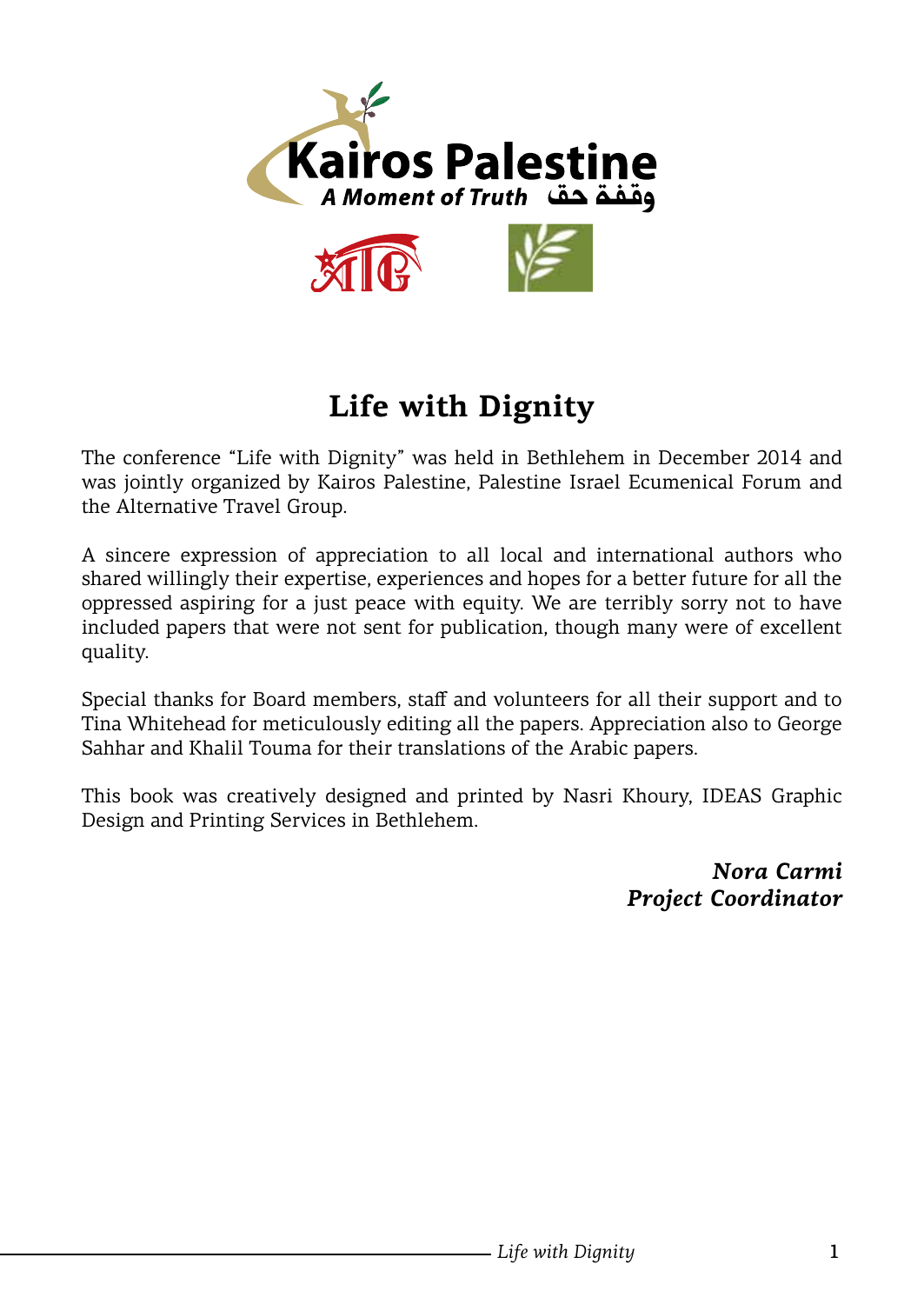

# **Life with Dignity**

The conference "Life with Dignity" was held in Bethlehem in December 2014 and was jointly organized by Kairos Palestine, Palestine Israel Ecumenical Forum and the Alternative Travel Group.

A sincere expression of appreciation to all local and international authors who shared willingly their expertise, experiences and hopes for a better future for all the oppressed aspiring for a just peace with equity. We are terribly sorry not to have included papers that were not sent for publication, though many were of excellent quality.

Special thanks for Board members, staff and volunteers for all their support and to Tina Whitehead for meticulously editing all the papers. Appreciation also to George Sahhar and Khalil Touma for their translations of the Arabic papers.

This book was creatively designed and printed by Nasri Khoury, IDEAS Graphic Design and Printing Services in Bethlehem.

> *Nora Carmi Project Coordinator*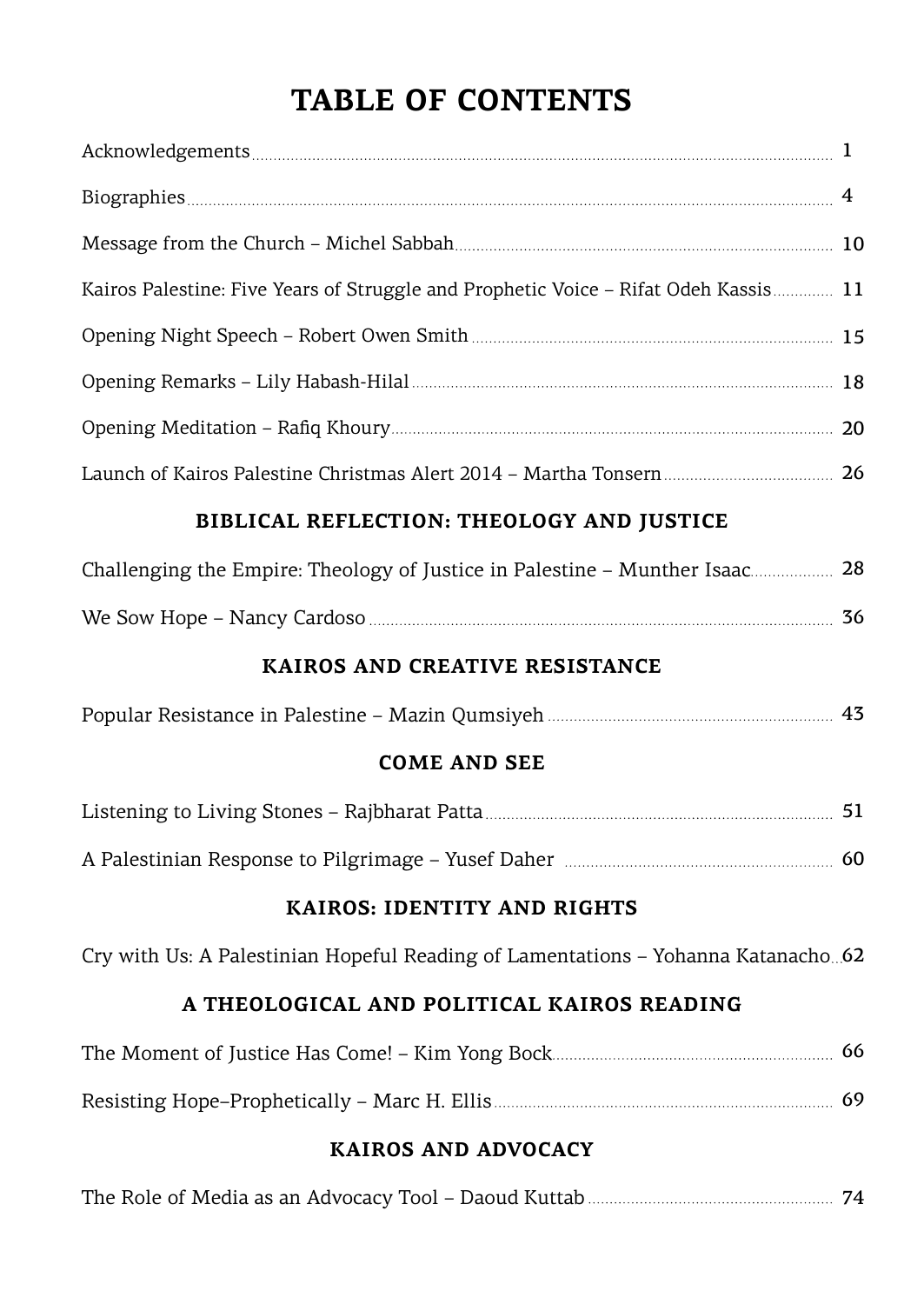# **TABLE OF CONTENTS**

| Kairos Palestine: Five Years of Struggle and Prophetic Voice - Rifat Odeh Kassis 11 |  |
|-------------------------------------------------------------------------------------|--|
|                                                                                     |  |
|                                                                                     |  |
|                                                                                     |  |
|                                                                                     |  |
| BIBLICAL REFLECTION: THEOLOGY AND JUSTICE                                           |  |
| Challenging the Empire: Theology of Justice in Palestine - Munther Isaac 28         |  |
|                                                                                     |  |
| KAIROS AND CREATIVE RESISTANCE                                                      |  |
|                                                                                     |  |
| <b>COME AND SEE</b>                                                                 |  |
|                                                                                     |  |
|                                                                                     |  |
| <b>KAIROS: IDENTITY AND RIGHTS</b>                                                  |  |
| Cry with Us: A Palestinian Hopeful Reading of Lamentations - Yohanna Katanacho62    |  |
| A THEOLOGICAL AND POLITICAL KAIROS READING                                          |  |
|                                                                                     |  |
|                                                                                     |  |
| <b>KAIROS AND ADVOCACY</b>                                                          |  |
|                                                                                     |  |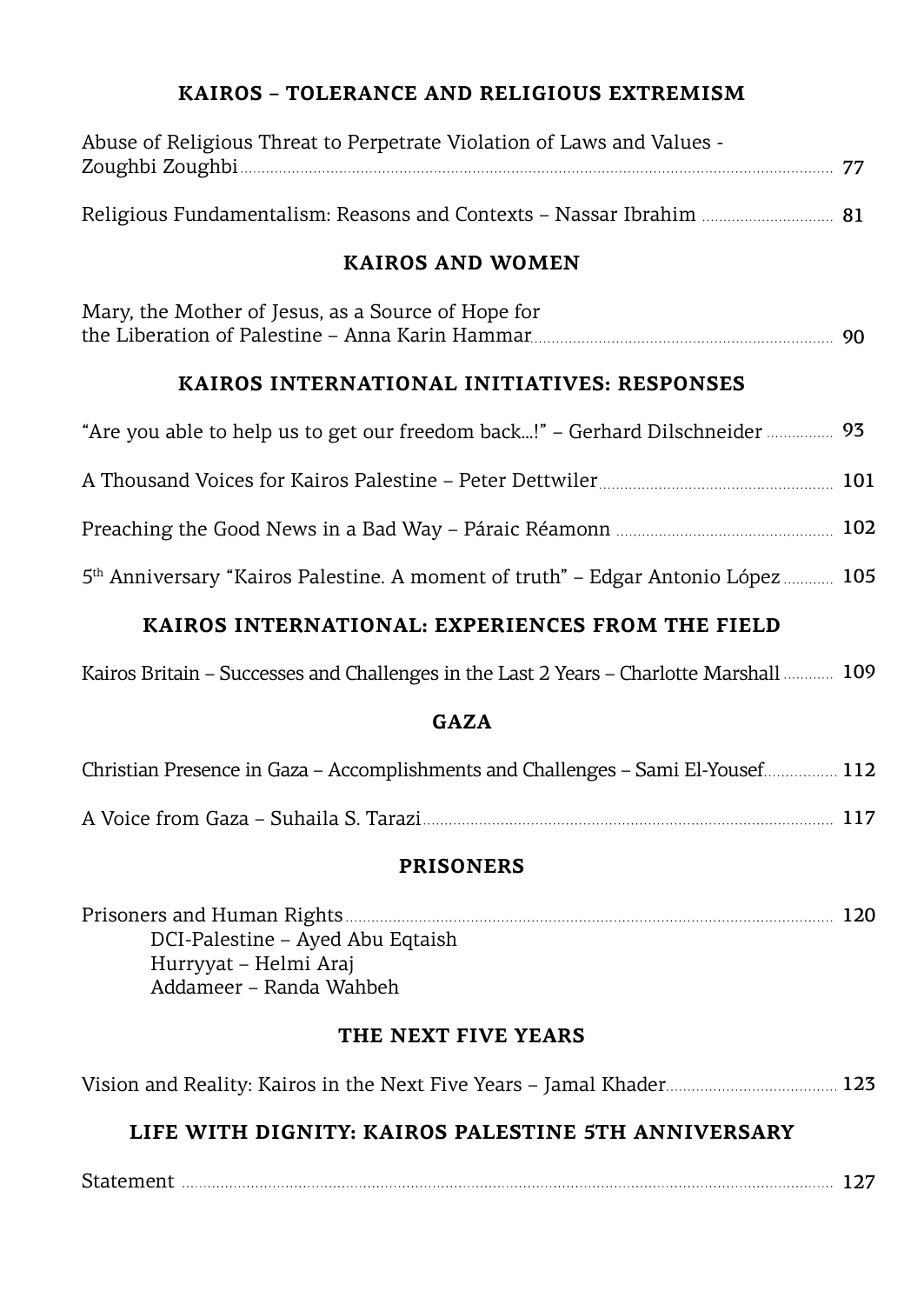#### **Kairos – Tolerance and Religious Extremism**

| Abuse of Religious Threat to Perpetrate Violation of Laws and Values - |  |  |
|------------------------------------------------------------------------|--|--|
|                                                                        |  |  |
|                                                                        |  |  |

#### **Kairos and Women**

| Mary, the Mother of Jesus, as a Source of Hope for |  |
|----------------------------------------------------|--|
|                                                    |  |

#### **Kairos International Initiatives: Responses**

| "Are you able to help us to get our freedom back!" – Gerhard Dilschneider  93                |  |
|----------------------------------------------------------------------------------------------|--|
|                                                                                              |  |
|                                                                                              |  |
| 5 <sup>th</sup> Anniversary "Kairos Palestine. A moment of truth" – Edgar Antonio López  105 |  |

#### **Kairos International: Experiences from the Field**

Kairos Britain – Successes and Challenges in the Last 2 Years – Charlotte Marshall 109

#### **Gaza**

|  | Christian Presence in Gaza – Accomplishments and Challenges – Sami El-Yousef 112 |  |
|--|----------------------------------------------------------------------------------|--|
|  |                                                                                  |  |

#### **Prisoners**

| DCI-Palestine – Ayed Abu Eqtaish |  |
|----------------------------------|--|
| Hurryyat – Helmi Araj            |  |
| Addameer – Randa Wahbeh          |  |

#### **The Next Five Years**

| Vision and Reality: Kairos in the Next Five Years - Jamal Khader 123 |  |  |
|----------------------------------------------------------------------|--|--|
|----------------------------------------------------------------------|--|--|

#### **Life with Dignity: Kairos Palestine 5th Anniversary**

|--|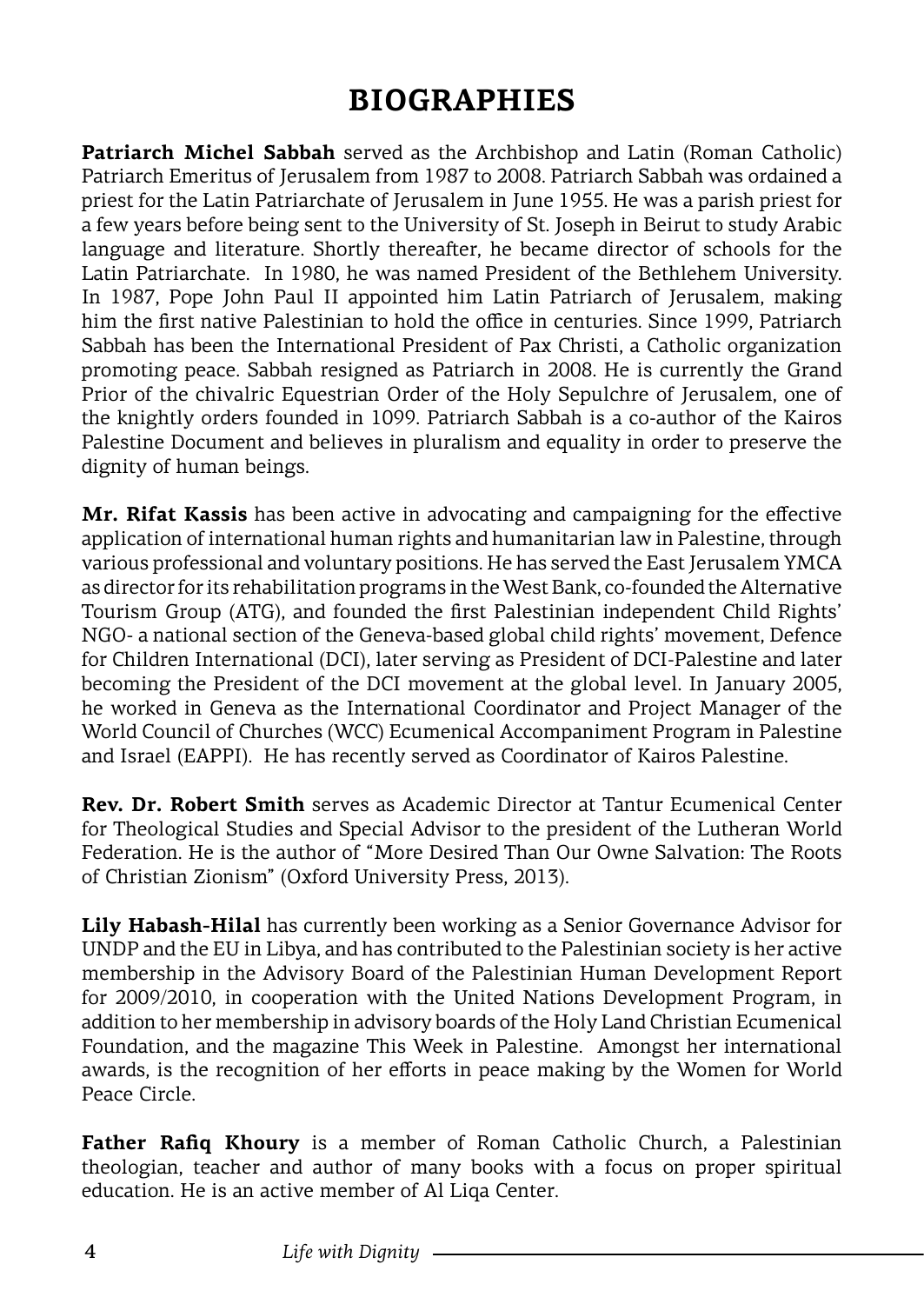# **BIOGRAPHIES**

**Patriarch Michel Sabbah** served as the Archbishop and Latin (Roman Catholic) Patriarch Emeritus of Jerusalem from 1987 to 2008. Patriarch Sabbah was ordained a priest for the Latin Patriarchate of Jerusalem in June 1955. He was a parish priest for a few years before being sent to the University of St. Joseph in Beirut to study Arabic language and literature. Shortly thereafter, he became director of schools for the Latin Patriarchate. In 1980, he was named President of the Bethlehem University. In 1987, Pope John Paul II appointed him Latin Patriarch of Jerusalem, making him the first native Palestinian to hold the office in centuries. Since 1999, Patriarch Sabbah has been the International President of Pax Christi, a Catholic organization promoting peace. Sabbah resigned as Patriarch in 2008. He is currently the Grand Prior of the chivalric Equestrian Order of the Holy Sepulchre of Jerusalem, one of the knightly orders founded in 1099. Patriarch Sabbah is a co-author of the Kairos Palestine Document and believes in pluralism and equality in order to preserve the dignity of human beings.

**Mr. Rifat Kassis** has been active in advocating and campaigning for the effective application of international human rights and humanitarian law in Palestine, through various professional and voluntary positions. He has served the East Jerusalem YMCA as director for its rehabilitation programs in the West Bank, co-founded the Alternative Tourism Group (ATG), and founded the first Palestinian independent Child Rights' NGO- a national section of the Geneva-based global child rights' movement, Defence for Children International (DCI), later serving as President of DCI-Palestine and later becoming the President of the DCI movement at the global level. In January 2005, he worked in Geneva as the International Coordinator and Project Manager of the World Council of Churches (WCC) Ecumenical Accompaniment Program in Palestine and Israel (EAPPI). He has recently served as Coordinator of Kairos Palestine.

**Rev. Dr. Robert Smith** serves as Academic Director at Tantur Ecumenical Center for Theological Studies and Special Advisor to the president of the Lutheran World Federation. He is the author of "More Desired Than Our Owne Salvation: The Roots of Christian Zionism" (Oxford University Press, 2013).

**Lily Habash-Hilal** has currently been working as a Senior Governance Advisor for UNDP and the EU in Libya, and has contributed to the Palestinian society is her active membership in the Advisory Board of the Palestinian Human Development Report for 2009/2010, in cooperation with the United Nations Development Program, in addition to her membership in advisory boards of the Holy Land Christian Ecumenical Foundation, and the magazine This Week in Palestine. Amongst her international awards, is the recognition of her efforts in peace making by the Women for World Peace Circle.

**Father Rafiq Khoury** is a member of Roman Catholic Church, a Palestinian theologian, teacher and author of many books with a focus on proper spiritual education. He is an active member of Al Liqa Center.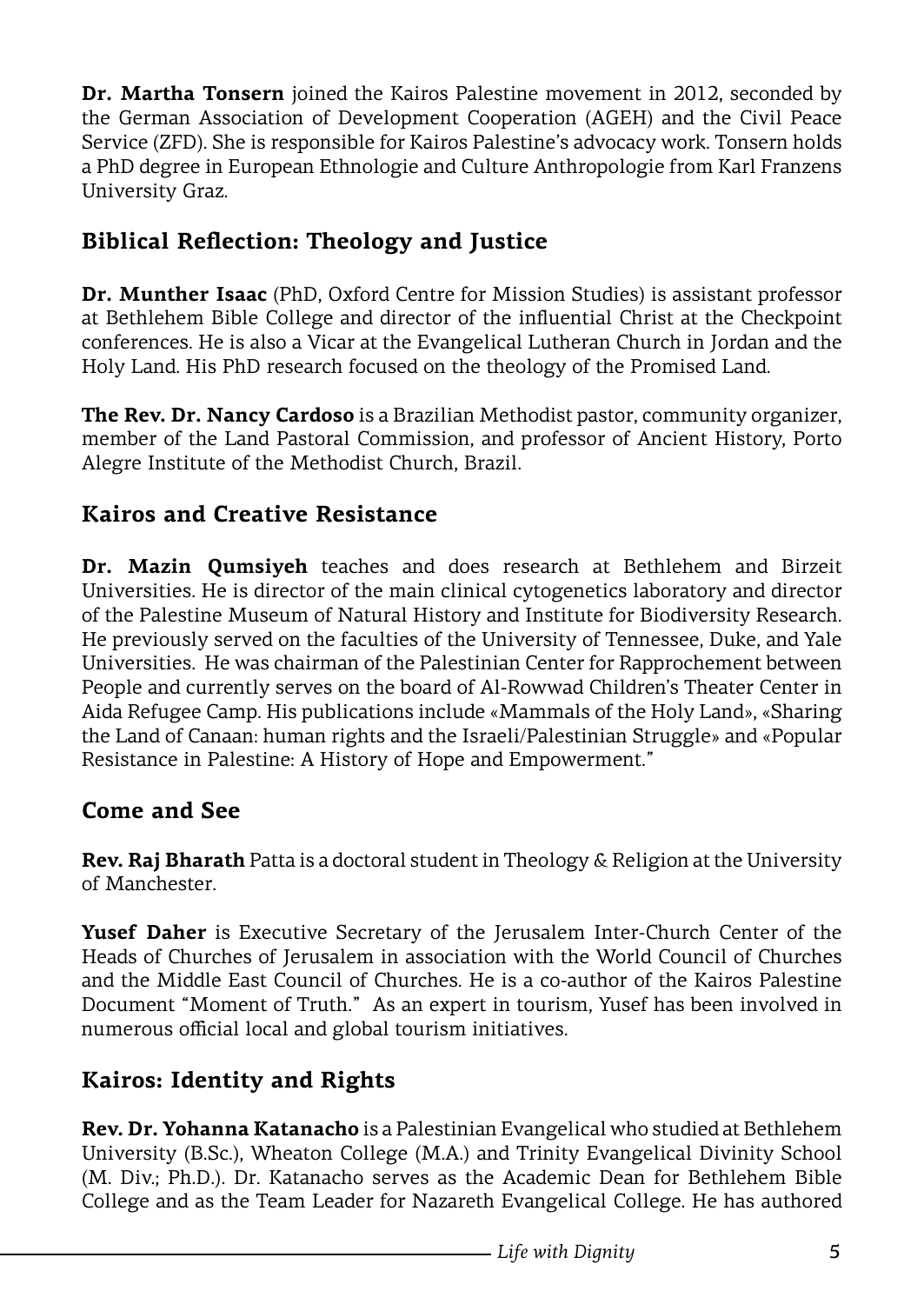**Dr. Martha Tonsern** joined the Kairos Palestine movement in 2012, seconded by the German Association of Development Cooperation (AGEH) and the Civil Peace Service (ZFD). She is responsible for Kairos Palestine's advocacy work. Tonsern holds a PhD degree in European Ethnologie and Culture Anthropologie from Karl Franzens University Graz.

## **Biblical Reflection: Theology and Justice**

**Dr. Munther Isaac** (PhD, Oxford Centre for Mission Studies) is assistant professor at Bethlehem Bible College and director of the influential Christ at the Checkpoint conferences. He is also a Vicar at the Evangelical Lutheran Church in Jordan and the Holy Land. His PhD research focused on the theology of the Promised Land.

**The Rev. Dr. Nancy Cardoso** is a Brazilian Methodist pastor, community organizer, member of the Land Pastoral Commission, and professor of Ancient History, Porto Alegre Institute of the Methodist Church, Brazil.

## **Kairos and Creative Resistance**

**Dr. Mazin Qumsiyeh** teaches and does research at Bethlehem and Birzeit Universities. He is director of the main clinical cytogenetics laboratory and director of the Palestine Museum of Natural History and Institute for Biodiversity Research. He previously served on the faculties of the University of Tennessee, Duke, and Yale Universities. He was chairman of the Palestinian Center for Rapprochement between People and currently serves on the board of Al-Rowwad Children's Theater Center in Aida Refugee Camp. His publications include «Mammals of the Holy Land», «Sharing the Land of Canaan: human rights and the Israeli/Palestinian Struggle» and «Popular Resistance in Palestine: A History of Hope and Empowerment."

### **Come and See**

**Rev. Raj Bharath** Patta is a doctoral student in Theology & Religion at the University of Manchester.

**Yusef Daher** is Executive Secretary of the Jerusalem Inter-Church Center of the Heads of Churches of Jerusalem in association with the World Council of Churches and the Middle East Council of Churches. He is a co-author of the Kairos Palestine Document "Moment of Truth." As an expert in tourism, Yusef has been involved in numerous official local and global tourism initiatives.

## **Kairos: Identity and Rights**

**Rev. Dr. Yohanna Katanacho** is a Palestinian Evangelical who studied at Bethlehem University (B.Sc.), Wheaton College (M.A.) and Trinity Evangelical Divinity School (M. Div.; Ph.D.). Dr. Katanacho serves as the Academic Dean for Bethlehem Bible College and as the Team Leader for Nazareth Evangelical College. He has authored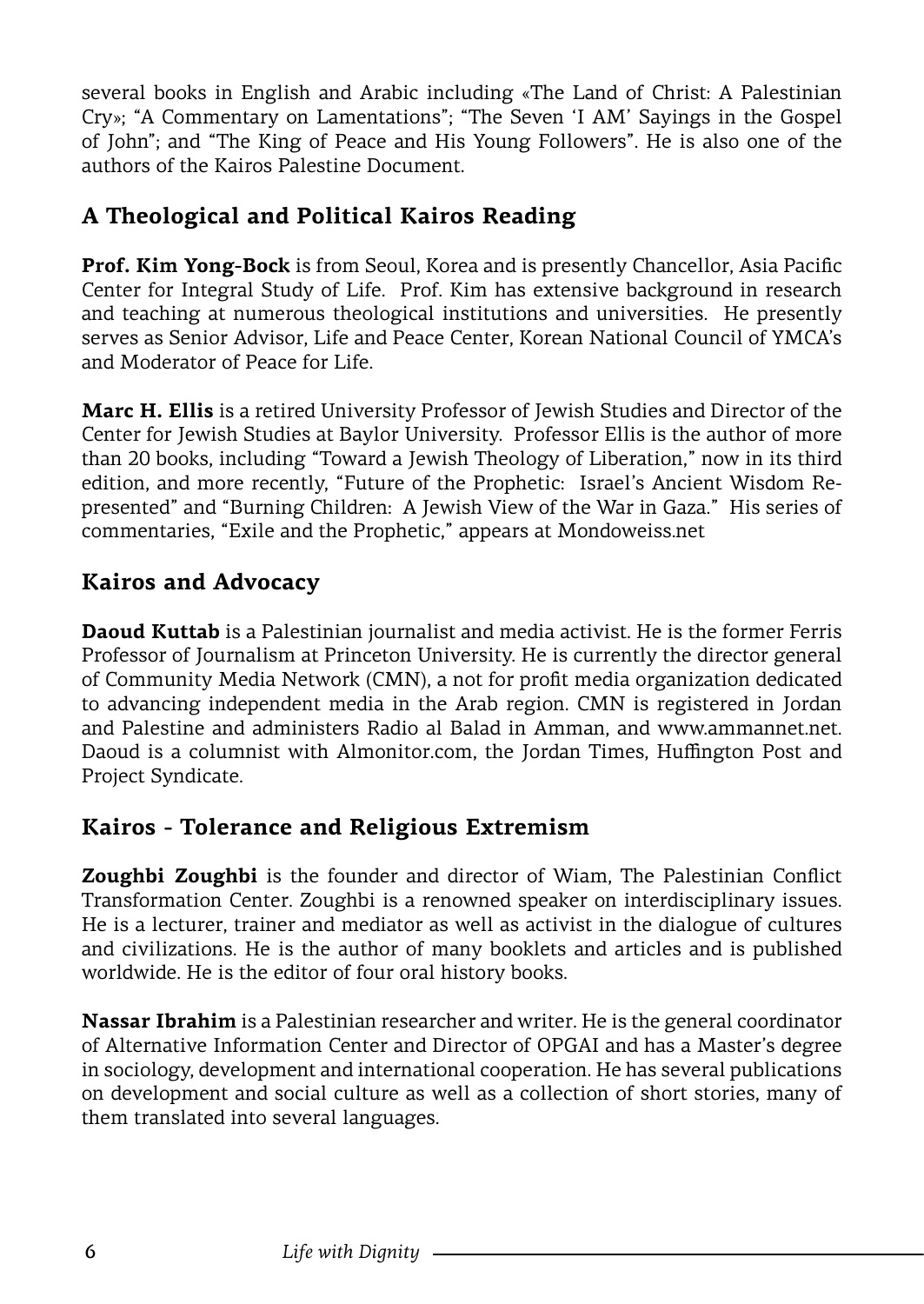several books in English and Arabic including «The Land of Christ: A Palestinian Cry»; "A Commentary on Lamentations"; "The Seven 'I AM' Sayings in the Gospel of John"; and "The King of Peace and His Young Followers". He is also one of the authors of the Kairos Palestine Document.

### **A Theological and Political Kairos Reading**

**Prof. Kim Yong-Bock** is from Seoul, Korea and is presently Chancellor, Asia Pacific Center for Integral Study of Life. Prof. Kim has extensive background in research and teaching at numerous theological institutions and universities. He presently serves as Senior Advisor, Life and Peace Center, Korean National Council of YMCA's and Moderator of Peace for Life.

**Marc H. Ellis** is a retired University Professor of Jewish Studies and Director of the Center for Jewish Studies at Baylor University. Professor Ellis is the author of more than 20 books, including "Toward a Jewish Theology of Liberation," now in its third edition, and more recently, "Future of the Prophetic: Israel's Ancient Wisdom Represented" and "Burning Children: A Jewish View of the War in Gaza." His series of commentaries, "Exile and the Prophetic," appears at Mondoweiss.net

## **Kairos and Advocacy**

**Daoud Kuttab** is a Palestinian journalist and media activist. He is the former Ferris Professor of Journalism at Princeton University. He is currently the director general of Community Media Network (CMN), a not for profit media organization dedicated to advancing independent media in the Arab region. CMN is registered in Jordan and Palestine and administers Radio al Balad in Amman, and www.ammannet.net. Daoud is a columnist with Almonitor.com, the Jordan Times, Huffington Post and Project Syndicate.

### **Kairos - Tolerance and Religious Extremism**

**Zoughbi Zoughbi** is the founder and director of Wiam, The Palestinian Conflict Transformation Center. Zoughbi is a renowned speaker on interdisciplinary issues. He is a lecturer, trainer and mediator as well as activist in the dialogue of cultures and civilizations. He is the author of many booklets and articles and is published worldwide. He is the editor of four oral history books.

**Nassar Ibrahim** is a Palestinian researcher and writer. He is the general coordinator of Alternative Information Center and Director of OPGAI and has a Master's degree in sociology, development and international cooperation. He has several publications on development and social culture as well as a collection of short stories, many of them translated into several languages.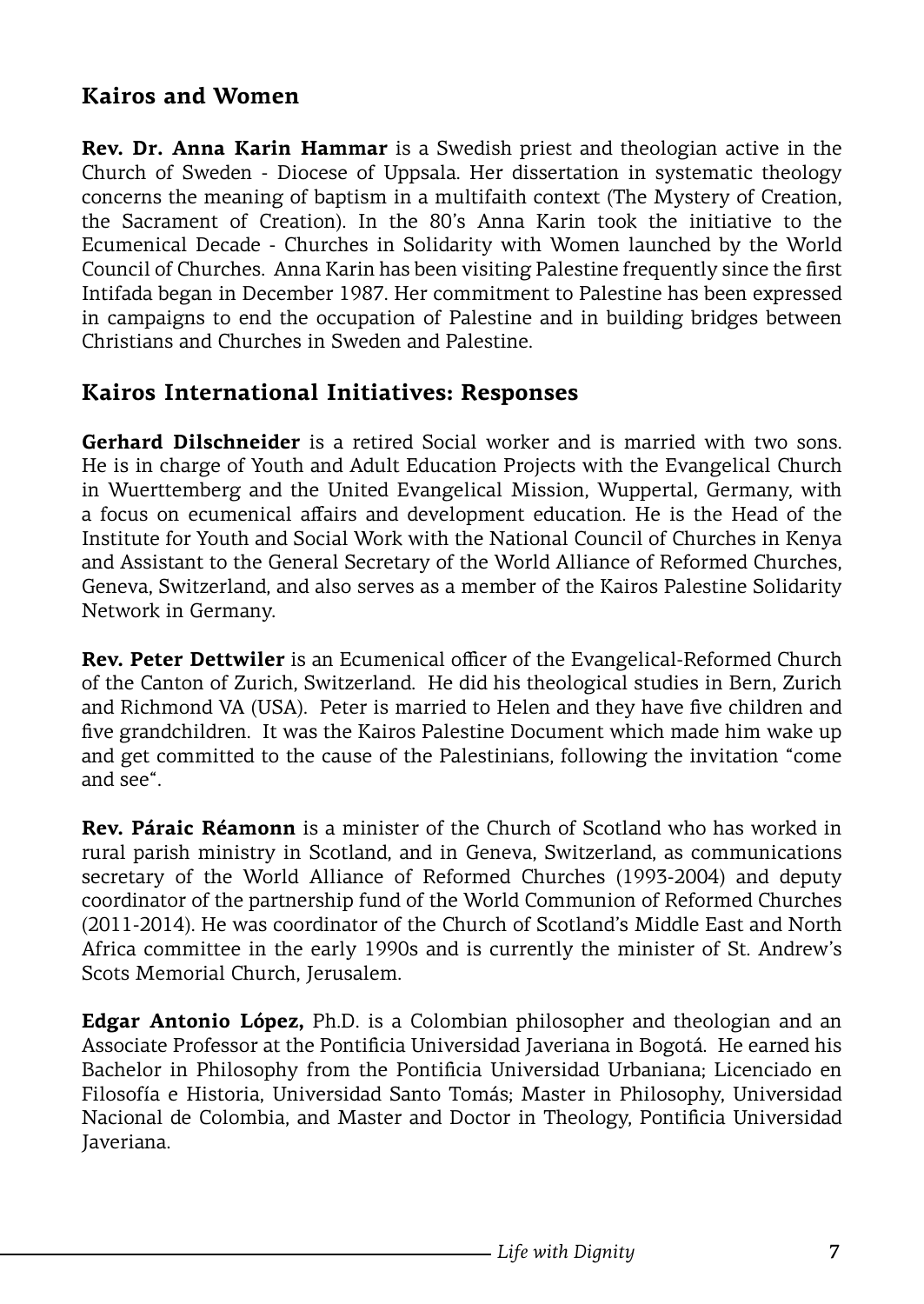### **Kairos and Women**

**Rev. Dr. Anna Karin Hammar** is a Swedish priest and theologian active in the Church of Sweden - Diocese of Uppsala. Her dissertation in systematic theology concerns the meaning of baptism in a multifaith context (The Mystery of Creation, the Sacrament of Creation). In the 80's Anna Karin took the initiative to the Ecumenical Decade - Churches in Solidarity with Women launched by the World Council of Churches. Anna Karin has been visiting Palestine frequently since the first Intifada began in December 1987. Her commitment to Palestine has been expressed in campaigns to end the occupation of Palestine and in building bridges between Christians and Churches in Sweden and Palestine.

### **Kairos International Initiatives: Responses**

**Gerhard Dilschneider** is a retired Social worker and is married with two sons. He is in charge of Youth and Adult Education Projects with the Evangelical Church in Wuerttemberg and the United Evangelical Mission, Wuppertal, Germany, with a focus on ecumenical affairs and development education. He is the Head of the Institute for Youth and Social Work with the National Council of Churches in Kenya and Assistant to the General Secretary of the World Alliance of Reformed Churches, Geneva, Switzerland, and also serves as a member of the Kairos Palestine Solidarity Network in Germany.

**Rev. Peter Dettwiler** is an Ecumenical officer of the Evangelical-Reformed Church of the Canton of Zurich, Switzerland. He did his theological studies in Bern, Zurich and Richmond VA (USA). Peter is married to Helen and they have five children and five grandchildren. It was the Kairos Palestine Document which made him wake up and get committed to the cause of the Palestinians, following the invitation "come and see".

**Rev. Páraic Réamonn** is a minister of the Church of Scotland who has worked in rural parish ministry in Scotland, and in Geneva, Switzerland, as communications secretary of the World Alliance of Reformed Churches (1993-2004) and deputy coordinator of the partnership fund of the World Communion of Reformed Churches (2011-2014). He was coordinator of the Church of Scotland's Middle East and North Africa committee in the early 1990s and is currently the minister of St. Andrew's Scots Memorial Church, Jerusalem.

**Edgar Antonio López,** Ph.D. is a Colombian philosopher and theologian and an Associate Professor at the Pontificia Universidad Javeriana in Bogotá. He earned his Bachelor in Philosophy from the Pontificia Universidad Urbaniana; Licenciado en Filosofía e Historia, Universidad Santo Tomás; Master in Philosophy, Universidad Nacional de Colombia, and Master and Doctor in Theology, Pontificia Universidad Javeriana.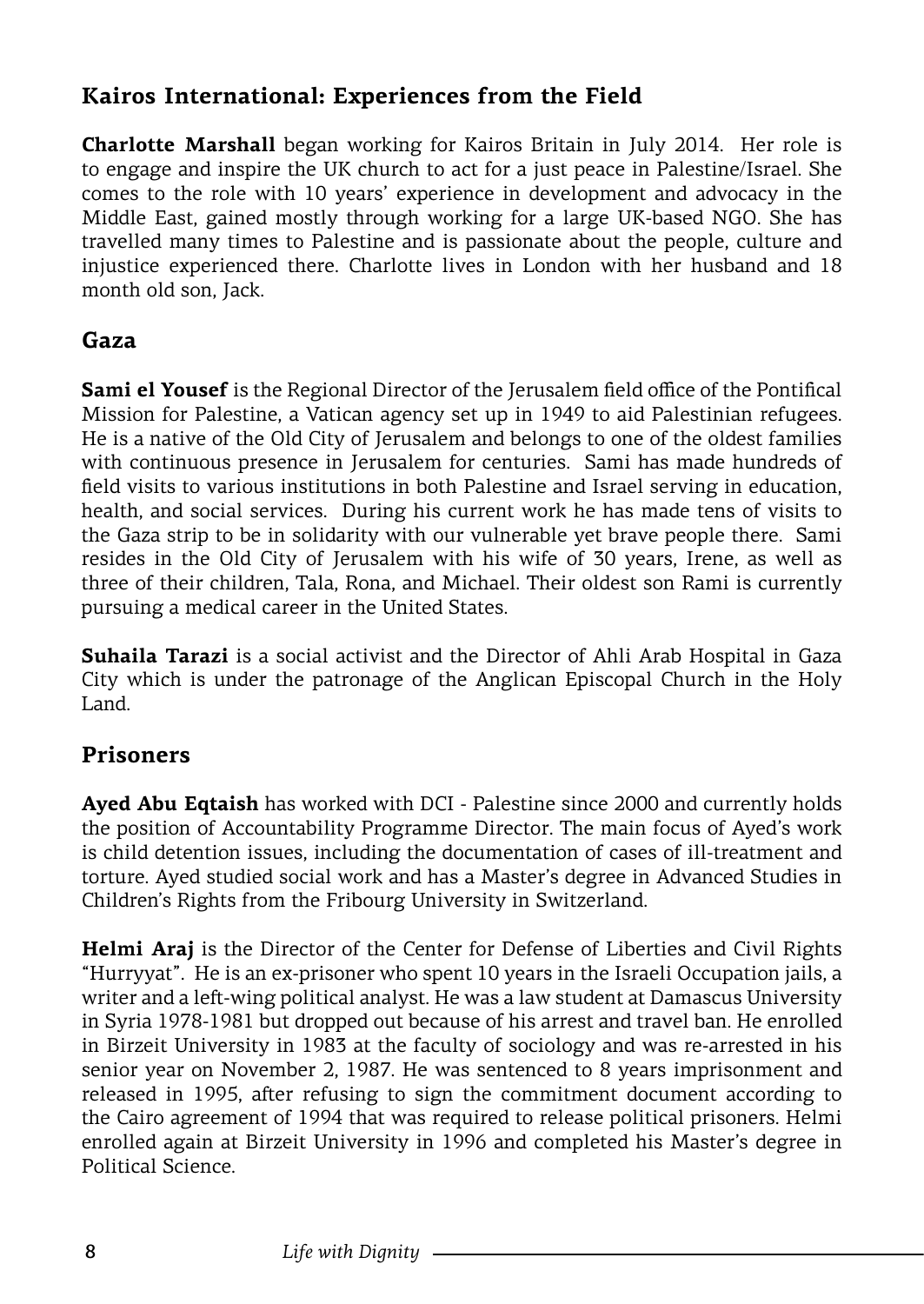### **Kairos International: Experiences from the Field**

**Charlotte Marshall** began working for Kairos Britain in July 2014. Her role is to engage and inspire the UK church to act for a just peace in Palestine/Israel. She comes to the role with 10 years' experience in development and advocacy in the Middle East, gained mostly through working for a large UK-based NGO. She has travelled many times to Palestine and is passionate about the people, culture and injustice experienced there. Charlotte lives in London with her husband and 18 month old son, Jack.

### **Gaza**

**Sami el Yousef** is the Regional Director of the Jerusalem field office of the Pontifical Mission for Palestine, a Vatican agency set up in 1949 to aid Palestinian refugees. He is a native of the Old City of Jerusalem and belongs to one of the oldest families with continuous presence in Jerusalem for centuries. Sami has made hundreds of field visits to various institutions in both Palestine and Israel serving in education, health, and social services. During his current work he has made tens of visits to the Gaza strip to be in solidarity with our vulnerable yet brave people there. Sami resides in the Old City of Jerusalem with his wife of 30 years, Irene, as well as three of their children, Tala, Rona, and Michael. Their oldest son Rami is currently pursuing a medical career in the United States.

**Suhaila Tarazi** is a social activist and the Director of Ahli Arab Hospital in Gaza City which is under the patronage of the Anglican Episcopal Church in the Holy Land.

### **Prisoners**

**Ayed Abu Eqtaish** has worked with DCI - Palestine since 2000 and currently holds the position of Accountability Programme Director. The main focus of Ayed's work is child detention issues, including the documentation of cases of ill-treatment and torture. Ayed studied social work and has a Master's degree in Advanced Studies in Children's Rights from the Fribourg University in Switzerland.

**Helmi Araj** is the Director of the Center for Defense of Liberties and Civil Rights "Hurryyat". He is an ex-prisoner who spent 10 years in the Israeli Occupation jails, a writer and a left-wing political analyst. He was a law student at Damascus University in Syria 1978-1981 but dropped out because of his arrest and travel ban. He enrolled in Birzeit University in 1983 at the faculty of sociology and was re-arrested in his senior year on November 2, 1987. He was sentenced to 8 years imprisonment and released in 1995, after refusing to sign the commitment document according to the Cairo agreement of 1994 that was required to release political prisoners. Helmi enrolled again at Birzeit University in 1996 and completed his Master's degree in Political Science.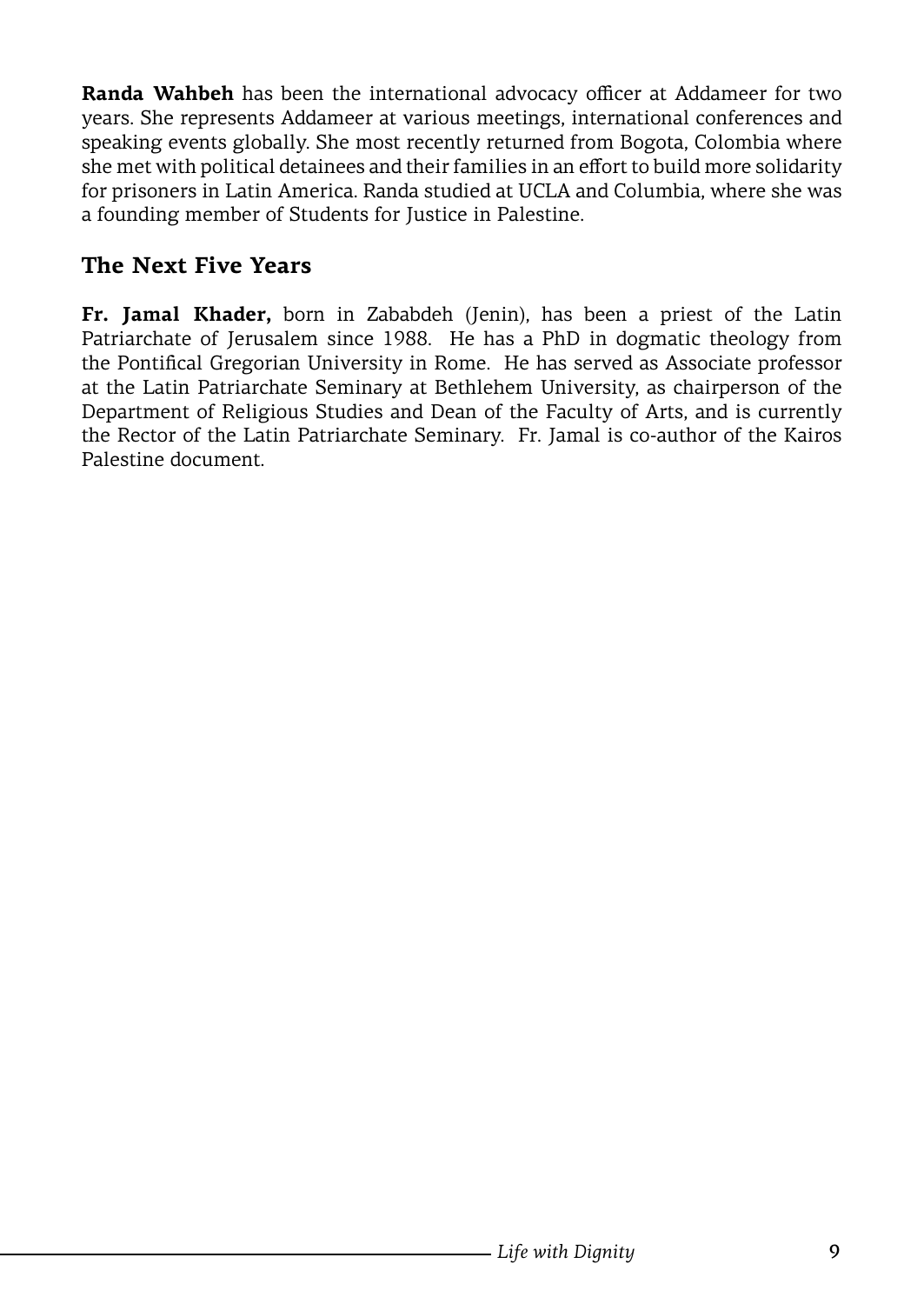**Randa Wahbeh** has been the international advocacy officer at Addameer for two years. She represents Addameer at various meetings, international conferences and speaking events globally. She most recently returned from Bogota, Colombia where she met with political detainees and their families in an effort to build more solidarity for prisoners in Latin America. Randa studied at UCLA and Columbia, where she was a founding member of Students for Justice in Palestine.

### **The Next Five Years**

**Fr. Jamal Khader,** born in Zababdeh (Jenin), has been a priest of the Latin Patriarchate of Jerusalem since 1988. He has a PhD in dogmatic theology from the Pontifical Gregorian University in Rome. He has served as Associate professor at the Latin Patriarchate Seminary at Bethlehem University, as chairperson of the Department of Religious Studies and Dean of the Faculty of Arts, and is currently the Rector of the Latin Patriarchate Seminary. Fr. Jamal is co-author of the Kairos Palestine document.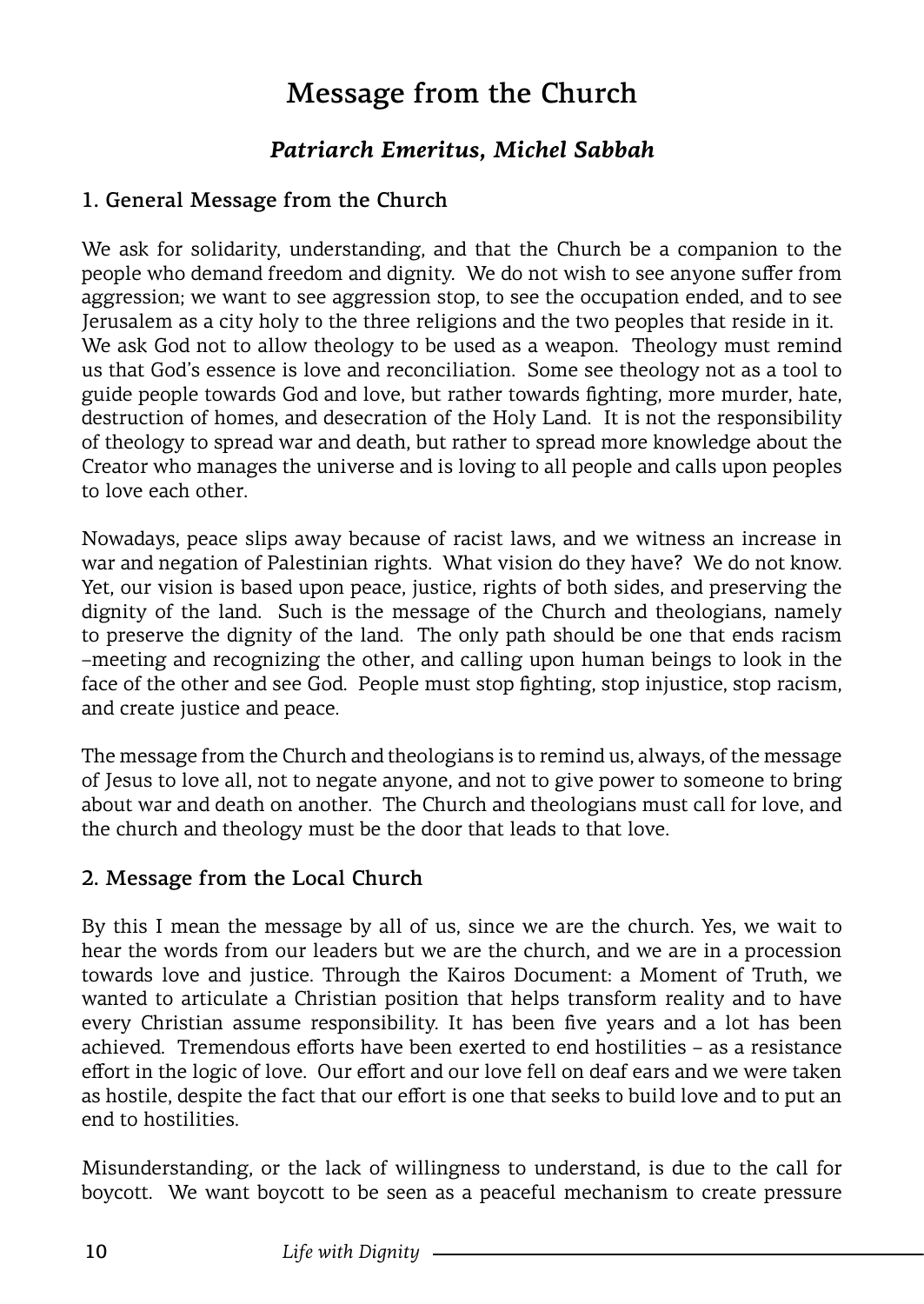## Message from the Church

### *Patriarch Emeritus, Michel Sabbah*

### 1. General Message from the Church

We ask for solidarity, understanding, and that the Church be a companion to the people who demand freedom and dignity. We do not wish to see anyone suffer from aggression; we want to see aggression stop, to see the occupation ended, and to see Jerusalem as a city holy to the three religions and the two peoples that reside in it. We ask God not to allow theology to be used as a weapon. Theology must remind us that God's essence is love and reconciliation. Some see theology not as a tool to guide people towards God and love, but rather towards fighting, more murder, hate, destruction of homes, and desecration of the Holy Land. It is not the responsibility of theology to spread war and death, but rather to spread more knowledge about the Creator who manages the universe and is loving to all people and calls upon peoples to love each other.

Nowadays, peace slips away because of racist laws, and we witness an increase in war and negation of Palestinian rights. What vision do they have? We do not know. Yet, our vision is based upon peace, justice, rights of both sides, and preserving the dignity of the land. Such is the message of the Church and theologians, namely to preserve the dignity of the land. The only path should be one that ends racism –meeting and recognizing the other, and calling upon human beings to look in the face of the other and see God. People must stop fighting, stop injustice, stop racism, and create justice and peace.

The message from the Church and theologians is to remind us, always, of the message of Jesus to love all, not to negate anyone, and not to give power to someone to bring about war and death on another. The Church and theologians must call for love, and the church and theology must be the door that leads to that love.

### 2. Message from the Local Church

By this I mean the message by all of us, since we are the church. Yes, we wait to hear the words from our leaders but we are the church, and we are in a procession towards love and justice. Through the Kairos Document: a Moment of Truth, we wanted to articulate a Christian position that helps transform reality and to have every Christian assume responsibility. It has been five years and a lot has been achieved. Tremendous efforts have been exerted to end hostilities – as a resistance effort in the logic of love. Our effort and our love fell on deaf ears and we were taken as hostile, despite the fact that our effort is one that seeks to build love and to put an end to hostilities.

Misunderstanding, or the lack of willingness to understand, is due to the call for boycott. We want boycott to be seen as a peaceful mechanism to create pressure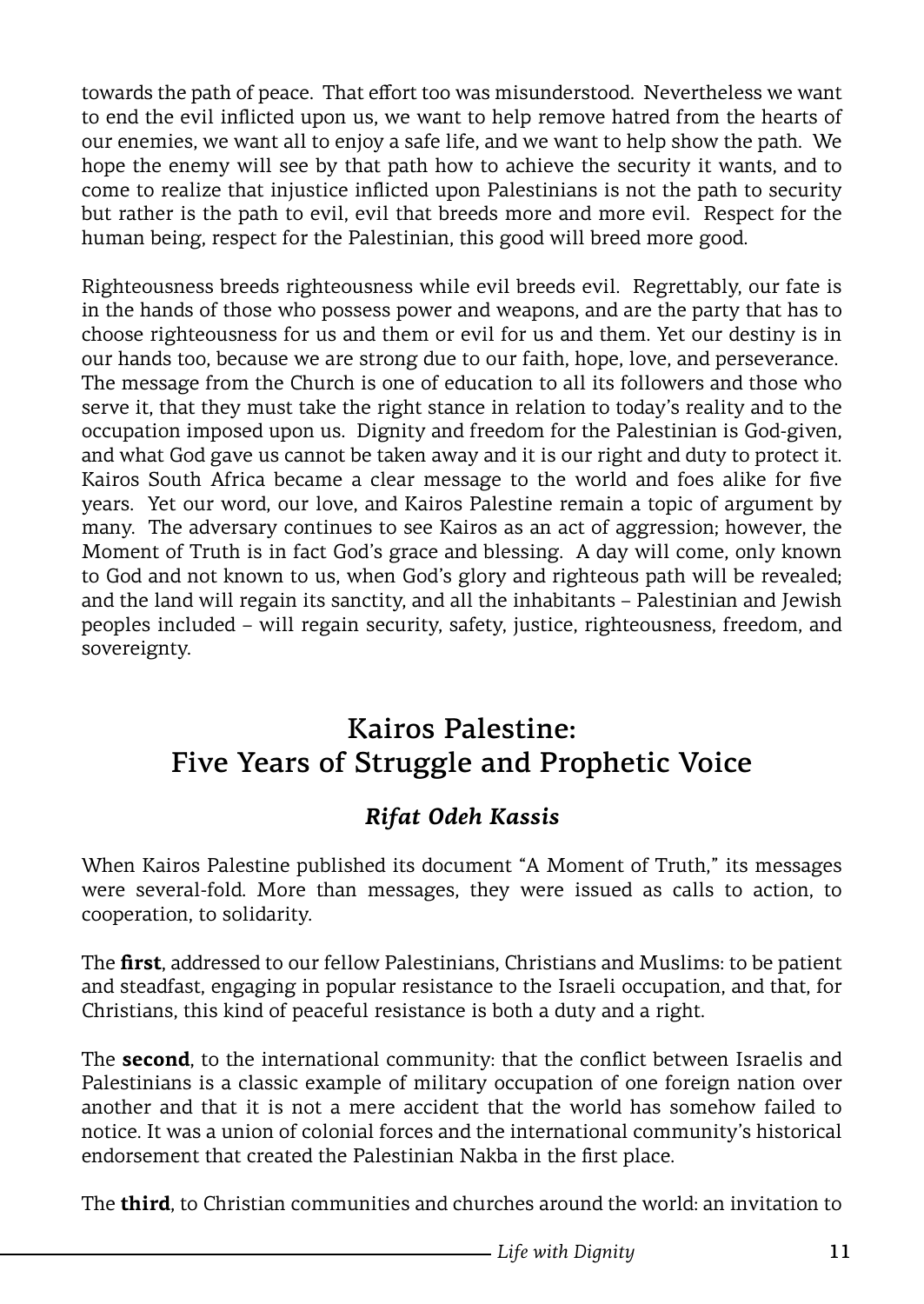towards the path of peace. That effort too was misunderstood. Nevertheless we want to end the evil inflicted upon us, we want to help remove hatred from the hearts of our enemies, we want all to enjoy a safe life, and we want to help show the path. We hope the enemy will see by that path how to achieve the security it wants, and to come to realize that injustice inflicted upon Palestinians is not the path to security but rather is the path to evil, evil that breeds more and more evil. Respect for the human being, respect for the Palestinian, this good will breed more good.

Righteousness breeds righteousness while evil breeds evil. Regrettably, our fate is in the hands of those who possess power and weapons, and are the party that has to choose righteousness for us and them or evil for us and them. Yet our destiny is in our hands too, because we are strong due to our faith, hope, love, and perseverance. The message from the Church is one of education to all its followers and those who serve it, that they must take the right stance in relation to today's reality and to the occupation imposed upon us. Dignity and freedom for the Palestinian is God-given, and what God gave us cannot be taken away and it is our right and duty to protect it. Kairos South Africa became a clear message to the world and foes alike for five years. Yet our word, our love, and Kairos Palestine remain a topic of argument by many. The adversary continues to see Kairos as an act of aggression; however, the Moment of Truth is in fact God's grace and blessing. A day will come, only known to God and not known to us, when God's glory and righteous path will be revealed; and the land will regain its sanctity, and all the inhabitants – Palestinian and Jewish peoples included – will regain security, safety, justice, righteousness, freedom, and sovereignty.

## Kairos Palestine: Five Years of Struggle and Prophetic Voice

### *Rifat Odeh Kassis*

When Kairos Palestine published its document "A Moment of Truth," its messages were several-fold. More than messages, they were issued as calls to action, to cooperation, to solidarity.

The **first**, addressed to our fellow Palestinians, Christians and Muslims: to be patient and steadfast, engaging in popular resistance to the Israeli occupation, and that, for Christians, this kind of peaceful resistance is both a duty and a right.

The **second**, to the international community: that the conflict between Israelis and Palestinians is a classic example of military occupation of one foreign nation over another and that it is not a mere accident that the world has somehow failed to notice. It was a union of colonial forces and the international community's historical endorsement that created the Palestinian Nakba in the first place.

The **third**, to Christian communities and churches around the world: an invitation to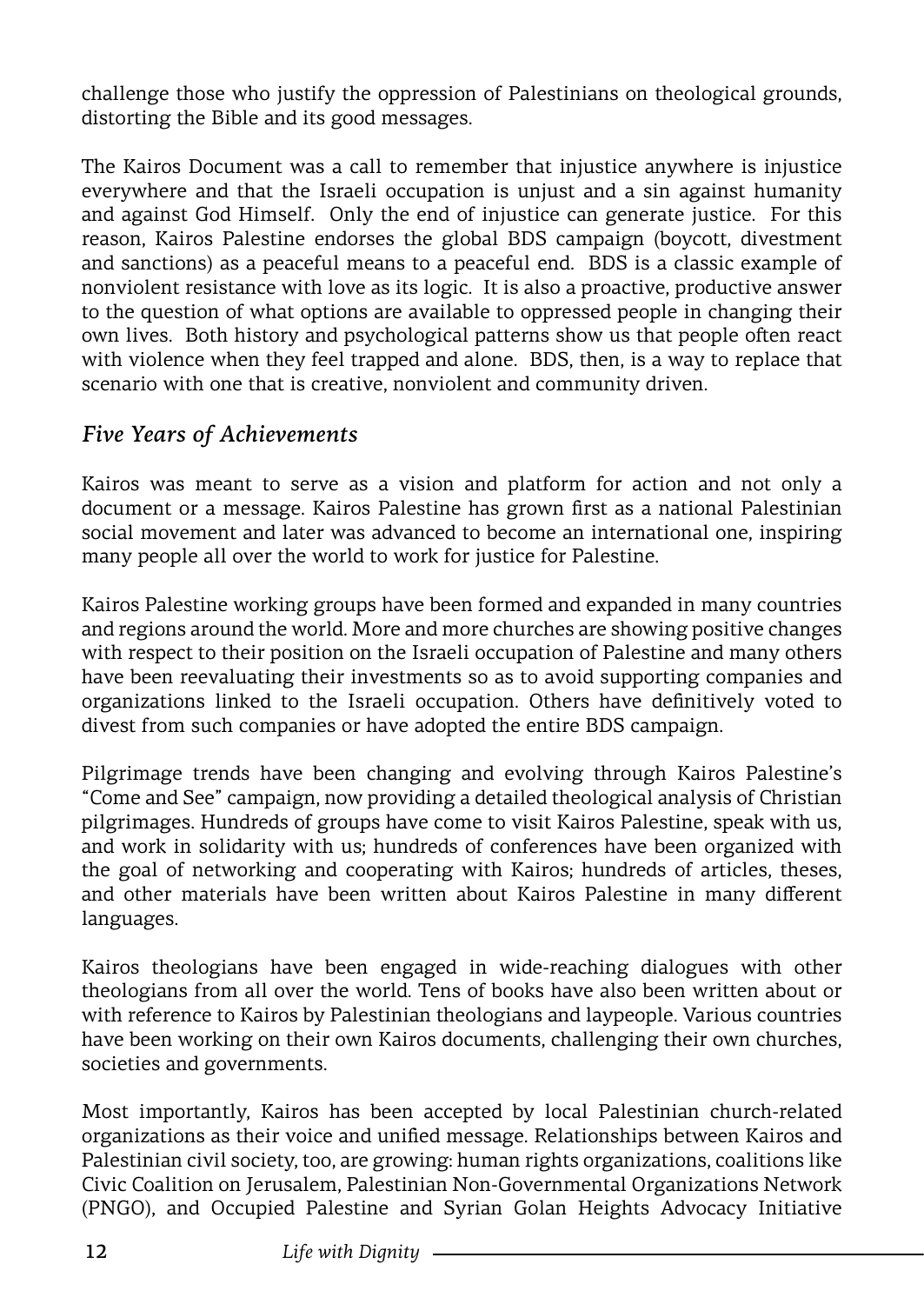challenge those who justify the oppression of Palestinians on theological grounds, distorting the Bible and its good messages.

The Kairos Document was a call to remember that injustice anywhere is injustice everywhere and that the Israeli occupation is unjust and a sin against humanity and against God Himself. Only the end of injustice can generate justice. For this reason, Kairos Palestine endorses the global BDS campaign (boycott, divestment and sanctions) as a peaceful means to a peaceful end. BDS is a classic example of nonviolent resistance with love as its logic. It is also a proactive, productive answer to the question of what options are available to oppressed people in changing their own lives. Both history and psychological patterns show us that people often react with violence when they feel trapped and alone. BDS, then, is a way to replace that scenario with one that is creative, nonviolent and community driven.

### *Five Years of Achievements*

Kairos was meant to serve as a vision and platform for action and not only a document or a message. Kairos Palestine has grown first as a national Palestinian social movement and later was advanced to become an international one, inspiring many people all over the world to work for justice for Palestine.

Kairos Palestine working groups have been formed and expanded in many countries and regions around the world. More and more churches are showing positive changes with respect to their position on the Israeli occupation of Palestine and many others have been reevaluating their investments so as to avoid supporting companies and organizations linked to the Israeli occupation. Others have definitively voted to divest from such companies or have adopted the entire BDS campaign.

Pilgrimage trends have been changing and evolving through Kairos Palestine's "Come and See" campaign, now providing a detailed theological analysis of Christian pilgrimages. Hundreds of groups have come to visit Kairos Palestine, speak with us, and work in solidarity with us; hundreds of conferences have been organized with the goal of networking and cooperating with Kairos; hundreds of articles, theses, and other materials have been written about Kairos Palestine in many different languages.

Kairos theologians have been engaged in wide-reaching dialogues with other theologians from all over the world. Tens of books have also been written about or with reference to Kairos by Palestinian theologians and laypeople. Various countries have been working on their own Kairos documents, challenging their own churches, societies and governments.

Most importantly, Kairos has been accepted by local Palestinian church-related organizations as their voice and unified message. Relationships between Kairos and Palestinian civil society, too, are growing: human rights organizations, coalitions like Civic Coalition on Jerusalem, Palestinian Non-Governmental Organizations Network (PNGO), and Occupied Palestine and Syrian Golan Heights Advocacy Initiative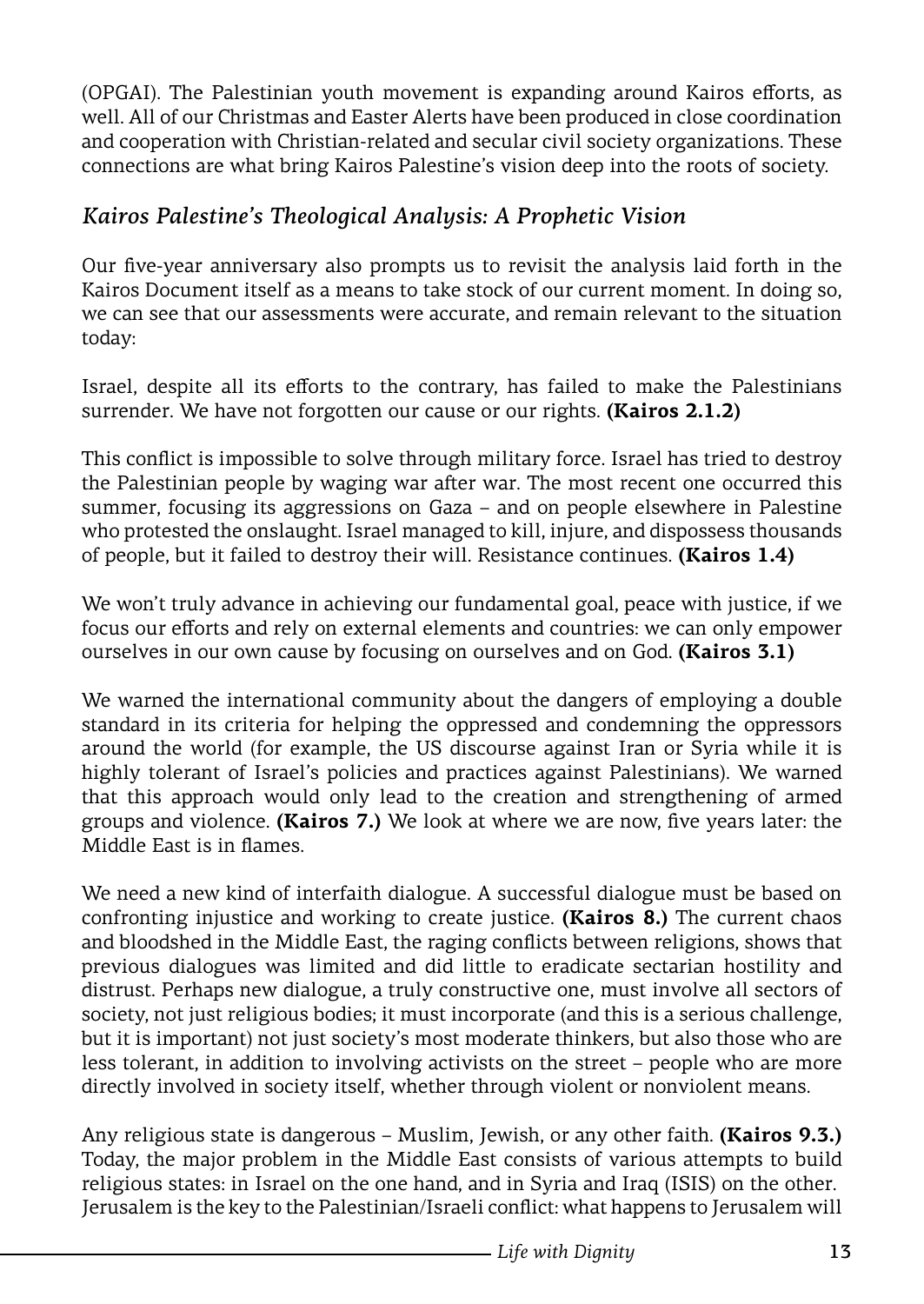(OPGAI). The Palestinian youth movement is expanding around Kairos efforts, as well. All of our Christmas and Easter Alerts have been produced in close coordination and cooperation with Christian-related and secular civil society organizations. These connections are what bring Kairos Palestine's vision deep into the roots of society.

### *Kairos Palestine's Theological Analysis: A Prophetic Vision*

Our five-year anniversary also prompts us to revisit the analysis laid forth in the Kairos Document itself as a means to take stock of our current moment. In doing so, we can see that our assessments were accurate, and remain relevant to the situation today:

Israel, despite all its efforts to the contrary, has failed to make the Palestinians surrender. We have not forgotten our cause or our rights. **(Kairos 2.1.2)**

This conflict is impossible to solve through military force. Israel has tried to destroy the Palestinian people by waging war after war. The most recent one occurred this summer, focusing its aggressions on Gaza – and on people elsewhere in Palestine who protested the onslaught. Israel managed to kill, injure, and dispossess thousands of people, but it failed to destroy their will. Resistance continues. **(Kairos 1.4)**

We won't truly advance in achieving our fundamental goal, peace with justice, if we focus our efforts and rely on external elements and countries: we can only empower ourselves in our own cause by focusing on ourselves and on God. **(Kairos 3.1)**

We warned the international community about the dangers of employing a double standard in its criteria for helping the oppressed and condemning the oppressors around the world (for example, the US discourse against Iran or Syria while it is highly tolerant of Israel's policies and practices against Palestinians). We warned that this approach would only lead to the creation and strengthening of armed groups and violence. **(Kairos 7.)** We look at where we are now, five years later: the Middle East is in flames.

We need a new kind of interfaith dialogue. A successful dialogue must be based on confronting injustice and working to create justice. **(Kairos 8.)** The current chaos and bloodshed in the Middle East, the raging conflicts between religions, shows that previous dialogues was limited and did little to eradicate sectarian hostility and distrust. Perhaps new dialogue, a truly constructive one, must involve all sectors of society, not just religious bodies; it must incorporate (and this is a serious challenge, but it is important) not just society's most moderate thinkers, but also those who are less tolerant, in addition to involving activists on the street – people who are more directly involved in society itself, whether through violent or nonviolent means.

Any religious state is dangerous – Muslim, Jewish, or any other faith. **(Kairos 9.3.)** Today, the major problem in the Middle East consists of various attempts to build religious states: in Israel on the one hand, and in Syria and Iraq (ISIS) on the other. Jerusalem is the key to the Palestinian/Israeli conflict: what happens to Jerusalem will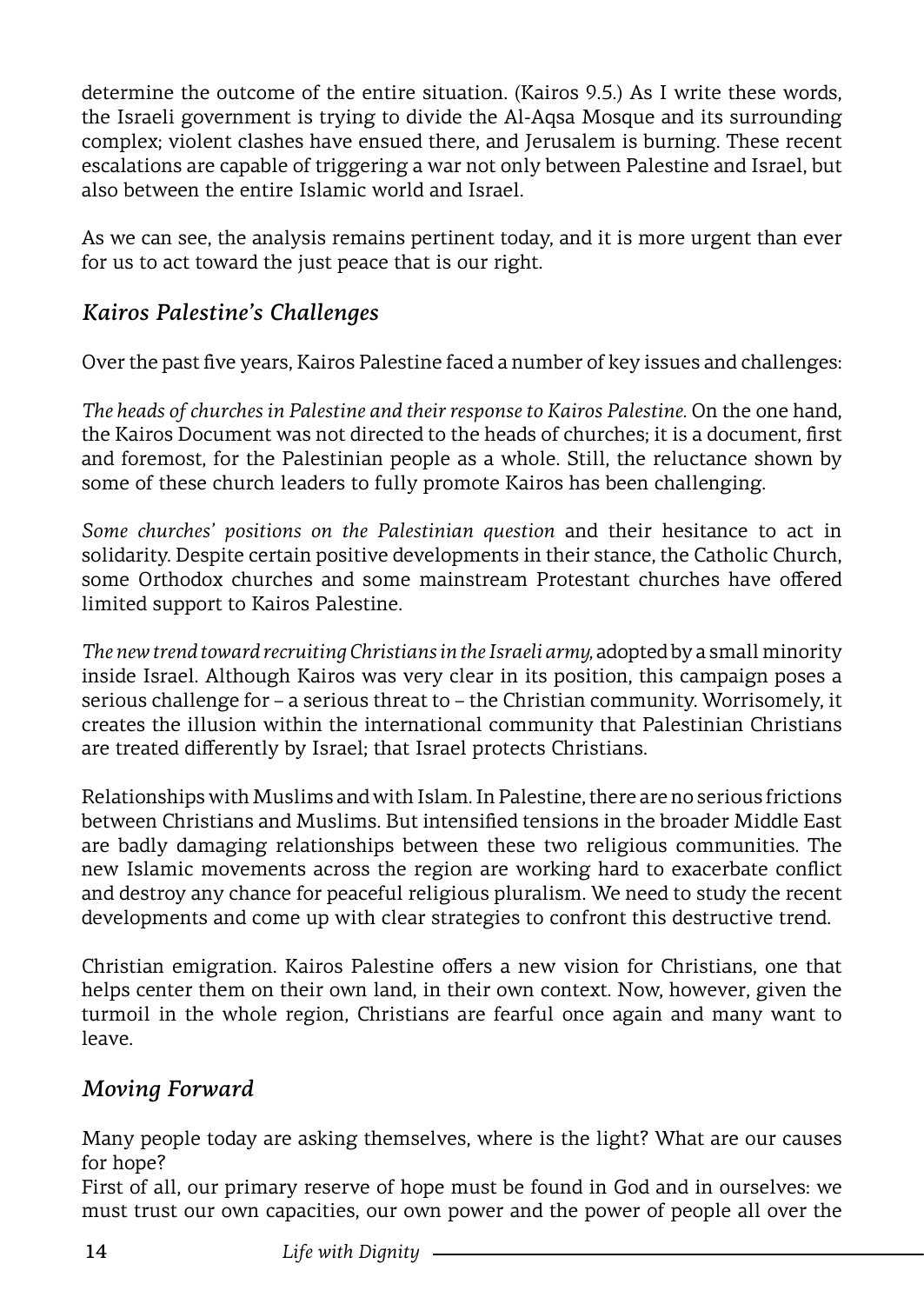determine the outcome of the entire situation. (Kairos 9.5.) As I write these words, the Israeli government is trying to divide the Al-Aqsa Mosque and its surrounding complex; violent clashes have ensued there, and Jerusalem is burning. These recent escalations are capable of triggering a war not only between Palestine and Israel, but also between the entire Islamic world and Israel.

As we can see, the analysis remains pertinent today, and it is more urgent than ever for us to act toward the just peace that is our right.

### *Kairos Palestine's Challenges*

Over the past five years, Kairos Palestine faced a number of key issues and challenges:

*The heads of churches in Palestine and their response to Kairos Palestine.* On the one hand, the Kairos Document was not directed to the heads of churches; it is a document, first and foremost, for the Palestinian people as a whole. Still, the reluctance shown by some of these church leaders to fully promote Kairos has been challenging.

*Some churches' positions on the Palestinian question* and their hesitance to act in solidarity. Despite certain positive developments in their stance, the Catholic Church, some Orthodox churches and some mainstream Protestant churches have offered limited support to Kairos Palestine.

*The new trend toward recruiting Christians in the Israeli army,* adopted by a small minority inside Israel. Although Kairos was very clear in its position, this campaign poses a serious challenge for – a serious threat to – the Christian community. Worrisomely, it creates the illusion within the international community that Palestinian Christians are treated differently by Israel; that Israel protects Christians.

Relationships with Muslims and with Islam. In Palestine, there are no serious frictions between Christians and Muslims. But intensified tensions in the broader Middle East are badly damaging relationships between these two religious communities. The new Islamic movements across the region are working hard to exacerbate conflict and destroy any chance for peaceful religious pluralism. We need to study the recent developments and come up with clear strategies to confront this destructive trend.

Christian emigration. Kairos Palestine offers a new vision for Christians, one that helps center them on their own land, in their own context. Now, however, given the turmoil in the whole region, Christians are fearful once again and many want to leave.

### *Moving Forward*

Many people today are asking themselves, where is the light? What are our causes for hope?

First of all, our primary reserve of hope must be found in God and in ourselves: we must trust our own capacities, our own power and the power of people all over the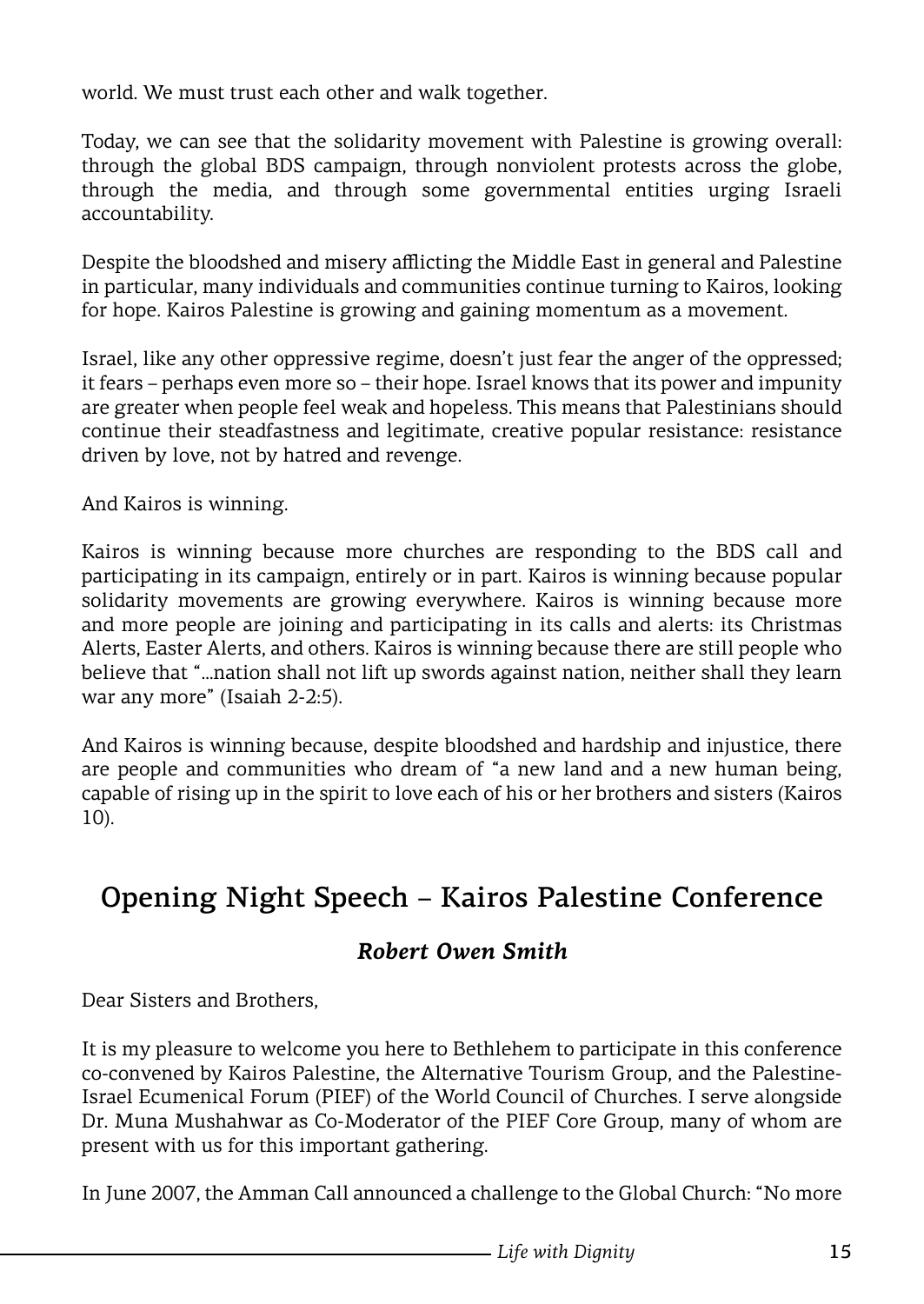world. We must trust each other and walk together.

Today, we can see that the solidarity movement with Palestine is growing overall: through the global BDS campaign, through nonviolent protests across the globe, through the media, and through some governmental entities urging Israeli accountability.

Despite the bloodshed and misery afflicting the Middle East in general and Palestine in particular, many individuals and communities continue turning to Kairos, looking for hope. Kairos Palestine is growing and gaining momentum as a movement.

Israel, like any other oppressive regime, doesn't just fear the anger of the oppressed; it fears – perhaps even more so – their hope. Israel knows that its power and impunity are greater when people feel weak and hopeless. This means that Palestinians should continue their steadfastness and legitimate, creative popular resistance: resistance driven by love, not by hatred and revenge.

And Kairos is winning.

Kairos is winning because more churches are responding to the BDS call and participating in its campaign, entirely or in part. Kairos is winning because popular solidarity movements are growing everywhere. Kairos is winning because more and more people are joining and participating in its calls and alerts: its Christmas Alerts, Easter Alerts, and others. Kairos is winning because there are still people who believe that "…nation shall not lift up swords against nation, neither shall they learn war any more" (Isaiah 2-2:5).

And Kairos is winning because, despite bloodshed and hardship and injustice, there are people and communities who dream of "a new land and a new human being, capable of rising up in the spirit to love each of his or her brothers and sisters (Kairos 10).

## Opening Night Speech – Kairos Palestine Conference

### *Robert Owen Smith*

Dear Sisters and Brothers,

It is my pleasure to welcome you here to Bethlehem to participate in this conference co-convened by Kairos Palestine, the Alternative Tourism Group, and the Palestine-Israel Ecumenical Forum (PIEF) of the World Council of Churches. I serve alongside Dr. Muna Mushahwar as Co-Moderator of the PIEF Core Group, many of whom are present with us for this important gathering.

In June 2007, the Amman Call announced a challenge to the Global Church: "No more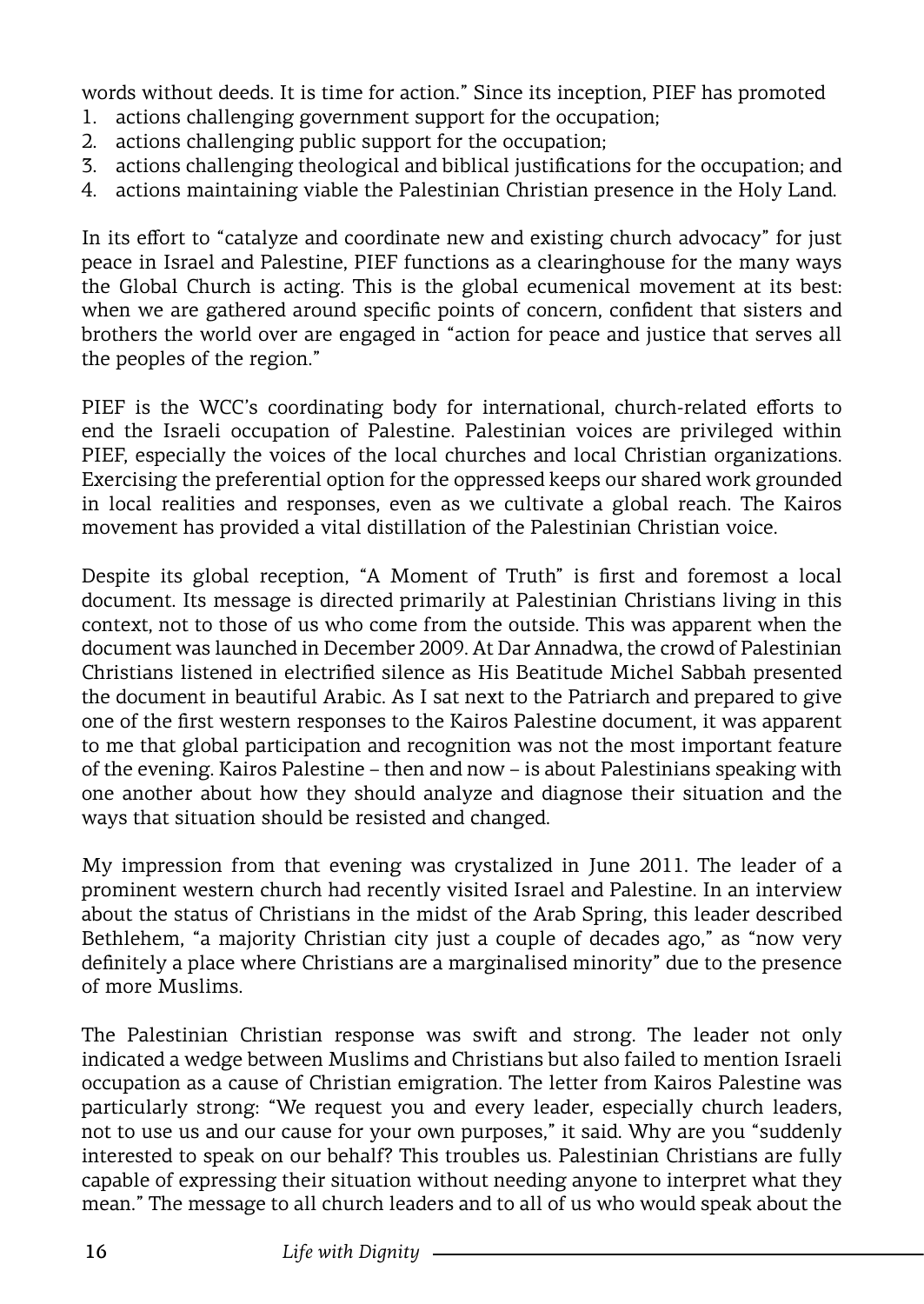words without deeds. It is time for action." Since its inception, PIEF has promoted

- 1. actions challenging government support for the occupation;
- 2. actions challenging public support for the occupation;
- 3. actions challenging theological and biblical justifications for the occupation; and
- 4. actions maintaining viable the Palestinian Christian presence in the Holy Land.

In its effort to "catalyze and coordinate new and existing church advocacy" for just peace in Israel and Palestine, PIEF functions as a clearinghouse for the many ways the Global Church is acting. This is the global ecumenical movement at its best: when we are gathered around specific points of concern, confident that sisters and brothers the world over are engaged in "action for peace and justice that serves all the peoples of the region."

PIEF is the WCC's coordinating body for international, church-related efforts to end the Israeli occupation of Palestine. Palestinian voices are privileged within PIEF, especially the voices of the local churches and local Christian organizations. Exercising the preferential option for the oppressed keeps our shared work grounded in local realities and responses, even as we cultivate a global reach. The Kairos movement has provided a vital distillation of the Palestinian Christian voice.

Despite its global reception, "A Moment of Truth" is first and foremost a local document. Its message is directed primarily at Palestinian Christians living in this context, not to those of us who come from the outside. This was apparent when the document was launched in December 2009. At Dar Annadwa, the crowd of Palestinian Christians listened in electrified silence as His Beatitude Michel Sabbah presented the document in beautiful Arabic. As I sat next to the Patriarch and prepared to give one of the first western responses to the Kairos Palestine document, it was apparent to me that global participation and recognition was not the most important feature of the evening. Kairos Palestine – then and now – is about Palestinians speaking with one another about how they should analyze and diagnose their situation and the ways that situation should be resisted and changed.

My impression from that evening was crystalized in June 2011. The leader of a prominent western church had recently visited Israel and Palestine. In an interview about the status of Christians in the midst of the Arab Spring, this leader described Bethlehem, "a majority Christian city just a couple of decades ago," as "now very definitely a place where Christians are a marginalised minority" due to the presence of more Muslims.

The Palestinian Christian response was swift and strong. The leader not only indicated a wedge between Muslims and Christians but also failed to mention Israeli occupation as a cause of Christian emigration. The letter from Kairos Palestine was particularly strong: "We request you and every leader, especially church leaders, not to use us and our cause for your own purposes," it said. Why are you "suddenly interested to speak on our behalf? This troubles us. Palestinian Christians are fully capable of expressing their situation without needing anyone to interpret what they mean." The message to all church leaders and to all of us who would speak about the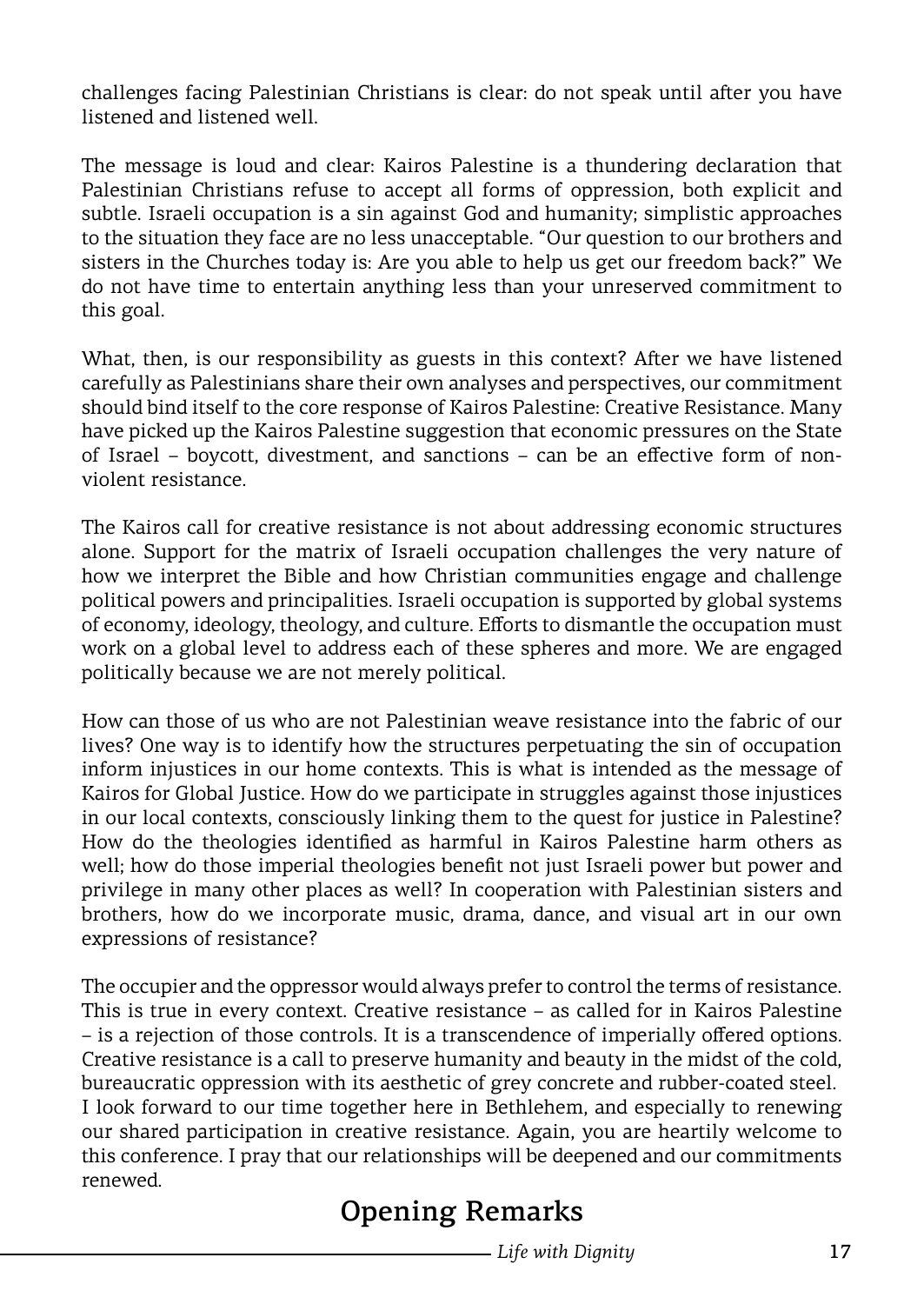challenges facing Palestinian Christians is clear: do not speak until after you have listened and listened well.

The message is loud and clear: Kairos Palestine is a thundering declaration that Palestinian Christians refuse to accept all forms of oppression, both explicit and subtle. Israeli occupation is a sin against God and humanity; simplistic approaches to the situation they face are no less unacceptable. "Our question to our brothers and sisters in the Churches today is: Are you able to help us get our freedom back?" We do not have time to entertain anything less than your unreserved commitment to this goal.

What, then, is our responsibility as guests in this context? After we have listened carefully as Palestinians share their own analyses and perspectives, our commitment should bind itself to the core response of Kairos Palestine: Creative Resistance. Many have picked up the Kairos Palestine suggestion that economic pressures on the State of Israel – boycott, divestment, and sanctions – can be an effective form of nonviolent resistance.

The Kairos call for creative resistance is not about addressing economic structures alone. Support for the matrix of Israeli occupation challenges the very nature of how we interpret the Bible and how Christian communities engage and challenge political powers and principalities. Israeli occupation is supported by global systems of economy, ideology, theology, and culture. Efforts to dismantle the occupation must work on a global level to address each of these spheres and more. We are engaged politically because we are not merely political.

How can those of us who are not Palestinian weave resistance into the fabric of our lives? One way is to identify how the structures perpetuating the sin of occupation inform injustices in our home contexts. This is what is intended as the message of Kairos for Global Justice. How do we participate in struggles against those injustices in our local contexts, consciously linking them to the quest for justice in Palestine? How do the theologies identified as harmful in Kairos Palestine harm others as well; how do those imperial theologies benefit not just Israeli power but power and privilege in many other places as well? In cooperation with Palestinian sisters and brothers, how do we incorporate music, drama, dance, and visual art in our own expressions of resistance?

The occupier and the oppressor would always prefer to control the terms of resistance. This is true in every context. Creative resistance – as called for in Kairos Palestine – is a rejection of those controls. It is a transcendence of imperially offered options. Creative resistance is a call to preserve humanity and beauty in the midst of the cold, bureaucratic oppression with its aesthetic of grey concrete and rubber-coated steel. I look forward to our time together here in Bethlehem, and especially to renewing our shared participation in creative resistance. Again, you are heartily welcome to this conference. I pray that our relationships will be deepened and our commitments renewed.

## Opening Remarks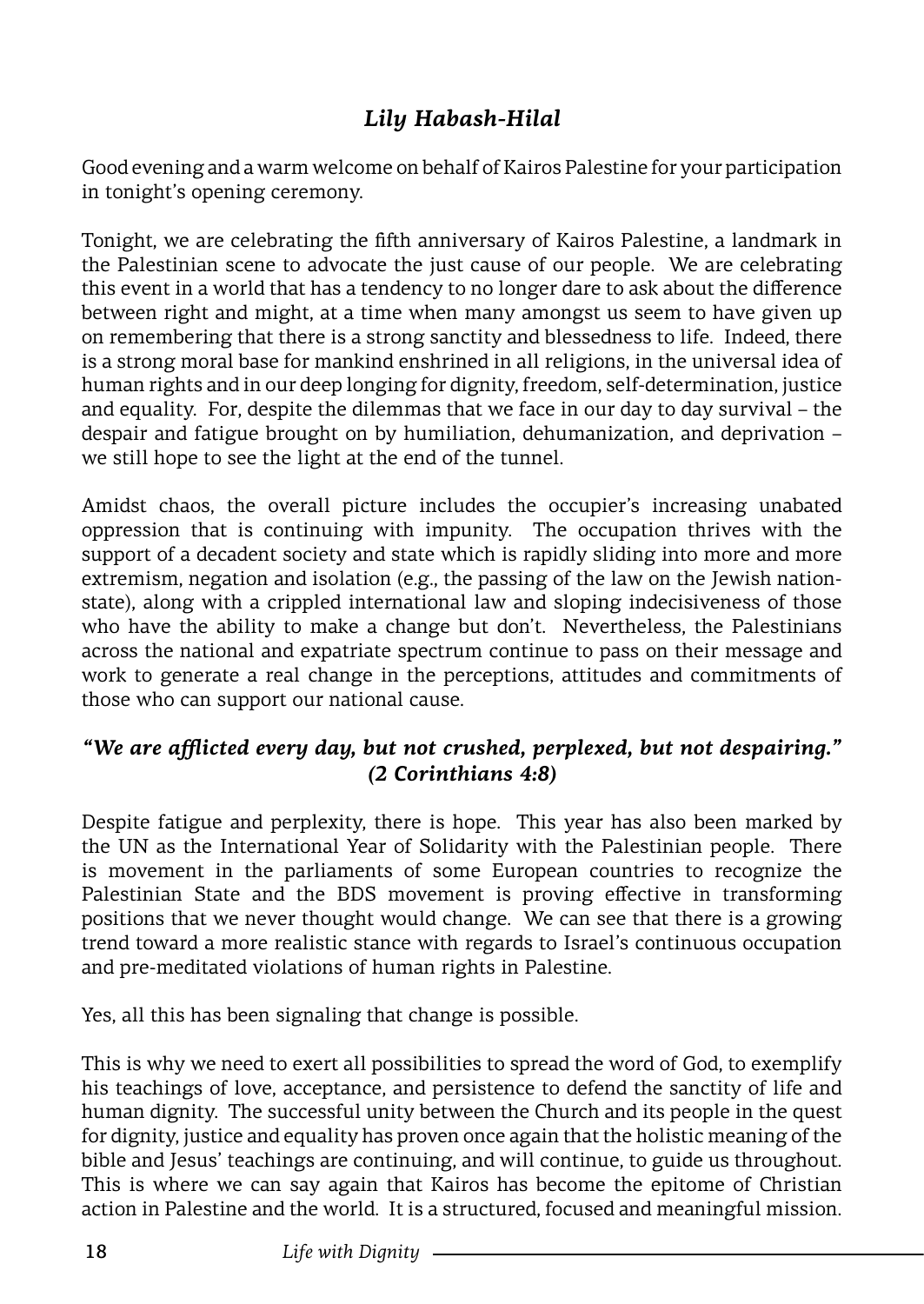### *Lily Habash-Hilal*

Good evening and a warm welcome on behalf of Kairos Palestine for your participation in tonight's opening ceremony.

Tonight, we are celebrating the fifth anniversary of Kairos Palestine, a landmark in the Palestinian scene to advocate the just cause of our people. We are celebrating this event in a world that has a tendency to no longer dare to ask about the difference between right and might, at a time when many amongst us seem to have given up on remembering that there is a strong sanctity and blessedness to life. Indeed, there is a strong moral base for mankind enshrined in all religions, in the universal idea of human rights and in our deep longing for dignity, freedom, self-determination, justice and equality. For, despite the dilemmas that we face in our day to day survival – the despair and fatigue brought on by humiliation, dehumanization, and deprivation – we still hope to see the light at the end of the tunnel.

Amidst chaos, the overall picture includes the occupier's increasing unabated oppression that is continuing with impunity. The occupation thrives with the support of a decadent society and state which is rapidly sliding into more and more extremism, negation and isolation (e.g., the passing of the law on the Jewish nationstate), along with a crippled international law and sloping indecisiveness of those who have the ability to make a change but don't. Nevertheless, the Palestinians across the national and expatriate spectrum continue to pass on their message and work to generate a real change in the perceptions, attitudes and commitments of those who can support our national cause.

### *"We are afflicted every day, but not crushed, perplexed, but not despairing." (2 Corinthians 4:8)*

Despite fatigue and perplexity, there is hope. This year has also been marked by the UN as the International Year of Solidarity with the Palestinian people. There is movement in the parliaments of some European countries to recognize the Palestinian State and the BDS movement is proving effective in transforming positions that we never thought would change. We can see that there is a growing trend toward a more realistic stance with regards to Israel's continuous occupation and pre-meditated violations of human rights in Palestine.

Yes, all this has been signaling that change is possible.

This is why we need to exert all possibilities to spread the word of God, to exemplify his teachings of love, acceptance, and persistence to defend the sanctity of life and human dignity. The successful unity between the Church and its people in the quest for dignity, justice and equality has proven once again that the holistic meaning of the bible and Jesus' teachings are continuing, and will continue, to guide us throughout. This is where we can say again that Kairos has become the epitome of Christian action in Palestine and the world. It is a structured, focused and meaningful mission.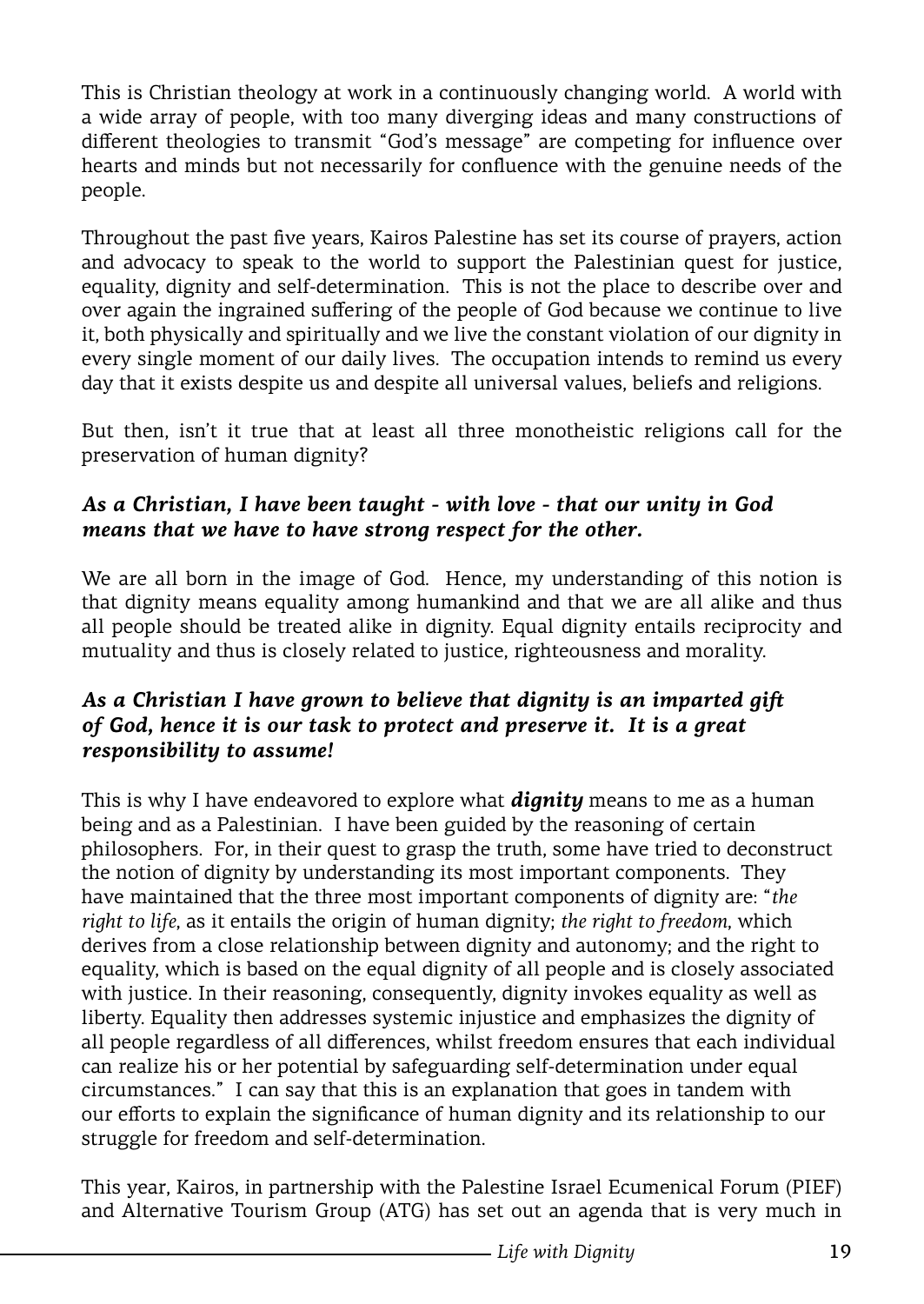This is Christian theology at work in a continuously changing world. A world with a wide array of people, with too many diverging ideas and many constructions of different theologies to transmit "God's message" are competing for influence over hearts and minds but not necessarily for confluence with the genuine needs of the people.

Throughout the past five years, Kairos Palestine has set its course of prayers, action and advocacy to speak to the world to support the Palestinian quest for justice, equality, dignity and self-determination. This is not the place to describe over and over again the ingrained suffering of the people of God because we continue to live it, both physically and spiritually and we live the constant violation of our dignity in every single moment of our daily lives. The occupation intends to remind us every day that it exists despite us and despite all universal values, beliefs and religions.

But then, isn't it true that at least all three monotheistic religions call for the preservation of human dignity?

### *As a Christian, I have been taught - with love - that our unity in God means that we have to have strong respect for the other.*

We are all born in the image of God. Hence, my understanding of this notion is that dignity means equality among humankind and that we are all alike and thus all people should be treated alike in dignity. Equal dignity entails reciprocity and mutuality and thus is closely related to justice, righteousness and morality.

### *As a Christian I have grown to believe that dignity is an imparted gift of God, hence it is our task to protect and preserve it. It is a great responsibility to assume!*

This is why I have endeavored to explore what *dignity* means to me as a human being and as a Palestinian. I have been guided by the reasoning of certain philosophers. For, in their quest to grasp the truth, some have tried to deconstruct the notion of dignity by understanding its most important components. They have maintained that the three most important components of dignity are: "*the right to life*, as it entails the origin of human dignity; *the right to freedom*, which derives from a close relationship between dignity and autonomy; and the right to equality, which is based on the equal dignity of all people and is closely associated with justice. In their reasoning, consequently, dignity invokes equality as well as liberty. Equality then addresses systemic injustice and emphasizes the dignity of all people regardless of all differences, whilst freedom ensures that each individual can realize his or her potential by safeguarding self-determination under equal circumstances." I can say that this is an explanation that goes in tandem with our efforts to explain the significance of human dignity and its relationship to our struggle for freedom and self-determination.

This year, Kairos, in partnership with the Palestine Israel Ecumenical Forum (PIEF) and Alternative Tourism Group (ATG) has set out an agenda that is very much in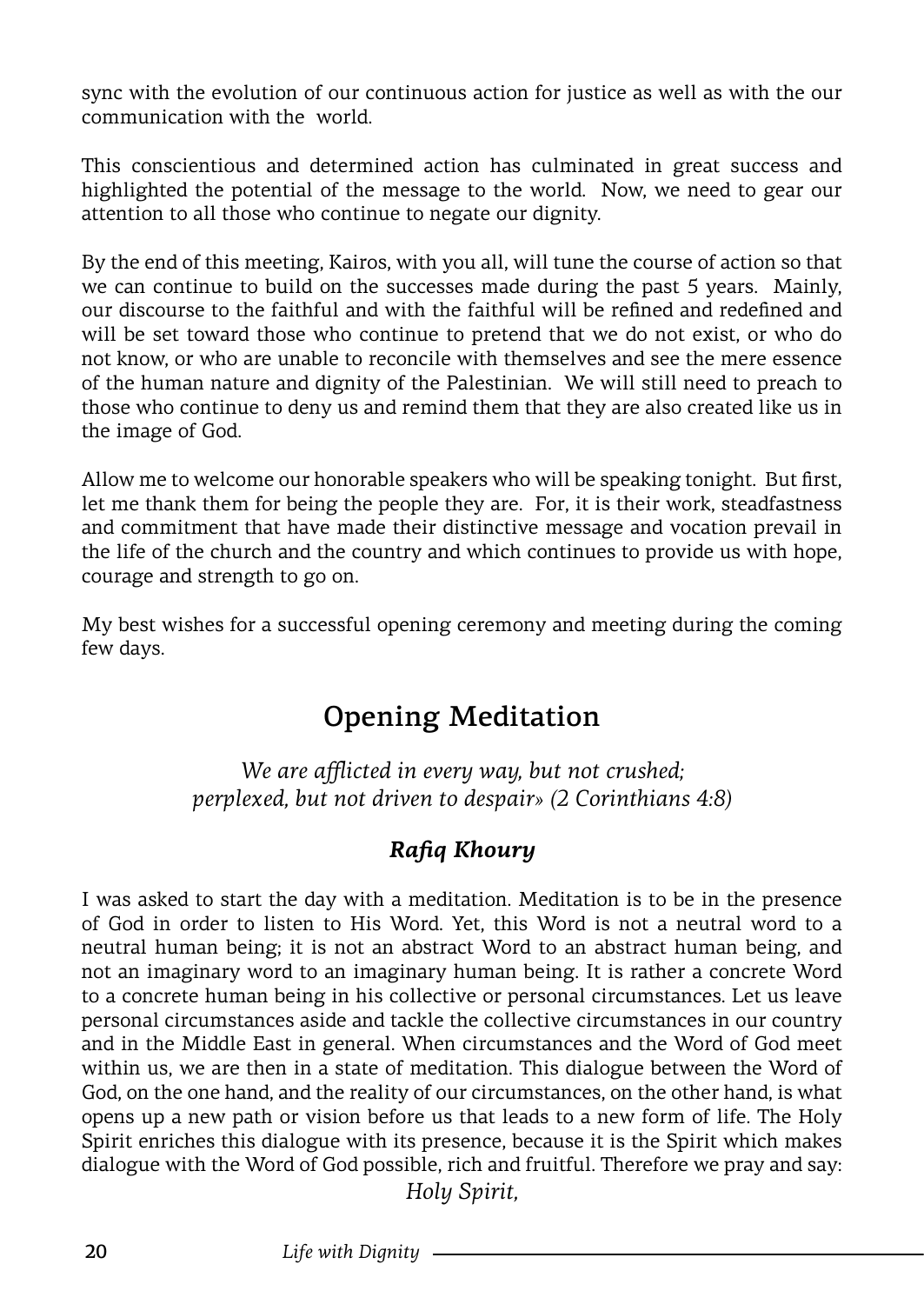sync with the evolution of our continuous action for justice as well as with the our communication with the world.

This conscientious and determined action has culminated in great success and highlighted the potential of the message to the world. Now, we need to gear our attention to all those who continue to negate our dignity.

By the end of this meeting, Kairos, with you all, will tune the course of action so that we can continue to build on the successes made during the past 5 years. Mainly, our discourse to the faithful and with the faithful will be refined and redefined and will be set toward those who continue to pretend that we do not exist, or who do not know, or who are unable to reconcile with themselves and see the mere essence of the human nature and dignity of the Palestinian. We will still need to preach to those who continue to deny us and remind them that they are also created like us in the image of God.

Allow me to welcome our honorable speakers who will be speaking tonight. But first, let me thank them for being the people they are. For, it is their work, steadfastness and commitment that have made their distinctive message and vocation prevail in the life of the church and the country and which continues to provide us with hope, courage and strength to go on.

My best wishes for a successful opening ceremony and meeting during the coming few days.

## Opening Meditation

*We are afflicted in every way, but not crushed; perplexed, but not driven to despair» (2 Corinthians 4:8)*

### *Rafiq Khoury*

I was asked to start the day with a meditation. Meditation is to be in the presence of God in order to listen to His Word. Yet, this Word is not a neutral word to a neutral human being; it is not an abstract Word to an abstract human being, and not an imaginary word to an imaginary human being. It is rather a concrete Word to a concrete human being in his collective or personal circumstances. Let us leave personal circumstances aside and tackle the collective circumstances in our country and in the Middle East in general. When circumstances and the Word of God meet within us, we are then in a state of meditation. This dialogue between the Word of God, on the one hand, and the reality of our circumstances, on the other hand, is what opens up a new path or vision before us that leads to a new form of life. The Holy Spirit enriches this dialogue with its presence, because it is the Spirit which makes dialogue with the Word of God possible, rich and fruitful. Therefore we pray and say: *Holy Spirit,*

20 *Life with Dignity*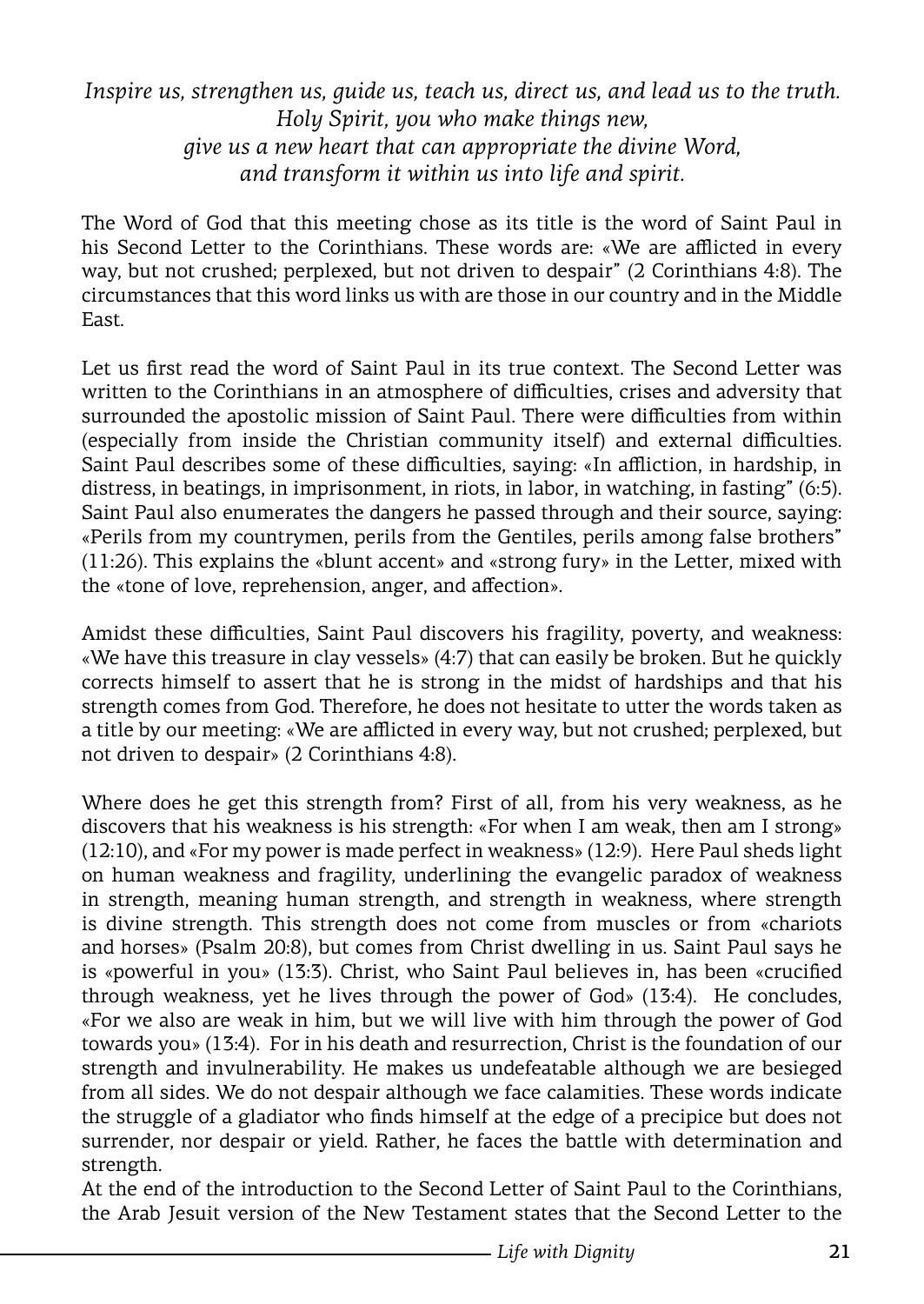### *Inspire us, strengthen us, guide us, teach us, direct us, and lead us to the truth. Holy Spirit, you who make things new, give us a new heart that can appropriate the divine Word, and transform it within us into life and spirit.*

The Word of God that this meeting chose as its title is the word of Saint Paul in his Second Letter to the Corinthians. These words are: «We are afflicted in every way, but not crushed; perplexed, but not driven to despair" (2 Corinthians 4:8). The circumstances that this word links us with are those in our country and in the Middle East.

Let us first read the word of Saint Paul in its true context. The Second Letter was written to the Corinthians in an atmosphere of difficulties, crises and adversity that surrounded the apostolic mission of Saint Paul. There were difficulties from within (especially from inside the Christian community itself) and external difficulties. Saint Paul describes some of these difficulties, saying: «In affliction, in hardship, in distress, in beatings, in imprisonment, in riots, in labor, in watching, in fasting" (6:5). Saint Paul also enumerates the dangers he passed through and their source, saying: «Perils from my countrymen, perils from the Gentiles, perils among false brothers" (11:26). This explains the «blunt accent» and «strong fury» in the Letter, mixed with the «tone of love, reprehension, anger, and affection».

Amidst these difficulties, Saint Paul discovers his fragility, poverty, and weakness: «We have this treasure in clay vessels» (4:7) that can easily be broken. But he quickly corrects himself to assert that he is strong in the midst of hardships and that his strength comes from God. Therefore, he does not hesitate to utter the words taken as a title by our meeting: «We are afflicted in every way, but not crushed; perplexed, but not driven to despair» (2 Corinthians 4:8).

Where does he get this strength from? First of all, from his very weakness, as he discovers that his weakness is his strength: «For when I am weak, then am I strong» (12:10), and «For my power is made perfect in weakness» (12:9). Here Paul sheds light on human weakness and fragility, underlining the evangelic paradox of weakness in strength, meaning human strength, and strength in weakness, where strength is divine strength. This strength does not come from muscles or from «chariots and horses» (Psalm 20:8), but comes from Christ dwelling in us. Saint Paul says he is «powerful in you» (13:3). Christ, who Saint Paul believes in, has been «crucified through weakness, yet he lives through the power of God» (13:4). He concludes, «For we also are weak in him, but we will live with him through the power of God towards you» (13:4). For in his death and resurrection, Christ is the foundation of our strength and invulnerability. He makes us undefeatable although we are besieged from all sides. We do not despair although we face calamities. These words indicate the struggle of a gladiator who finds himself at the edge of a precipice but does not surrender, nor despair or yield. Rather, he faces the battle with determination and strength.

At the end of the introduction to the Second Letter of Saint Paul to the Corinthians, the Arab Jesuit version of the New Testament states that the Second Letter to the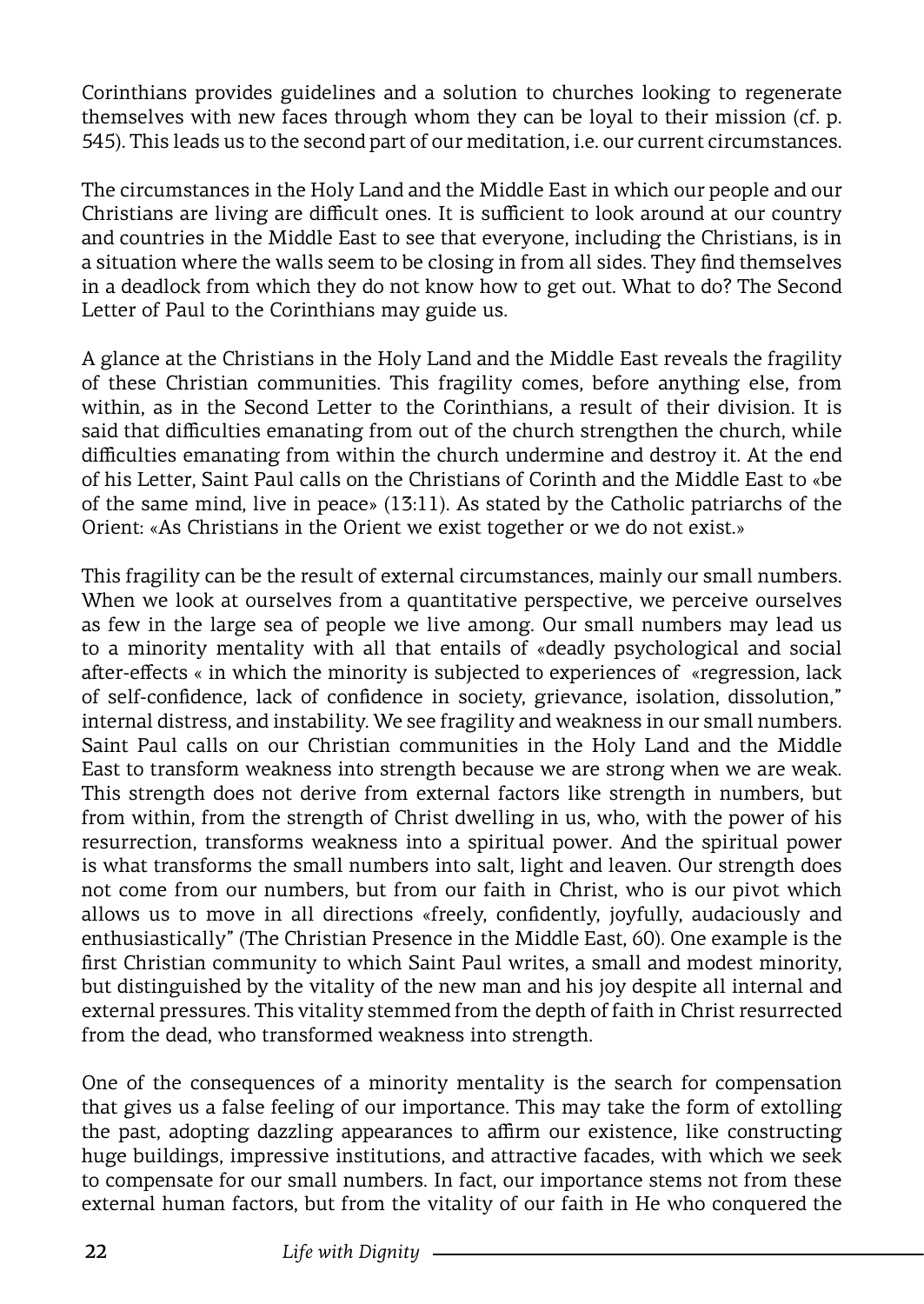Corinthians provides guidelines and a solution to churches looking to regenerate themselves with new faces through whom they can be loyal to their mission (cf. p. 545). This leads us to the second part of our meditation, i.e. our current circumstances.

The circumstances in the Holy Land and the Middle East in which our people and our Christians are living are difficult ones. It is sufficient to look around at our country and countries in the Middle East to see that everyone, including the Christians, is in a situation where the walls seem to be closing in from all sides. They find themselves in a deadlock from which they do not know how to get out. What to do? The Second Letter of Paul to the Corinthians may guide us.

A glance at the Christians in the Holy Land and the Middle East reveals the fragility of these Christian communities. This fragility comes, before anything else, from within, as in the Second Letter to the Corinthians, a result of their division. It is said that difficulties emanating from out of the church strengthen the church, while difficulties emanating from within the church undermine and destroy it. At the end of his Letter, Saint Paul calls on the Christians of Corinth and the Middle East to «be of the same mind, live in peace» (13:11). As stated by the Catholic patriarchs of the Orient: «As Christians in the Orient we exist together or we do not exist.»

This fragility can be the result of external circumstances, mainly our small numbers. When we look at ourselves from a quantitative perspective, we perceive ourselves as few in the large sea of people we live among. Our small numbers may lead us to a minority mentality with all that entails of «deadly psychological and social after-effects « in which the minority is subjected to experiences of «regression, lack of self-confidence, lack of confidence in society, grievance, isolation, dissolution," internal distress, and instability. We see fragility and weakness in our small numbers. Saint Paul calls on our Christian communities in the Holy Land and the Middle East to transform weakness into strength because we are strong when we are weak. This strength does not derive from external factors like strength in numbers, but from within, from the strength of Christ dwelling in us, who, with the power of his resurrection, transforms weakness into a spiritual power. And the spiritual power is what transforms the small numbers into salt, light and leaven. Our strength does not come from our numbers, but from our faith in Christ, who is our pivot which allows us to move in all directions «freely, confidently, joyfully, audaciously and enthusiastically" (The Christian Presence in the Middle East, 60). One example is the first Christian community to which Saint Paul writes, a small and modest minority, but distinguished by the vitality of the new man and his joy despite all internal and external pressures. This vitality stemmed from the depth of faith in Christ resurrected from the dead, who transformed weakness into strength.

One of the consequences of a minority mentality is the search for compensation that gives us a false feeling of our importance. This may take the form of extolling the past, adopting dazzling appearances to affirm our existence, like constructing huge buildings, impressive institutions, and attractive facades, with which we seek to compensate for our small numbers. In fact, our importance stems not from these external human factors, but from the vitality of our faith in He who conquered the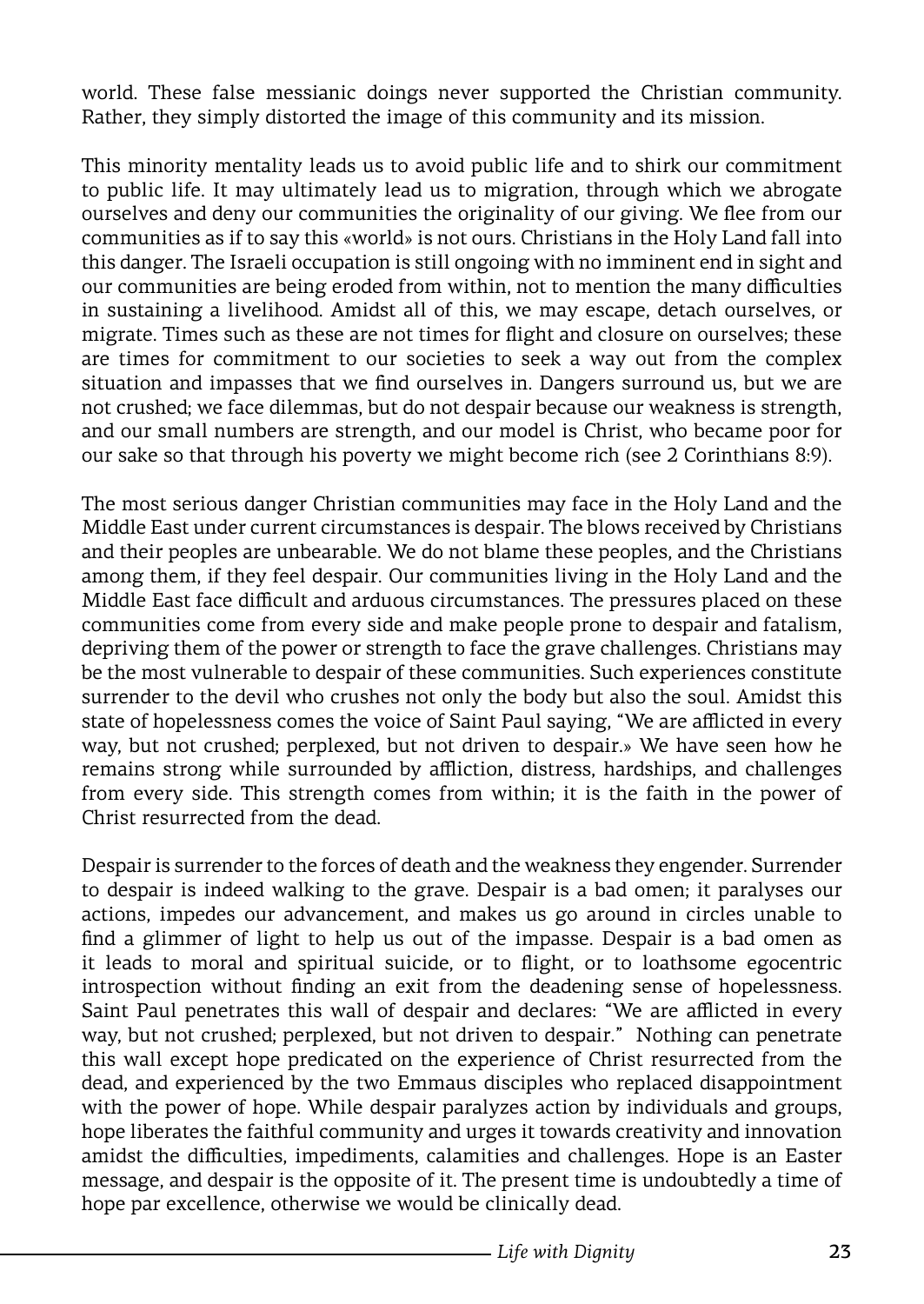world. These false messianic doings never supported the Christian community. Rather, they simply distorted the image of this community and its mission.

This minority mentality leads us to avoid public life and to shirk our commitment to public life. It may ultimately lead us to migration, through which we abrogate ourselves and deny our communities the originality of our giving. We flee from our communities as if to say this «world» is not ours. Christians in the Holy Land fall into this danger. The Israeli occupation is still ongoing with no imminent end in sight and our communities are being eroded from within, not to mention the many difficulties in sustaining a livelihood. Amidst all of this, we may escape, detach ourselves, or migrate. Times such as these are not times for flight and closure on ourselves; these are times for commitment to our societies to seek a way out from the complex situation and impasses that we find ourselves in. Dangers surround us, but we are not crushed; we face dilemmas, but do not despair because our weakness is strength, and our small numbers are strength, and our model is Christ, who became poor for our sake so that through his poverty we might become rich (see 2 Corinthians 8:9).

The most serious danger Christian communities may face in the Holy Land and the Middle East under current circumstances is despair. The blows received by Christians and their peoples are unbearable. We do not blame these peoples, and the Christians among them, if they feel despair. Our communities living in the Holy Land and the Middle East face difficult and arduous circumstances. The pressures placed on these communities come from every side and make people prone to despair and fatalism, depriving them of the power or strength to face the grave challenges. Christians may be the most vulnerable to despair of these communities. Such experiences constitute surrender to the devil who crushes not only the body but also the soul. Amidst this state of hopelessness comes the voice of Saint Paul saying, "We are afflicted in every way, but not crushed; perplexed, but not driven to despair.» We have seen how he remains strong while surrounded by affliction, distress, hardships, and challenges from every side. This strength comes from within; it is the faith in the power of Christ resurrected from the dead.

Despair is surrender to the forces of death and the weakness they engender. Surrender to despair is indeed walking to the grave. Despair is a bad omen; it paralyses our actions, impedes our advancement, and makes us go around in circles unable to find a glimmer of light to help us out of the impasse. Despair is a bad omen as it leads to moral and spiritual suicide, or to flight, or to loathsome egocentric introspection without finding an exit from the deadening sense of hopelessness. Saint Paul penetrates this wall of despair and declares: "We are afflicted in every way, but not crushed; perplexed, but not driven to despair." Nothing can penetrate this wall except hope predicated on the experience of Christ resurrected from the dead, and experienced by the two Emmaus disciples who replaced disappointment with the power of hope. While despair paralyzes action by individuals and groups, hope liberates the faithful community and urges it towards creativity and innovation amidst the difficulties, impediments, calamities and challenges. Hope is an Easter message, and despair is the opposite of it. The present time is undoubtedly a time of hope par excellence, otherwise we would be clinically dead.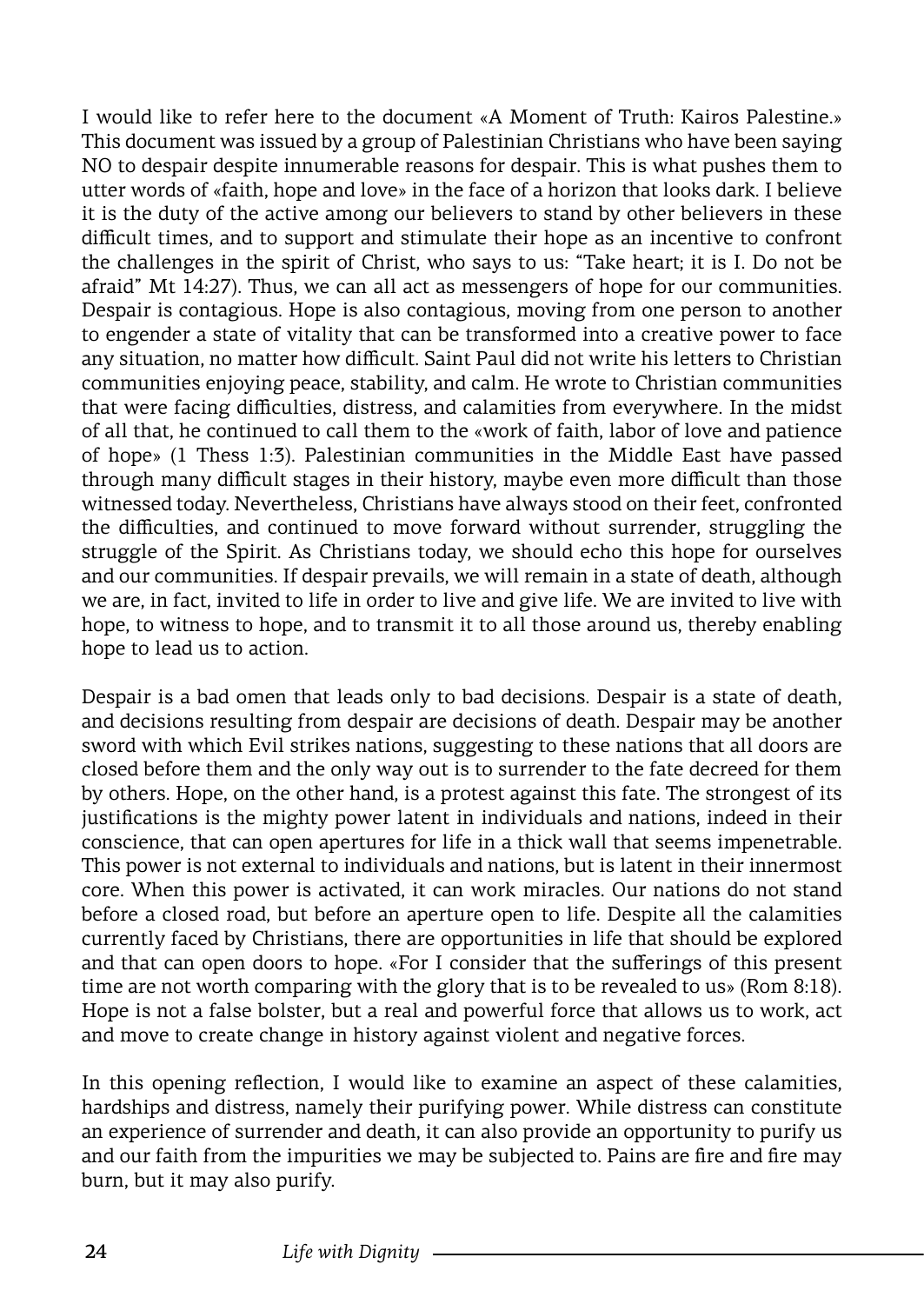I would like to refer here to the document «A Moment of Truth: Kairos Palestine.» This document was issued by a group of Palestinian Christians who have been saying NO to despair despite innumerable reasons for despair. This is what pushes them to utter words of «faith, hope and love» in the face of a horizon that looks dark. I believe it is the duty of the active among our believers to stand by other believers in these difficult times, and to support and stimulate their hope as an incentive to confront the challenges in the spirit of Christ, who says to us: "Take heart; it is I. Do not be afraid" Mt 14:27). Thus, we can all act as messengers of hope for our communities. Despair is contagious. Hope is also contagious, moving from one person to another to engender a state of vitality that can be transformed into a creative power to face any situation, no matter how difficult. Saint Paul did not write his letters to Christian communities enjoying peace, stability, and calm. He wrote to Christian communities that were facing difficulties, distress, and calamities from everywhere. In the midst of all that, he continued to call them to the «work of faith, labor of love and patience of hope» (1 Thess 1:3). Palestinian communities in the Middle East have passed through many difficult stages in their history, maybe even more difficult than those witnessed today. Nevertheless, Christians have always stood on their feet, confronted the difficulties, and continued to move forward without surrender, struggling the struggle of the Spirit. As Christians today, we should echo this hope for ourselves and our communities. If despair prevails, we will remain in a state of death, although we are, in fact, invited to life in order to live and give life. We are invited to live with hope, to witness to hope, and to transmit it to all those around us, thereby enabling hope to lead us to action.

Despair is a bad omen that leads only to bad decisions. Despair is a state of death, and decisions resulting from despair are decisions of death. Despair may be another sword with which Evil strikes nations, suggesting to these nations that all doors are closed before them and the only way out is to surrender to the fate decreed for them by others. Hope, on the other hand, is a protest against this fate. The strongest of its justifications is the mighty power latent in individuals and nations, indeed in their conscience, that can open apertures for life in a thick wall that seems impenetrable. This power is not external to individuals and nations, but is latent in their innermost core. When this power is activated, it can work miracles. Our nations do not stand before a closed road, but before an aperture open to life. Despite all the calamities currently faced by Christians, there are opportunities in life that should be explored and that can open doors to hope. «For I consider that the sufferings of this present time are not worth comparing with the glory that is to be revealed to us» (Rom 8:18). Hope is not a false bolster, but a real and powerful force that allows us to work, act and move to create change in history against violent and negative forces.

In this opening reflection, I would like to examine an aspect of these calamities, hardships and distress, namely their purifying power. While distress can constitute an experience of surrender and death, it can also provide an opportunity to purify us and our faith from the impurities we may be subjected to. Pains are fire and fire may burn, but it may also purify.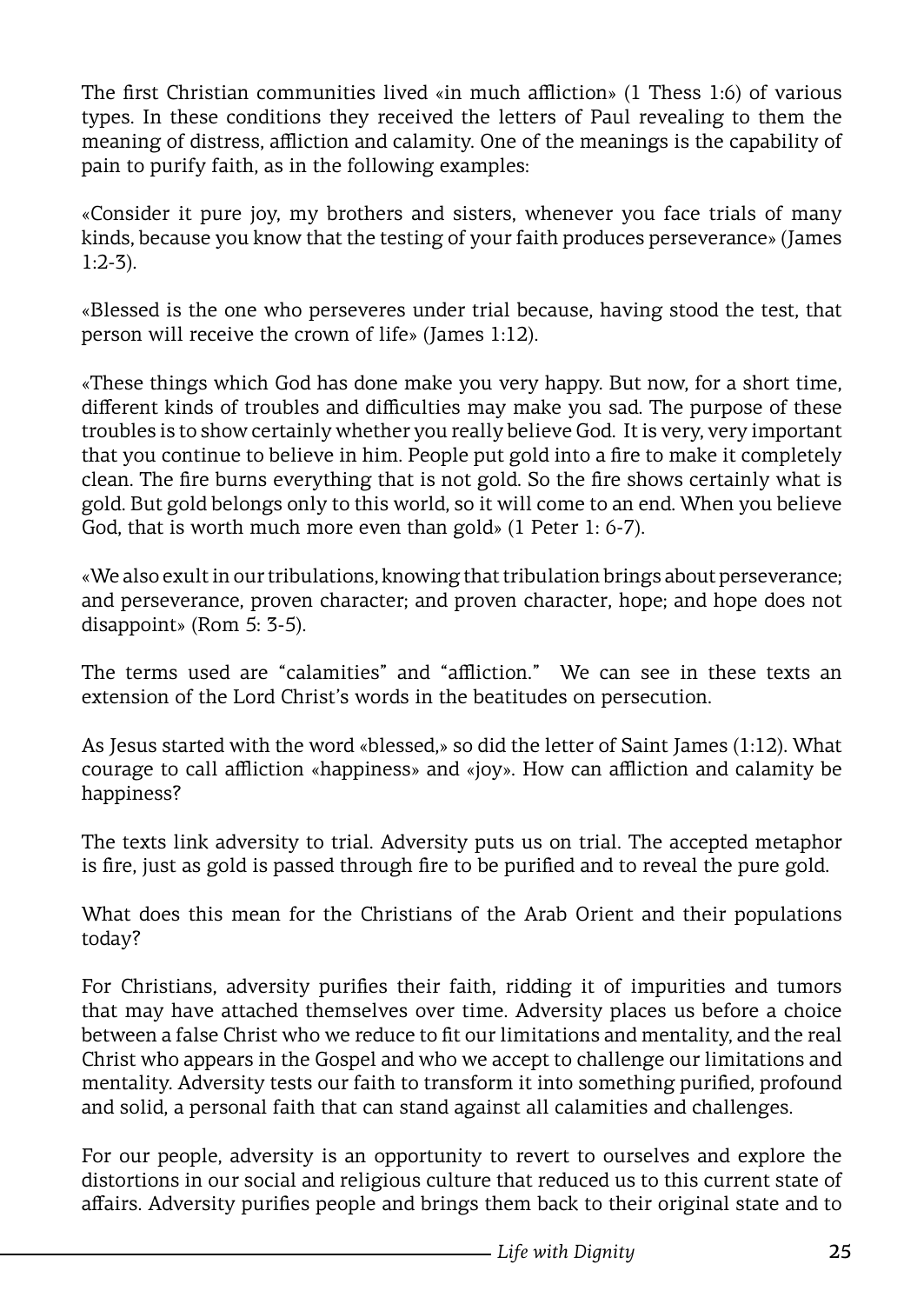The first Christian communities lived «in much affliction» (1 Thess 1:6) of various types. In these conditions they received the letters of Paul revealing to them the meaning of distress, affliction and calamity. One of the meanings is the capability of pain to purify faith, as in the following examples:

«Consider it pure joy, my brothers and sisters, whenever you face trials of many kinds, because you know that the testing of your faith produces perseverance» (James 1:2-3).

«Blessed is the one who perseveres under trial because, having stood the test, that person will receive the crown of life» (James 1:12).

«These things which God has done make you very happy. But now, for a short time, different kinds of troubles and difficulties may make you sad. The purpose of these troubles is to show certainly whether you really believe God. It is very, very important that you continue to believe in him. People put gold into a fire to make it completely clean. The fire burns everything that is not gold. So the fire shows certainly what is gold. But gold belongs only to this world, so it will come to an end. When you believe God, that is worth much more even than gold» (1 Peter 1: 6-7).

«We also exult in our tribulations, knowing that tribulation brings about perseverance; and perseverance, proven character; and proven character, hope; and hope does not disappoint» (Rom 5: 3-5).

The terms used are "calamities" and "affliction." We can see in these texts an extension of the Lord Christ's words in the beatitudes on persecution.

As Jesus started with the word «blessed,» so did the letter of Saint James (1:12). What courage to call affliction «happiness» and «joy». How can affliction and calamity be happiness?

The texts link adversity to trial. Adversity puts us on trial. The accepted metaphor is fire, just as gold is passed through fire to be purified and to reveal the pure gold.

What does this mean for the Christians of the Arab Orient and their populations today?

For Christians, adversity purifies their faith, ridding it of impurities and tumors that may have attached themselves over time. Adversity places us before a choice between a false Christ who we reduce to fit our limitations and mentality, and the real Christ who appears in the Gospel and who we accept to challenge our limitations and mentality. Adversity tests our faith to transform it into something purified, profound and solid, a personal faith that can stand against all calamities and challenges.

For our people, adversity is an opportunity to revert to ourselves and explore the distortions in our social and religious culture that reduced us to this current state of affairs. Adversity purifies people and brings them back to their original state and to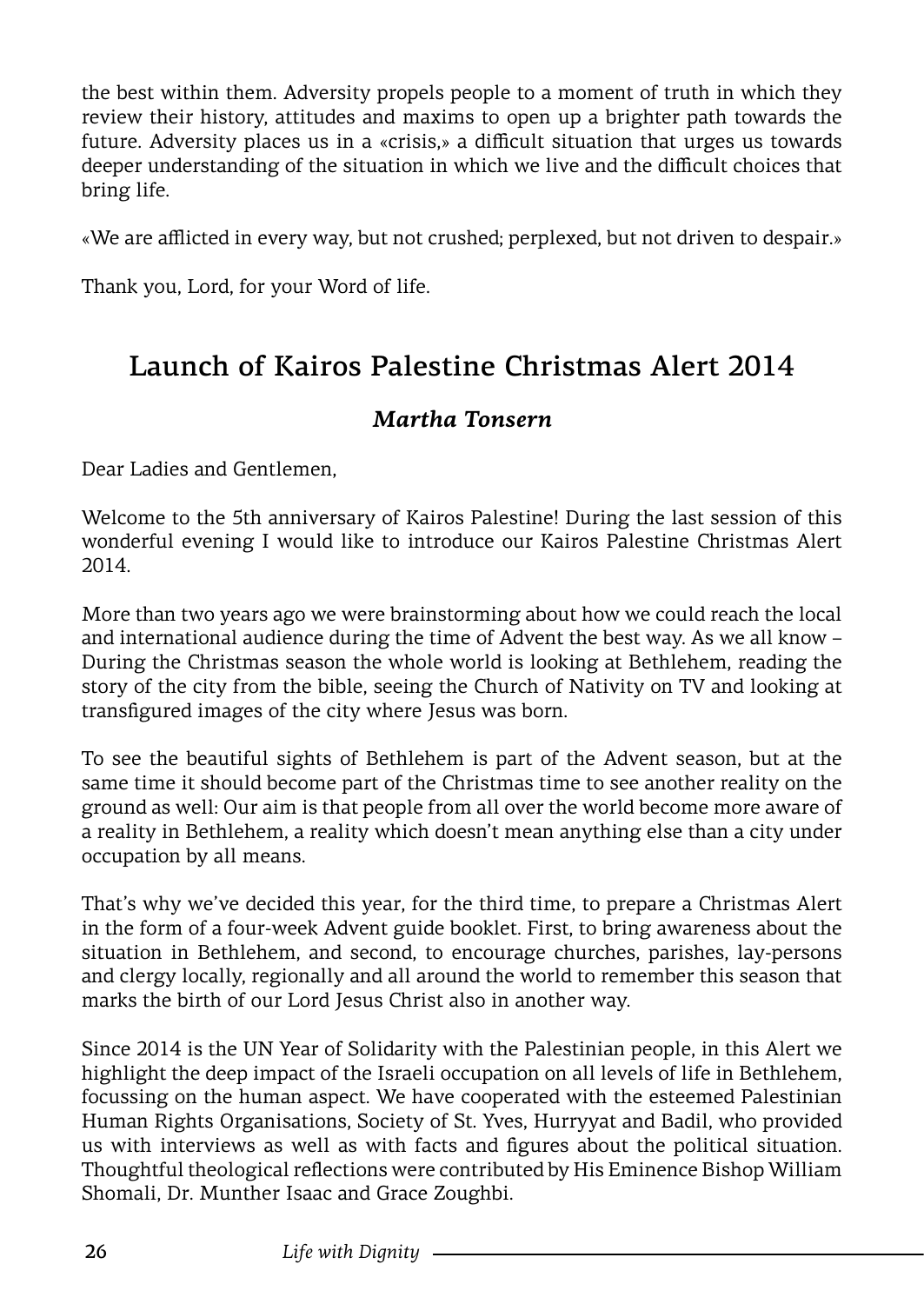the best within them. Adversity propels people to a moment of truth in which they review their history, attitudes and maxims to open up a brighter path towards the future. Adversity places us in a «crisis,» a difficult situation that urges us towards deeper understanding of the situation in which we live and the difficult choices that bring life.

«We are afflicted in every way, but not crushed; perplexed, but not driven to despair.»

Thank you, Lord, for your Word of life.

## Launch of Kairos Palestine Christmas Alert 2014

### *Martha Tonsern*

Dear Ladies and Gentlemen,

Welcome to the 5th anniversary of Kairos Palestine! During the last session of this wonderful evening I would like to introduce our Kairos Palestine Christmas Alert 2014.

More than two years ago we were brainstorming about how we could reach the local and international audience during the time of Advent the best way. As we all know – During the Christmas season the whole world is looking at Bethlehem, reading the story of the city from the bible, seeing the Church of Nativity on TV and looking at transfigured images of the city where Jesus was born.

To see the beautiful sights of Bethlehem is part of the Advent season, but at the same time it should become part of the Christmas time to see another reality on the ground as well: Our aim is that people from all over the world become more aware of a reality in Bethlehem, a reality which doesn't mean anything else than a city under occupation by all means.

That's why we've decided this year, for the third time, to prepare a Christmas Alert in the form of a four-week Advent guide booklet. First, to bring awareness about the situation in Bethlehem, and second, to encourage churches, parishes, lay-persons and clergy locally, regionally and all around the world to remember this season that marks the birth of our Lord Jesus Christ also in another way.

Since 2014 is the UN Year of Solidarity with the Palestinian people, in this Alert we highlight the deep impact of the Israeli occupation on all levels of life in Bethlehem, focussing on the human aspect. We have cooperated with the esteemed Palestinian Human Rights Organisations, Society of St. Yves, Hurryyat and Badil, who provided us with interviews as well as with facts and figures about the political situation. Thoughtful theological reflections were contributed by His Eminence Bishop William Shomali, Dr. Munther Isaac and Grace Zoughbi.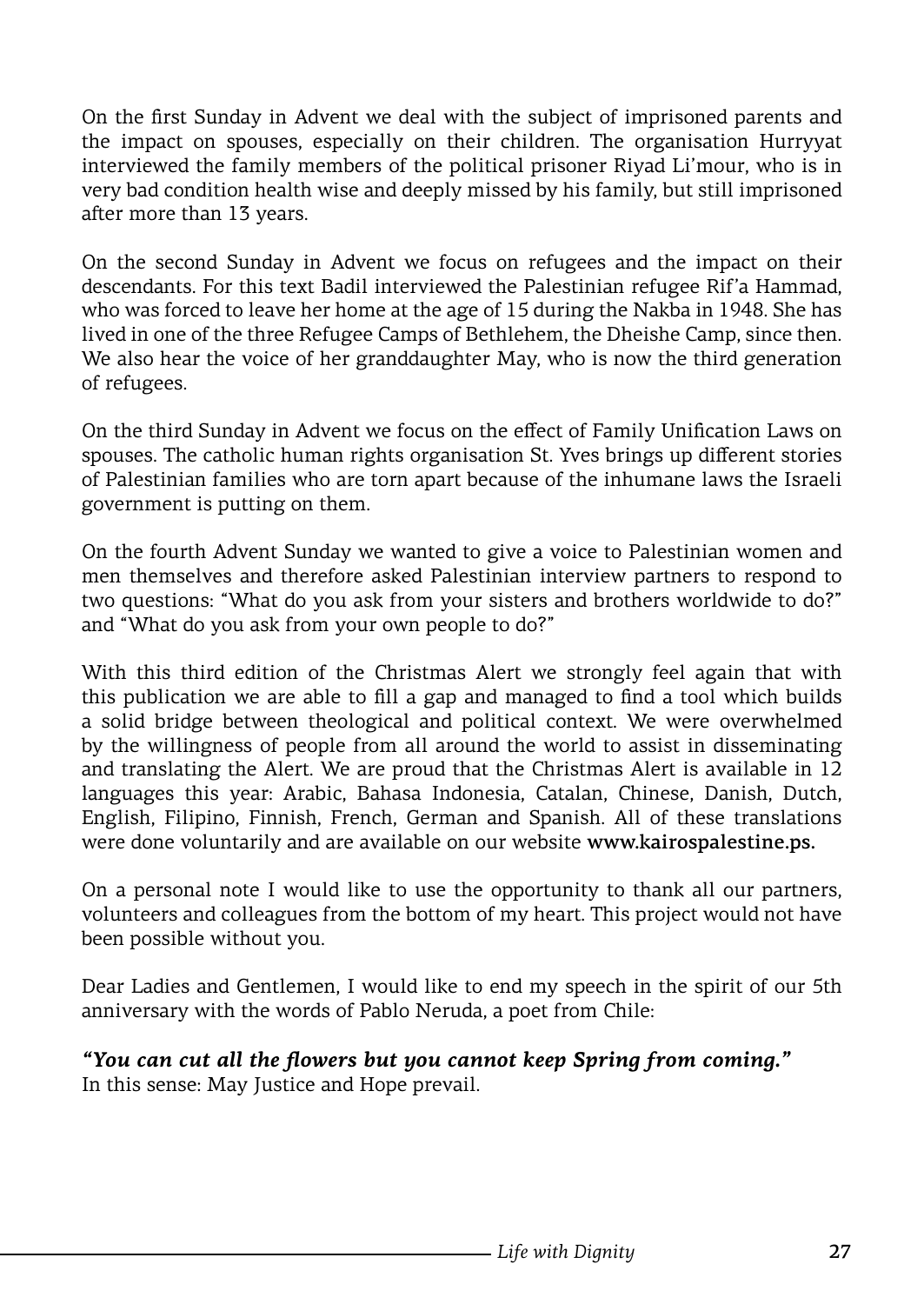On the first Sunday in Advent we deal with the subject of imprisoned parents and the impact on spouses, especially on their children. The organisation Hurryyat interviewed the family members of the political prisoner Riyad Li'mour, who is in very bad condition health wise and deeply missed by his family, but still imprisoned after more than 13 years.

On the second Sunday in Advent we focus on refugees and the impact on their descendants. For this text Badil interviewed the Palestinian refugee Rif'a Hammad, who was forced to leave her home at the age of 15 during the Nakba in 1948. She has lived in one of the three Refugee Camps of Bethlehem, the Dheishe Camp, since then. We also hear the voice of her granddaughter May, who is now the third generation of refugees.

On the third Sunday in Advent we focus on the effect of Family Unification Laws on spouses. The catholic human rights organisation St. Yves brings up different stories of Palestinian families who are torn apart because of the inhumane laws the Israeli government is putting on them.

On the fourth Advent Sunday we wanted to give a voice to Palestinian women and men themselves and therefore asked Palestinian interview partners to respond to two questions: "What do you ask from your sisters and brothers worldwide to do?" and "What do you ask from your own people to do?"

With this third edition of the Christmas Alert we strongly feel again that with this publication we are able to fill a gap and managed to find a tool which builds a solid bridge between theological and political context. We were overwhelmed by the willingness of people from all around the world to assist in disseminating and translating the Alert. We are proud that the Christmas Alert is available in 12 languages this year: Arabic, Bahasa Indonesia, Catalan, Chinese, Danish, Dutch, English, Filipino, Finnish, French, German and Spanish. All of these translations were done voluntarily and are available on our website www.kairospalestine.ps.

On a personal note I would like to use the opportunity to thank all our partners, volunteers and colleagues from the bottom of my heart. This project would not have been possible without you.

Dear Ladies and Gentlemen, I would like to end my speech in the spirit of our 5th anniversary with the words of Pablo Neruda, a poet from Chile:

*"You can cut all the flowers but you cannot keep Spring from coming."*  In this sense: May Justice and Hope prevail.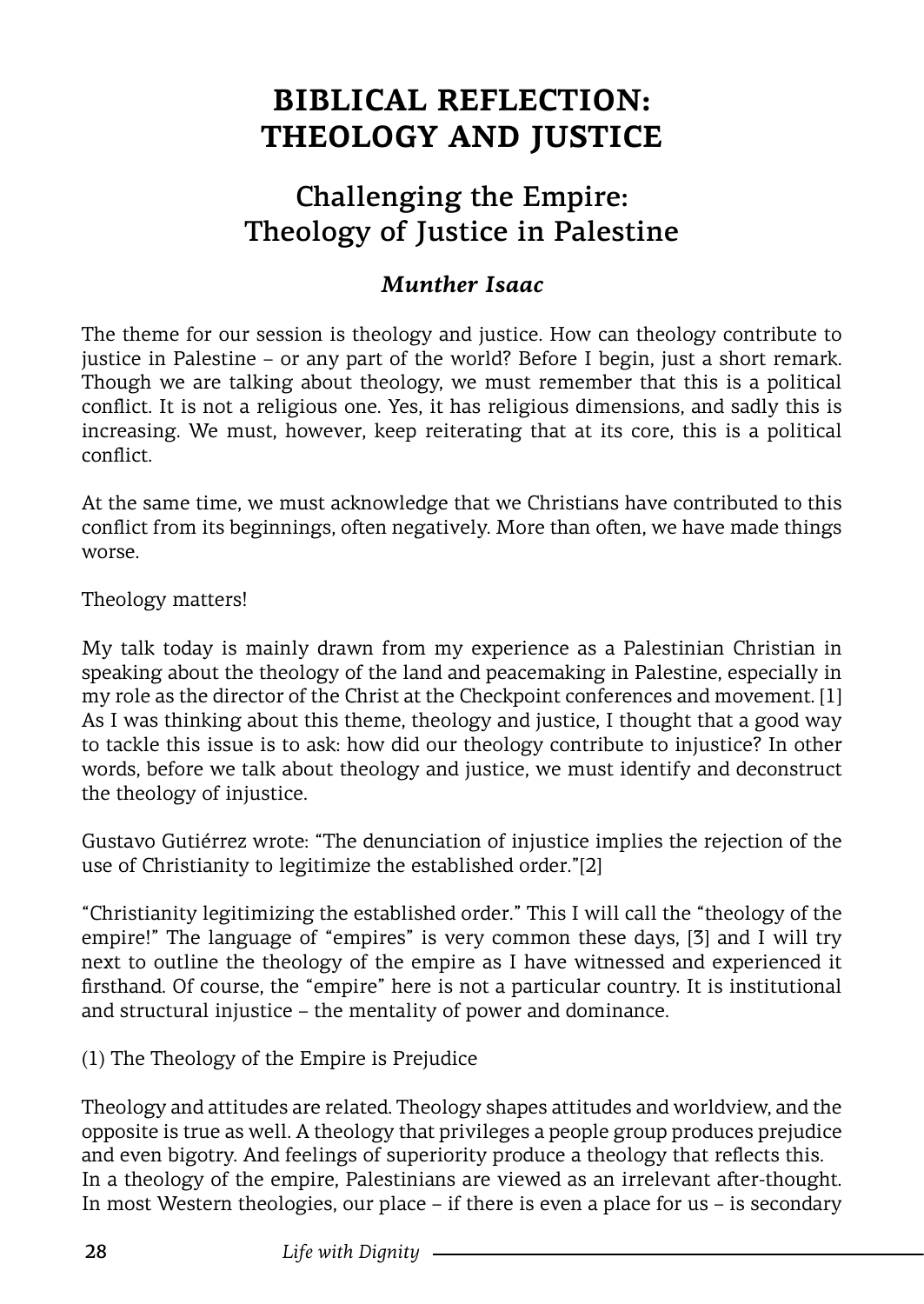# **BIBLICAL REFLECTION: THEOLOGY AND JUSTICE**

## Challenging the Empire: Theology of Justice in Palestine

### *Munther Isaac*

The theme for our session is theology and justice. How can theology contribute to justice in Palestine – or any part of the world? Before I begin, just a short remark. Though we are talking about theology, we must remember that this is a political conflict. It is not a religious one. Yes, it has religious dimensions, and sadly this is increasing. We must, however, keep reiterating that at its core, this is a political conflict.

At the same time, we must acknowledge that we Christians have contributed to this conflict from its beginnings, often negatively. More than often, we have made things worse.

Theology matters!

My talk today is mainly drawn from my experience as a Palestinian Christian in speaking about the theology of the land and peacemaking in Palestine, especially in my role as the director of the Christ at the Checkpoint conferences and movement. [1] As I was thinking about this theme, theology and justice, I thought that a good way to tackle this issue is to ask: how did our theology contribute to injustice? In other words, before we talk about theology and justice, we must identify and deconstruct the theology of injustice.

Gustavo Gutiérrez wrote: "The denunciation of injustice implies the rejection of the use of Christianity to legitimize the established order."[2]

"Christianity legitimizing the established order." This I will call the "theology of the empire!" The language of "empires" is very common these days, [3] and I will try next to outline the theology of the empire as I have witnessed and experienced it firsthand. Of course, the "empire" here is not a particular country. It is institutional and structural injustice – the mentality of power and dominance.

(1) The Theology of the Empire is Prejudice

Theology and attitudes are related. Theology shapes attitudes and worldview, and the opposite is true as well. A theology that privileges a people group produces prejudice and even bigotry. And feelings of superiority produce a theology that reflects this. In a theology of the empire, Palestinians are viewed as an irrelevant after-thought. In most Western theologies, our place – if there is even a place for us – is secondary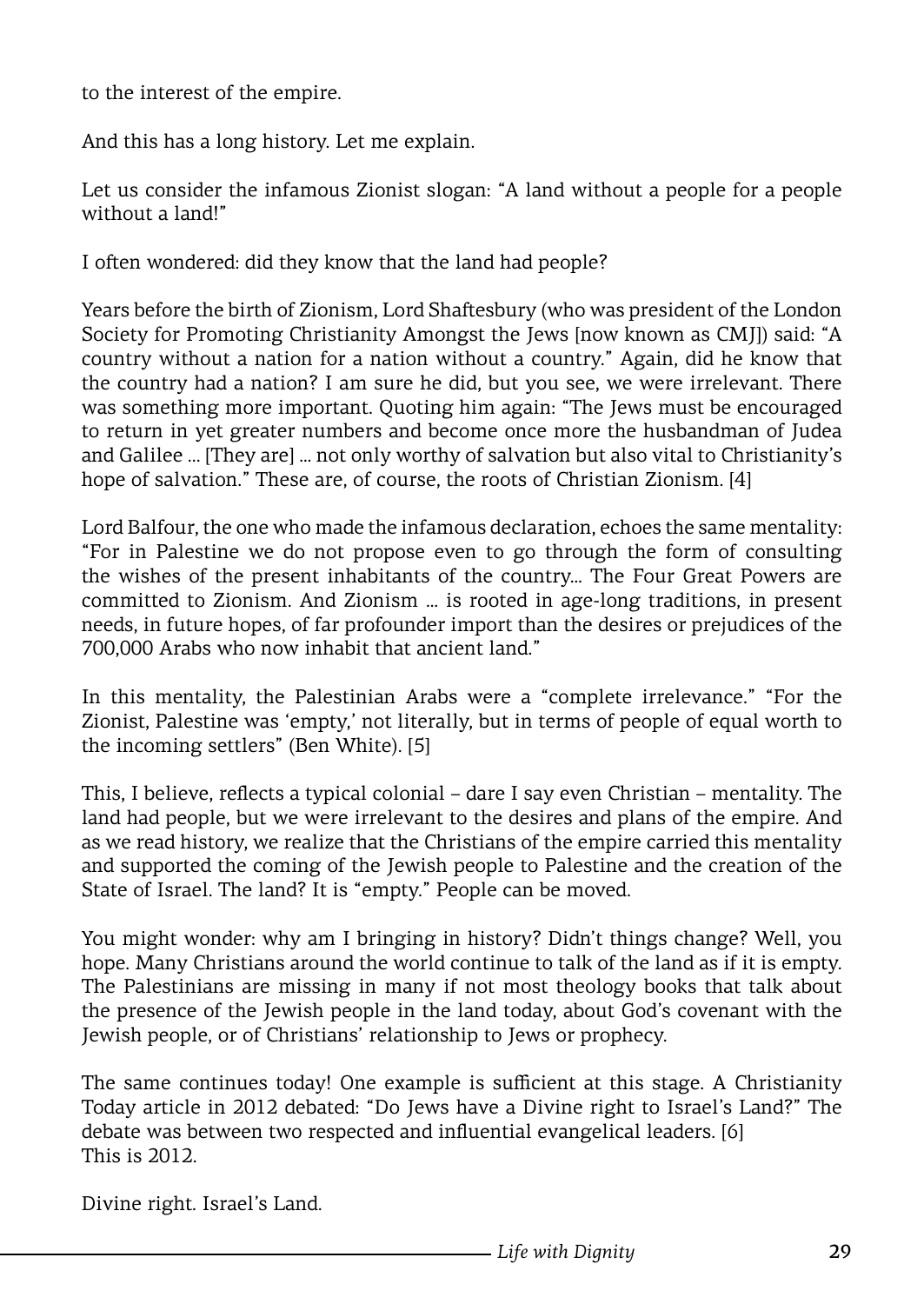to the interest of the empire.

And this has a long history. Let me explain.

Let us consider the infamous Zionist slogan: "A land without a people for a people without a land!"

I often wondered: did they know that the land had people?

Years before the birth of Zionism, Lord Shaftesbury (who was president of the London Society for Promoting Christianity Amongst the Jews [now known as CMJ]) said: "A country without a nation for a nation without a country." Again, did he know that the country had a nation? I am sure he did, but you see, we were irrelevant. There was something more important. Quoting him again: "The Jews must be encouraged to return in yet greater numbers and become once more the husbandman of Judea and Galilee ... [They are] … not only worthy of salvation but also vital to Christianity's hope of salvation." These are, of course, the roots of Christian Zionism. [4]

Lord Balfour, the one who made the infamous declaration, echoes the same mentality: "For in Palestine we do not propose even to go through the form of consulting the wishes of the present inhabitants of the country… The Four Great Powers are committed to Zionism. And Zionism … is rooted in age-long traditions, in present needs, in future hopes, of far profounder import than the desires or prejudices of the 700,000 Arabs who now inhabit that ancient land."

In this mentality, the Palestinian Arabs were a "complete irrelevance." "For the Zionist, Palestine was 'empty,' not literally, but in terms of people of equal worth to the incoming settlers" (Ben White). [5]

This, I believe, reflects a typical colonial – dare I say even Christian – mentality. The land had people, but we were irrelevant to the desires and plans of the empire. And as we read history, we realize that the Christians of the empire carried this mentality and supported the coming of the Jewish people to Palestine and the creation of the State of Israel. The land? It is "empty." People can be moved.

You might wonder: why am I bringing in history? Didn't things change? Well, you hope. Many Christians around the world continue to talk of the land as if it is empty. The Palestinians are missing in many if not most theology books that talk about the presence of the Jewish people in the land today, about God's covenant with the Jewish people, or of Christians' relationship to Jews or prophecy.

The same continues today! One example is sufficient at this stage. A Christianity Today article in 2012 debated: "Do Jews have a Divine right to Israel's Land?" The debate was between two respected and influential evangelical leaders. [6] This is 2012.

Divine right. Israel's Land.

*Life with Dignity* 29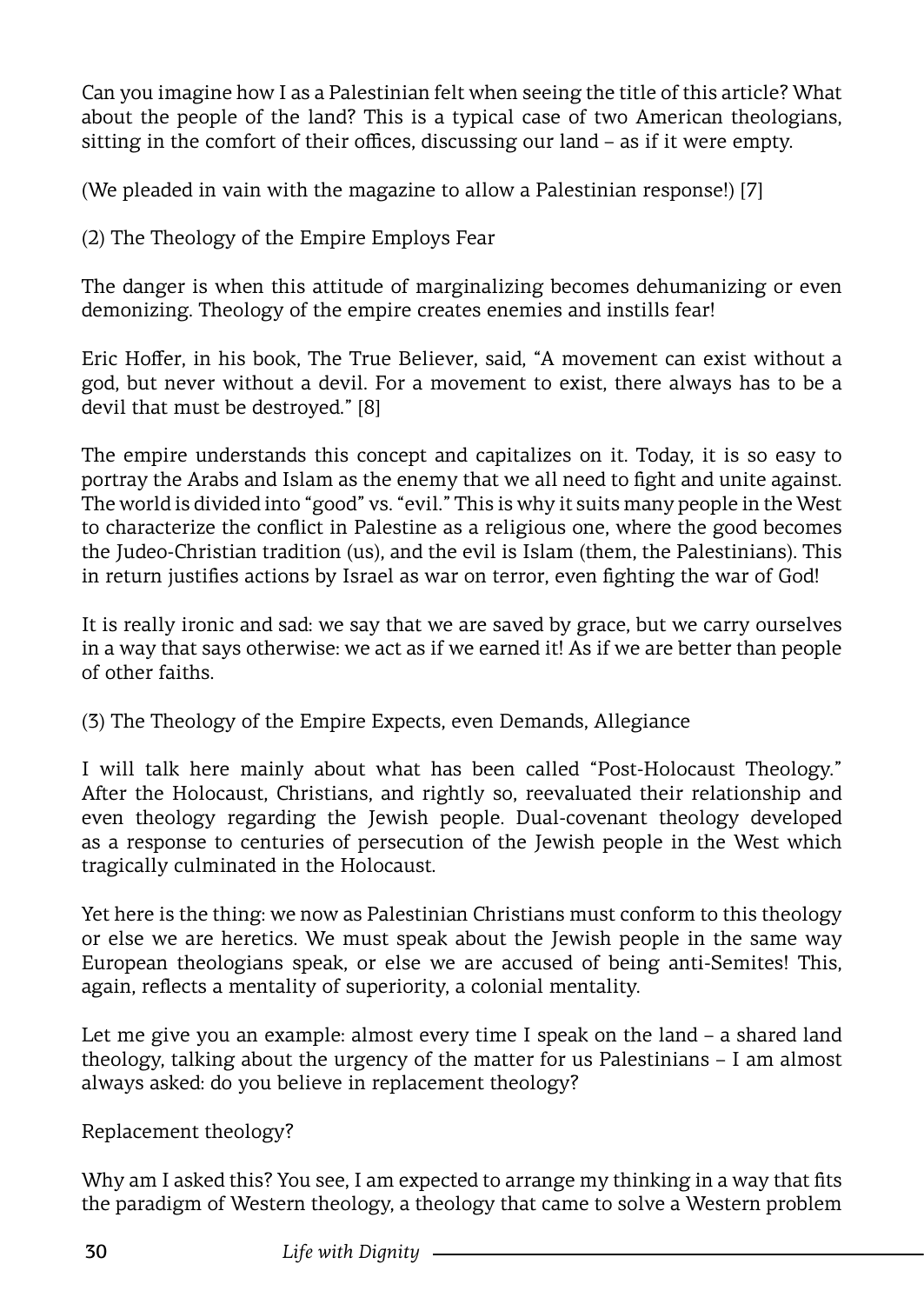Can you imagine how I as a Palestinian felt when seeing the title of this article? What about the people of the land? This is a typical case of two American theologians, sitting in the comfort of their offices, discussing our land – as if it were empty.

(We pleaded in vain with the magazine to allow a Palestinian response!) [7]

(2) The Theology of the Empire Employs Fear

The danger is when this attitude of marginalizing becomes dehumanizing or even demonizing. Theology of the empire creates enemies and instills fear!

Eric Hoffer, in his book, The True Believer, said, "A movement can exist without a god, but never without a devil. For a movement to exist, there always has to be a devil that must be destroyed." [8]

The empire understands this concept and capitalizes on it. Today, it is so easy to portray the Arabs and Islam as the enemy that we all need to fight and unite against. The world is divided into "good" vs. "evil." This is why it suits many people in the West to characterize the conflict in Palestine as a religious one, where the good becomes the Judeo-Christian tradition (us), and the evil is Islam (them, the Palestinians). This in return justifies actions by Israel as war on terror, even fighting the war of God!

It is really ironic and sad: we say that we are saved by grace, but we carry ourselves in a way that says otherwise: we act as if we earned it! As if we are better than people of other faiths.

(3) The Theology of the Empire Expects, even Demands, Allegiance

I will talk here mainly about what has been called "Post-Holocaust Theology." After the Holocaust, Christians, and rightly so, reevaluated their relationship and even theology regarding the Jewish people. Dual-covenant theology developed as a response to centuries of persecution of the Jewish people in the West which tragically culminated in the Holocaust.

Yet here is the thing: we now as Palestinian Christians must conform to this theology or else we are heretics. We must speak about the Jewish people in the same way European theologians speak, or else we are accused of being anti-Semites! This, again, reflects a mentality of superiority, a colonial mentality.

Let me give you an example: almost every time I speak on the land – a shared land theology, talking about the urgency of the matter for us Palestinians – I am almost always asked: do you believe in replacement theology?

Replacement theology?

Why am I asked this? You see, I am expected to arrange my thinking in a way that fits the paradigm of Western theology, a theology that came to solve a Western problem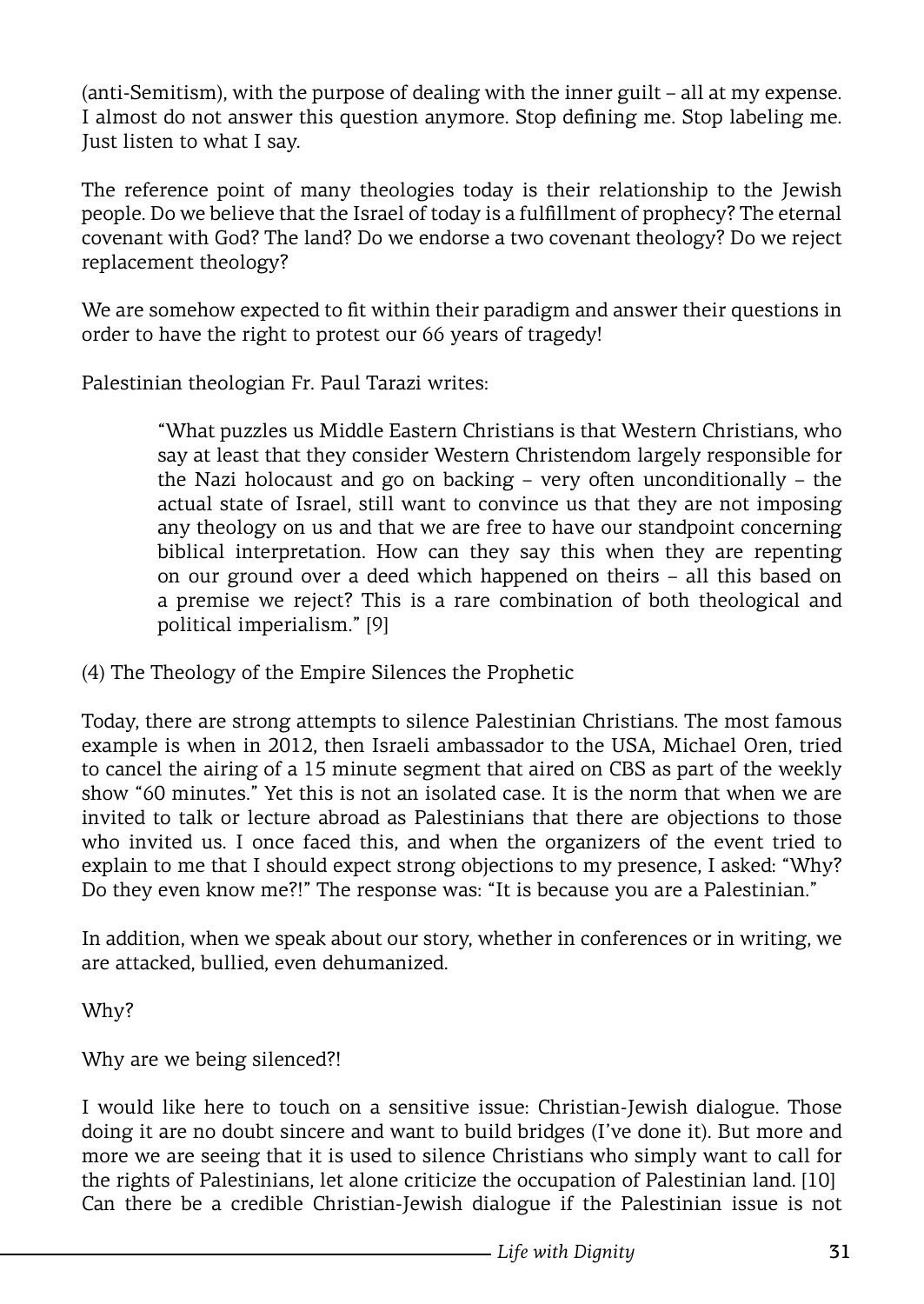(anti-Semitism), with the purpose of dealing with the inner guilt – all at my expense. I almost do not answer this question anymore. Stop defining me. Stop labeling me. Just listen to what I say.

The reference point of many theologies today is their relationship to the Jewish people. Do we believe that the Israel of today is a fulfillment of prophecy? The eternal covenant with God? The land? Do we endorse a two covenant theology? Do we reject replacement theology?

We are somehow expected to fit within their paradigm and answer their questions in order to have the right to protest our 66 years of tragedy!

Palestinian theologian Fr. Paul Tarazi writes:

"What puzzles us Middle Eastern Christians is that Western Christians, who say at least that they consider Western Christendom largely responsible for the Nazi holocaust and go on backing  $-$  very often unconditionally  $-$  the actual state of Israel, still want to convince us that they are not imposing any theology on us and that we are free to have our standpoint concerning biblical interpretation. How can they say this when they are repenting on our ground over a deed which happened on theirs – all this based on a premise we reject? This is a rare combination of both theological and political imperialism." [9]

(4) The Theology of the Empire Silences the Prophetic

Today, there are strong attempts to silence Palestinian Christians. The most famous example is when in 2012, then Israeli ambassador to the USA, Michael Oren, tried to cancel the airing of a 15 minute segment that aired on CBS as part of the weekly show "60 minutes." Yet this is not an isolated case. It is the norm that when we are invited to talk or lecture abroad as Palestinians that there are objections to those who invited us. I once faced this, and when the organizers of the event tried to explain to me that I should expect strong objections to my presence, I asked: "Why? Do they even know me?!" The response was: "It is because you are a Palestinian."

In addition, when we speak about our story, whether in conferences or in writing, we are attacked, bullied, even dehumanized.

Why?

Why are we being silenced?!

I would like here to touch on a sensitive issue: Christian-Jewish dialogue. Those doing it are no doubt sincere and want to build bridges (I've done it). But more and more we are seeing that it is used to silence Christians who simply want to call for the rights of Palestinians, let alone criticize the occupation of Palestinian land. [10] Can there be a credible Christian-Jewish dialogue if the Palestinian issue is not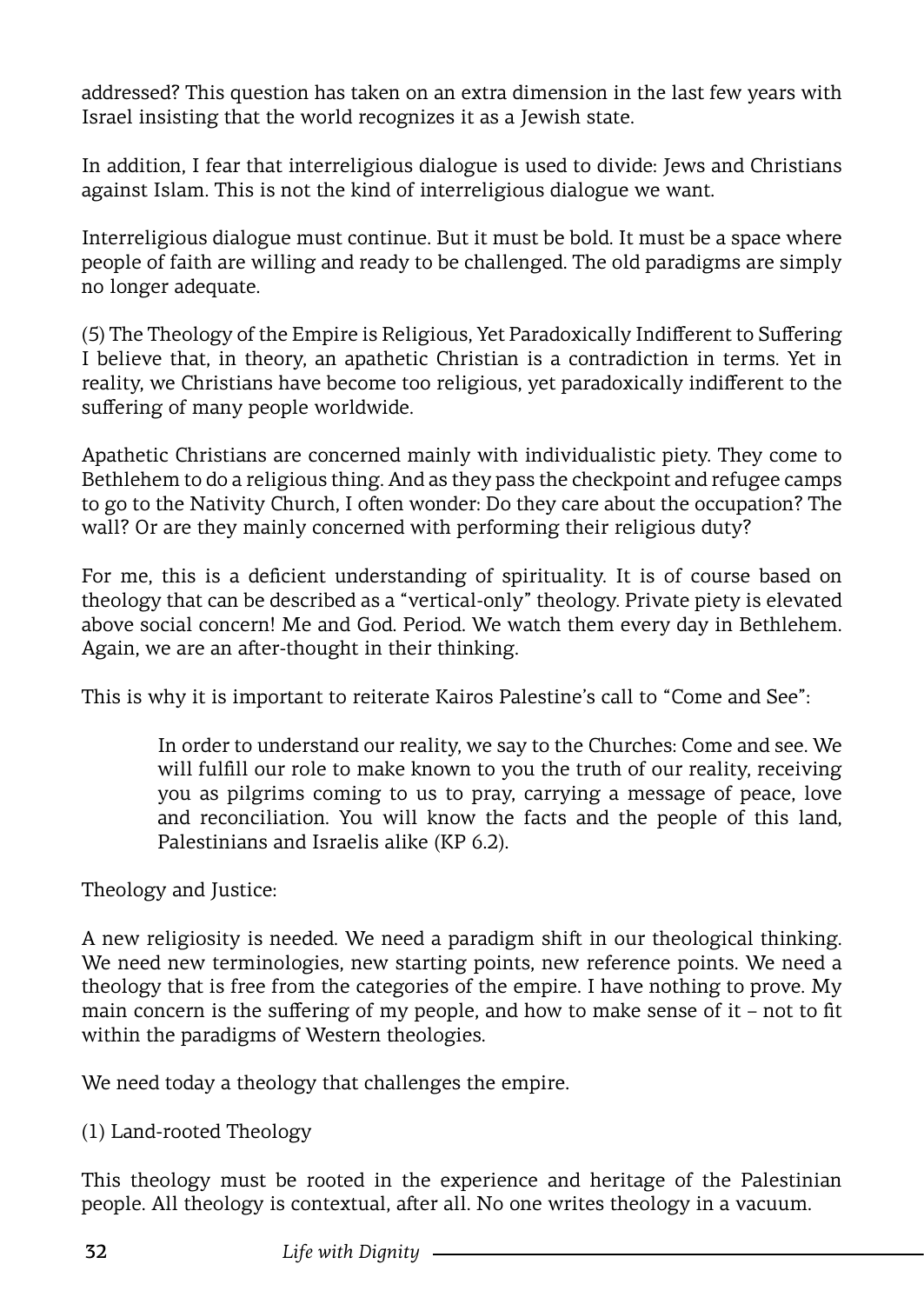addressed? This question has taken on an extra dimension in the last few years with Israel insisting that the world recognizes it as a Jewish state.

In addition, I fear that interreligious dialogue is used to divide: Jews and Christians against Islam. This is not the kind of interreligious dialogue we want.

Interreligious dialogue must continue. But it must be bold. It must be a space where people of faith are willing and ready to be challenged. The old paradigms are simply no longer adequate.

(5) The Theology of the Empire is Religious, Yet Paradoxically Indifferent to Suffering I believe that, in theory, an apathetic Christian is a contradiction in terms. Yet in reality, we Christians have become too religious, yet paradoxically indifferent to the suffering of many people worldwide.

Apathetic Christians are concerned mainly with individualistic piety. They come to Bethlehem to do a religious thing. And as they pass the checkpoint and refugee camps to go to the Nativity Church, I often wonder: Do they care about the occupation? The wall? Or are they mainly concerned with performing their religious duty?

For me, this is a deficient understanding of spirituality. It is of course based on theology that can be described as a "vertical-only" theology. Private piety is elevated above social concern! Me and God. Period. We watch them every day in Bethlehem. Again, we are an after-thought in their thinking.

This is why it is important to reiterate Kairos Palestine's call to "Come and See":

In order to understand our reality, we say to the Churches: Come and see. We will fulfill our role to make known to you the truth of our reality, receiving you as pilgrims coming to us to pray, carrying a message of peace, love and reconciliation. You will know the facts and the people of this land, Palestinians and Israelis alike (KP 6.2).

Theology and Justice:

A new religiosity is needed. We need a paradigm shift in our theological thinking. We need new terminologies, new starting points, new reference points. We need a theology that is free from the categories of the empire. I have nothing to prove. My main concern is the suffering of my people, and how to make sense of it – not to fit within the paradigms of Western theologies.

We need today a theology that challenges the empire.

(1) Land-rooted Theology

This theology must be rooted in the experience and heritage of the Palestinian people. All theology is contextual, after all. No one writes theology in a vacuum.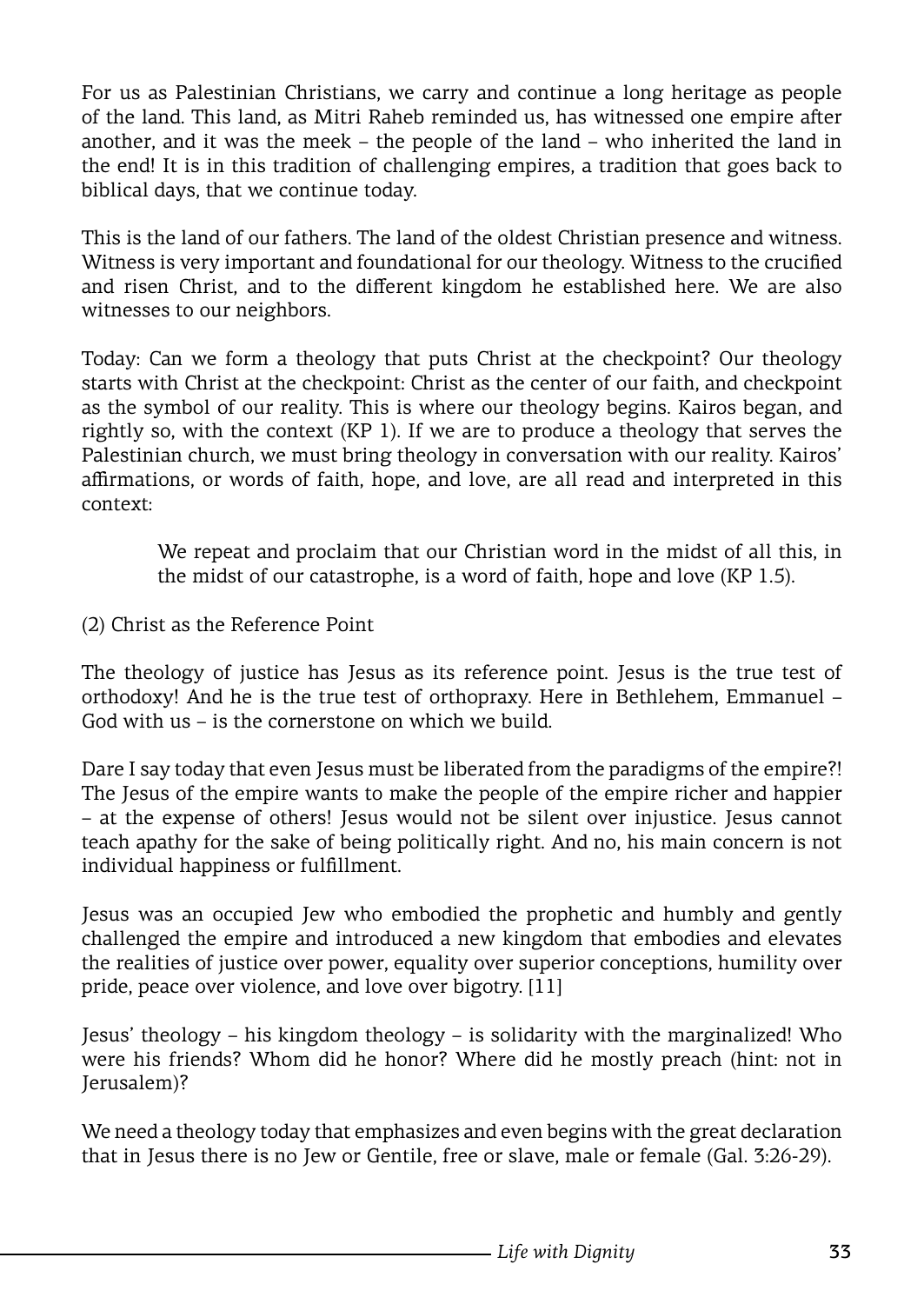For us as Palestinian Christians, we carry and continue a long heritage as people of the land. This land, as Mitri Raheb reminded us, has witnessed one empire after another, and it was the meek – the people of the land – who inherited the land in the end! It is in this tradition of challenging empires, a tradition that goes back to biblical days, that we continue today.

This is the land of our fathers. The land of the oldest Christian presence and witness. Witness is very important and foundational for our theology. Witness to the crucified and risen Christ, and to the different kingdom he established here. We are also witnesses to our neighbors.

Today: Can we form a theology that puts Christ at the checkpoint? Our theology starts with Christ at the checkpoint: Christ as the center of our faith, and checkpoint as the symbol of our reality. This is where our theology begins. Kairos began, and rightly so, with the context (KP 1). If we are to produce a theology that serves the Palestinian church, we must bring theology in conversation with our reality. Kairos' affirmations, or words of faith, hope, and love, are all read and interpreted in this context:

We repeat and proclaim that our Christian word in the midst of all this, in the midst of our catastrophe, is a word of faith, hope and love (KP 1.5).

(2) Christ as the Reference Point

The theology of justice has Jesus as its reference point. Jesus is the true test of orthodoxy! And he is the true test of orthopraxy. Here in Bethlehem, Emmanuel – God with us – is the cornerstone on which we build.

Dare I say today that even Jesus must be liberated from the paradigms of the empire?! The Jesus of the empire wants to make the people of the empire richer and happier – at the expense of others! Jesus would not be silent over injustice. Jesus cannot teach apathy for the sake of being politically right. And no, his main concern is not individual happiness or fulfillment.

Jesus was an occupied Jew who embodied the prophetic and humbly and gently challenged the empire and introduced a new kingdom that embodies and elevates the realities of justice over power, equality over superior conceptions, humility over pride, peace over violence, and love over bigotry. [11]

Jesus' theology – his kingdom theology – is solidarity with the marginalized! Who were his friends? Whom did he honor? Where did he mostly preach (hint: not in Jerusalem)?

We need a theology today that emphasizes and even begins with the great declaration that in Jesus there is no Jew or Gentile, free or slave, male or female (Gal. 3:26-29).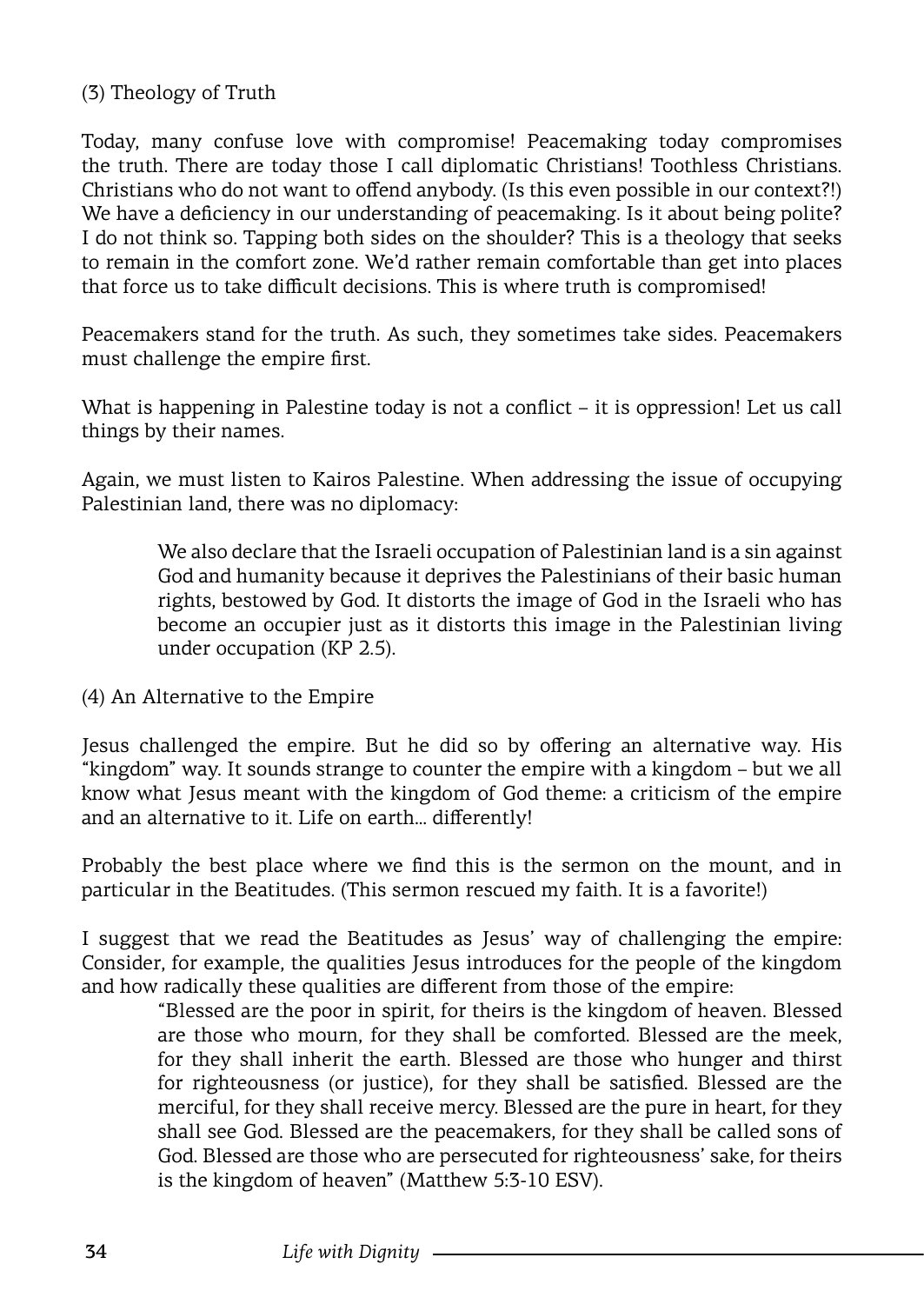#### (3) Theology of Truth

Today, many confuse love with compromise! Peacemaking today compromises the truth. There are today those I call diplomatic Christians! Toothless Christians. Christians who do not want to offend anybody. (Is this even possible in our context?!) We have a deficiency in our understanding of peacemaking. Is it about being polite? I do not think so. Tapping both sides on the shoulder? This is a theology that seeks to remain in the comfort zone. We'd rather remain comfortable than get into places that force us to take difficult decisions. This is where truth is compromised!

Peacemakers stand for the truth. As such, they sometimes take sides. Peacemakers must challenge the empire first.

What is happening in Palestine today is not a conflict – it is oppression! Let us call things by their names.

Again, we must listen to Kairos Palestine. When addressing the issue of occupying Palestinian land, there was no diplomacy:

We also declare that the Israeli occupation of Palestinian land is a sin against God and humanity because it deprives the Palestinians of their basic human rights, bestowed by God. It distorts the image of God in the Israeli who has become an occupier just as it distorts this image in the Palestinian living under occupation (KP 2.5).

(4) An Alternative to the Empire

Jesus challenged the empire. But he did so by offering an alternative way. His "kingdom" way. It sounds strange to counter the empire with a kingdom – but we all know what Jesus meant with the kingdom of God theme: a criticism of the empire and an alternative to it. Life on earth… differently!

Probably the best place where we find this is the sermon on the mount, and in particular in the Beatitudes. (This sermon rescued my faith. It is a favorite!)

I suggest that we read the Beatitudes as Jesus' way of challenging the empire: Consider, for example, the qualities Jesus introduces for the people of the kingdom and how radically these qualities are different from those of the empire:

"Blessed are the poor in spirit, for theirs is the kingdom of heaven. Blessed are those who mourn, for they shall be comforted. Blessed are the meek, for they shall inherit the earth. Blessed are those who hunger and thirst for righteousness (or justice), for they shall be satisfied. Blessed are the merciful, for they shall receive mercy. Blessed are the pure in heart, for they shall see God. Blessed are the peacemakers, for they shall be called sons of God. Blessed are those who are persecuted for righteousness' sake, for theirs is the kingdom of heaven" (Matthew 5:3-10 ESV).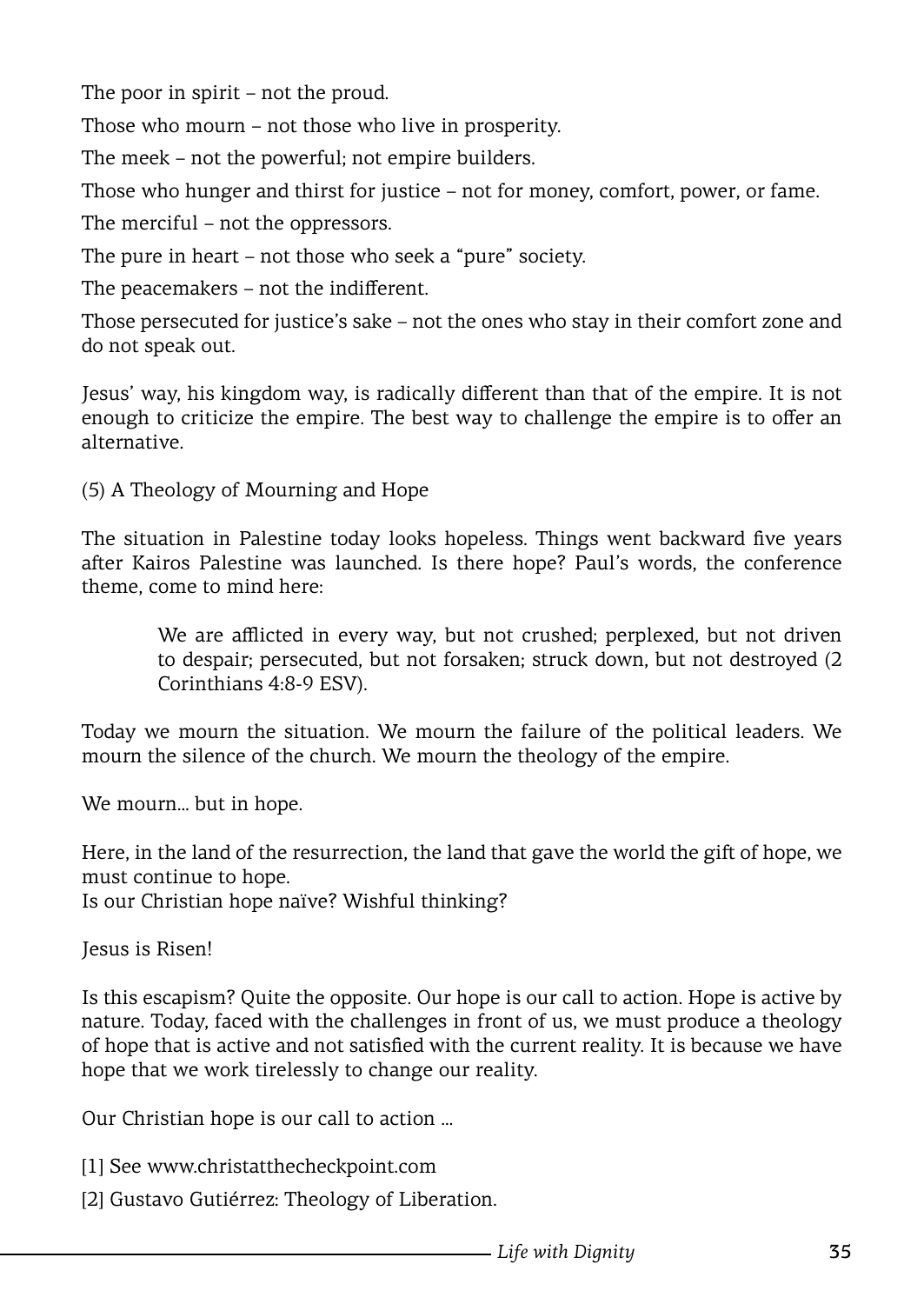The poor in spirit – not the proud.

Those who mourn – not those who live in prosperity.

The meek – not the powerful; not empire builders.

Those who hunger and thirst for justice – not for money, comfort, power, or fame. The merciful – not the oppressors.

The pure in heart – not those who seek a "pure" society.

The peacemakers – not the indifferent.

Those persecuted for justice's sake – not the ones who stay in their comfort zone and do not speak out.

Jesus' way, his kingdom way, is radically different than that of the empire. It is not enough to criticize the empire. The best way to challenge the empire is to offer an alternative.

(5) A Theology of Mourning and Hope

The situation in Palestine today looks hopeless. Things went backward five years after Kairos Palestine was launched. Is there hope? Paul's words, the conference theme, come to mind here:

We are afflicted in every way, but not crushed; perplexed, but not driven to despair; persecuted, but not forsaken; struck down, but not destroyed (2 Corinthians 4:8-9 ESV).

Today we mourn the situation. We mourn the failure of the political leaders. We mourn the silence of the church. We mourn the theology of the empire.

We mourn… but in hope.

Here, in the land of the resurrection, the land that gave the world the gift of hope, we must continue to hope.

Is our Christian hope naïve? Wishful thinking?

Jesus is Risen!

Is this escapism? Quite the opposite. Our hope is our call to action. Hope is active by nature. Today, faced with the challenges in front of us, we must produce a theology of hope that is active and not satisfied with the current reality. It is because we have hope that we work tirelessly to change our reality.

Our Christian hope is our call to action …

- [1] See www.christatthecheckpoint.com
- [2] Gustavo Gutiérrez: Theology of Liberation.

*Life with Dignity* 35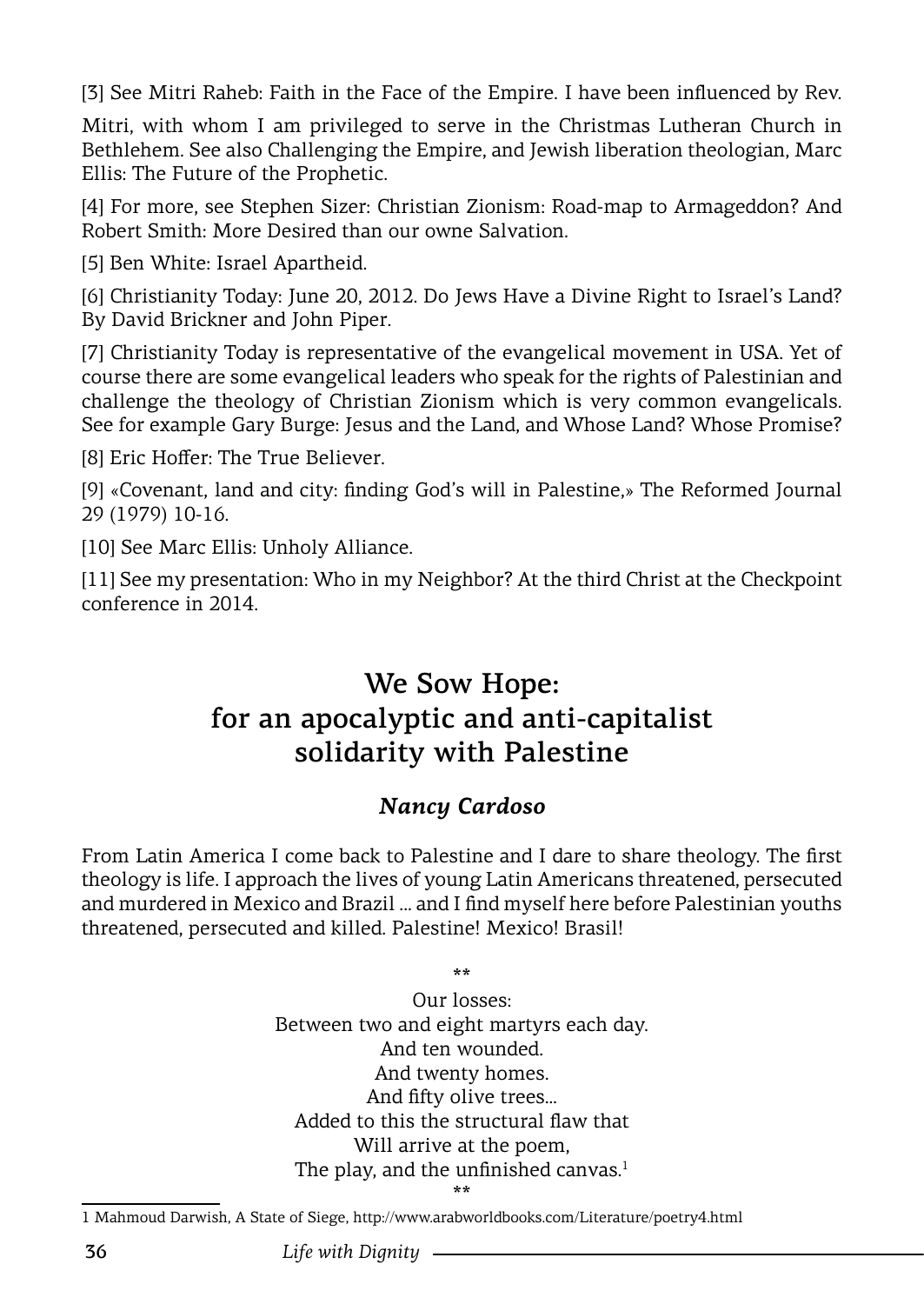[3] See Mitri Raheb: Faith in the Face of the Empire. I have been influenced by Rev.

Mitri, with whom I am privileged to serve in the Christmas Lutheran Church in Bethlehem. See also Challenging the Empire, and Jewish liberation theologian, Marc Ellis: The Future of the Prophetic.

[4] For more, see Stephen Sizer: Christian Zionism: Road-map to Armageddon? And Robert Smith: More Desired than our owne Salvation.

[5] Ben White: Israel Apartheid.

[6] Christianity Today: June 20, 2012. Do Jews Have a Divine Right to Israel's Land? By David Brickner and John Piper.

[7] Christianity Today is representative of the evangelical movement in USA. Yet of course there are some evangelical leaders who speak for the rights of Palestinian and challenge the theology of Christian Zionism which is very common evangelicals. See for example Gary Burge: Jesus and the Land, and Whose Land? Whose Promise?

[8] Eric Hoffer: The True Believer.

[9] «Covenant, land and city: finding God's will in Palestine,» The Reformed Journal 29 (1979) 10-16.

[10] See Marc Ellis: Unholy Alliance.

[11] See my presentation: Who in my Neighbor? At the third Christ at the Checkpoint conference in 2014.

## We Sow Hope: for an apocalyptic and anti-capitalist solidarity with Palestine

### *Nancy Cardoso*

From Latin America I come back to Palestine and I dare to share theology. The first theology is life. I approach the lives of young Latin Americans threatened, persecuted and murdered in Mexico and Brazil ... and I find myself here before Palestinian youths threatened, persecuted and killed. Palestine! Mexico! Brasil!

\*\*

Our losses: Between two and eight martyrs each day. And ten wounded. And twenty homes. And fifty olive trees… Added to this the structural flaw that Will arrive at the poem, The play, and the unfinished canvas.<sup>1</sup> \*\*

1 Mahmoud Darwish, A State of Siege, http://www.arabworldbooks.com/Literature/poetry4.html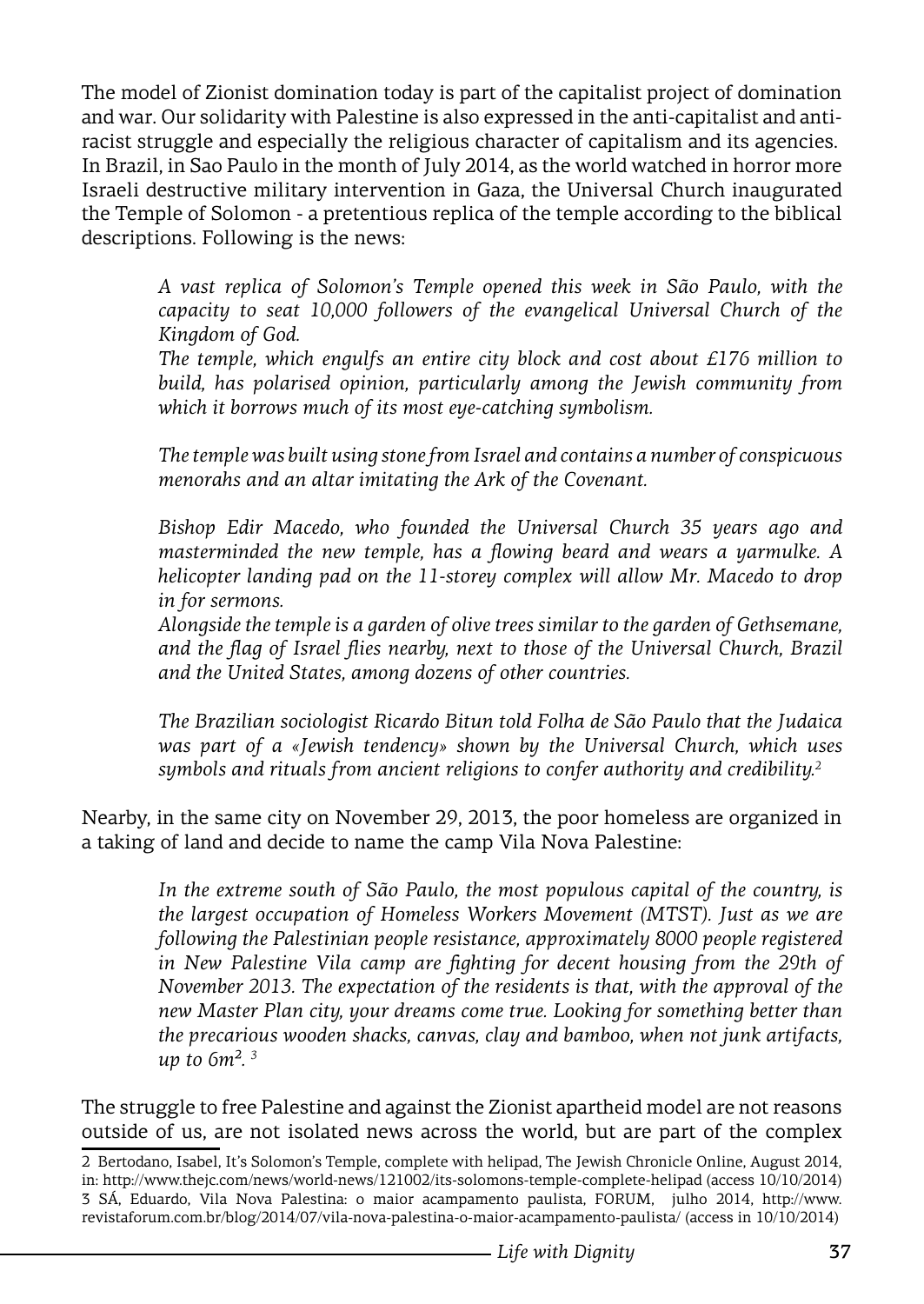The model of Zionist domination today is part of the capitalist project of domination and war. Our solidarity with Palestine is also expressed in the anti-capitalist and antiracist struggle and especially the religious character of capitalism and its agencies. In Brazil, in Sao Paulo in the month of July 2014, as the world watched in horror more Israeli destructive military intervention in Gaza, the Universal Church inaugurated the Temple of Solomon - a pretentious replica of the temple according to the biblical descriptions. Following is the news:

*A vast replica of Solomon's Temple opened this week in São Paulo, with the capacity to seat 10,000 followers of the evangelical Universal Church of the Kingdom of God.*

*The temple, which engulfs an entire city block and cost about £176 million to build, has polarised opinion, particularly among the Jewish community from which it borrows much of its most eye-catching symbolism.*

*The temple was built using stone from Israel and contains a number of conspicuous menorahs and an altar imitating the Ark of the Covenant.*

*Bishop Edir Macedo, who founded the Universal Church 35 years ago and masterminded the new temple, has a flowing beard and wears a yarmulke. A helicopter landing pad on the 11-storey complex will allow Mr. Macedo to drop in for sermons.*

*Alongside the temple is a garden of olive trees similar to the garden of Gethsemane, and the flag of Israel flies nearby, next to those of the Universal Church, Brazil and the United States, among dozens of other countries.*

*The Brazilian sociologist Ricardo Bitun told Folha de São Paulo that the Judaica was part of a «Jewish tendency» shown by the Universal Church, which uses symbols and rituals from ancient religions to confer authority and credibility.2*

Nearby, in the same city on November 29, 2013, the poor homeless are organized in a taking of land and decide to name the camp Vila Nova Palestine:

*In the extreme south of São Paulo, the most populous capital of the country, is the largest occupation of Homeless Workers Movement (MTST). Just as we are following the Palestinian people resistance, approximately 8000 people registered in New Palestine Vila camp are fighting for decent housing from the 29th of November 2013. The expectation of the residents is that, with the approval of the new Master Plan city, your dreams come true. Looking for something better than the precarious wooden shacks, canvas, clay and bamboo, when not junk artifacts, up to 6m². 3*

The struggle to free Palestine and against the Zionist apartheid model are not reasons outside of us, are not isolated news across the world, but are part of the complex

<sup>2</sup> Bertodano, Isabel, It's Solomon's Temple, complete with helipad, The Jewish Chronicle Online, August 2014, in: http://www.thejc.com/news/world-news/121002/its-solomons-temple-complete-helipad (access 10/10/2014) 3 SÁ, Eduardo, Vila Nova Palestina: o maior acampamento paulista, FORUM, julho 2014, http://www. revistaforum.com.br/blog/2014/07/vila-nova-palestina-o-maior-acampamento-paulista/ (access in 10/10/2014)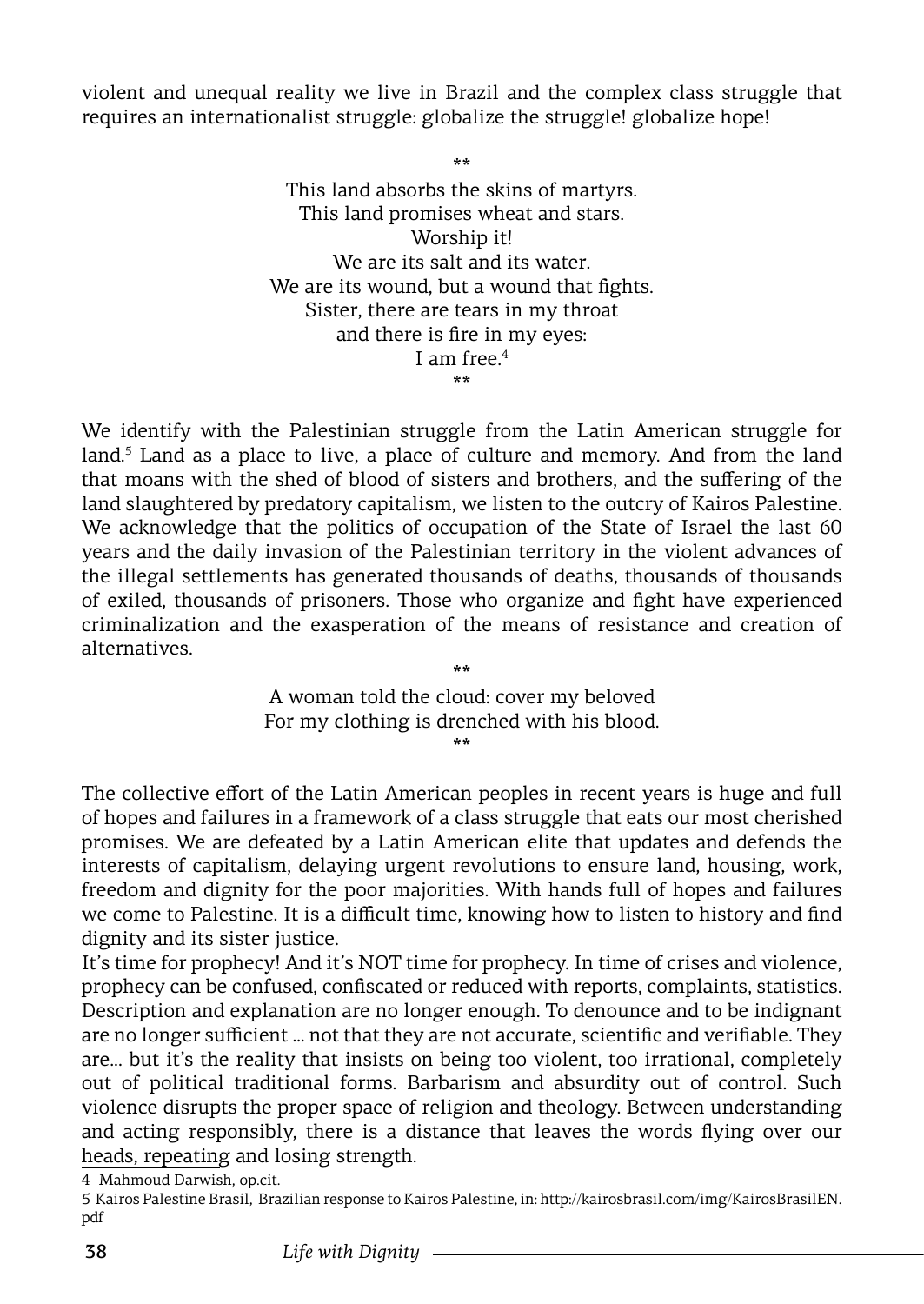violent and unequal reality we live in Brazil and the complex class struggle that requires an internationalist struggle: globalize the struggle! globalize hope!

> \*\* This land absorbs the skins of martyrs. This land promises wheat and stars. Worship it! We are its salt and its water. We are its wound, but a wound that fights. Sister, there are tears in my throat and there is fire in my eyes: I am free.4 \*\*

We identify with the Palestinian struggle from the Latin American struggle for land.5 Land as a place to live, a place of culture and memory. And from the land that moans with the shed of blood of sisters and brothers, and the suffering of the land slaughtered by predatory capitalism, we listen to the outcry of Kairos Palestine. We acknowledge that the politics of occupation of the State of Israel the last 60 years and the daily invasion of the Palestinian territory in the violent advances of the illegal settlements has generated thousands of deaths, thousands of thousands of exiled, thousands of prisoners. Those who organize and fight have experienced criminalization and the exasperation of the means of resistance and creation of alternatives. \*\*

> A woman told the cloud: cover my beloved For my clothing is drenched with his blood.

\*\*

The collective effort of the Latin American peoples in recent years is huge and full of hopes and failures in a framework of a class struggle that eats our most cherished promises. We are defeated by a Latin American elite that updates and defends the interests of capitalism, delaying urgent revolutions to ensure land, housing, work, freedom and dignity for the poor majorities. With hands full of hopes and failures we come to Palestine. It is a difficult time, knowing how to listen to history and find dignity and its sister justice.

It's time for prophecy! And it's NOT time for prophecy. In time of crises and violence, prophecy can be confused, confiscated or reduced with reports, complaints, statistics. Description and explanation are no longer enough. To denounce and to be indignant are no longer sufficient … not that they are not accurate, scientific and verifiable. They are... but it's the reality that insists on being too violent, too irrational, completely out of political traditional forms. Barbarism and absurdity out of control. Such violence disrupts the proper space of religion and theology. Between understanding and acting responsibly, there is a distance that leaves the words flying over our heads, repeating and losing strength.

4 Mahmoud Darwish, op.cit.

<sup>5</sup> Kairos Palestine Brasil, Brazilian response to Kairos Palestine, in: http://kairosbrasil.com/img/KairosBrasilEN. pdf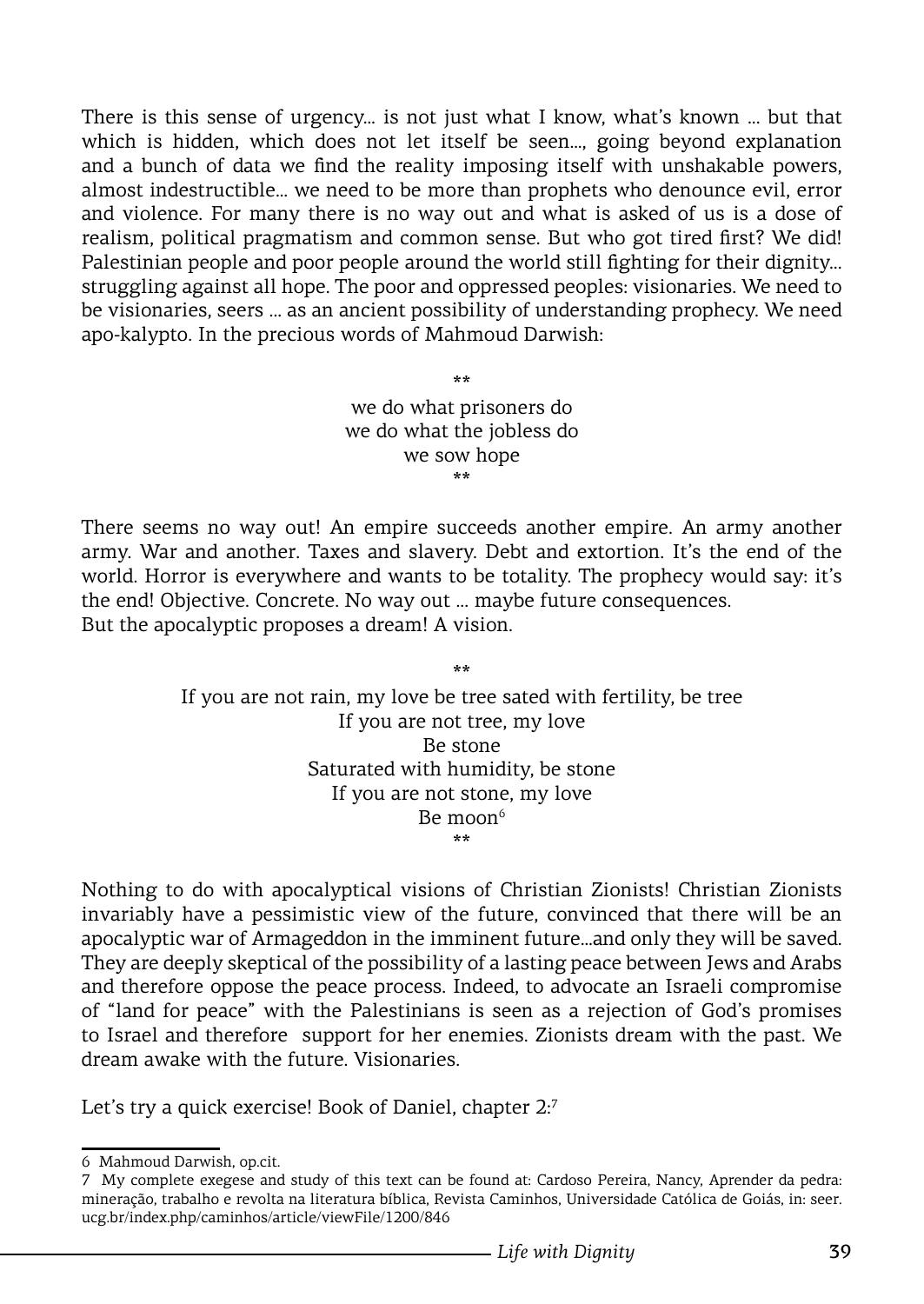There is this sense of urgency… is not just what I know, what's known ... but that which is hidden, which does not let itself be seen…, going beyond explanation and a bunch of data we find the reality imposing itself with unshakable powers, almost indestructible… we need to be more than prophets who denounce evil, error and violence. For many there is no way out and what is asked of us is a dose of realism, political pragmatism and common sense. But who got tired first? We did! Palestinian people and poor people around the world still fighting for their dignity... struggling against all hope. The poor and oppressed peoples: visionaries. We need to be visionaries, seers ... as an ancient possibility of understanding prophecy. We need apo-kalypto. In the precious words of Mahmoud Darwish:

> \*\* we do what prisoners do we do what the jobless do we sow hope \*\*

There seems no way out! An empire succeeds another empire. An army another army. War and another. Taxes and slavery. Debt and extortion. It's the end of the world. Horror is everywhere and wants to be totality. The prophecy would say: it's the end! Objective. Concrete. No way out ... maybe future consequences. But the apocalyptic proposes a dream! A vision.

\*\*

If you are not rain, my love be tree sated with fertility, be tree If you are not tree, my love Be stone Saturated with humidity, be stone If you are not stone, my love Be moon $6$ \*\*

Nothing to do with apocalyptical visions of Christian Zionists! Christian Zionists invariably have a pessimistic view of the future, convinced that there will be an apocalyptic war of Armageddon in the imminent future…and only they will be saved. They are deeply skeptical of the possibility of a lasting peace between Jews and Arabs and therefore oppose the peace process. Indeed, to advocate an Israeli compromise of "land for peace" with the Palestinians is seen as a rejection of God's promises to Israel and therefore support for her enemies. Zionists dream with the past. We dream awake with the future. Visionaries.

Let's try a quick exercise! Book of Daniel, chapter 2:7

<sup>6</sup> Mahmoud Darwish, op.cit.

<sup>7</sup> My complete exegese and study of this text can be found at: Cardoso Pereira, Nancy, Aprender da pedra: mineração, trabalho e revolta na literatura bíblica, Revista Caminhos, Universidade Católica de Goiás, in: seer. ucg.br/index.php/caminhos/article/viewFile/1200/846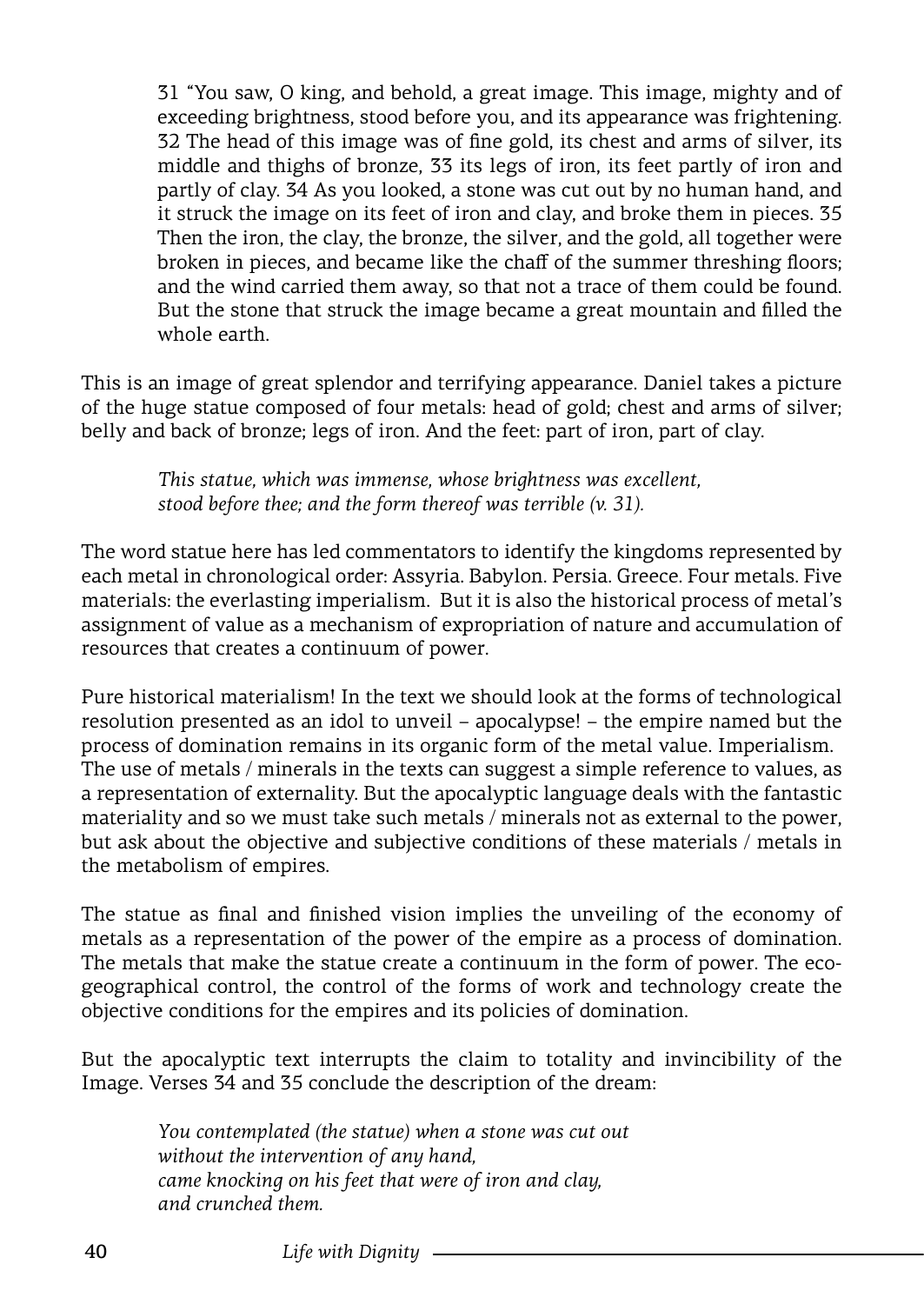31 "You saw, O king, and behold, a great image. This image, mighty and of exceeding brightness, stood before you, and its appearance was frightening. 32 The head of this image was of fine gold, its chest and arms of silver, its middle and thighs of bronze, 33 its legs of iron, its feet partly of iron and partly of clay. 34 As you looked, a stone was cut out by no human hand, and it struck the image on its feet of iron and clay, and broke them in pieces. 35 Then the iron, the clay, the bronze, the silver, and the gold, all together were broken in pieces, and became like the chaff of the summer threshing floors; and the wind carried them away, so that not a trace of them could be found. But the stone that struck the image became a great mountain and filled the whole earth.

This is an image of great splendor and terrifying appearance. Daniel takes a picture of the huge statue composed of four metals: head of gold; chest and arms of silver; belly and back of bronze; legs of iron. And the feet: part of iron, part of clay.

*This statue, which was immense, whose brightness was excellent, stood before thee; and the form thereof was terrible (v. 31).*

The word statue here has led commentators to identify the kingdoms represented by each metal in chronological order: Assyria. Babylon. Persia. Greece. Four metals. Five materials: the everlasting imperialism. But it is also the historical process of metal's assignment of value as a mechanism of expropriation of nature and accumulation of resources that creates a continuum of power.

Pure historical materialism! In the text we should look at the forms of technological resolution presented as an idol to unveil – apocalypse! – the empire named but the process of domination remains in its organic form of the metal value. Imperialism. The use of metals / minerals in the texts can suggest a simple reference to values, as a representation of externality. But the apocalyptic language deals with the fantastic materiality and so we must take such metals / minerals not as external to the power, but ask about the objective and subjective conditions of these materials / metals in the metabolism of empires.

The statue as final and finished vision implies the unveiling of the economy of metals as a representation of the power of the empire as a process of domination. The metals that make the statue create a continuum in the form of power. The ecogeographical control, the control of the forms of work and technology create the objective conditions for the empires and its policies of domination.

But the apocalyptic text interrupts the claim to totality and invincibility of the Image. Verses 34 and 35 conclude the description of the dream:

> *You contemplated (the statue) when a stone was cut out without the intervention of any hand, came knocking on his feet that were of iron and clay, and crunched them.*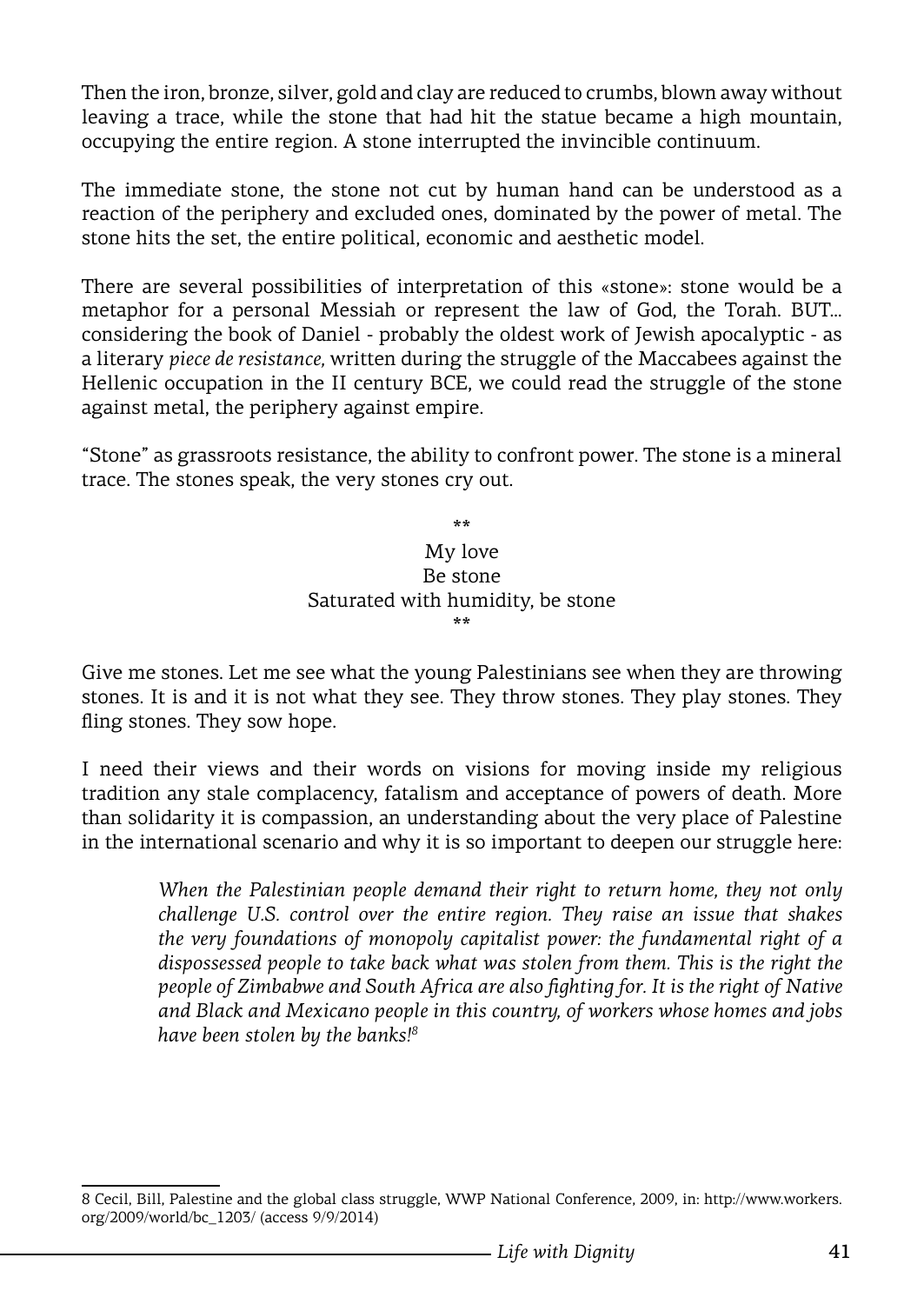Then the iron, bronze, silver, gold and clay are reduced to crumbs, blown away without leaving a trace, while the stone that had hit the statue became a high mountain, occupying the entire region. A stone interrupted the invincible continuum.

The immediate stone, the stone not cut by human hand can be understood as a reaction of the periphery and excluded ones, dominated by the power of metal. The stone hits the set, the entire political, economic and aesthetic model.

There are several possibilities of interpretation of this «stone»: stone would be a metaphor for a personal Messiah or represent the law of God, the Torah. BUT… considering the book of Daniel - probably the oldest work of Jewish apocalyptic - as a literary *piece de resistance,* written during the struggle of the Maccabees against the Hellenic occupation in the II century BCE, we could read the struggle of the stone against metal, the periphery against empire.

"Stone" as grassroots resistance, the ability to confront power. The stone is a mineral trace. The stones speak, the very stones cry out.

#### \*\* My love Be stone Saturated with humidity, be stone \*\*

Give me stones. Let me see what the young Palestinians see when they are throwing stones. It is and it is not what they see. They throw stones. They play stones. They fling stones. They sow hope.

I need their views and their words on visions for moving inside my religious tradition any stale complacency, fatalism and acceptance of powers of death. More than solidarity it is compassion, an understanding about the very place of Palestine in the international scenario and why it is so important to deepen our struggle here:

*When the Palestinian people demand their right to return home, they not only challenge U.S. control over the entire region. They raise an issue that shakes the very foundations of monopoly capitalist power: the fundamental right of a dispossessed people to take back what was stolen from them. This is the right the people of Zimbabwe and South Africa are also fighting for. It is the right of Native and Black and Mexicano people in this country, of workers whose homes and jobs have been stolen by the banks!8*

<sup>8</sup> Cecil, Bill, Palestine and the global class struggle, WWP National Conference, 2009, in: http://www.workers. org/2009/world/bc\_1203/ (access 9/9/2014)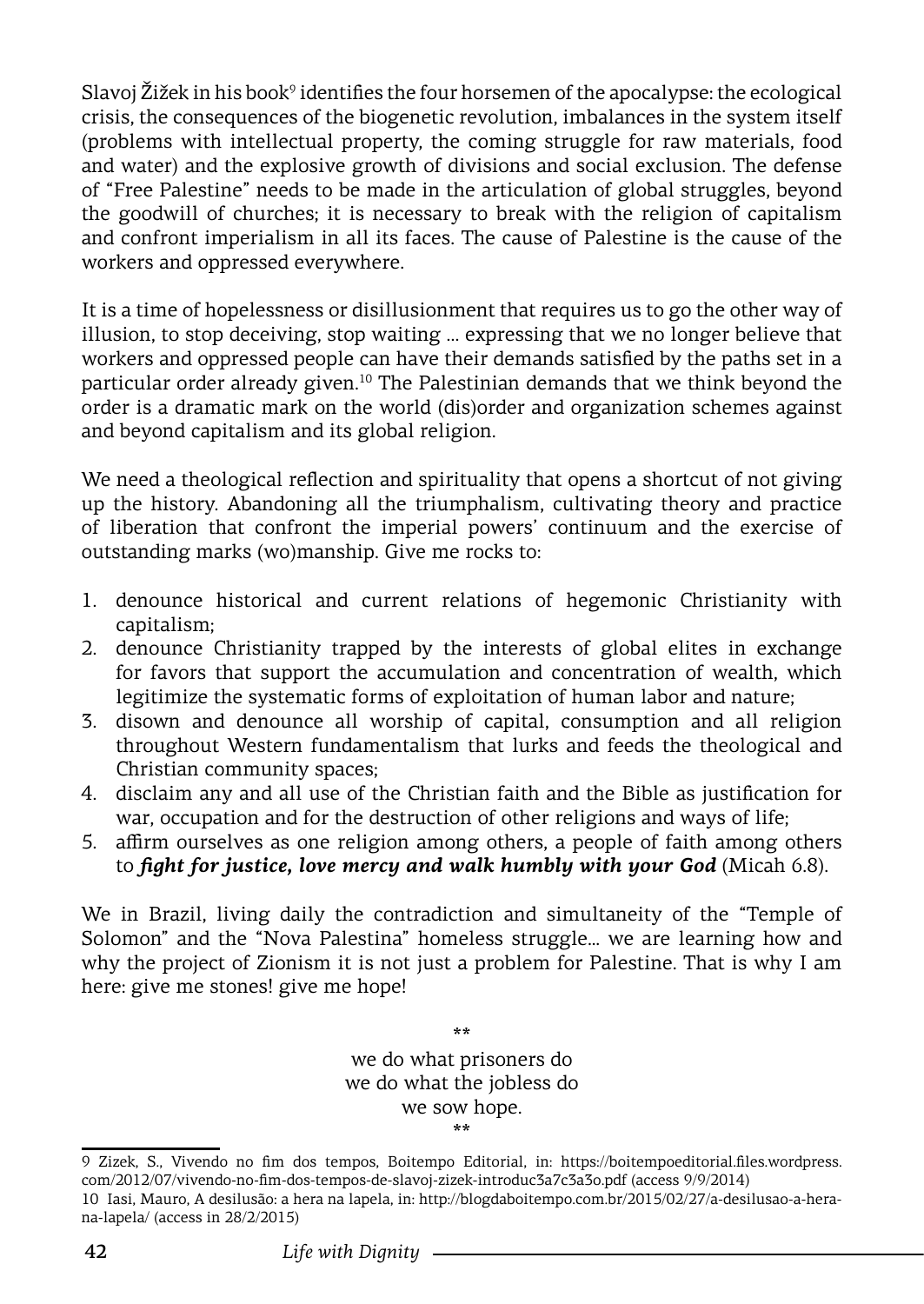Slavoj Žižek in his book $^{\circ}$  identifies the four horsemen of the apocalypse: the ecological crisis, the consequences of the biogenetic revolution, imbalances in the system itself (problems with intellectual property, the coming struggle for raw materials, food and water) and the explosive growth of divisions and social exclusion. The defense of "Free Palestine" needs to be made in the articulation of global struggles, beyond the goodwill of churches; it is necessary to break with the religion of capitalism and confront imperialism in all its faces. The cause of Palestine is the cause of the workers and oppressed everywhere.

It is a time of hopelessness or disillusionment that requires us to go the other way of illusion, to stop deceiving, stop waiting ... expressing that we no longer believe that workers and oppressed people can have their demands satisfied by the paths set in a particular order already given.10 The Palestinian demands that we think beyond the order is a dramatic mark on the world (dis)order and organization schemes against and beyond capitalism and its global religion.

We need a theological reflection and spirituality that opens a shortcut of not giving up the history. Abandoning all the triumphalism, cultivating theory and practice of liberation that confront the imperial powers' continuum and the exercise of outstanding marks (wo)manship. Give me rocks to:

- 1. denounce historical and current relations of hegemonic Christianity with capitalism;
- 2. denounce Christianity trapped by the interests of global elites in exchange for favors that support the accumulation and concentration of wealth, which legitimize the systematic forms of exploitation of human labor and nature;
- 3. disown and denounce all worship of capital, consumption and all religion throughout Western fundamentalism that lurks and feeds the theological and Christian community spaces;
- 4. disclaim any and all use of the Christian faith and the Bible as justification for war, occupation and for the destruction of other religions and ways of life;
- 5. affirm ourselves as one religion among others, a people of faith among others to *fight for justice, love mercy and walk humbly with your God* (Micah 6.8).

We in Brazil, living daily the contradiction and simultaneity of the "Temple of Solomon" and the "Nova Palestina" homeless struggle… we are learning how and why the project of Zionism it is not just a problem for Palestine. That is why I am here: give me stones! give me hope!

> \*\* we do what prisoners do we do what the jobless do we sow hope. \*\*

<sup>9</sup> Zizek, S., Vivendo no fim dos tempos, Boitempo Editorial, in: https://boitempoeditorial.files.wordpress. com/2012/07/vivendo-no-fim-dos-tempos-de-slavoj-zizek-introduc3a7c3a3o.pdf (access 9/9/2014) 10 Iasi, Mauro, A desilusão: a hera na lapela, in: http://blogdaboitempo.com.br/2015/02/27/a-desilusao-a-herana-lapela/ (access in 28/2/2015)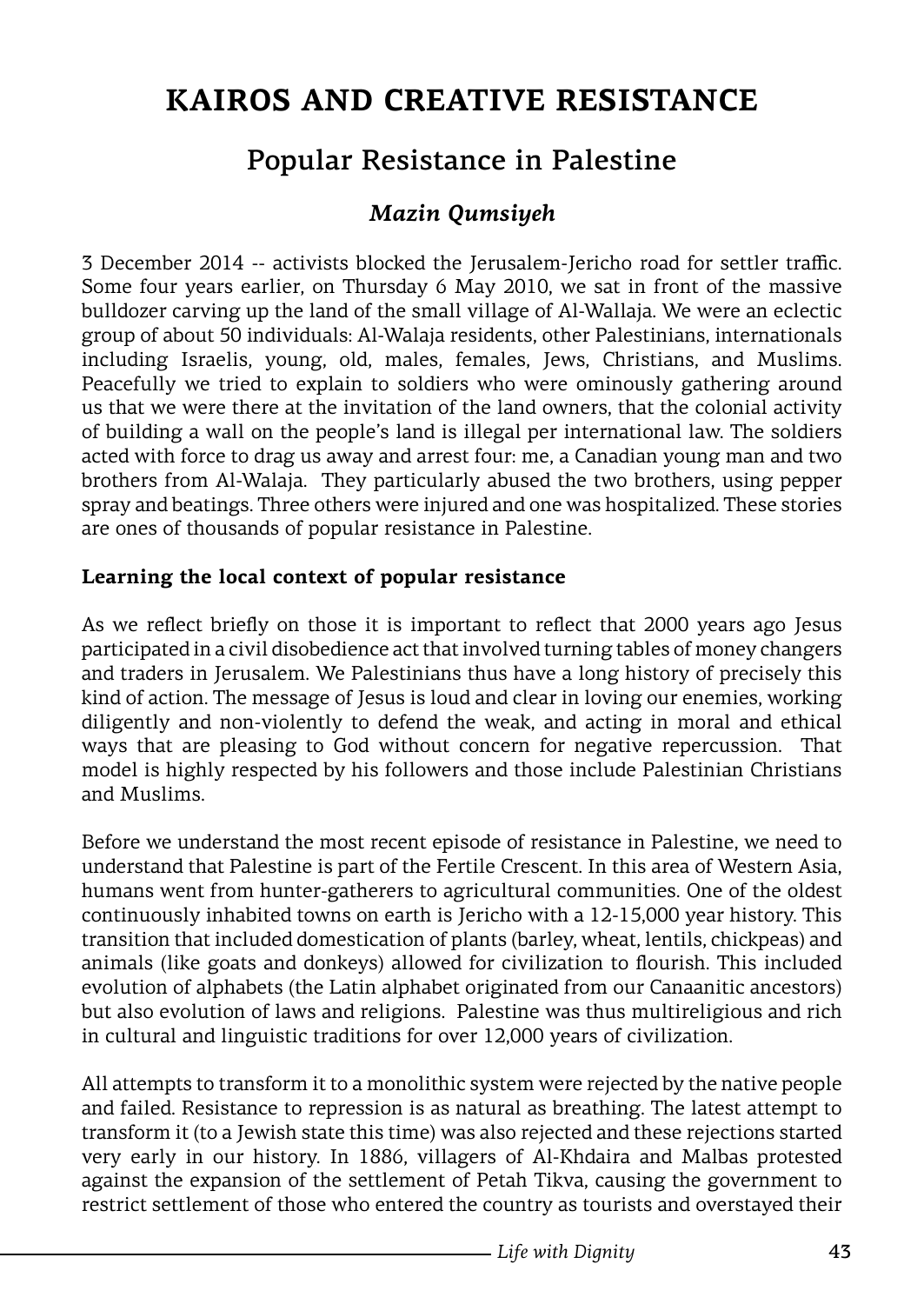# **KAIROS AND CREATIVE RESISTANCE**

# Popular Resistance in Palestine

## *Mazin Qumsiyeh*

3 December 2014 -- activists blocked the Jerusalem-Jericho road for settler traffic. Some four years earlier, on Thursday 6 May 2010, we sat in front of the massive bulldozer carving up the land of the small village of Al-Wallaja. We were an eclectic group of about 50 individuals: Al-Walaja residents, other Palestinians, internationals including Israelis, young, old, males, females, Jews, Christians, and Muslims. Peacefully we tried to explain to soldiers who were ominously gathering around us that we were there at the invitation of the land owners, that the colonial activity of building a wall on the people's land is illegal per international law. The soldiers acted with force to drag us away and arrest four: me, a Canadian young man and two brothers from Al-Walaja. They particularly abused the two brothers, using pepper spray and beatings. Three others were injured and one was hospitalized. These stories are ones of thousands of popular resistance in Palestine.

### **Learning the local context of popular resistance**

As we reflect briefly on those it is important to reflect that 2000 years ago Jesus participated in a civil disobedience act that involved turning tables of money changers and traders in Jerusalem. We Palestinians thus have a long history of precisely this kind of action. The message of Jesus is loud and clear in loving our enemies, working diligently and non-violently to defend the weak, and acting in moral and ethical ways that are pleasing to God without concern for negative repercussion. That model is highly respected by his followers and those include Palestinian Christians and Muslims.

Before we understand the most recent episode of resistance in Palestine, we need to understand that Palestine is part of the Fertile Crescent. In this area of Western Asia, humans went from hunter-gatherers to agricultural communities. One of the oldest continuously inhabited towns on earth is Jericho with a 12-15,000 year history. This transition that included domestication of plants (barley, wheat, lentils, chickpeas) and animals (like goats and donkeys) allowed for civilization to flourish. This included evolution of alphabets (the Latin alphabet originated from our Canaanitic ancestors) but also evolution of laws and religions. Palestine was thus multireligious and rich in cultural and linguistic traditions for over 12,000 years of civilization.

All attempts to transform it to a monolithic system were rejected by the native people and failed. Resistance to repression is as natural as breathing. The latest attempt to transform it (to a Jewish state this time) was also rejected and these rejections started very early in our history. In 1886, villagers of Al-Khdaira and Malbas protested against the expansion of the settlement of Petah Tikva, causing the government to restrict settlement of those who entered the country as tourists and overstayed their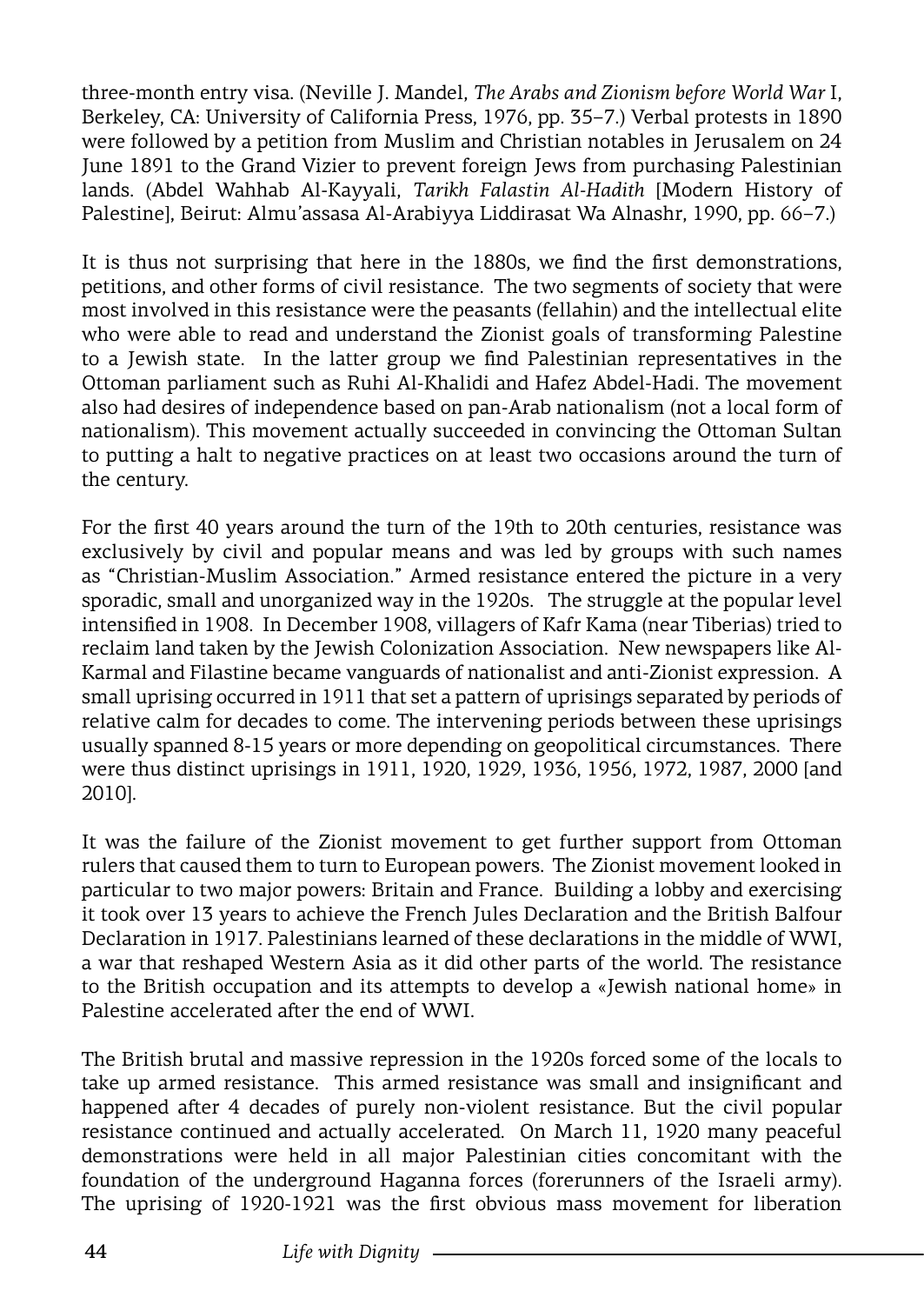three-month entry visa. (Neville J. Mandel, *The Arabs and Zionism before World War* I, Berkeley, CA: University of California Press, 1976, pp. 35−7.) Verbal protests in 1890 were followed by a petition from Muslim and Christian notables in Jerusalem on 24 June 1891 to the Grand Vizier to prevent foreign Jews from purchasing Palestinian lands. (Abdel Wahhab Al-Kayyali, *Tarikh Falastin Al-Hadith* [Modern History of Palestine], Beirut: Almu'assasa Al-Arabiyya Liddirasat Wa Alnashr, 1990, pp. 66−7.)

It is thus not surprising that here in the 1880s, we find the first demonstrations, petitions, and other forms of civil resistance. The two segments of society that were most involved in this resistance were the peasants (fellahin) and the intellectual elite who were able to read and understand the Zionist goals of transforming Palestine to a Jewish state. In the latter group we find Palestinian representatives in the Ottoman parliament such as Ruhi Al-Khalidi and Hafez Abdel-Hadi. The movement also had desires of independence based on pan-Arab nationalism (not a local form of nationalism). This movement actually succeeded in convincing the Ottoman Sultan to putting a halt to negative practices on at least two occasions around the turn of the century.

For the first 40 years around the turn of the 19th to 20th centuries, resistance was exclusively by civil and popular means and was led by groups with such names as "Christian-Muslim Association." Armed resistance entered the picture in a very sporadic, small and unorganized way in the 1920s. The struggle at the popular level intensified in 1908. In December 1908, villagers of Kafr Kama (near Tiberias) tried to reclaim land taken by the Jewish Colonization Association. New newspapers like Al-Karmal and Filastine became vanguards of nationalist and anti-Zionist expression. A small uprising occurred in 1911 that set a pattern of uprisings separated by periods of relative calm for decades to come. The intervening periods between these uprisings usually spanned 8-15 years or more depending on geopolitical circumstances. There were thus distinct uprisings in 1911, 1920, 1929, 1936, 1956, 1972, 1987, 2000 [and 2010].

It was the failure of the Zionist movement to get further support from Ottoman rulers that caused them to turn to European powers. The Zionist movement looked in particular to two major powers: Britain and France. Building a lobby and exercising it took over 13 years to achieve the French Jules Declaration and the British Balfour Declaration in 1917. Palestinians learned of these declarations in the middle of WWI, a war that reshaped Western Asia as it did other parts of the world. The resistance to the British occupation and its attempts to develop a «Jewish national home» in Palestine accelerated after the end of WWI.

The British brutal and massive repression in the 1920s forced some of the locals to take up armed resistance. This armed resistance was small and insignificant and happened after 4 decades of purely non-violent resistance. But the civil popular resistance continued and actually accelerated. On March 11, 1920 many peaceful demonstrations were held in all major Palestinian cities concomitant with the foundation of the underground Haganna forces (forerunners of the Israeli army). The uprising of 1920-1921 was the first obvious mass movement for liberation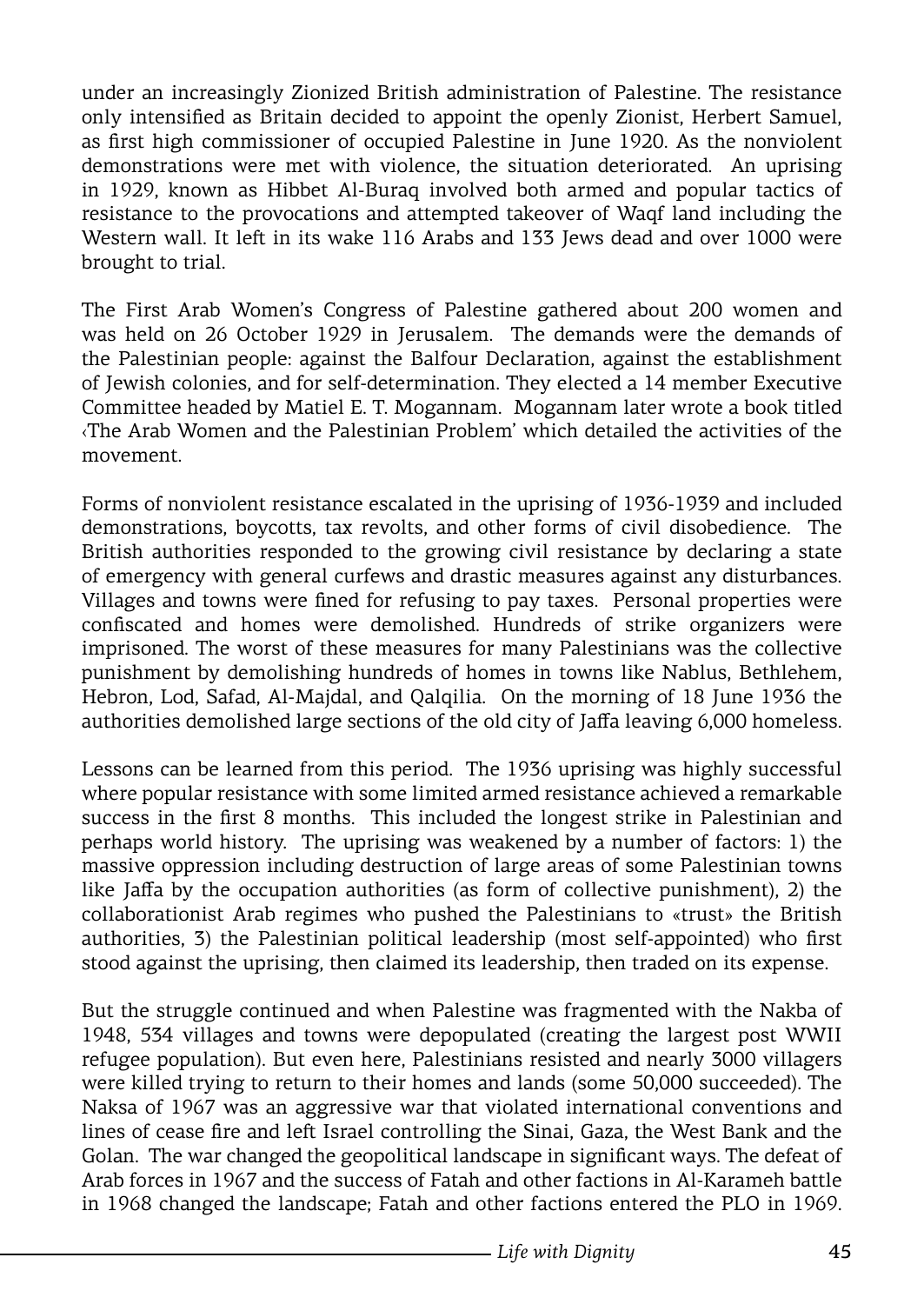under an increasingly Zionized British administration of Palestine. The resistance only intensified as Britain decided to appoint the openly Zionist, Herbert Samuel, as first high commissioner of occupied Palestine in June 1920. As the nonviolent demonstrations were met with violence, the situation deteriorated. An uprising in 1929, known as Hibbet Al-Buraq involved both armed and popular tactics of resistance to the provocations and attempted takeover of Waqf land including the Western wall. It left in its wake 116 Arabs and 133 Jews dead and over 1000 were brought to trial.

The First Arab Women's Congress of Palestine gathered about 200 women and was held on 26 October 1929 in Jerusalem. The demands were the demands of the Palestinian people: against the Balfour Declaration, against the establishment of Jewish colonies, and for self-determination. They elected a 14 member Executive Committee headed by Matiel E. T. Mogannam. Mogannam later wrote a book titled ‹The Arab Women and the Palestinian Problem' which detailed the activities of the movement.

Forms of nonviolent resistance escalated in the uprising of 1936-1939 and included demonstrations, boycotts, tax revolts, and other forms of civil disobedience. The British authorities responded to the growing civil resistance by declaring a state of emergency with general curfews and drastic measures against any disturbances. Villages and towns were fined for refusing to pay taxes. Personal properties were confiscated and homes were demolished. Hundreds of strike organizers were imprisoned. The worst of these measures for many Palestinians was the collective punishment by demolishing hundreds of homes in towns like Nablus, Bethlehem, Hebron, Lod, Safad, Al-Majdal, and Qalqilia. On the morning of 18 June 1936 the authorities demolished large sections of the old city of Jaffa leaving 6,000 homeless.

Lessons can be learned from this period. The 1936 uprising was highly successful where popular resistance with some limited armed resistance achieved a remarkable success in the first 8 months. This included the longest strike in Palestinian and perhaps world history. The uprising was weakened by a number of factors: 1) the massive oppression including destruction of large areas of some Palestinian towns like Jaffa by the occupation authorities (as form of collective punishment), 2) the collaborationist Arab regimes who pushed the Palestinians to «trust» the British authorities, 3) the Palestinian political leadership (most self-appointed) who first stood against the uprising, then claimed its leadership, then traded on its expense.

But the struggle continued and when Palestine was fragmented with the Nakba of 1948, 534 villages and towns were depopulated (creating the largest post WWII refugee population). But even here, Palestinians resisted and nearly 3000 villagers were killed trying to return to their homes and lands (some 50,000 succeeded). The Naksa of 1967 was an aggressive war that violated international conventions and lines of cease fire and left Israel controlling the Sinai, Gaza, the West Bank and the Golan. The war changed the geopolitical landscape in significant ways. The defeat of Arab forces in 1967 and the success of Fatah and other factions in Al-Karameh battle in 1968 changed the landscape; Fatah and other factions entered the PLO in 1969.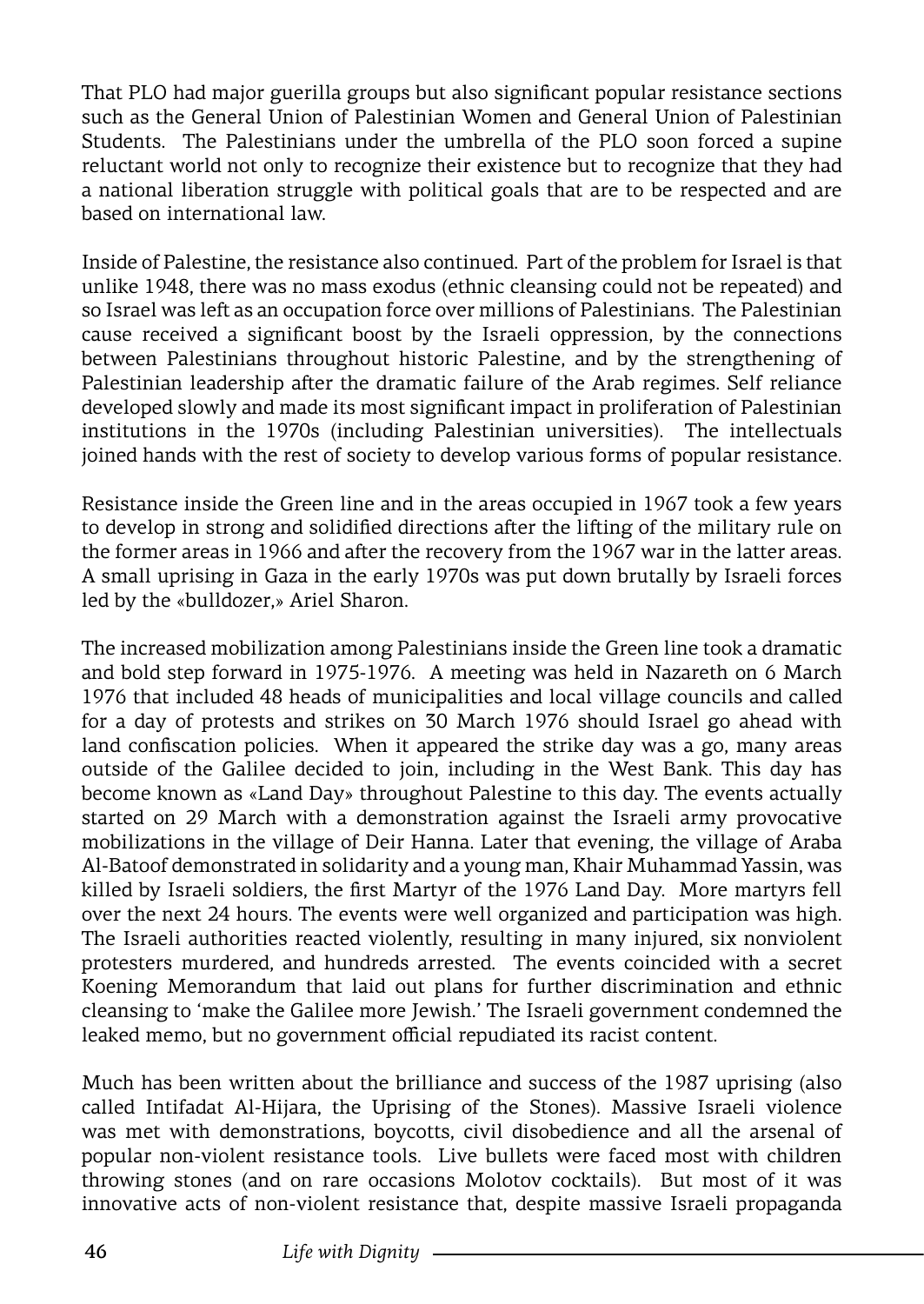That PLO had major guerilla groups but also significant popular resistance sections such as the General Union of Palestinian Women and General Union of Palestinian Students. The Palestinians under the umbrella of the PLO soon forced a supine reluctant world not only to recognize their existence but to recognize that they had a national liberation struggle with political goals that are to be respected and are based on international law.

Inside of Palestine, the resistance also continued. Part of the problem for Israel is that unlike 1948, there was no mass exodus (ethnic cleansing could not be repeated) and so Israel was left as an occupation force over millions of Palestinians. The Palestinian cause received a significant boost by the Israeli oppression, by the connections between Palestinians throughout historic Palestine, and by the strengthening of Palestinian leadership after the dramatic failure of the Arab regimes. Self reliance developed slowly and made its most significant impact in proliferation of Palestinian institutions in the 1970s (including Palestinian universities). The intellectuals joined hands with the rest of society to develop various forms of popular resistance.

Resistance inside the Green line and in the areas occupied in 1967 took a few years to develop in strong and solidified directions after the lifting of the military rule on the former areas in 1966 and after the recovery from the 1967 war in the latter areas. A small uprising in Gaza in the early 1970s was put down brutally by Israeli forces led by the «bulldozer,» Ariel Sharon.

The increased mobilization among Palestinians inside the Green line took a dramatic and bold step forward in 1975-1976. A meeting was held in Nazareth on 6 March 1976 that included 48 heads of municipalities and local village councils and called for a day of protests and strikes on 30 March 1976 should Israel go ahead with land confiscation policies. When it appeared the strike day was a go, many areas outside of the Galilee decided to join, including in the West Bank. This day has become known as «Land Day» throughout Palestine to this day. The events actually started on 29 March with a demonstration against the Israeli army provocative mobilizations in the village of Deir Hanna. Later that evening, the village of Araba Al-Batoof demonstrated in solidarity and a young man, Khair Muhammad Yassin, was killed by Israeli soldiers, the first Martyr of the 1976 Land Day. More martyrs fell over the next 24 hours. The events were well organized and participation was high. The Israeli authorities reacted violently, resulting in many injured, six nonviolent protesters murdered, and hundreds arrested. The events coincided with a secret Koening Memorandum that laid out plans for further discrimination and ethnic cleansing to 'make the Galilee more Jewish.' The Israeli government condemned the leaked memo, but no government official repudiated its racist content.

Much has been written about the brilliance and success of the 1987 uprising (also called Intifadat Al-Hijara, the Uprising of the Stones). Massive Israeli violence was met with demonstrations, boycotts, civil disobedience and all the arsenal of popular non-violent resistance tools. Live bullets were faced most with children throwing stones (and on rare occasions Molotov cocktails). But most of it was innovative acts of non-violent resistance that, despite massive Israeli propaganda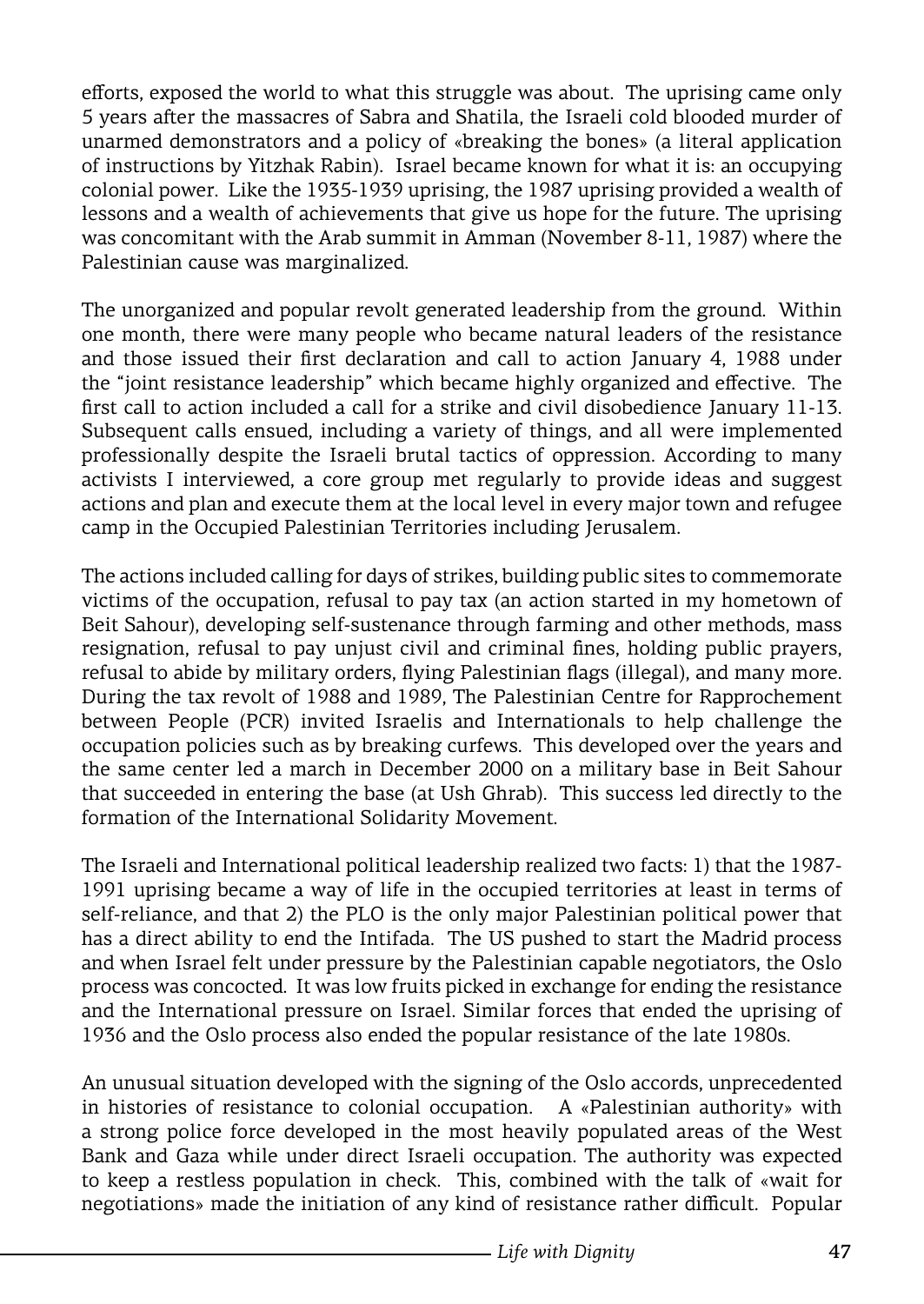efforts, exposed the world to what this struggle was about. The uprising came only 5 years after the massacres of Sabra and Shatila, the Israeli cold blooded murder of unarmed demonstrators and a policy of «breaking the bones» (a literal application of instructions by Yitzhak Rabin). Israel became known for what it is: an occupying colonial power. Like the 1935-1939 uprising, the 1987 uprising provided a wealth of lessons and a wealth of achievements that give us hope for the future. The uprising was concomitant with the Arab summit in Amman (November 8-11, 1987) where the Palestinian cause was marginalized.

The unorganized and popular revolt generated leadership from the ground. Within one month, there were many people who became natural leaders of the resistance and those issued their first declaration and call to action January 4, 1988 under the "joint resistance leadership" which became highly organized and effective. The first call to action included a call for a strike and civil disobedience January 11-13. Subsequent calls ensued, including a variety of things, and all were implemented professionally despite the Israeli brutal tactics of oppression. According to many activists I interviewed, a core group met regularly to provide ideas and suggest actions and plan and execute them at the local level in every major town and refugee camp in the Occupied Palestinian Territories including Jerusalem.

The actions included calling for days of strikes, building public sites to commemorate victims of the occupation, refusal to pay tax (an action started in my hometown of Beit Sahour), developing self-sustenance through farming and other methods, mass resignation, refusal to pay unjust civil and criminal fines, holding public prayers, refusal to abide by military orders, flying Palestinian flags (illegal), and many more. During the tax revolt of 1988 and 1989, The Palestinian Centre for Rapprochement between People (PCR) invited Israelis and Internationals to help challenge the occupation policies such as by breaking curfews. This developed over the years and the same center led a march in December 2000 on a military base in Beit Sahour that succeeded in entering the base (at Ush Ghrab). This success led directly to the formation of the International Solidarity Movement.

The Israeli and International political leadership realized two facts: 1) that the 1987- 1991 uprising became a way of life in the occupied territories at least in terms of self-reliance, and that 2) the PLO is the only major Palestinian political power that has a direct ability to end the Intifada. The US pushed to start the Madrid process and when Israel felt under pressure by the Palestinian capable negotiators, the Oslo process was concocted. It was low fruits picked in exchange for ending the resistance and the International pressure on Israel. Similar forces that ended the uprising of 1936 and the Oslo process also ended the popular resistance of the late 1980s.

An unusual situation developed with the signing of the Oslo accords, unprecedented in histories of resistance to colonial occupation. A «Palestinian authority» with a strong police force developed in the most heavily populated areas of the West Bank and Gaza while under direct Israeli occupation. The authority was expected to keep a restless population in check. This, combined with the talk of «wait for negotiations» made the initiation of any kind of resistance rather difficult. Popular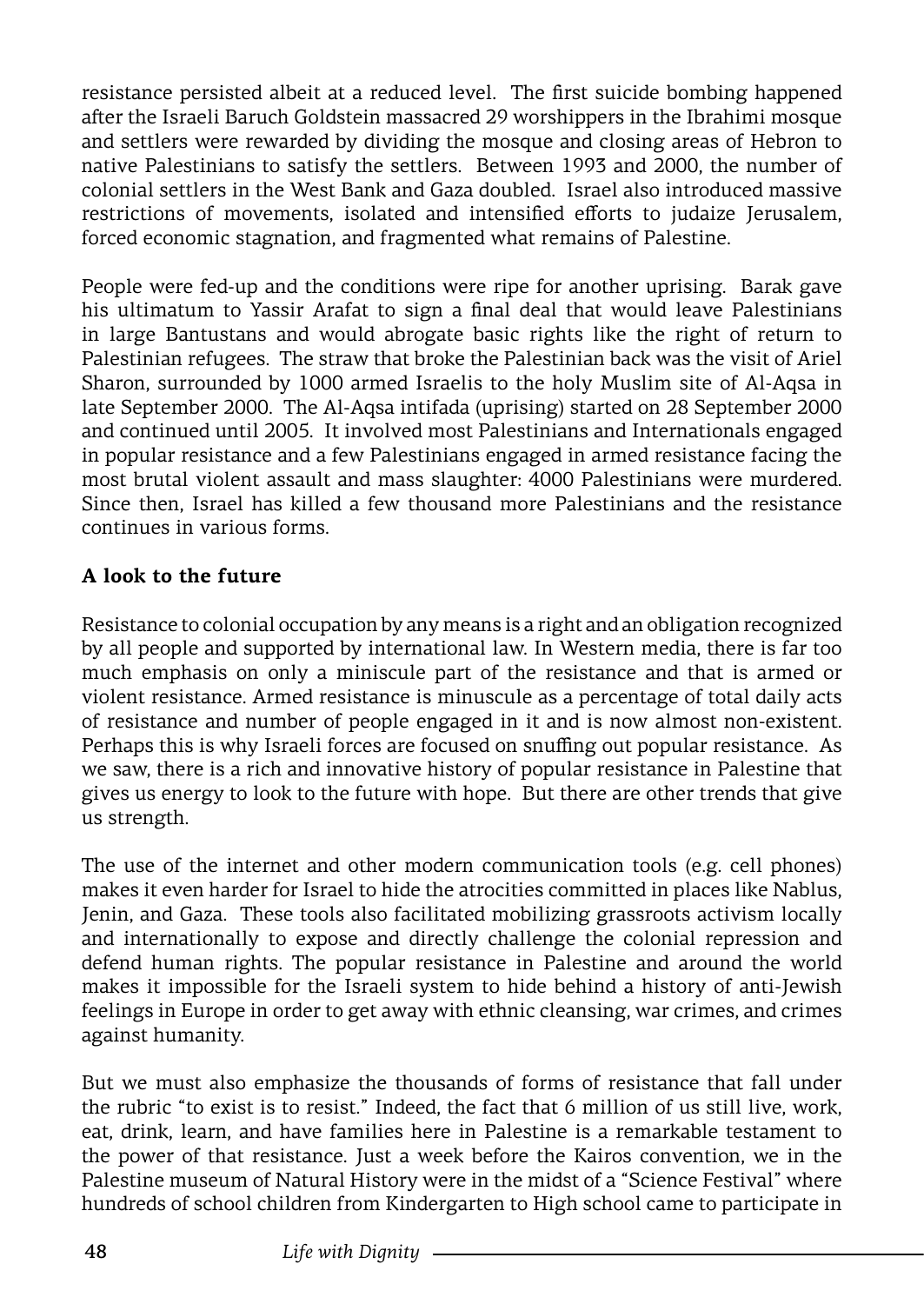resistance persisted albeit at a reduced level. The first suicide bombing happened after the Israeli Baruch Goldstein massacred 29 worshippers in the Ibrahimi mosque and settlers were rewarded by dividing the mosque and closing areas of Hebron to native Palestinians to satisfy the settlers. Between 1993 and 2000, the number of colonial settlers in the West Bank and Gaza doubled. Israel also introduced massive restrictions of movements, isolated and intensified efforts to judaize Jerusalem, forced economic stagnation, and fragmented what remains of Palestine.

People were fed-up and the conditions were ripe for another uprising. Barak gave his ultimatum to Yassir Arafat to sign a final deal that would leave Palestinians in large Bantustans and would abrogate basic rights like the right of return to Palestinian refugees. The straw that broke the Palestinian back was the visit of Ariel Sharon, surrounded by 1000 armed Israelis to the holy Muslim site of Al-Aqsa in late September 2000. The Al-Aqsa intifada (uprising) started on 28 September 2000 and continued until 2005. It involved most Palestinians and Internationals engaged in popular resistance and a few Palestinians engaged in armed resistance facing the most brutal violent assault and mass slaughter: 4000 Palestinians were murdered. Since then, Israel has killed a few thousand more Palestinians and the resistance continues in various forms.

### **A look to the future**

Resistance to colonial occupation by any means is a right and an obligation recognized by all people and supported by international law. In Western media, there is far too much emphasis on only a miniscule part of the resistance and that is armed or violent resistance. Armed resistance is minuscule as a percentage of total daily acts of resistance and number of people engaged in it and is now almost non-existent. Perhaps this is why Israeli forces are focused on snuffing out popular resistance. As we saw, there is a rich and innovative history of popular resistance in Palestine that gives us energy to look to the future with hope. But there are other trends that give us strength.

The use of the internet and other modern communication tools (e.g. cell phones) makes it even harder for Israel to hide the atrocities committed in places like Nablus, Jenin, and Gaza. These tools also facilitated mobilizing grassroots activism locally and internationally to expose and directly challenge the colonial repression and defend human rights. The popular resistance in Palestine and around the world makes it impossible for the Israeli system to hide behind a history of anti-Jewish feelings in Europe in order to get away with ethnic cleansing, war crimes, and crimes against humanity.

But we must also emphasize the thousands of forms of resistance that fall under the rubric "to exist is to resist." Indeed, the fact that 6 million of us still live, work, eat, drink, learn, and have families here in Palestine is a remarkable testament to the power of that resistance. Just a week before the Kairos convention, we in the Palestine museum of Natural History were in the midst of a "Science Festival" where hundreds of school children from Kindergarten to High school came to participate in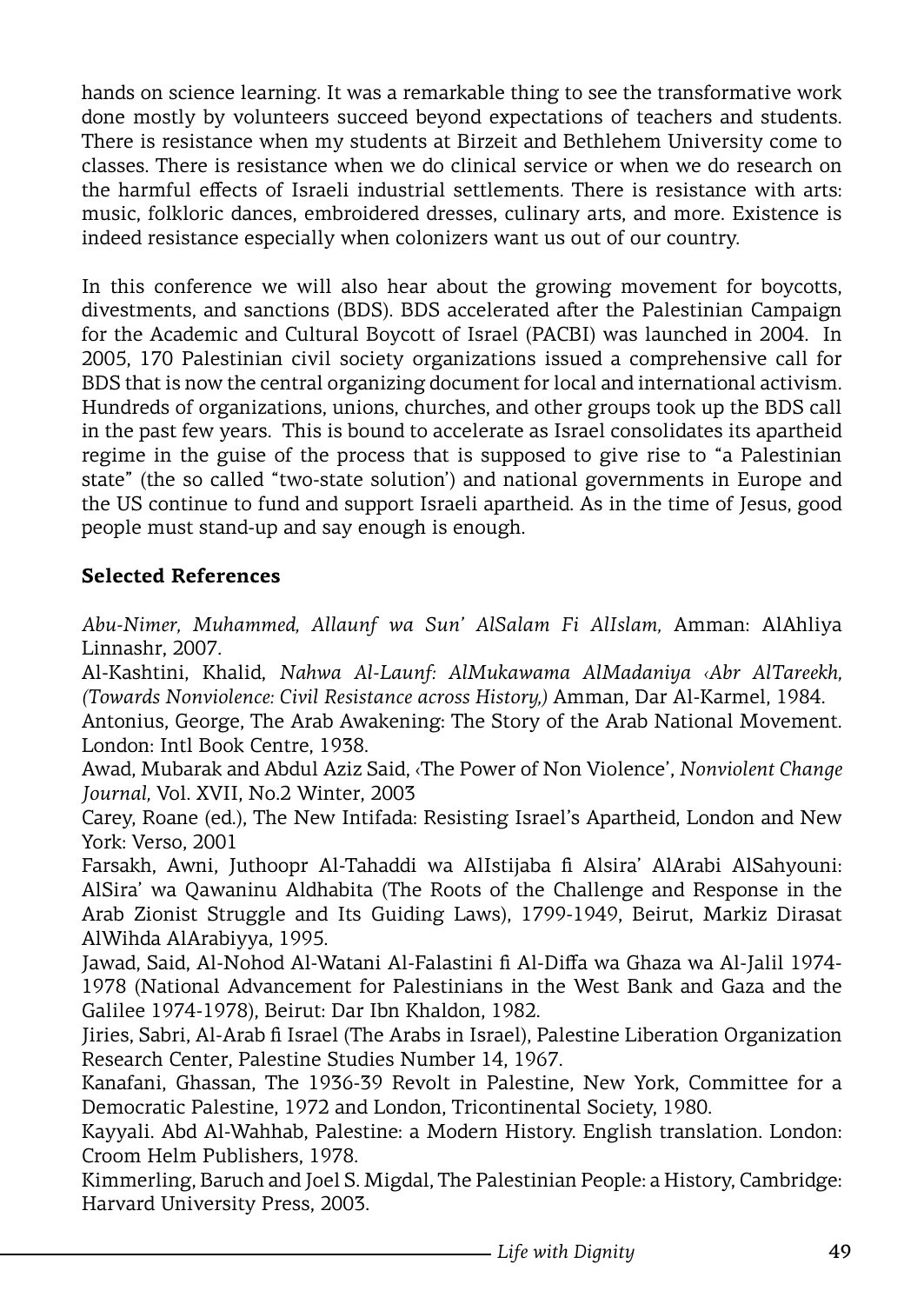hands on science learning. It was a remarkable thing to see the transformative work done mostly by volunteers succeed beyond expectations of teachers and students. There is resistance when my students at Birzeit and Bethlehem University come to classes. There is resistance when we do clinical service or when we do research on the harmful effects of Israeli industrial settlements. There is resistance with arts: music, folkloric dances, embroidered dresses, culinary arts, and more. Existence is indeed resistance especially when colonizers want us out of our country.

In this conference we will also hear about the growing movement for boycotts, divestments, and sanctions (BDS). BDS accelerated after the Palestinian Campaign for the Academic and Cultural Boycott of Israel (PACBI) was launched in 2004. In 2005, 170 Palestinian civil society organizations issued a comprehensive call for BDS that is now the central organizing document for local and international activism. Hundreds of organizations, unions, churches, and other groups took up the BDS call in the past few years. This is bound to accelerate as Israel consolidates its apartheid regime in the guise of the process that is supposed to give rise to "a Palestinian state" (the so called "two-state solution') and national governments in Europe and the US continue to fund and support Israeli apartheid. As in the time of Jesus, good people must stand-up and say enough is enough.

### **Selected References**

*Abu-Nimer, Muhammed, Allaunf wa Sun' AlSalam Fi AlIslam,* Amman: AlAhliya Linnashr, 2007.

Al-Kashtini, Khalid, *Nahwa Al-Launf: AlMukawama AlMadaniya ‹Abr AlTareekh, (Towards Nonviolence: Civil Resistance across History,)* Amman, Dar Al-Karmel, 1984.

Antonius, George, The Arab Awakening: The Story of the Arab National Movement. London: Intl Book Centre, 1938.

Awad, Mubarak and Abdul Aziz Said, ‹The Power of Non Violence', *Nonviolent Change Journal,* Vol. XVII, No.2 Winter, 2003

Carey, Roane (ed.), The New Intifada: Resisting Israel's Apartheid, London and New York: Verso, 2001

Farsakh, Awni, Juthoopr Al-Tahaddi wa AlIstijaba fi Alsira' AlArabi AlSahyouni: AlSira' wa Qawaninu Aldhabita (The Roots of the Challenge and Response in the Arab Zionist Struggle and Its Guiding Laws), 1799-1949, Beirut, Markiz Dirasat AlWihda AlArabiyya, 1995.

Jawad, Said, Al-Nohod Al-Watani Al-Falastini fi Al-Diffa wa Ghaza wa Al-Jalil 1974- 1978 (National Advancement for Palestinians in the West Bank and Gaza and the Galilee 1974-1978), Beirut: Dar Ibn Khaldon, 1982.

Jiries, Sabri, Al-Arab fi Israel (The Arabs in Israel), Palestine Liberation Organization Research Center, Palestine Studies Number 14, 1967.

Kanafani, Ghassan, The 1936-39 Revolt in Palestine, New York, Committee for a Democratic Palestine, 1972 and London, Tricontinental Society, 1980.

Kayyali. Abd Al-Wahhab, Palestine: a Modern History. English translation. London: Croom Helm Publishers, 1978.

Kimmerling, Baruch and Joel S. Migdal, The Palestinian People: a History, Cambridge: Harvard University Press, 2003.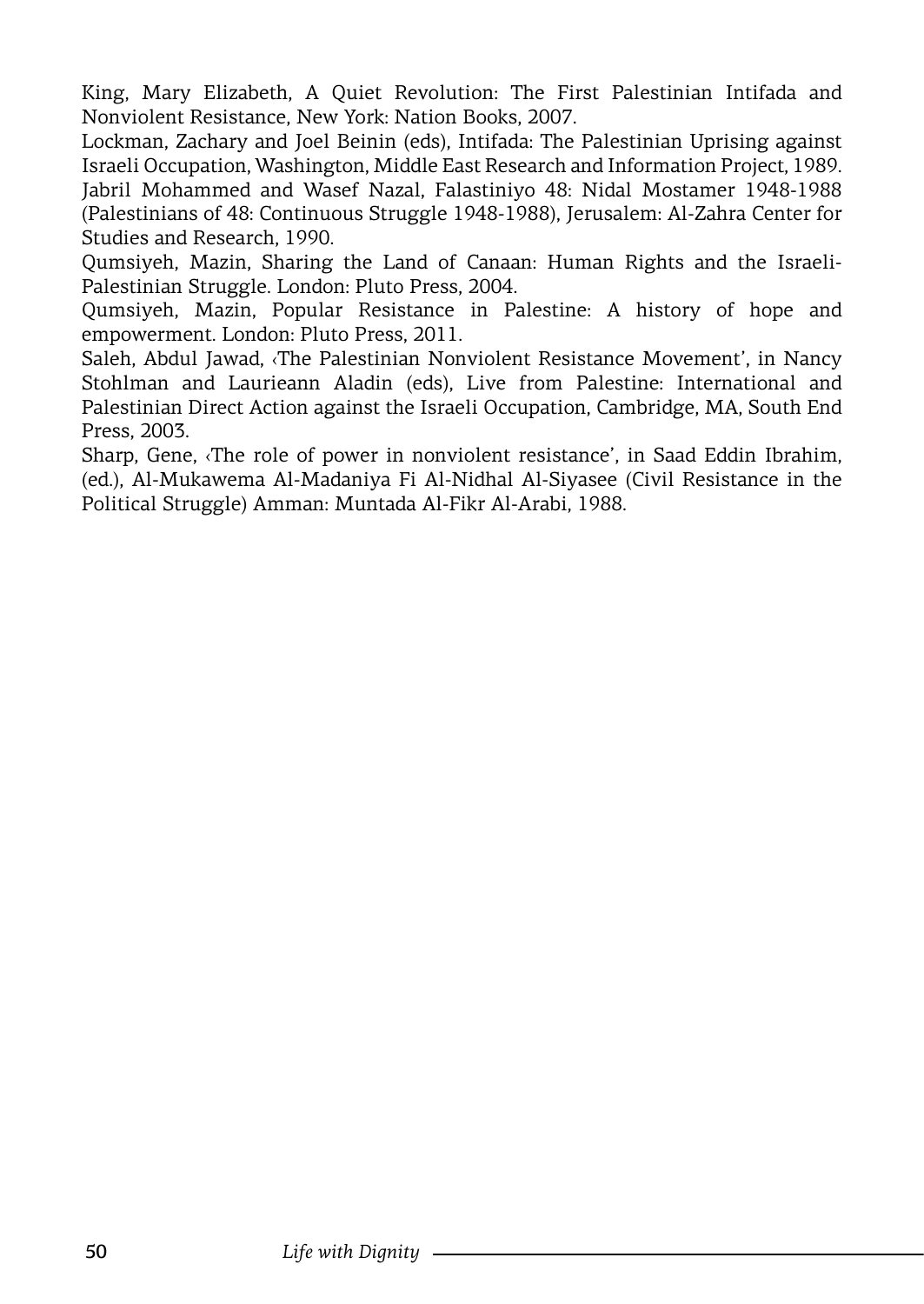King, Mary Elizabeth, A Quiet Revolution: The First Palestinian Intifada and Nonviolent Resistance, New York: Nation Books, 2007.

Lockman, Zachary and Joel Beinin (eds), Intifada: The Palestinian Uprising against Israeli Occupation, Washington, Middle East Research and Information Project, 1989. Jabril Mohammed and Wasef Nazal, Falastiniyo 48: Nidal Mostamer 1948-1988 (Palestinians of 48: Continuous Struggle 1948-1988), Jerusalem: Al-Zahra Center for Studies and Research, 1990.

Qumsiyeh, Mazin, Sharing the Land of Canaan: Human Rights and the Israeli-Palestinian Struggle. London: Pluto Press, 2004.

Qumsiyeh, Mazin, Popular Resistance in Palestine: A history of hope and empowerment. London: Pluto Press, 2011.

Saleh, Abdul Jawad, ‹The Palestinian Nonviolent Resistance Movement', in Nancy Stohlman and Laurieann Aladin (eds), Live from Palestine: International and Palestinian Direct Action against the Israeli Occupation, Cambridge, MA, South End Press, 2003.

Sharp, Gene, ‹The role of power in nonviolent resistance', in Saad Eddin Ibrahim, (ed.), Al-Mukawema Al-Madaniya Fi Al-Nidhal Al-Siyasee (Civil Resistance in the Political Struggle) Amman: Muntada Al-Fikr Al-Arabi, 1988.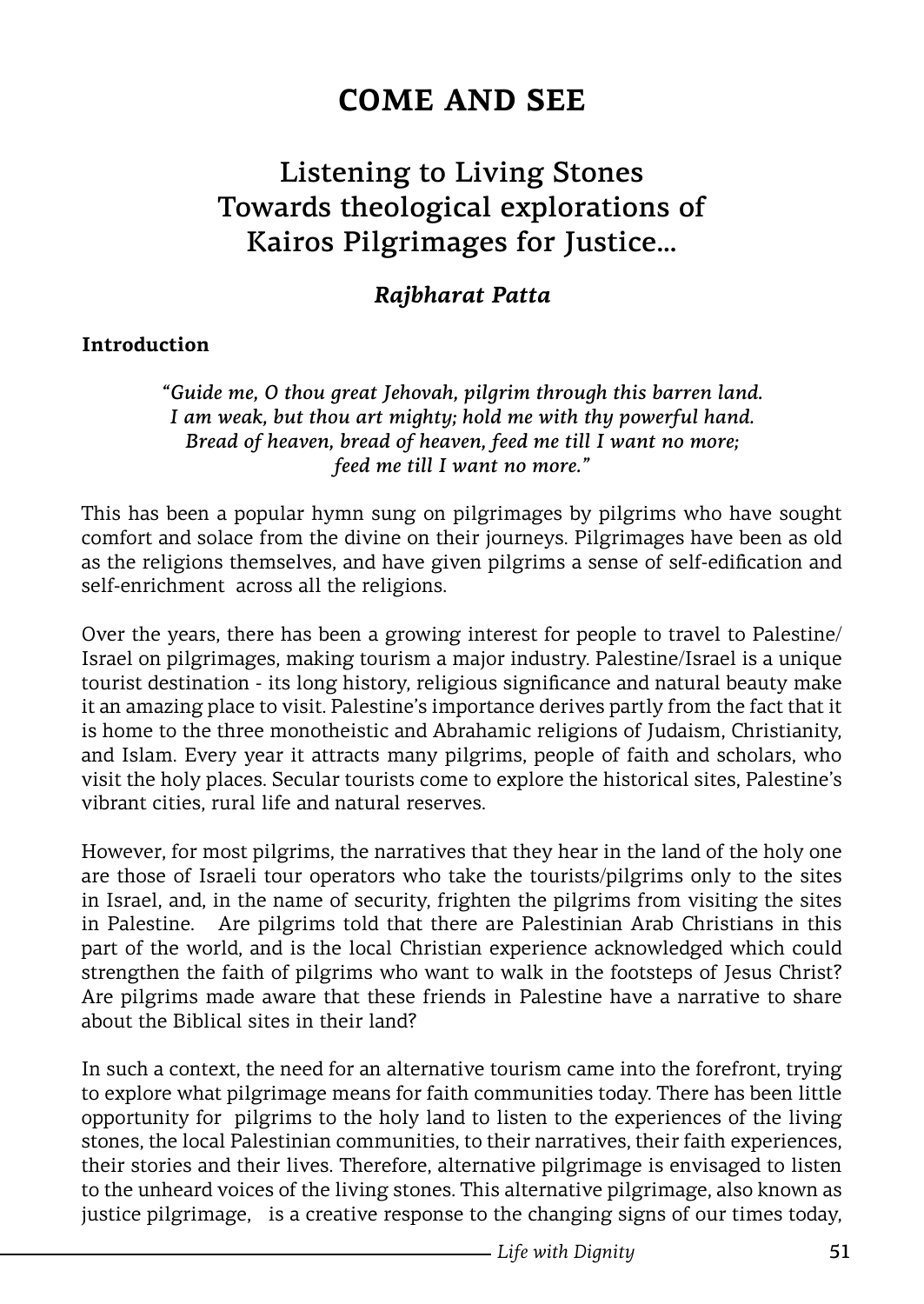# **COME AND SEE**

# Listening to Living Stones Towards theological explorations of Kairos Pilgrimages for Justice…

## *Rajbharat Patta*

#### **Introduction**

*"Guide me, O thou great Jehovah, pilgrim through this barren land. I am weak, but thou art mighty; hold me with thy powerful hand. Bread of heaven, bread of heaven, feed me till I want no more; feed me till I want no more."*

This has been a popular hymn sung on pilgrimages by pilgrims who have sought comfort and solace from the divine on their journeys. Pilgrimages have been as old as the religions themselves, and have given pilgrims a sense of self-edification and self-enrichment across all the religions.

Over the years, there has been a growing interest for people to travel to Palestine/ Israel on pilgrimages, making tourism a major industry. Palestine/Israel is a unique tourist destination - its long history, religious significance and natural beauty make it an amazing place to visit. Palestine's importance derives partly from the fact that it is home to the three monotheistic and Abrahamic religions of Judaism, Christianity, and Islam. Every year it attracts many pilgrims, people of faith and scholars, who visit the holy places. Secular tourists come to explore the historical sites, Palestine's vibrant cities, rural life and natural reserves.

However, for most pilgrims, the narratives that they hear in the land of the holy one are those of Israeli tour operators who take the tourists/pilgrims only to the sites in Israel, and, in the name of security, frighten the pilgrims from visiting the sites in Palestine. Are pilgrims told that there are Palestinian Arab Christians in this part of the world, and is the local Christian experience acknowledged which could strengthen the faith of pilgrims who want to walk in the footsteps of Jesus Christ? Are pilgrims made aware that these friends in Palestine have a narrative to share about the Biblical sites in their land?

In such a context, the need for an alternative tourism came into the forefront, trying to explore what pilgrimage means for faith communities today. There has been little opportunity for pilgrims to the holy land to listen to the experiences of the living stones, the local Palestinian communities, to their narratives, their faith experiences, their stories and their lives. Therefore, alternative pilgrimage is envisaged to listen to the unheard voices of the living stones. This alternative pilgrimage, also known as justice pilgrimage, is a creative response to the changing signs of our times today,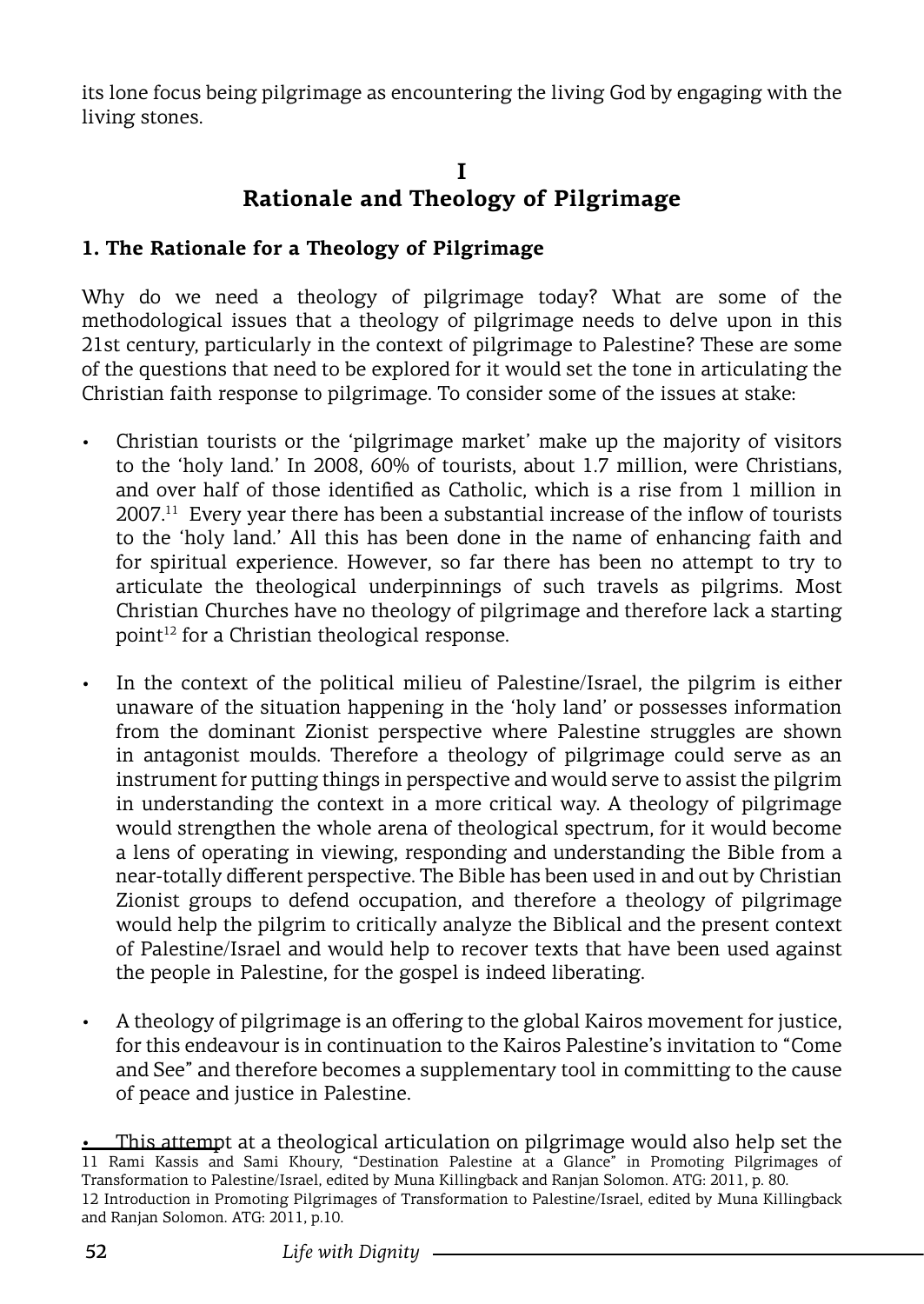its lone focus being pilgrimage as encountering the living God by engaging with the living stones.

## **I Rationale and Theology of Pilgrimage**

### **1. The Rationale for a Theology of Pilgrimage**

Why do we need a theology of pilgrimage today? What are some of the methodological issues that a theology of pilgrimage needs to delve upon in this 21st century, particularly in the context of pilgrimage to Palestine? These are some of the questions that need to be explored for it would set the tone in articulating the Christian faith response to pilgrimage. To consider some of the issues at stake:

- Christian tourists or the 'pilgrimage market' make up the majority of visitors to the 'holy land.' In 2008, 60% of tourists, about 1.7 million, were Christians, and over half of those identified as Catholic, which is a rise from 1 million in  $2007<sup>11</sup>$  Every year there has been a substantial increase of the inflow of tourists to the 'holy land.' All this has been done in the name of enhancing faith and for spiritual experience. However, so far there has been no attempt to try to articulate the theological underpinnings of such travels as pilgrims. Most Christian Churches have no theology of pilgrimage and therefore lack a starting point<sup>12</sup> for a Christian theological response.
- In the context of the political milieu of Palestine/Israel, the pilgrim is either unaware of the situation happening in the 'holy land' or possesses information from the dominant Zionist perspective where Palestine struggles are shown in antagonist moulds. Therefore a theology of pilgrimage could serve as an instrument for putting things in perspective and would serve to assist the pilgrim in understanding the context in a more critical way. A theology of pilgrimage would strengthen the whole arena of theological spectrum, for it would become a lens of operating in viewing, responding and understanding the Bible from a near-totally different perspective. The Bible has been used in and out by Christian Zionist groups to defend occupation, and therefore a theology of pilgrimage would help the pilgrim to critically analyze the Biblical and the present context of Palestine/Israel and would help to recover texts that have been used against the people in Palestine, for the gospel is indeed liberating.
- • A theology of pilgrimage is an offering to the global Kairos movement for justice, for this endeavour is in continuation to the Kairos Palestine's invitation to "Come and See" and therefore becomes a supplementary tool in committing to the cause of peace and justice in Palestine.

This attempt at a theological articulation on pilgrimage would also help set the 11 Rami Kassis and Sami Khoury, "Destination Palestine at a Glance" in Promoting Pilgrimages of Transformation to Palestine/Israel, edited by Muna Killingback and Ranjan Solomon. ATG: 2011, p. 80. 12 Introduction in Promoting Pilgrimages of Transformation to Palestine/Israel, edited by Muna Killingback and Ranjan Solomon. ATG: 2011, p.10.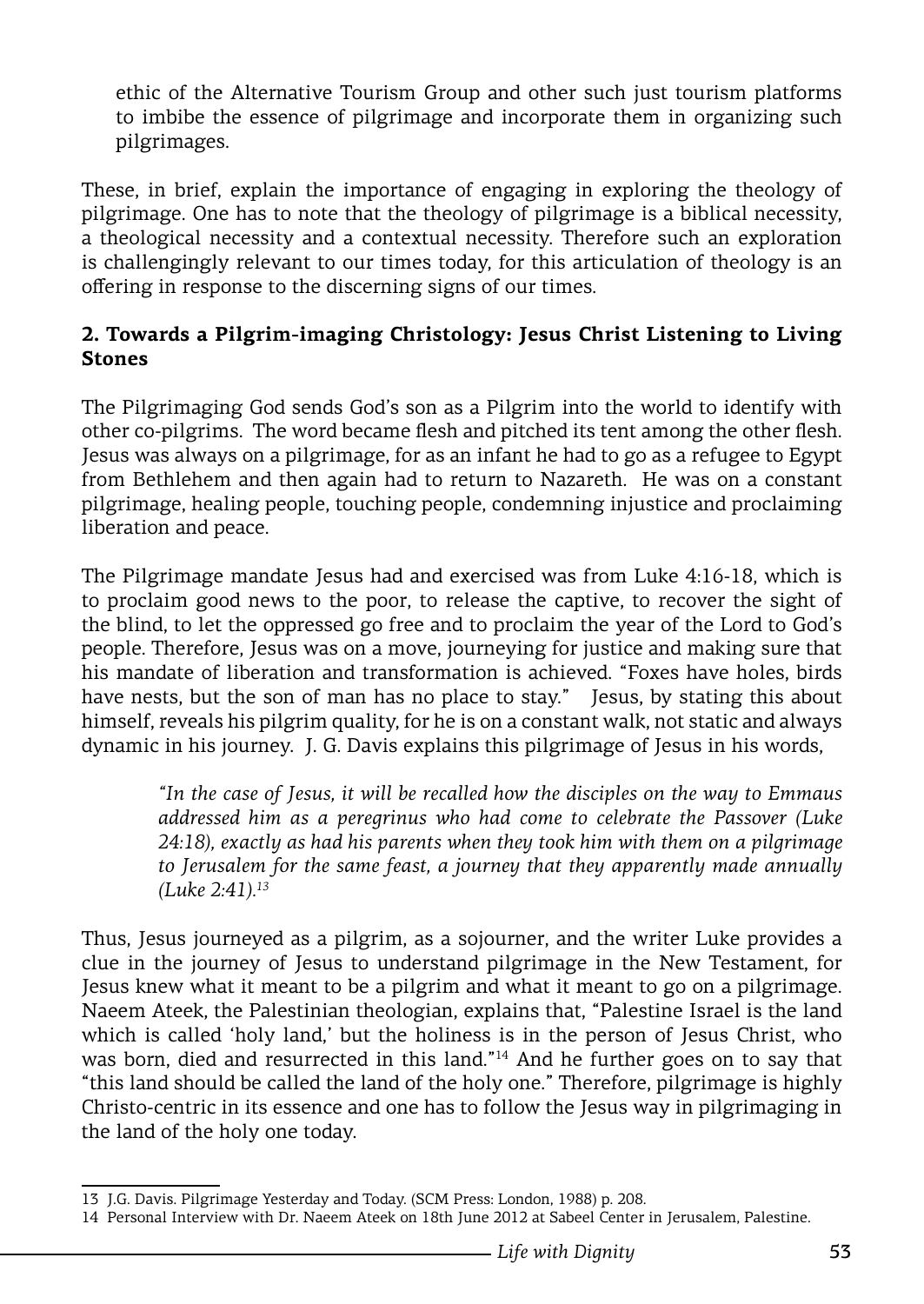ethic of the Alternative Tourism Group and other such just tourism platforms to imbibe the essence of pilgrimage and incorporate them in organizing such pilgrimages.

These, in brief, explain the importance of engaging in exploring the theology of pilgrimage. One has to note that the theology of pilgrimage is a biblical necessity, a theological necessity and a contextual necessity. Therefore such an exploration is challengingly relevant to our times today, for this articulation of theology is an offering in response to the discerning signs of our times.

### **2. Towards a Pilgrim-imaging Christology: Jesus Christ Listening to Living Stones**

The Pilgrimaging God sends God's son as a Pilgrim into the world to identify with other co-pilgrims. The word became flesh and pitched its tent among the other flesh. Jesus was always on a pilgrimage, for as an infant he had to go as a refugee to Egypt from Bethlehem and then again had to return to Nazareth. He was on a constant pilgrimage, healing people, touching people, condemning injustice and proclaiming liberation and peace.

The Pilgrimage mandate Jesus had and exercised was from Luke 4:16-18, which is to proclaim good news to the poor, to release the captive, to recover the sight of the blind, to let the oppressed go free and to proclaim the year of the Lord to God's people. Therefore, Jesus was on a move, journeying for justice and making sure that his mandate of liberation and transformation is achieved. "Foxes have holes, birds have nests, but the son of man has no place to stay." Jesus, by stating this about himself, reveals his pilgrim quality, for he is on a constant walk, not static and always dynamic in his journey. J. G. Davis explains this pilgrimage of Jesus in his words,

> *"In the case of Jesus, it will be recalled how the disciples on the way to Emmaus addressed him as a peregrinus who had come to celebrate the Passover (Luke 24:18), exactly as had his parents when they took him with them on a pilgrimage to Jerusalem for the same feast, a journey that they apparently made annually (Luke 2:41).13*

Thus, Jesus journeyed as a pilgrim, as a sojourner, and the writer Luke provides a clue in the journey of Jesus to understand pilgrimage in the New Testament, for Jesus knew what it meant to be a pilgrim and what it meant to go on a pilgrimage. Naeem Ateek, the Palestinian theologian, explains that, "Palestine Israel is the land which is called 'holy land,' but the holiness is in the person of Jesus Christ, who was born, died and resurrected in this land."<sup>14</sup> And he further goes on to say that "this land should be called the land of the holy one." Therefore, pilgrimage is highly Christo-centric in its essence and one has to follow the Jesus way in pilgrimaging in the land of the holy one today.

<sup>13</sup> J.G. Davis. Pilgrimage Yesterday and Today. (SCM Press: London, 1988) p. 208.

<sup>14</sup> Personal Interview with Dr. Naeem Ateek on 18th June 2012 at Sabeel Center in Jerusalem, Palestine.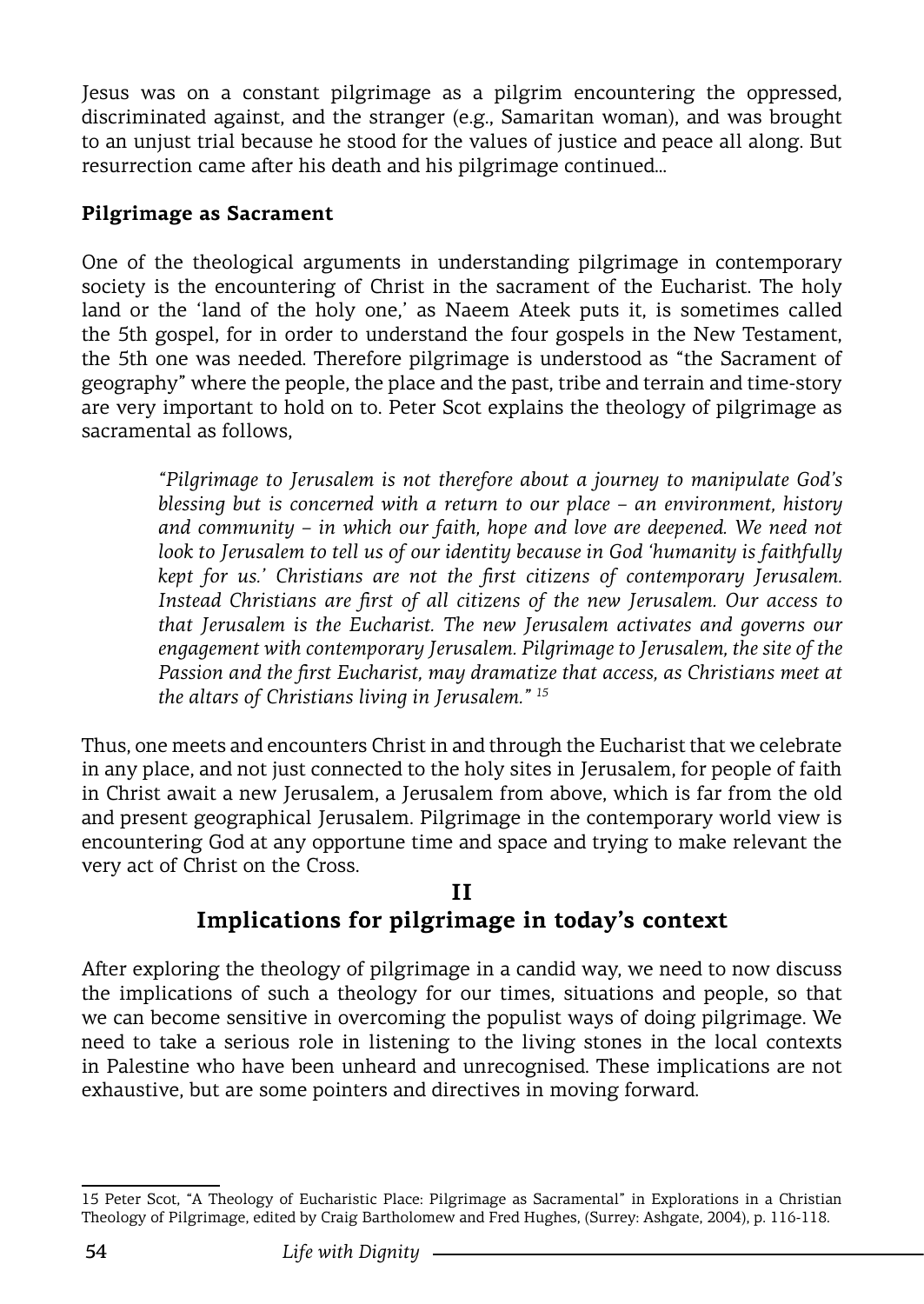Jesus was on a constant pilgrimage as a pilgrim encountering the oppressed, discriminated against, and the stranger (e.g., Samaritan woman), and was brought to an unjust trial because he stood for the values of justice and peace all along. But resurrection came after his death and his pilgrimage continued…

## **Pilgrimage as Sacrament**

One of the theological arguments in understanding pilgrimage in contemporary society is the encountering of Christ in the sacrament of the Eucharist. The holy land or the 'land of the holy one,' as Naeem Ateek puts it, is sometimes called the 5th gospel, for in order to understand the four gospels in the New Testament, the 5th one was needed. Therefore pilgrimage is understood as "the Sacrament of geography" where the people, the place and the past, tribe and terrain and time-story are very important to hold on to. Peter Scot explains the theology of pilgrimage as sacramental as follows,

*"Pilgrimage to Jerusalem is not therefore about a journey to manipulate God's blessing but is concerned with a return to our place – an environment, history and community – in which our faith, hope and love are deepened. We need not*  look to Jerusalem to tell us of our identity because in God 'humanity is faithfully *kept for us.' Christians are not the first citizens of contemporary Jerusalem. Instead Christians are first of all citizens of the new Jerusalem. Our access to that Jerusalem is the Eucharist. The new Jerusalem activates and governs our engagement with contemporary Jerusalem. Pilgrimage to Jerusalem, the site of the Passion and the first Eucharist, may dramatize that access, as Christians meet at the altars of Christians living in Jerusalem." 15*

Thus, one meets and encounters Christ in and through the Eucharist that we celebrate in any place, and not just connected to the holy sites in Jerusalem, for people of faith in Christ await a new Jerusalem, a Jerusalem from above, which is far from the old and present geographical Jerusalem. Pilgrimage in the contemporary world view is encountering God at any opportune time and space and trying to make relevant the very act of Christ on the Cross.

### **II Implications for pilgrimage in today's context**

After exploring the theology of pilgrimage in a candid way, we need to now discuss the implications of such a theology for our times, situations and people, so that we can become sensitive in overcoming the populist ways of doing pilgrimage. We need to take a serious role in listening to the living stones in the local contexts in Palestine who have been unheard and unrecognised. These implications are not exhaustive, but are some pointers and directives in moving forward.

<sup>15</sup> Peter Scot, "A Theology of Eucharistic Place: Pilgrimage as Sacramental" in Explorations in a Christian Theology of Pilgrimage, edited by Craig Bartholomew and Fred Hughes, (Surrey: Ashgate, 2004), p. 116-118.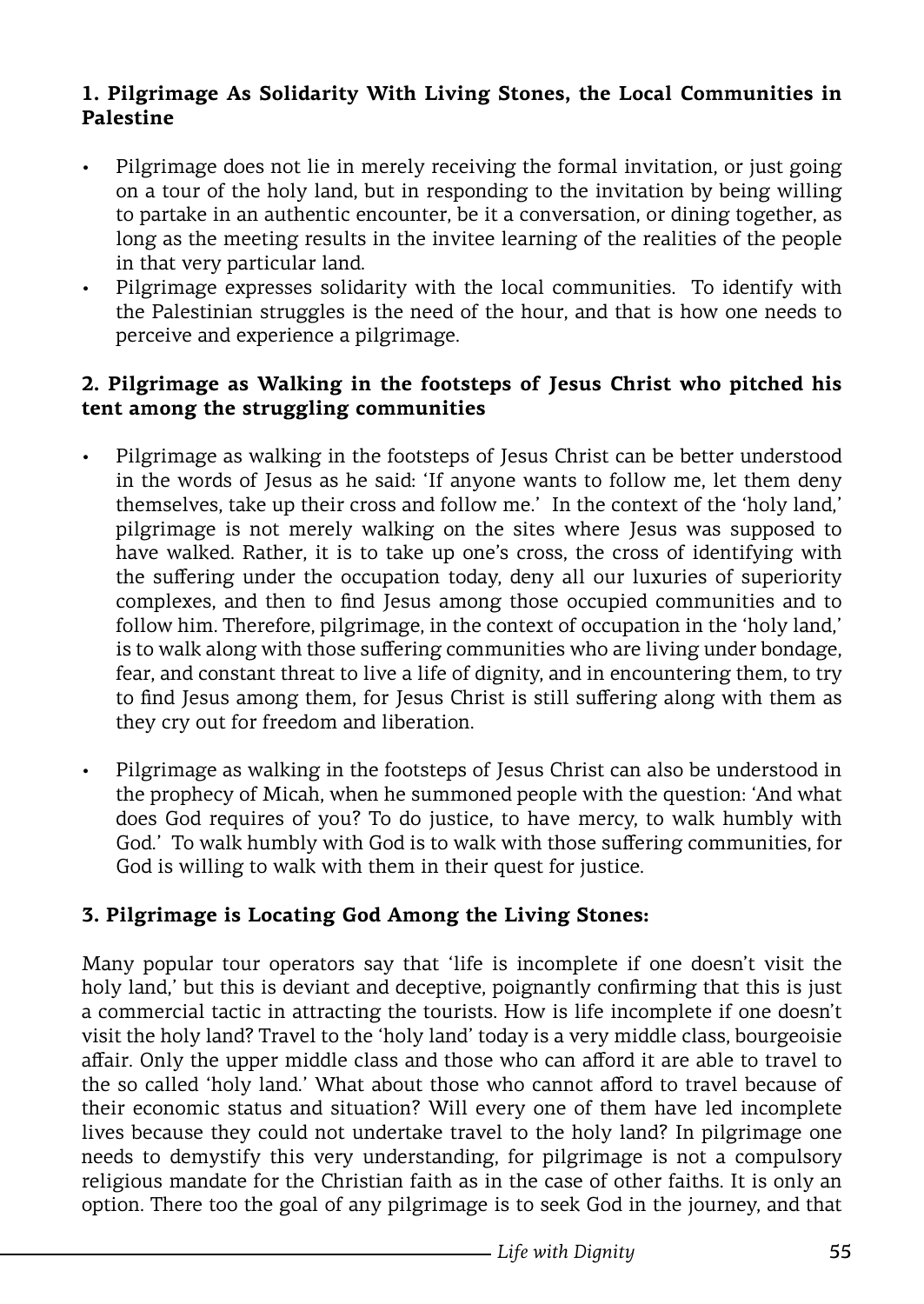### **1. Pilgrimage As Solidarity With Living Stones, the Local Communities in Palestine**

- Pilgrimage does not lie in merely receiving the formal invitation, or just going on a tour of the holy land, but in responding to the invitation by being willing to partake in an authentic encounter, be it a conversation, or dining together, as long as the meeting results in the invitee learning of the realities of the people in that very particular land.
- Pilgrimage expresses solidarity with the local communities. To identify with the Palestinian struggles is the need of the hour, and that is how one needs to perceive and experience a pilgrimage.

### **2. Pilgrimage as Walking in the footsteps of Jesus Christ who pitched his tent among the struggling communities**

- Pilgrimage as walking in the footsteps of Jesus Christ can be better understood in the words of Jesus as he said: 'If anyone wants to follow me, let them deny themselves, take up their cross and follow me.' In the context of the 'holy land,' pilgrimage is not merely walking on the sites where Jesus was supposed to have walked. Rather, it is to take up one's cross, the cross of identifying with the suffering under the occupation today, deny all our luxuries of superiority complexes, and then to find Jesus among those occupied communities and to follow him. Therefore, pilgrimage, in the context of occupation in the 'holy land,' is to walk along with those suffering communities who are living under bondage, fear, and constant threat to live a life of dignity, and in encountering them, to try to find Jesus among them, for Jesus Christ is still suffering along with them as they cry out for freedom and liberation.
- Pilgrimage as walking in the footsteps of Jesus Christ can also be understood in the prophecy of Micah, when he summoned people with the question: 'And what does God requires of you? To do justice, to have mercy, to walk humbly with God.' To walk humbly with God is to walk with those suffering communities, for God is willing to walk with them in their quest for justice.

## **3. Pilgrimage is Locating God Among the Living Stones:**

Many popular tour operators say that 'life is incomplete if one doesn't visit the holy land,' but this is deviant and deceptive, poignantly confirming that this is just a commercial tactic in attracting the tourists. How is life incomplete if one doesn't visit the holy land? Travel to the 'holy land' today is a very middle class, bourgeoisie affair. Only the upper middle class and those who can afford it are able to travel to the so called 'holy land.' What about those who cannot afford to travel because of their economic status and situation? Will every one of them have led incomplete lives because they could not undertake travel to the holy land? In pilgrimage one needs to demystify this very understanding, for pilgrimage is not a compulsory religious mandate for the Christian faith as in the case of other faiths. It is only an option. There too the goal of any pilgrimage is to seek God in the journey, and that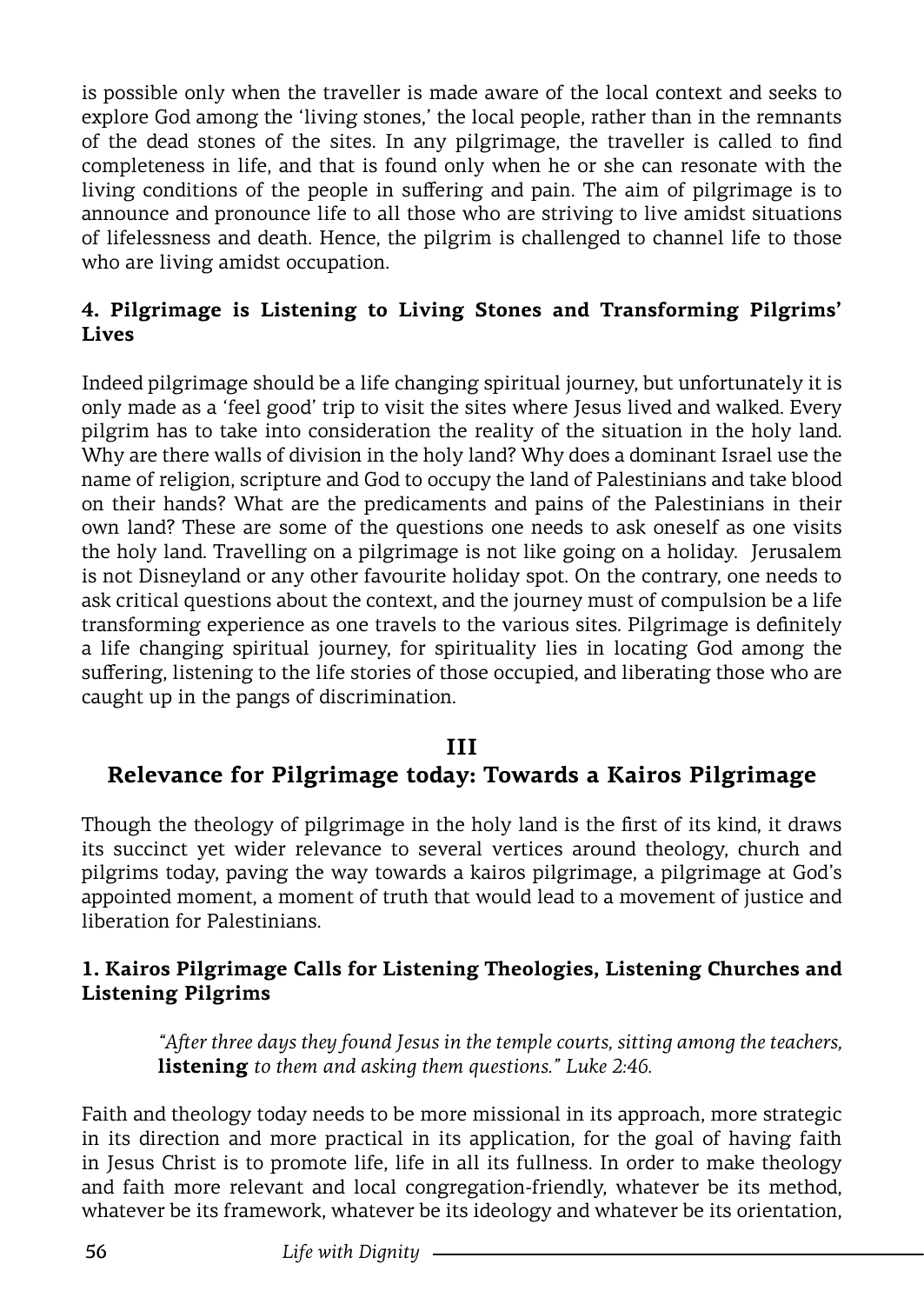is possible only when the traveller is made aware of the local context and seeks to explore God among the 'living stones,' the local people, rather than in the remnants of the dead stones of the sites. In any pilgrimage, the traveller is called to find completeness in life, and that is found only when he or she can resonate with the living conditions of the people in suffering and pain. The aim of pilgrimage is to announce and pronounce life to all those who are striving to live amidst situations of lifelessness and death. Hence, the pilgrim is challenged to channel life to those who are living amidst occupation.

### **4. Pilgrimage is Listening to Living Stones and Transforming Pilgrims' Lives**

Indeed pilgrimage should be a life changing spiritual journey, but unfortunately it is only made as a 'feel good' trip to visit the sites where Jesus lived and walked. Every pilgrim has to take into consideration the reality of the situation in the holy land. Why are there walls of division in the holy land? Why does a dominant Israel use the name of religion, scripture and God to occupy the land of Palestinians and take blood on their hands? What are the predicaments and pains of the Palestinians in their own land? These are some of the questions one needs to ask oneself as one visits the holy land. Travelling on a pilgrimage is not like going on a holiday. Jerusalem is not Disneyland or any other favourite holiday spot. On the contrary, one needs to ask critical questions about the context, and the journey must of compulsion be a life transforming experience as one travels to the various sites. Pilgrimage is definitely a life changing spiritual journey, for spirituality lies in locating God among the suffering, listening to the life stories of those occupied, and liberating those who are caught up in the pangs of discrimination.

#### **III**

## **Relevance for Pilgrimage today: Towards a Kairos Pilgrimage**

Though the theology of pilgrimage in the holy land is the first of its kind, it draws its succinct yet wider relevance to several vertices around theology, church and pilgrims today, paving the way towards a kairos pilgrimage, a pilgrimage at God's appointed moment, a moment of truth that would lead to a movement of justice and liberation for Palestinians.

#### **1. Kairos Pilgrimage Calls for Listening Theologies, Listening Churches and Listening Pilgrims**

*"After three days they found Jesus in the temple courts, sitting among the teachers,*  **listening** *to them and asking them questions." Luke 2:46.*

Faith and theology today needs to be more missional in its approach, more strategic in its direction and more practical in its application, for the goal of having faith in Jesus Christ is to promote life, life in all its fullness. In order to make theology and faith more relevant and local congregation-friendly, whatever be its method, whatever be its framework, whatever be its ideology and whatever be its orientation,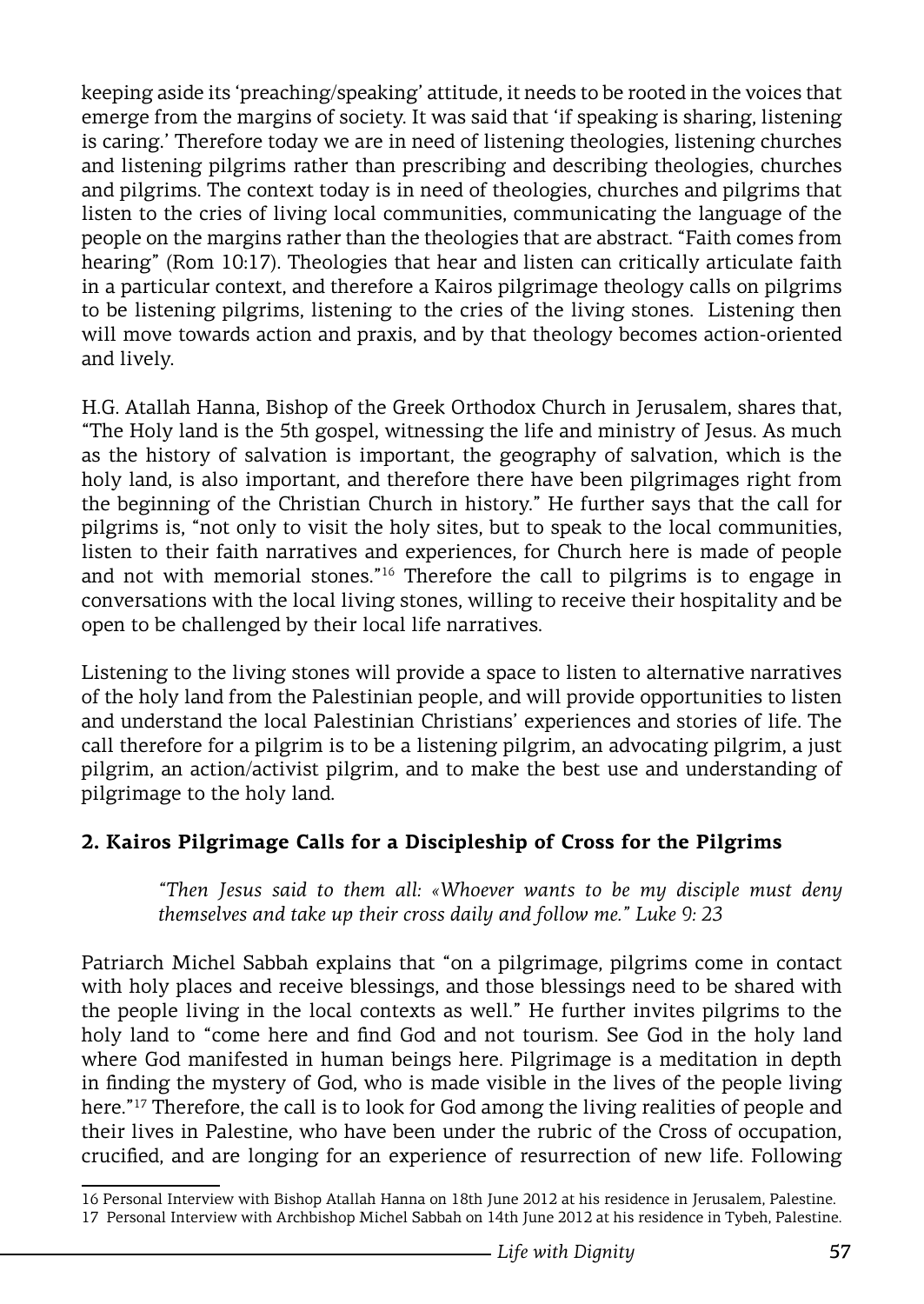keeping aside its 'preaching/speaking' attitude, it needs to be rooted in the voices that emerge from the margins of society. It was said that 'if speaking is sharing, listening is caring.' Therefore today we are in need of listening theologies, listening churches and listening pilgrims rather than prescribing and describing theologies, churches and pilgrims. The context today is in need of theologies, churches and pilgrims that listen to the cries of living local communities, communicating the language of the people on the margins rather than the theologies that are abstract. "Faith comes from hearing" (Rom 10:17). Theologies that hear and listen can critically articulate faith in a particular context, and therefore a Kairos pilgrimage theology calls on pilgrims to be listening pilgrims, listening to the cries of the living stones. Listening then will move towards action and praxis, and by that theology becomes action-oriented and lively.

H.G. Atallah Hanna, Bishop of the Greek Orthodox Church in Jerusalem, shares that, "The Holy land is the 5th gospel, witnessing the life and ministry of Jesus. As much as the history of salvation is important, the geography of salvation, which is the holy land, is also important, and therefore there have been pilgrimages right from the beginning of the Christian Church in history." He further says that the call for pilgrims is, "not only to visit the holy sites, but to speak to the local communities, listen to their faith narratives and experiences, for Church here is made of people and not with memorial stones."16 Therefore the call to pilgrims is to engage in conversations with the local living stones, willing to receive their hospitality and be open to be challenged by their local life narratives.

Listening to the living stones will provide a space to listen to alternative narratives of the holy land from the Palestinian people, and will provide opportunities to listen and understand the local Palestinian Christians' experiences and stories of life. The call therefore for a pilgrim is to be a listening pilgrim, an advocating pilgrim, a just pilgrim, an action/activist pilgrim, and to make the best use and understanding of pilgrimage to the holy land.

## **2. Kairos Pilgrimage Calls for a Discipleship of Cross for the Pilgrims**

*"Then Jesus said to them all: «Whoever wants to be my disciple must deny themselves and take up their cross daily and follow me." Luke 9: 23*

Patriarch Michel Sabbah explains that "on a pilgrimage, pilgrims come in contact with holy places and receive blessings, and those blessings need to be shared with the people living in the local contexts as well." He further invites pilgrims to the holy land to "come here and find God and not tourism. See God in the holy land where God manifested in human beings here. Pilgrimage is a meditation in depth in finding the mystery of God, who is made visible in the lives of the people living here."<sup>17</sup> Therefore, the call is to look for God among the living realities of people and their lives in Palestine, who have been under the rubric of the Cross of occupation, crucified, and are longing for an experience of resurrection of new life. Following

<sup>16</sup> Personal Interview with Bishop Atallah Hanna on 18th June 2012 at his residence in Jerusalem, Palestine.

<sup>17</sup> Personal Interview with Archbishop Michel Sabbah on 14th June 2012 at his residence in Tybeh, Palestine.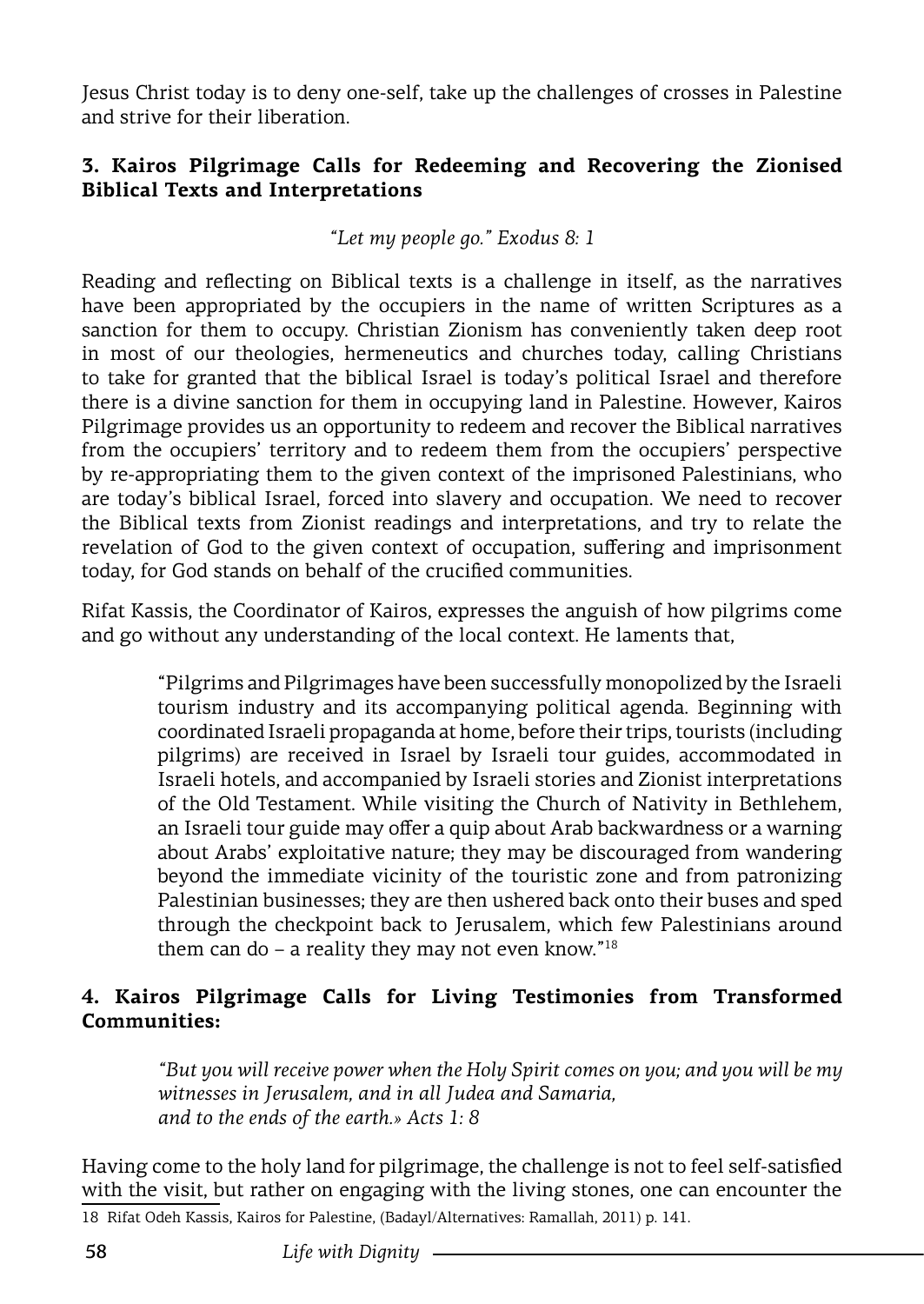Jesus Christ today is to deny one-self, take up the challenges of crosses in Palestine and strive for their liberation.

### **3. Kairos Pilgrimage Calls for Redeeming and Recovering the Zionised Biblical Texts and Interpretations**

#### *"Let my people go." Exodus 8: 1*

Reading and reflecting on Biblical texts is a challenge in itself, as the narratives have been appropriated by the occupiers in the name of written Scriptures as a sanction for them to occupy. Christian Zionism has conveniently taken deep root in most of our theologies, hermeneutics and churches today, calling Christians to take for granted that the biblical Israel is today's political Israel and therefore there is a divine sanction for them in occupying land in Palestine. However, Kairos Pilgrimage provides us an opportunity to redeem and recover the Biblical narratives from the occupiers' territory and to redeem them from the occupiers' perspective by re-appropriating them to the given context of the imprisoned Palestinians, who are today's biblical Israel, forced into slavery and occupation. We need to recover the Biblical texts from Zionist readings and interpretations, and try to relate the revelation of God to the given context of occupation, suffering and imprisonment today, for God stands on behalf of the crucified communities.

Rifat Kassis, the Coordinator of Kairos, expresses the anguish of how pilgrims come and go without any understanding of the local context. He laments that,

"Pilgrims and Pilgrimages have been successfully monopolized by the Israeli tourism industry and its accompanying political agenda. Beginning with coordinated Israeli propaganda at home, before their trips, tourists (including pilgrims) are received in Israel by Israeli tour guides, accommodated in Israeli hotels, and accompanied by Israeli stories and Zionist interpretations of the Old Testament. While visiting the Church of Nativity in Bethlehem, an Israeli tour guide may offer a quip about Arab backwardness or a warning about Arabs' exploitative nature; they may be discouraged from wandering beyond the immediate vicinity of the touristic zone and from patronizing Palestinian businesses; they are then ushered back onto their buses and sped through the checkpoint back to Jerusalem, which few Palestinians around them can do – a reality they may not even know." $18$ 

### **4. Kairos Pilgrimage Calls for Living Testimonies from Transformed Communities:**

*"But you will receive power when the Holy Spirit comes on you; and you will be my witnesses in Jerusalem, and in all Judea and Samaria, and to the ends of the earth.» Acts 1: 8*

Having come to the holy land for pilgrimage, the challenge is not to feel self-satisfied with the visit, but rather on engaging with the living stones, one can encounter the 18 Rifat Odeh Kassis, Kairos for Palestine, (Badayl/Alternatives: Ramallah, 2011) p. 141.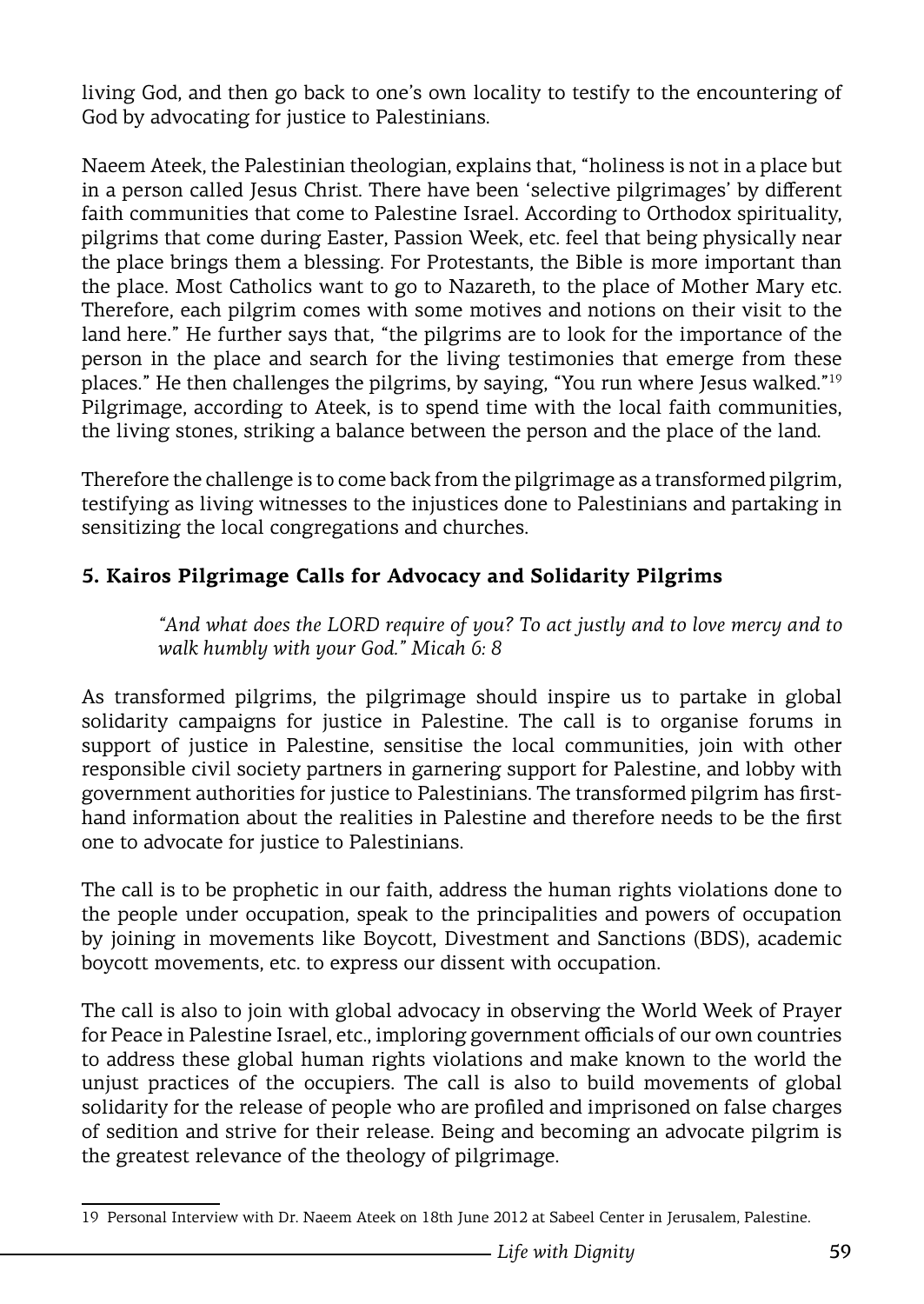living God, and then go back to one's own locality to testify to the encountering of God by advocating for justice to Palestinians.

Naeem Ateek, the Palestinian theologian, explains that, "holiness is not in a place but in a person called Jesus Christ. There have been 'selective pilgrimages' by different faith communities that come to Palestine Israel. According to Orthodox spirituality, pilgrims that come during Easter, Passion Week, etc. feel that being physically near the place brings them a blessing. For Protestants, the Bible is more important than the place. Most Catholics want to go to Nazareth, to the place of Mother Mary etc. Therefore, each pilgrim comes with some motives and notions on their visit to the land here." He further says that, "the pilgrims are to look for the importance of the person in the place and search for the living testimonies that emerge from these places." He then challenges the pilgrims, by saying, "You run where Jesus walked."19 Pilgrimage, according to Ateek, is to spend time with the local faith communities, the living stones, striking a balance between the person and the place of the land.

Therefore the challenge is to come back from the pilgrimage as a transformed pilgrim, testifying as living witnesses to the injustices done to Palestinians and partaking in sensitizing the local congregations and churches.

## **5. Kairos Pilgrimage Calls for Advocacy and Solidarity Pilgrims**

*"And what does the LORD require of you? To act justly and to love mercy and to walk humbly with your God." Micah 6: 8*

As transformed pilgrims, the pilgrimage should inspire us to partake in global solidarity campaigns for justice in Palestine. The call is to organise forums in support of justice in Palestine, sensitise the local communities, join with other responsible civil society partners in garnering support for Palestine, and lobby with government authorities for justice to Palestinians. The transformed pilgrim has firsthand information about the realities in Palestine and therefore needs to be the first one to advocate for justice to Palestinians.

The call is to be prophetic in our faith, address the human rights violations done to the people under occupation, speak to the principalities and powers of occupation by joining in movements like Boycott, Divestment and Sanctions (BDS), academic boycott movements, etc. to express our dissent with occupation.

The call is also to join with global advocacy in observing the World Week of Prayer for Peace in Palestine Israel, etc., imploring government officials of our own countries to address these global human rights violations and make known to the world the unjust practices of the occupiers. The call is also to build movements of global solidarity for the release of people who are profiled and imprisoned on false charges of sedition and strive for their release. Being and becoming an advocate pilgrim is the greatest relevance of the theology of pilgrimage.

<sup>19</sup> Personal Interview with Dr. Naeem Ateek on 18th June 2012 at Sabeel Center in Jerusalem, Palestine.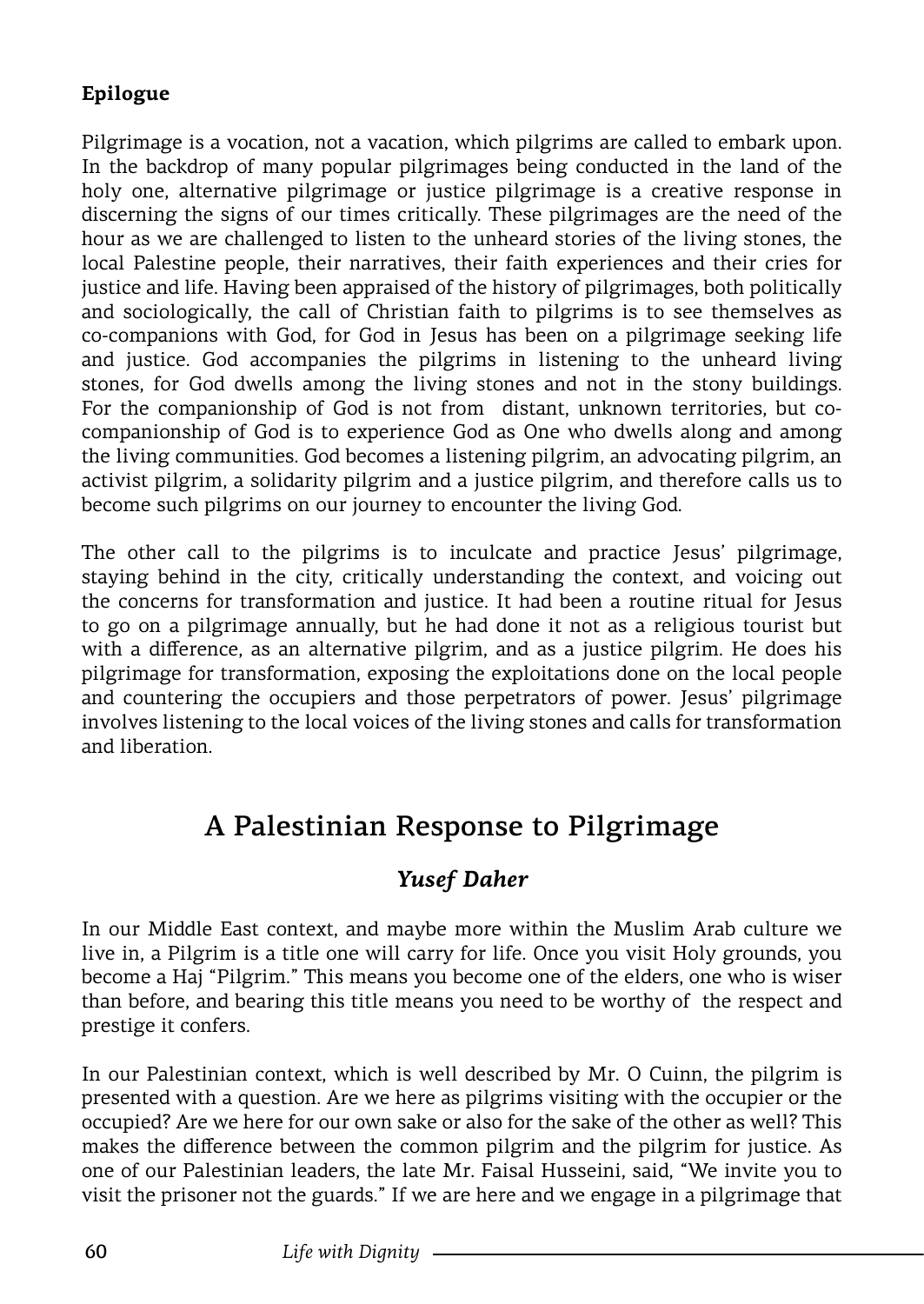## **Epilogue**

Pilgrimage is a vocation, not a vacation, which pilgrims are called to embark upon. In the backdrop of many popular pilgrimages being conducted in the land of the holy one, alternative pilgrimage or justice pilgrimage is a creative response in discerning the signs of our times critically. These pilgrimages are the need of the hour as we are challenged to listen to the unheard stories of the living stones, the local Palestine people, their narratives, their faith experiences and their cries for justice and life. Having been appraised of the history of pilgrimages, both politically and sociologically, the call of Christian faith to pilgrims is to see themselves as co-companions with God, for God in Jesus has been on a pilgrimage seeking life and justice. God accompanies the pilgrims in listening to the unheard living stones, for God dwells among the living stones and not in the stony buildings. For the companionship of God is not from distant, unknown territories, but cocompanionship of God is to experience God as One who dwells along and among the living communities. God becomes a listening pilgrim, an advocating pilgrim, an activist pilgrim, a solidarity pilgrim and a justice pilgrim, and therefore calls us to become such pilgrims on our journey to encounter the living God.

The other call to the pilgrims is to inculcate and practice Jesus' pilgrimage, staying behind in the city, critically understanding the context, and voicing out the concerns for transformation and justice. It had been a routine ritual for Jesus to go on a pilgrimage annually, but he had done it not as a religious tourist but with a difference, as an alternative pilgrim, and as a justice pilgrim. He does his pilgrimage for transformation, exposing the exploitations done on the local people and countering the occupiers and those perpetrators of power. Jesus' pilgrimage involves listening to the local voices of the living stones and calls for transformation and liberation.

## A Palestinian Response to Pilgrimage

## *Yusef Daher*

In our Middle East context, and maybe more within the Muslim Arab culture we live in, a Pilgrim is a title one will carry for life. Once you visit Holy grounds, you become a Haj "Pilgrim." This means you become one of the elders, one who is wiser than before, and bearing this title means you need to be worthy of the respect and prestige it confers.

In our Palestinian context, which is well described by Mr. O Cuinn, the pilgrim is presented with a question. Are we here as pilgrims visiting with the occupier or the occupied? Are we here for our own sake or also for the sake of the other as well? This makes the difference between the common pilgrim and the pilgrim for justice. As one of our Palestinian leaders, the late Mr. Faisal Husseini, said, "We invite you to visit the prisoner not the guards." If we are here and we engage in a pilgrimage that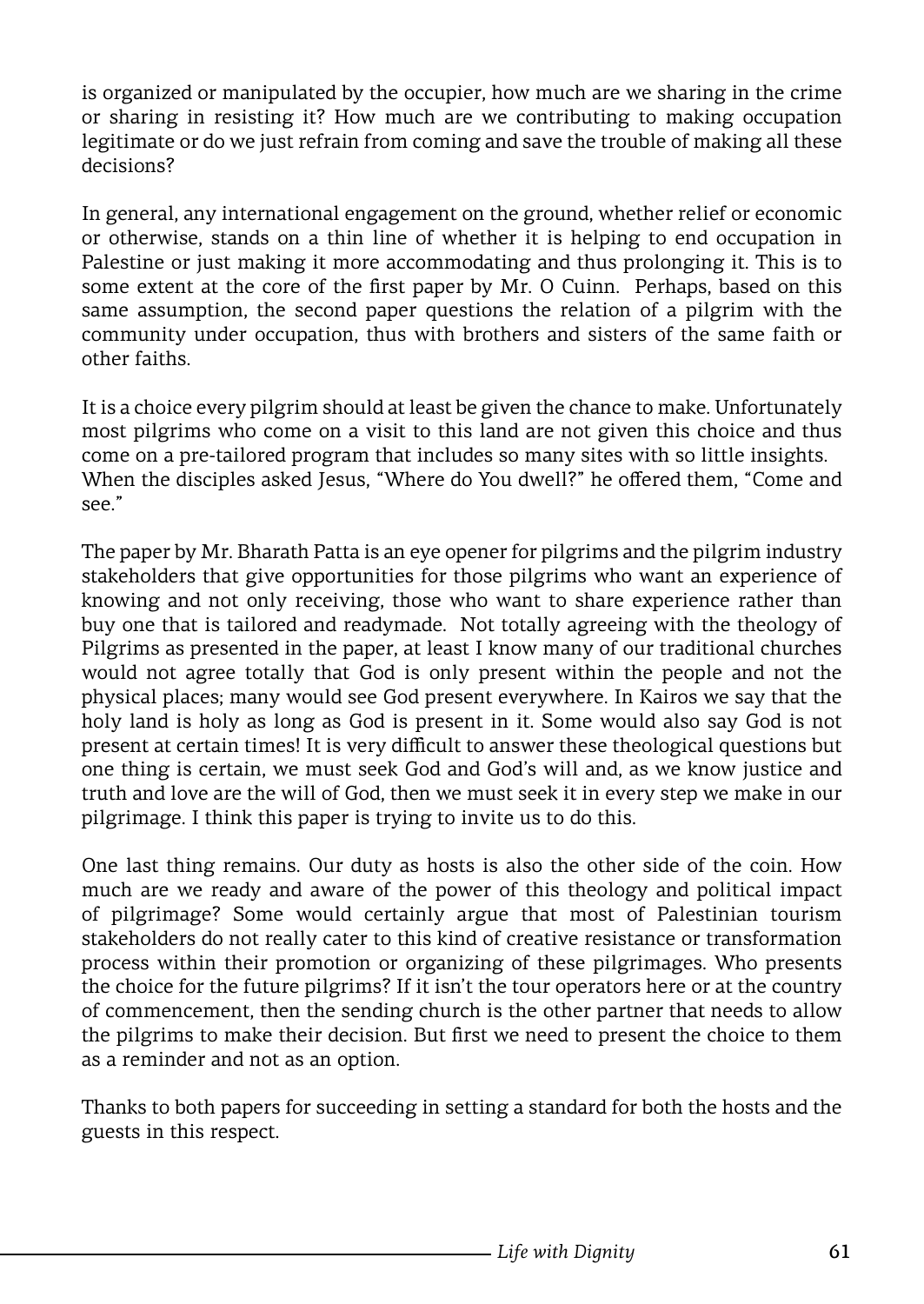is organized or manipulated by the occupier, how much are we sharing in the crime or sharing in resisting it? How much are we contributing to making occupation legitimate or do we just refrain from coming and save the trouble of making all these decisions?

In general, any international engagement on the ground, whether relief or economic or otherwise, stands on a thin line of whether it is helping to end occupation in Palestine or just making it more accommodating and thus prolonging it. This is to some extent at the core of the first paper by Mr. O Cuinn. Perhaps, based on this same assumption, the second paper questions the relation of a pilgrim with the community under occupation, thus with brothers and sisters of the same faith or other faiths.

It is a choice every pilgrim should at least be given the chance to make. Unfortunately most pilgrims who come on a visit to this land are not given this choice and thus come on a pre-tailored program that includes so many sites with so little insights. When the disciples asked Jesus, "Where do You dwell?" he offered them, "Come and see."

The paper by Mr. Bharath Patta is an eye opener for pilgrims and the pilgrim industry stakeholders that give opportunities for those pilgrims who want an experience of knowing and not only receiving, those who want to share experience rather than buy one that is tailored and readymade. Not totally agreeing with the theology of Pilgrims as presented in the paper, at least I know many of our traditional churches would not agree totally that God is only present within the people and not the physical places; many would see God present everywhere. In Kairos we say that the holy land is holy as long as God is present in it. Some would also say God is not present at certain times! It is very difficult to answer these theological questions but one thing is certain, we must seek God and God's will and, as we know justice and truth and love are the will of God, then we must seek it in every step we make in our pilgrimage. I think this paper is trying to invite us to do this.

One last thing remains. Our duty as hosts is also the other side of the coin. How much are we ready and aware of the power of this theology and political impact of pilgrimage? Some would certainly argue that most of Palestinian tourism stakeholders do not really cater to this kind of creative resistance or transformation process within their promotion or organizing of these pilgrimages. Who presents the choice for the future pilgrims? If it isn't the tour operators here or at the country of commencement, then the sending church is the other partner that needs to allow the pilgrims to make their decision. But first we need to present the choice to them as a reminder and not as an option.

Thanks to both papers for succeeding in setting a standard for both the hosts and the guests in this respect.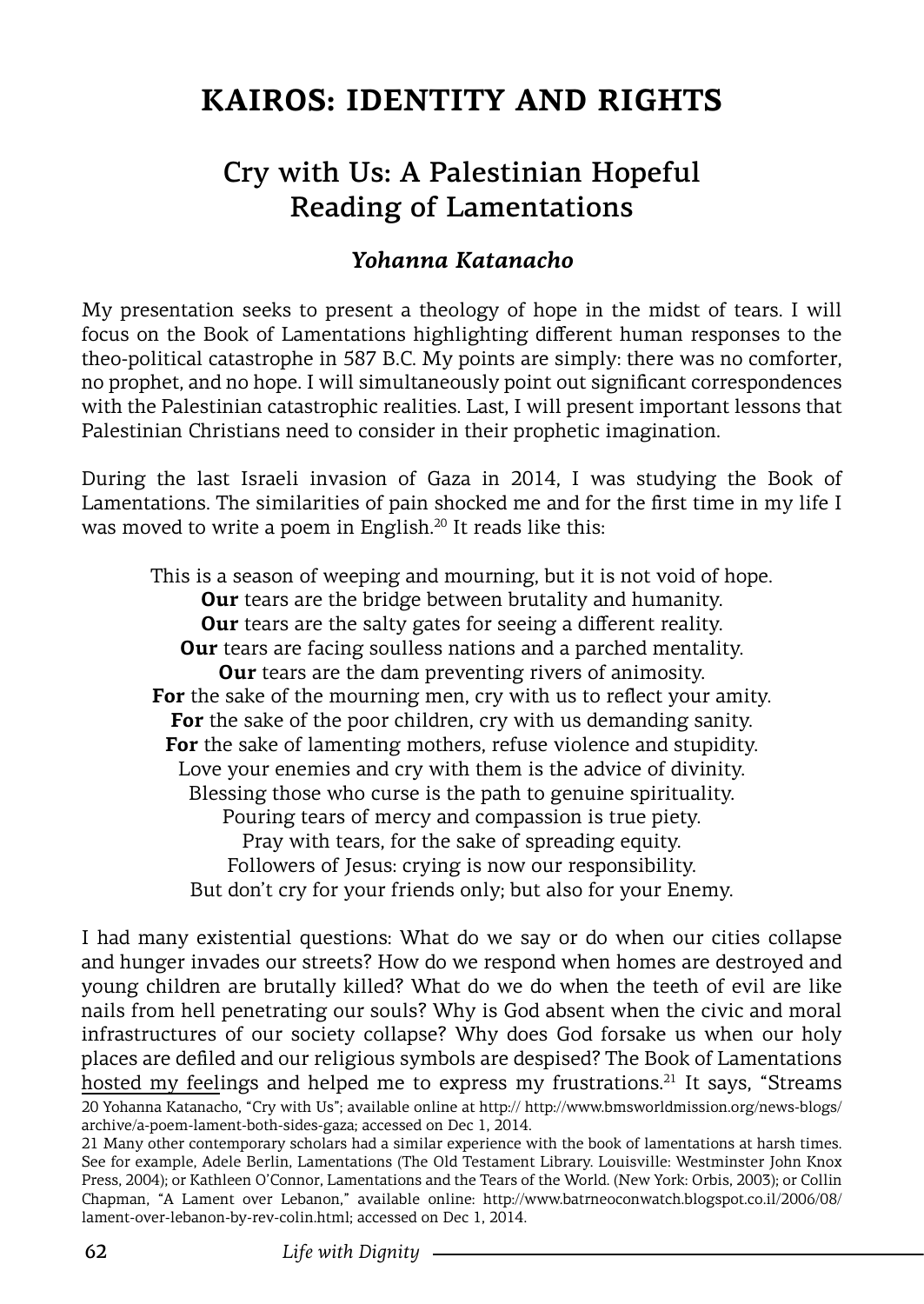# **KAIROS: IDENTITY AND RIGHTS**

# Cry with Us: A Palestinian Hopeful Reading of Lamentations

## *Yohanna Katanacho*

My presentation seeks to present a theology of hope in the midst of tears. I will focus on the Book of Lamentations highlighting different human responses to the theo-political catastrophe in 587 B.C. My points are simply: there was no comforter, no prophet, and no hope. I will simultaneously point out significant correspondences with the Palestinian catastrophic realities. Last, I will present important lessons that Palestinian Christians need to consider in their prophetic imagination.

During the last Israeli invasion of Gaza in 2014, I was studying the Book of Lamentations. The similarities of pain shocked me and for the first time in my life I was moved to write a poem in English.<sup>20</sup> It reads like this:

This is a season of weeping and mourning, but it is not void of hope. **Our** tears are the bridge between brutality and humanity. **Our** tears are the salty gates for seeing a different reality. **Our** tears are facing soulless nations and a parched mentality. **Our** tears are the dam preventing rivers of animosity. **For** the sake of the mourning men, cry with us to reflect your amity. **For** the sake of the poor children, cry with us demanding sanity. **For** the sake of lamenting mothers, refuse violence and stupidity. Love your enemies and cry with them is the advice of divinity. Blessing those who curse is the path to genuine spirituality. Pouring tears of mercy and compassion is true piety. Pray with tears, for the sake of spreading equity. Followers of Jesus: crying is now our responsibility. But don't cry for your friends only; but also for your Enemy.

I had many existential questions: What do we say or do when our cities collapse and hunger invades our streets? How do we respond when homes are destroyed and young children are brutally killed? What do we do when the teeth of evil are like nails from hell penetrating our souls? Why is God absent when the civic and moral infrastructures of our society collapse? Why does God forsake us when our holy places are defiled and our religious symbols are despised? The Book of Lamentations hosted my feelings and helped me to express my frustrations.<sup>21</sup> It says, "Streams 20 Yohanna Katanacho, "Cry with Us"; available online at http:// http://www.bmsworldmission.org/news-blogs/ archive/a-poem-lament-both-sides-gaza; accessed on Dec 1, 2014.

<sup>21</sup> Many other contemporary scholars had a similar experience with the book of lamentations at harsh times. See for example, Adele Berlin, Lamentations (The Old Testament Library. Louisville: Westminster John Knox Press, 2004); or Kathleen O'Connor, Lamentations and the Tears of the World. (New York: Orbis, 2003); or Collin Chapman, "A Lament over Lebanon," available online: http://www.batrneoconwatch.blogspot.co.il/2006/08/ lament-over-lebanon-by-rev-colin.html; accessed on Dec 1, 2014.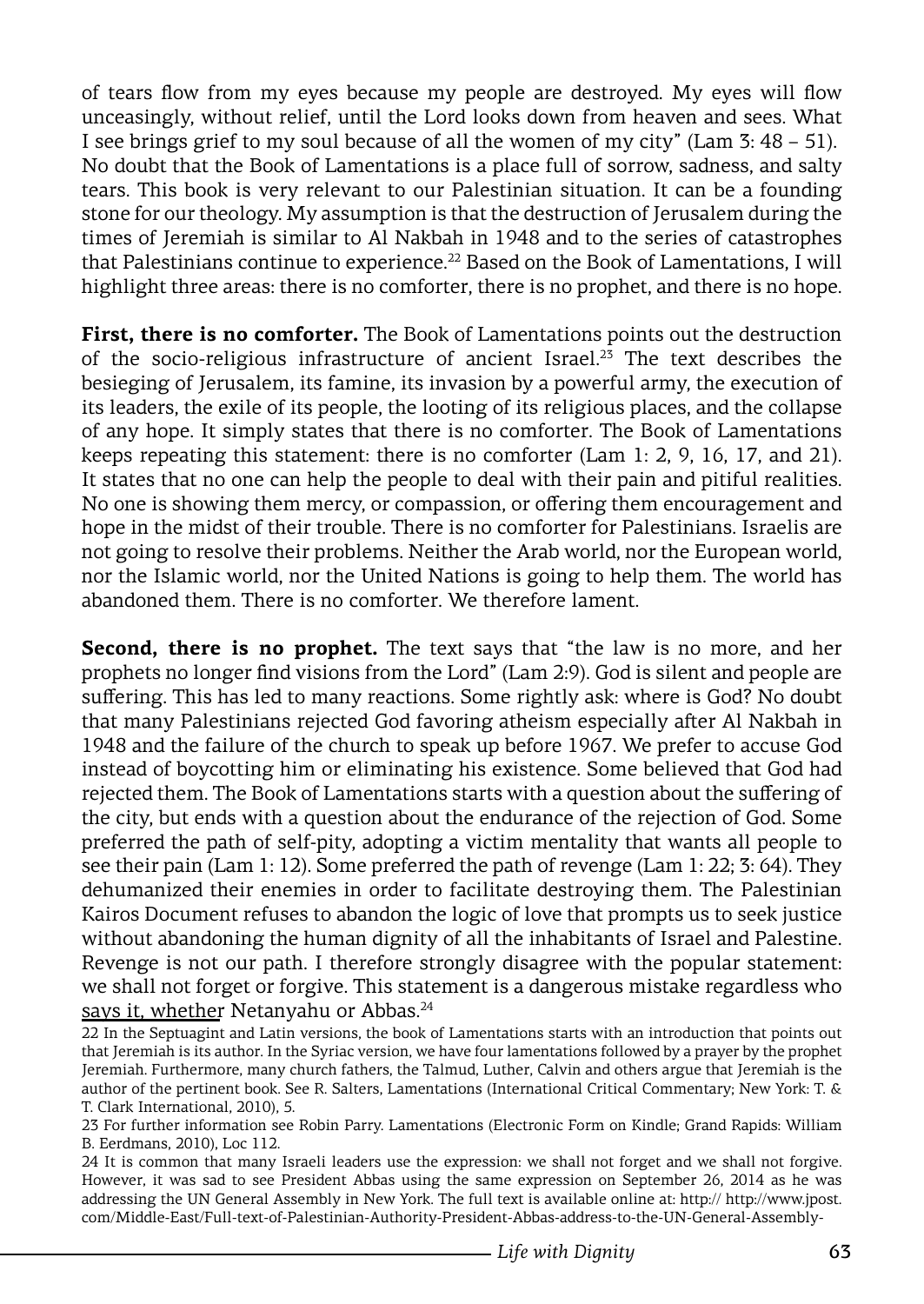of tears flow from my eyes because my people are destroyed. My eyes will flow unceasingly, without relief, until the Lord looks down from heaven and sees. What I see brings grief to my soul because of all the women of my city" (Lam  $3: 48 - 51$ ). No doubt that the Book of Lamentations is a place full of sorrow, sadness, and salty tears. This book is very relevant to our Palestinian situation. It can be a founding stone for our theology. My assumption is that the destruction of Jerusalem during the times of Jeremiah is similar to Al Nakbah in 1948 and to the series of catastrophes that Palestinians continue to experience.22 Based on the Book of Lamentations, I will highlight three areas: there is no comforter, there is no prophet, and there is no hope.

**First, there is no comforter.** The Book of Lamentations points out the destruction of the socio-religious infrastructure of ancient Israel.23 The text describes the besieging of Jerusalem, its famine, its invasion by a powerful army, the execution of its leaders, the exile of its people, the looting of its religious places, and the collapse of any hope. It simply states that there is no comforter. The Book of Lamentations keeps repeating this statement: there is no comforter (Lam 1: 2, 9, 16, 17, and 21). It states that no one can help the people to deal with their pain and pitiful realities. No one is showing them mercy, or compassion, or offering them encouragement and hope in the midst of their trouble. There is no comforter for Palestinians. Israelis are not going to resolve their problems. Neither the Arab world, nor the European world, nor the Islamic world, nor the United Nations is going to help them. The world has abandoned them. There is no comforter. We therefore lament.

**Second, there is no prophet.** The text says that "the law is no more, and her prophets no longer find visions from the Lord" (Lam 2:9). God is silent and people are suffering. This has led to many reactions. Some rightly ask: where is God? No doubt that many Palestinians rejected God favoring atheism especially after Al Nakbah in 1948 and the failure of the church to speak up before 1967. We prefer to accuse God instead of boycotting him or eliminating his existence. Some believed that God had rejected them. The Book of Lamentations starts with a question about the suffering of the city, but ends with a question about the endurance of the rejection of God. Some preferred the path of self-pity, adopting a victim mentality that wants all people to see their pain (Lam 1: 12). Some preferred the path of revenge (Lam 1: 22; 3: 64). They dehumanized their enemies in order to facilitate destroying them. The Palestinian Kairos Document refuses to abandon the logic of love that prompts us to seek justice without abandoning the human dignity of all the inhabitants of Israel and Palestine. Revenge is not our path. I therefore strongly disagree with the popular statement: we shall not forget or forgive. This statement is a dangerous mistake regardless who says it, whether Netanyahu or Abbas.<sup>24</sup>

23 For further information see Robin Parry. Lamentations (Electronic Form on Kindle; Grand Rapids: William B. Eerdmans, 2010), Loc 112.

24 It is common that many Israeli leaders use the expression: we shall not forget and we shall not forgive. However, it was sad to see President Abbas using the same expression on September 26, 2014 as he was addressing the UN General Assembly in New York. The full text is available online at: http:// http://www.jpost. com/Middle-East/Full-text-of-Palestinian-Authority-President-Abbas-address-to-the-UN-General-Assembly-

<sup>22</sup> In the Septuagint and Latin versions, the book of Lamentations starts with an introduction that points out that Jeremiah is its author. In the Syriac version, we have four lamentations followed by a prayer by the prophet Jeremiah. Furthermore, many church fathers, the Talmud, Luther, Calvin and others argue that Jeremiah is the author of the pertinent book. See R. Salters, Lamentations (International Critical Commentary; New York: T. & T. Clark International, 2010), 5.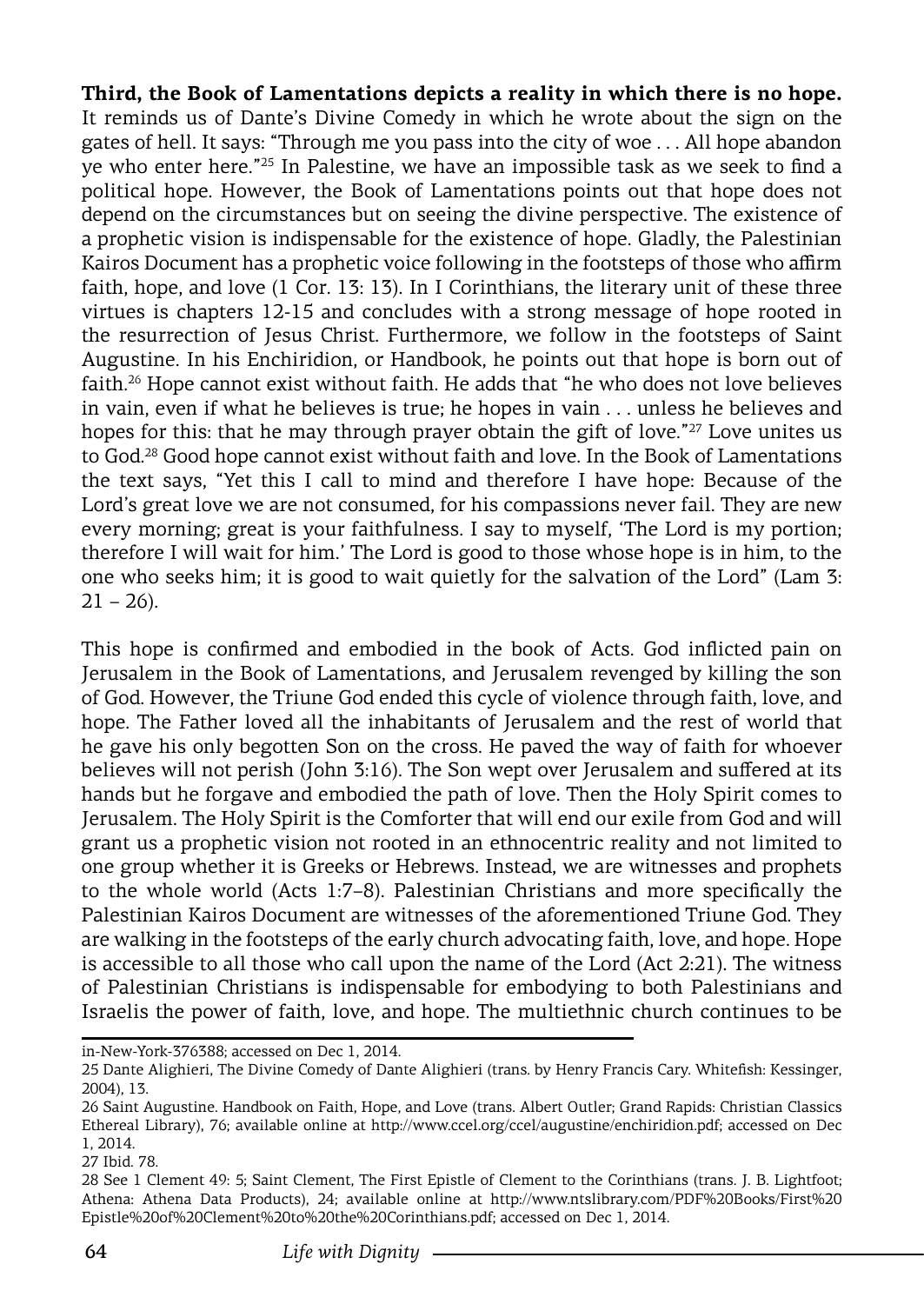### **Third, the Book of Lamentations depicts a reality in which there is no hope.**

It reminds us of Dante's Divine Comedy in which he wrote about the sign on the gates of hell. It says: "Through me you pass into the city of woe . . . All hope abandon ye who enter here."25 In Palestine, we have an impossible task as we seek to find a political hope. However, the Book of Lamentations points out that hope does not depend on the circumstances but on seeing the divine perspective. The existence of a prophetic vision is indispensable for the existence of hope. Gladly, the Palestinian Kairos Document has a prophetic voice following in the footsteps of those who affirm faith, hope, and love (1 Cor. 13: 13). In I Corinthians, the literary unit of these three virtues is chapters 12-15 and concludes with a strong message of hope rooted in the resurrection of Jesus Christ. Furthermore, we follow in the footsteps of Saint Augustine. In his Enchiridion, or Handbook, he points out that hope is born out of faith.<sup>26</sup> Hope cannot exist without faith. He adds that "he who does not love believes in vain, even if what he believes is true; he hopes in vain . . . unless he believes and hopes for this: that he may through prayer obtain the gift of love."<sup>27</sup> Love unites us to God.28 Good hope cannot exist without faith and love. In the Book of Lamentations the text says, "Yet this I call to mind and therefore I have hope: Because of the Lord's great love we are not consumed, for his compassions never fail. They are new every morning; great is your faithfulness. I say to myself, 'The Lord is my portion; therefore I will wait for him.' The Lord is good to those whose hope is in him, to the one who seeks him; it is good to wait quietly for the salvation of the Lord" (Lam 3:  $21 - 26$ ).

This hope is confirmed and embodied in the book of Acts. God inflicted pain on Jerusalem in the Book of Lamentations, and Jerusalem revenged by killing the son of God. However, the Triune God ended this cycle of violence through faith, love, and hope. The Father loved all the inhabitants of Jerusalem and the rest of world that he gave his only begotten Son on the cross. He paved the way of faith for whoever believes will not perish (John 3:16). The Son wept over Jerusalem and suffered at its hands but he forgave and embodied the path of love. Then the Holy Spirit comes to Jerusalem. The Holy Spirit is the Comforter that will end our exile from God and will grant us a prophetic vision not rooted in an ethnocentric reality and not limited to one group whether it is Greeks or Hebrews. Instead, we are witnesses and prophets to the whole world (Acts 1:7–8). Palestinian Christians and more specifically the Palestinian Kairos Document are witnesses of the aforementioned Triune God. They are walking in the footsteps of the early church advocating faith, love, and hope. Hope is accessible to all those who call upon the name of the Lord (Act 2:21). The witness of Palestinian Christians is indispensable for embodying to both Palestinians and Israelis the power of faith, love, and hope. The multiethnic church continues to be

in-New-York-376388; accessed on Dec 1, 2014.

<sup>25</sup> Dante Alighieri, The Divine Comedy of Dante Alighieri (trans. by Henry Francis Cary. Whitefish: Kessinger, 2004), 13.

<sup>26</sup> Saint Augustine. Handbook on Faith, Hope, and Love (trans. Albert Outler; Grand Rapids: Christian Classics Ethereal Library), 76; available online at http://www.ccel.org/ccel/augustine/enchiridion.pdf; accessed on Dec 1, 2014.

<sup>27</sup> Ibid. 78.

<sup>28</sup> See 1 Clement 49: 5; Saint Clement, The First Epistle of Clement to the Corinthians (trans. J. B. Lightfoot; Athena: Athena Data Products), 24; available online at http://www.ntslibrary.com/PDF%20Books/First%20 Epistle%20of%20Clement%20to%20the%20Corinthians.pdf; accessed on Dec 1, 2014.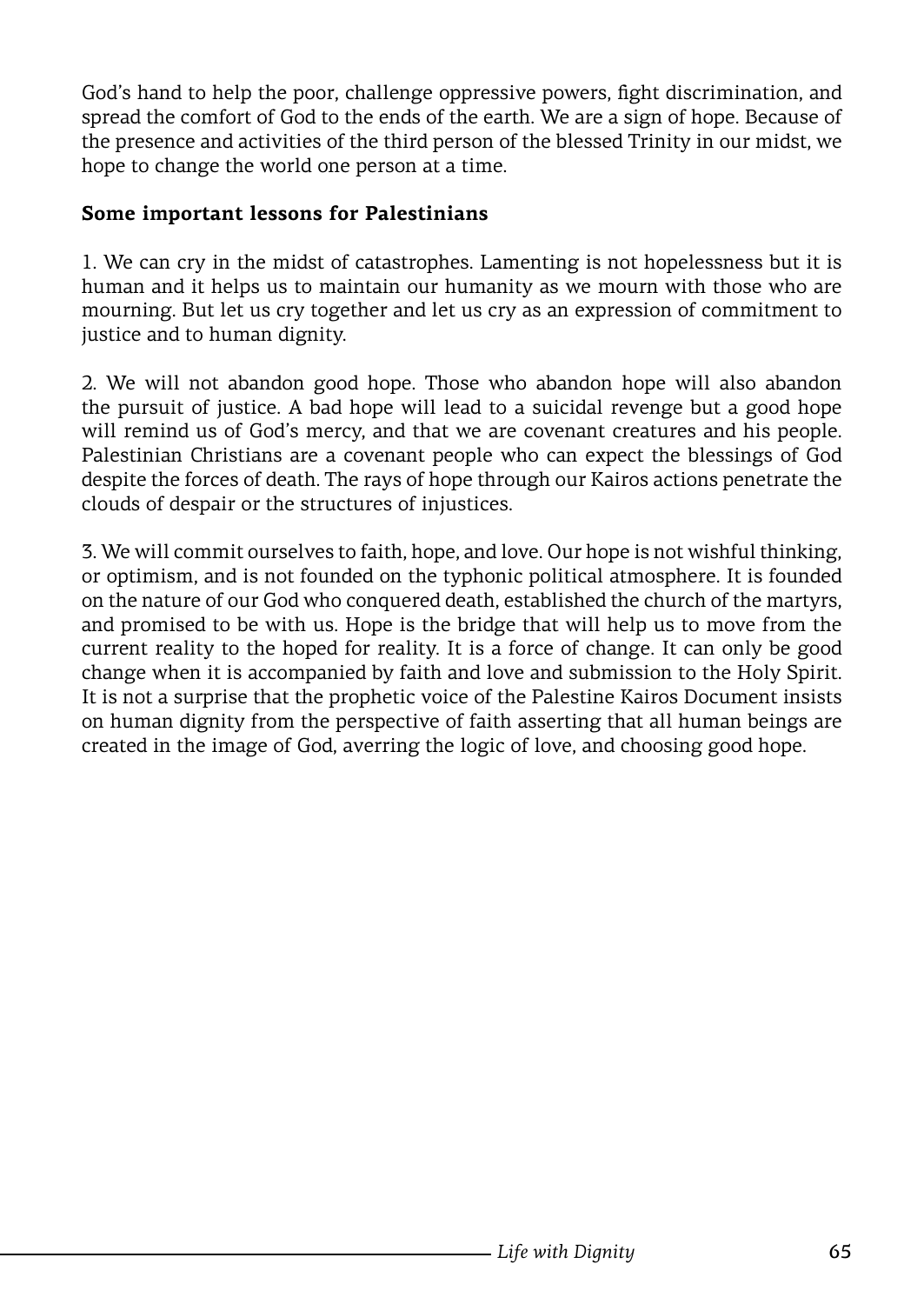God's hand to help the poor, challenge oppressive powers, fight discrimination, and spread the comfort of God to the ends of the earth. We are a sign of hope. Because of the presence and activities of the third person of the blessed Trinity in our midst, we hope to change the world one person at a time.

### **Some important lessons for Palestinians**

1. We can cry in the midst of catastrophes. Lamenting is not hopelessness but it is human and it helps us to maintain our humanity as we mourn with those who are mourning. But let us cry together and let us cry as an expression of commitment to justice and to human dignity.

2. We will not abandon good hope. Those who abandon hope will also abandon the pursuit of justice. A bad hope will lead to a suicidal revenge but a good hope will remind us of God's mercy, and that we are covenant creatures and his people. Palestinian Christians are a covenant people who can expect the blessings of God despite the forces of death. The rays of hope through our Kairos actions penetrate the clouds of despair or the structures of injustices.

3. We will commit ourselves to faith, hope, and love. Our hope is not wishful thinking, or optimism, and is not founded on the typhonic political atmosphere. It is founded on the nature of our God who conquered death, established the church of the martyrs, and promised to be with us. Hope is the bridge that will help us to move from the current reality to the hoped for reality. It is a force of change. It can only be good change when it is accompanied by faith and love and submission to the Holy Spirit. It is not a surprise that the prophetic voice of the Palestine Kairos Document insists on human dignity from the perspective of faith asserting that all human beings are created in the image of God, averring the logic of love, and choosing good hope.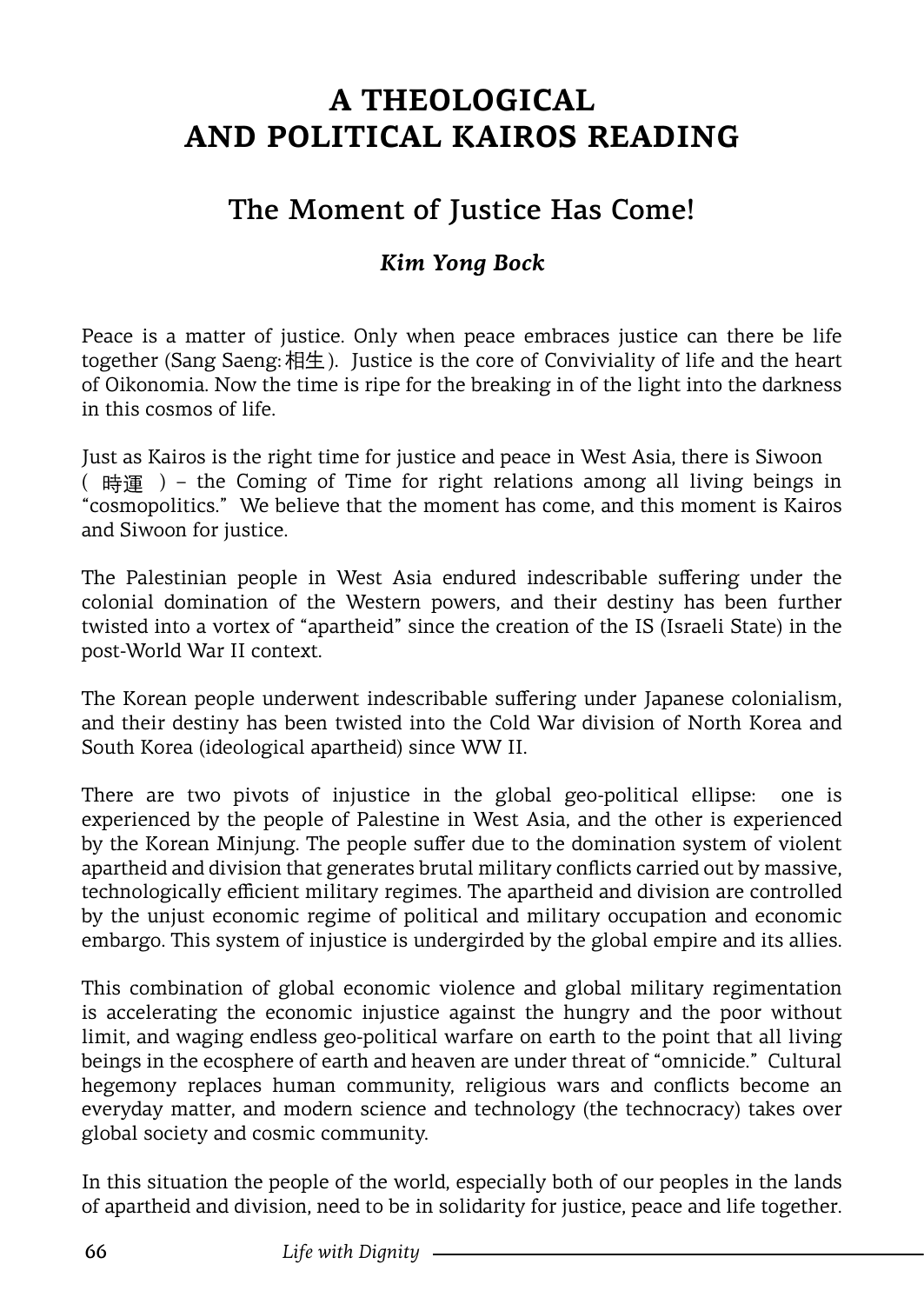# **A THEOLOGICAL AND POLITICAL KAIROS READING**

# The Moment of Justice Has Come!

## *Kim Yong Bock*

Peace is a matter of justice. Only when peace embraces justice can there be life together (Sang Saeng: 相生). Justice is the core of Conviviality of life and the heart of Oikonomia. Now the time is ripe for the breaking in of the light into the darkness in this cosmos of life.

Just as Kairos is the right time for justice and peace in West Asia, there is Siwoon (時運) – the Coming of Time for right relations among all living beings in "cosmopolitics." We believe that the moment has come, and this moment is Kairos and Siwoon for justice.

The Palestinian people in West Asia endured indescribable suffering under the colonial domination of the Western powers, and their destiny has been further twisted into a vortex of "apartheid" since the creation of the IS (Israeli State) in the post-World War II context.

The Korean people underwent indescribable suffering under Japanese colonialism, and their destiny has been twisted into the Cold War division of North Korea and South Korea (ideological apartheid) since WW II.

There are two pivots of injustice in the global geo-political ellipse: one is experienced by the people of Palestine in West Asia, and the other is experienced by the Korean Minjung. The people suffer due to the domination system of violent apartheid and division that generates brutal military conflicts carried out by massive, technologically efficient military regimes. The apartheid and division are controlled by the unjust economic regime of political and military occupation and economic embargo. This system of injustice is undergirded by the global empire and its allies.

This combination of global economic violence and global military regimentation is accelerating the economic injustice against the hungry and the poor without limit, and waging endless geo-political warfare on earth to the point that all living beings in the ecosphere of earth and heaven are under threat of "omnicide." Cultural hegemony replaces human community, religious wars and conflicts become an everyday matter, and modern science and technology (the technocracy) takes over global society and cosmic community.

In this situation the people of the world, especially both of our peoples in the lands of apartheid and division, need to be in solidarity for justice, peace and life together.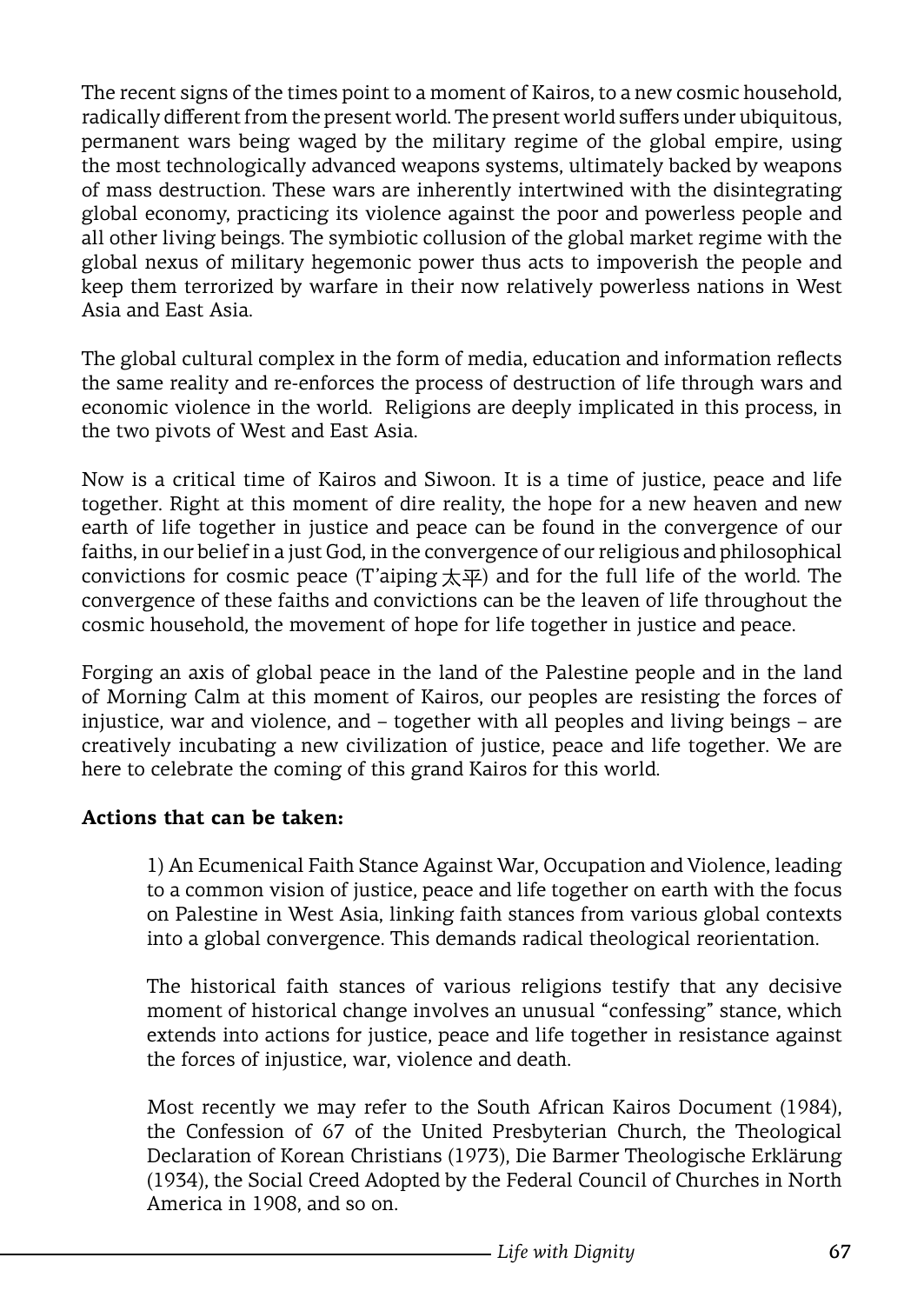The recent signs of the times point to a moment of Kairos, to a new cosmic household, radically different from the present world. The present world suffers under ubiquitous, permanent wars being waged by the military regime of the global empire, using the most technologically advanced weapons systems, ultimately backed by weapons of mass destruction. These wars are inherently intertwined with the disintegrating global economy, practicing its violence against the poor and powerless people and all other living beings. The symbiotic collusion of the global market regime with the global nexus of military hegemonic power thus acts to impoverish the people and keep them terrorized by warfare in their now relatively powerless nations in West Asia and East Asia.

The global cultural complex in the form of media, education and information reflects the same reality and re-enforces the process of destruction of life through wars and economic violence in the world. Religions are deeply implicated in this process, in the two pivots of West and East Asia.

Now is a critical time of Kairos and Siwoon. It is a time of justice, peace and life together. Right at this moment of dire reality, the hope for a new heaven and new earth of life together in justice and peace can be found in the convergence of our faiths, in our belief in a just God, in the convergence of our religious and philosophical convictions for cosmic peace (T'aiping  $\pm \mp$ ) and for the full life of the world. The convergence of these faiths and convictions can be the leaven of life throughout the cosmic household, the movement of hope for life together in justice and peace.

Forging an axis of global peace in the land of the Palestine people and in the land of Morning Calm at this moment of Kairos, our peoples are resisting the forces of injustice, war and violence, and – together with all peoples and living beings – are creatively incubating a new civilization of justice, peace and life together. We are here to celebrate the coming of this grand Kairos for this world.

### **Actions that can be taken:**

1) An Ecumenical Faith Stance Against War, Occupation and Violence, leading to a common vision of justice, peace and life together on earth with the focus on Palestine in West Asia, linking faith stances from various global contexts into a global convergence. This demands radical theological reorientation.

The historical faith stances of various religions testify that any decisive moment of historical change involves an unusual "confessing" stance, which extends into actions for justice, peace and life together in resistance against the forces of injustice, war, violence and death.

Most recently we may refer to the South African Kairos Document (1984), the Confession of 67 of the United Presbyterian Church, the Theological Declaration of Korean Christians (1973), Die Barmer Theologische Erklärung (1934), the Social Creed Adopted by the Federal Council of Churches in North America in 1908, and so on.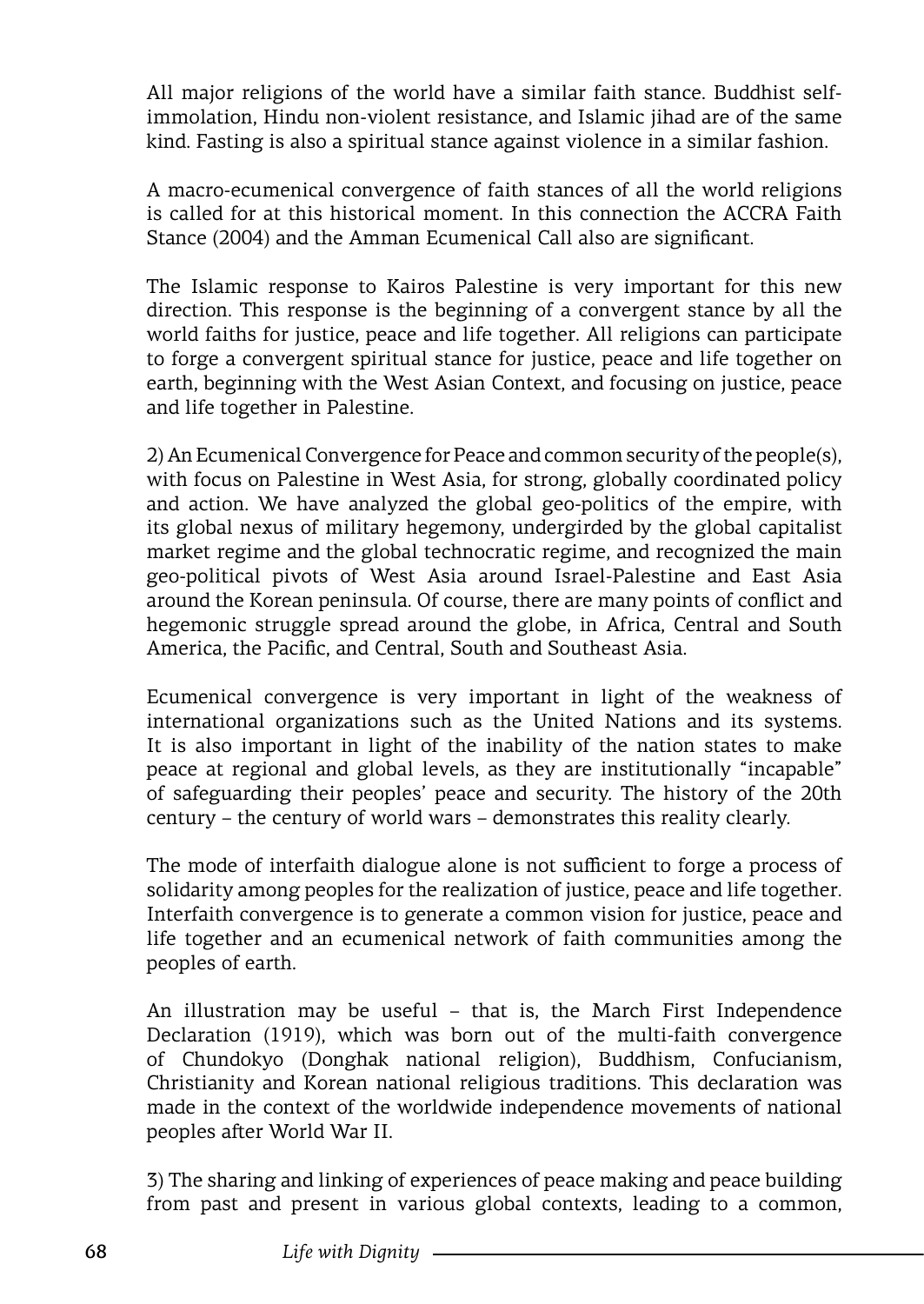All major religions of the world have a similar faith stance. Buddhist selfimmolation, Hindu non-violent resistance, and Islamic jihad are of the same kind. Fasting is also a spiritual stance against violence in a similar fashion.

A macro-ecumenical convergence of faith stances of all the world religions is called for at this historical moment. In this connection the ACCRA Faith Stance (2004) and the Amman Ecumenical Call also are significant.

The Islamic response to Kairos Palestine is very important for this new direction. This response is the beginning of a convergent stance by all the world faiths for justice, peace and life together. All religions can participate to forge a convergent spiritual stance for justice, peace and life together on earth, beginning with the West Asian Context, and focusing on justice, peace and life together in Palestine.

2) An Ecumenical Convergence for Peace and common security of the people(s), with focus on Palestine in West Asia, for strong, globally coordinated policy and action. We have analyzed the global geo-politics of the empire, with its global nexus of military hegemony, undergirded by the global capitalist market regime and the global technocratic regime, and recognized the main geo-political pivots of West Asia around Israel-Palestine and East Asia around the Korean peninsula. Of course, there are many points of conflict and hegemonic struggle spread around the globe, in Africa, Central and South America, the Pacific, and Central, South and Southeast Asia.

Ecumenical convergence is very important in light of the weakness of international organizations such as the United Nations and its systems. It is also important in light of the inability of the nation states to make peace at regional and global levels, as they are institutionally "incapable" of safeguarding their peoples' peace and security. The history of the 20th century – the century of world wars – demonstrates this reality clearly.

The mode of interfaith dialogue alone is not sufficient to forge a process of solidarity among peoples for the realization of justice, peace and life together. Interfaith convergence is to generate a common vision for justice, peace and life together and an ecumenical network of faith communities among the peoples of earth.

An illustration may be useful – that is, the March First Independence Declaration (1919), which was born out of the multi-faith convergence of Chundokyo (Donghak national religion), Buddhism, Confucianism, Christianity and Korean national religious traditions. This declaration was made in the context of the worldwide independence movements of national peoples after World War II.

3) The sharing and linking of experiences of peace making and peace building from past and present in various global contexts, leading to a common,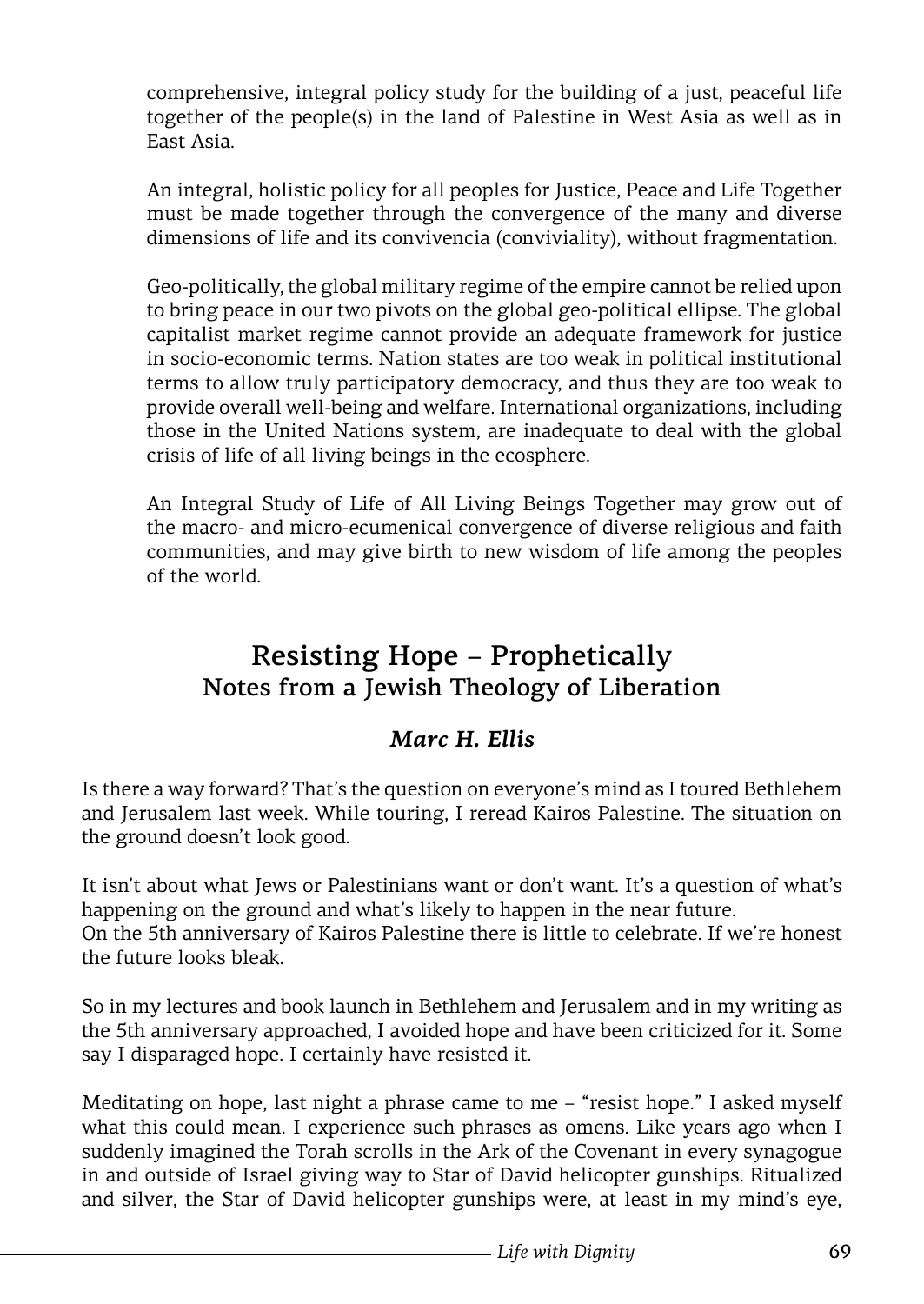comprehensive, integral policy study for the building of a just, peaceful life together of the people(s) in the land of Palestine in West Asia as well as in East Asia.

An integral, holistic policy for all peoples for Justice, Peace and Life Together must be made together through the convergence of the many and diverse dimensions of life and its convivencia (conviviality), without fragmentation.

Geo-politically, the global military regime of the empire cannot be relied upon to bring peace in our two pivots on the global geo-political ellipse. The global capitalist market regime cannot provide an adequate framework for justice in socio-economic terms. Nation states are too weak in political institutional terms to allow truly participatory democracy, and thus they are too weak to provide overall well-being and welfare. International organizations, including those in the United Nations system, are inadequate to deal with the global crisis of life of all living beings in the ecosphere.

An Integral Study of Life of All Living Beings Together may grow out of the macro- and micro-ecumenical convergence of diverse religious and faith communities, and may give birth to new wisdom of life among the peoples of the world.

## Resisting Hope – Prophetically Notes from a Jewish Theology of Liberation

## *Marc H. Ellis*

Is there a way forward? That's the question on everyone's mind as I toured Bethlehem and Jerusalem last week. While touring, I reread Kairos Palestine. The situation on the ground doesn't look good.

It isn't about what Jews or Palestinians want or don't want. It's a question of what's happening on the ground and what's likely to happen in the near future. On the 5th anniversary of Kairos Palestine there is little to celebrate. If we're honest the future looks bleak.

So in my lectures and book launch in Bethlehem and Jerusalem and in my writing as the 5th anniversary approached, I avoided hope and have been criticized for it. Some say I disparaged hope. I certainly have resisted it.

Meditating on hope, last night a phrase came to me – "resist hope." I asked myself what this could mean. I experience such phrases as omens. Like years ago when I suddenly imagined the Torah scrolls in the Ark of the Covenant in every synagogue in and outside of Israel giving way to Star of David helicopter gunships. Ritualized and silver, the Star of David helicopter gunships were, at least in my mind's eye,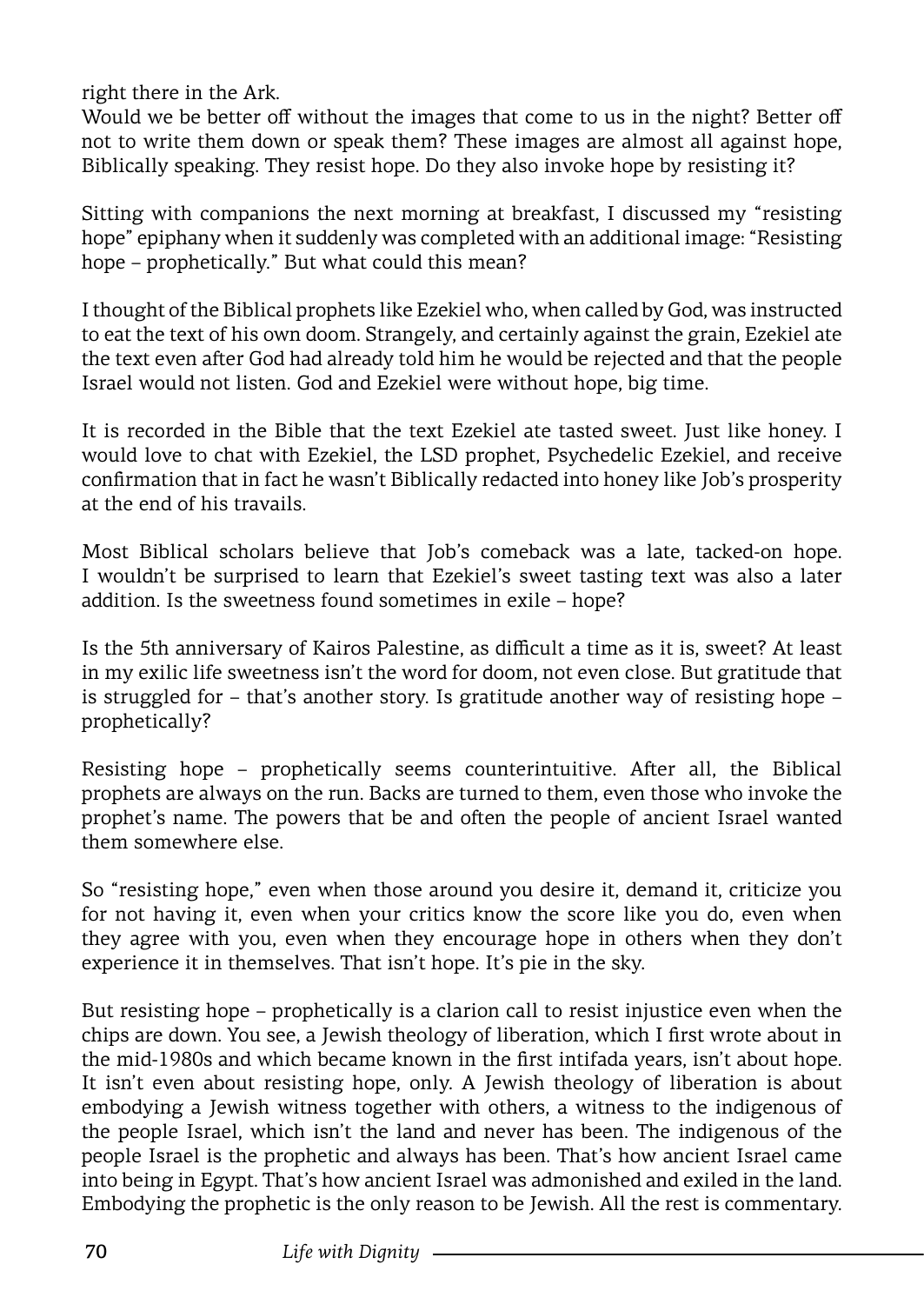right there in the Ark.

Would we be better off without the images that come to us in the night? Better off not to write them down or speak them? These images are almost all against hope, Biblically speaking. They resist hope. Do they also invoke hope by resisting it?

Sitting with companions the next morning at breakfast, I discussed my "resisting hope" epiphany when it suddenly was completed with an additional image: "Resisting hope – prophetically." But what could this mean?

I thought of the Biblical prophets like Ezekiel who, when called by God, was instructed to eat the text of his own doom. Strangely, and certainly against the grain, Ezekiel ate the text even after God had already told him he would be rejected and that the people Israel would not listen. God and Ezekiel were without hope, big time.

It is recorded in the Bible that the text Ezekiel ate tasted sweet. Just like honey. I would love to chat with Ezekiel, the LSD prophet, Psychedelic Ezekiel, and receive confirmation that in fact he wasn't Biblically redacted into honey like Job's prosperity at the end of his travails.

Most Biblical scholars believe that Job's comeback was a late, tacked-on hope. I wouldn't be surprised to learn that Ezekiel's sweet tasting text was also a later addition. Is the sweetness found sometimes in exile – hope?

Is the 5th anniversary of Kairos Palestine, as difficult a time as it is, sweet? At least in my exilic life sweetness isn't the word for doom, not even close. But gratitude that is struggled for – that's another story. Is gratitude another way of resisting hope – prophetically?

Resisting hope – prophetically seems counterintuitive. After all, the Biblical prophets are always on the run. Backs are turned to them, even those who invoke the prophet's name. The powers that be and often the people of ancient Israel wanted them somewhere else.

So "resisting hope," even when those around you desire it, demand it, criticize you for not having it, even when your critics know the score like you do, even when they agree with you, even when they encourage hope in others when they don't experience it in themselves. That isn't hope. It's pie in the sky.

But resisting hope – prophetically is a clarion call to resist injustice even when the chips are down. You see, a Jewish theology of liberation, which I first wrote about in the mid-1980s and which became known in the first intifada years, isn't about hope. It isn't even about resisting hope, only. A Jewish theology of liberation is about embodying a Jewish witness together with others, a witness to the indigenous of the people Israel, which isn't the land and never has been. The indigenous of the people Israel is the prophetic and always has been. That's how ancient Israel came into being in Egypt. That's how ancient Israel was admonished and exiled in the land. Embodying the prophetic is the only reason to be Jewish. All the rest is commentary.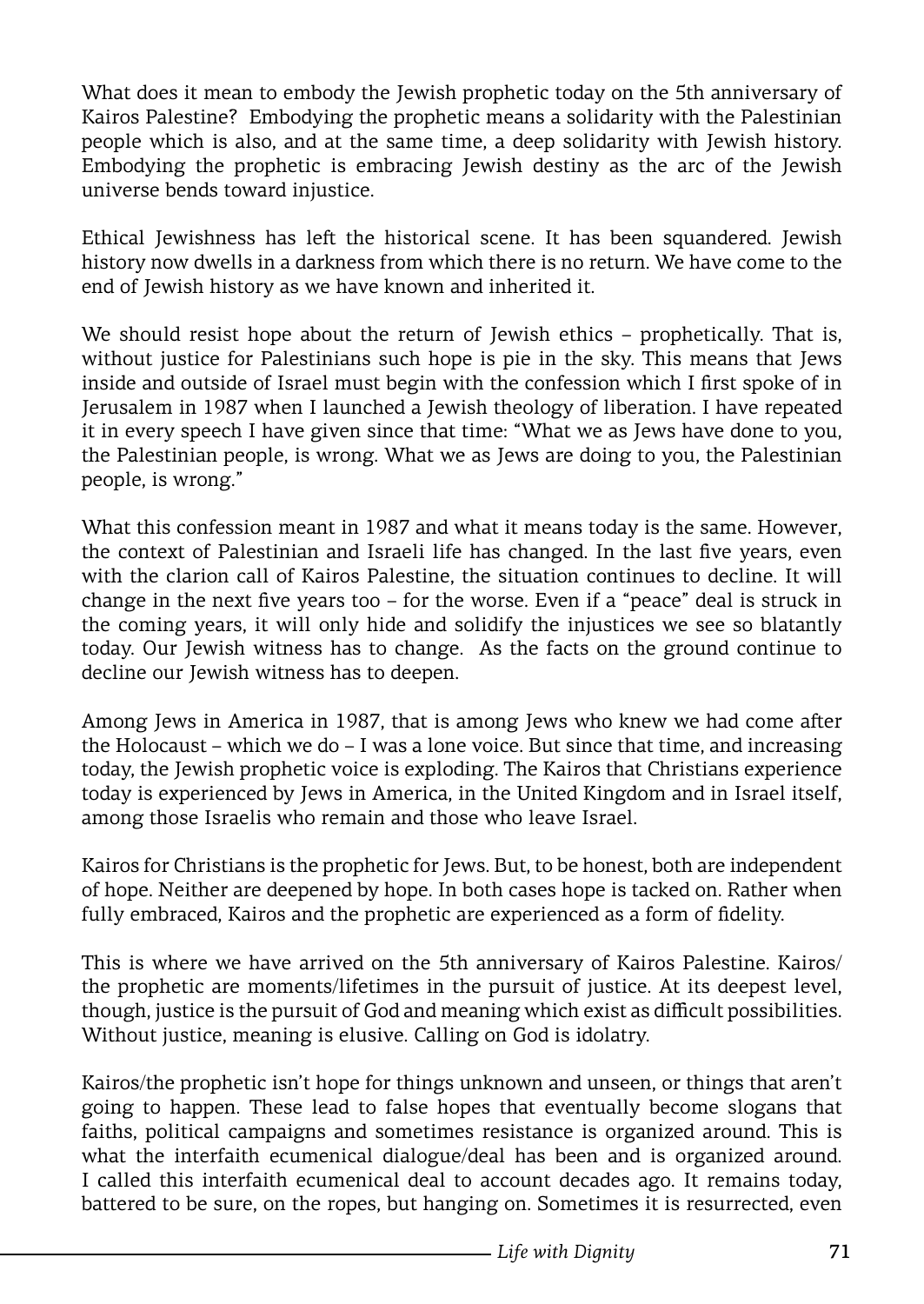What does it mean to embody the Jewish prophetic today on the 5th anniversary of Kairos Palestine? Embodying the prophetic means a solidarity with the Palestinian people which is also, and at the same time, a deep solidarity with Jewish history. Embodying the prophetic is embracing Jewish destiny as the arc of the Jewish universe bends toward injustice.

Ethical Jewishness has left the historical scene. It has been squandered. Jewish history now dwells in a darkness from which there is no return. We have come to the end of Jewish history as we have known and inherited it.

We should resist hope about the return of Jewish ethics – prophetically. That is, without justice for Palestinians such hope is pie in the sky. This means that Jews inside and outside of Israel must begin with the confession which I first spoke of in Jerusalem in 1987 when I launched a Jewish theology of liberation. I have repeated it in every speech I have given since that time: "What we as Jews have done to you, the Palestinian people, is wrong. What we as Jews are doing to you, the Palestinian people, is wrong."

What this confession meant in 1987 and what it means today is the same. However, the context of Palestinian and Israeli life has changed. In the last five years, even with the clarion call of Kairos Palestine, the situation continues to decline. It will change in the next five years too – for the worse. Even if a "peace" deal is struck in the coming years, it will only hide and solidify the injustices we see so blatantly today. Our Jewish witness has to change. As the facts on the ground continue to decline our Jewish witness has to deepen.

Among Jews in America in 1987, that is among Jews who knew we had come after the Holocaust – which we do – I was a lone voice. But since that time, and increasing today, the Jewish prophetic voice is exploding. The Kairos that Christians experience today is experienced by Jews in America, in the United Kingdom and in Israel itself, among those Israelis who remain and those who leave Israel.

Kairos for Christians is the prophetic for Jews. But, to be honest, both are independent of hope. Neither are deepened by hope. In both cases hope is tacked on. Rather when fully embraced, Kairos and the prophetic are experienced as a form of fidelity.

This is where we have arrived on the 5th anniversary of Kairos Palestine. Kairos/ the prophetic are moments/lifetimes in the pursuit of justice. At its deepest level, though, justice is the pursuit of God and meaning which exist as difficult possibilities. Without justice, meaning is elusive. Calling on God is idolatry.

Kairos/the prophetic isn't hope for things unknown and unseen, or things that aren't going to happen. These lead to false hopes that eventually become slogans that faiths, political campaigns and sometimes resistance is organized around. This is what the interfaith ecumenical dialogue/deal has been and is organized around. I called this interfaith ecumenical deal to account decades ago. It remains today, battered to be sure, on the ropes, but hanging on. Sometimes it is resurrected, even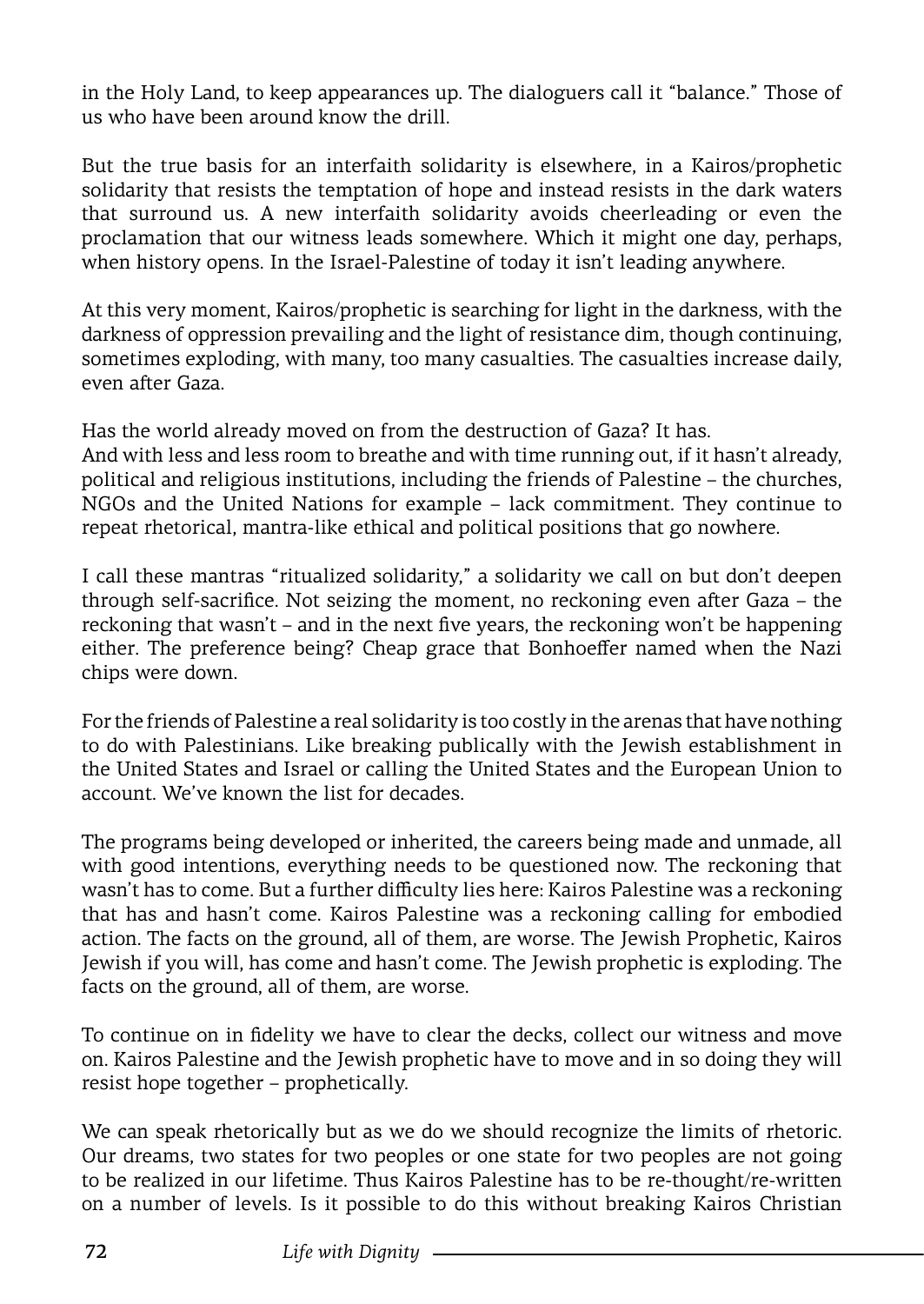in the Holy Land, to keep appearances up. The dialoguers call it "balance." Those of us who have been around know the drill.

But the true basis for an interfaith solidarity is elsewhere, in a Kairos/prophetic solidarity that resists the temptation of hope and instead resists in the dark waters that surround us. A new interfaith solidarity avoids cheerleading or even the proclamation that our witness leads somewhere. Which it might one day, perhaps, when history opens. In the Israel-Palestine of today it isn't leading anywhere.

At this very moment, Kairos/prophetic is searching for light in the darkness, with the darkness of oppression prevailing and the light of resistance dim, though continuing, sometimes exploding, with many, too many casualties. The casualties increase daily, even after Gaza.

Has the world already moved on from the destruction of Gaza? It has. And with less and less room to breathe and with time running out, if it hasn't already, political and religious institutions, including the friends of Palestine – the churches, NGOs and the United Nations for example – lack commitment. They continue to repeat rhetorical, mantra-like ethical and political positions that go nowhere.

I call these mantras "ritualized solidarity," a solidarity we call on but don't deepen through self-sacrifice. Not seizing the moment, no reckoning even after Gaza – the reckoning that wasn't – and in the next five years, the reckoning won't be happening either. The preference being? Cheap grace that Bonhoeffer named when the Nazi chips were down.

For the friends of Palestine a real solidarity is too costly in the arenas that have nothing to do with Palestinians. Like breaking publically with the Jewish establishment in the United States and Israel or calling the United States and the European Union to account. We've known the list for decades.

The programs being developed or inherited, the careers being made and unmade, all with good intentions, everything needs to be questioned now. The reckoning that wasn't has to come. But a further difficulty lies here: Kairos Palestine was a reckoning that has and hasn't come. Kairos Palestine was a reckoning calling for embodied action. The facts on the ground, all of them, are worse. The Jewish Prophetic, Kairos Jewish if you will, has come and hasn't come. The Jewish prophetic is exploding. The facts on the ground, all of them, are worse.

To continue on in fidelity we have to clear the decks, collect our witness and move on. Kairos Palestine and the Jewish prophetic have to move and in so doing they will resist hope together – prophetically.

We can speak rhetorically but as we do we should recognize the limits of rhetoric. Our dreams, two states for two peoples or one state for two peoples are not going to be realized in our lifetime. Thus Kairos Palestine has to be re-thought/re-written on a number of levels. Is it possible to do this without breaking Kairos Christian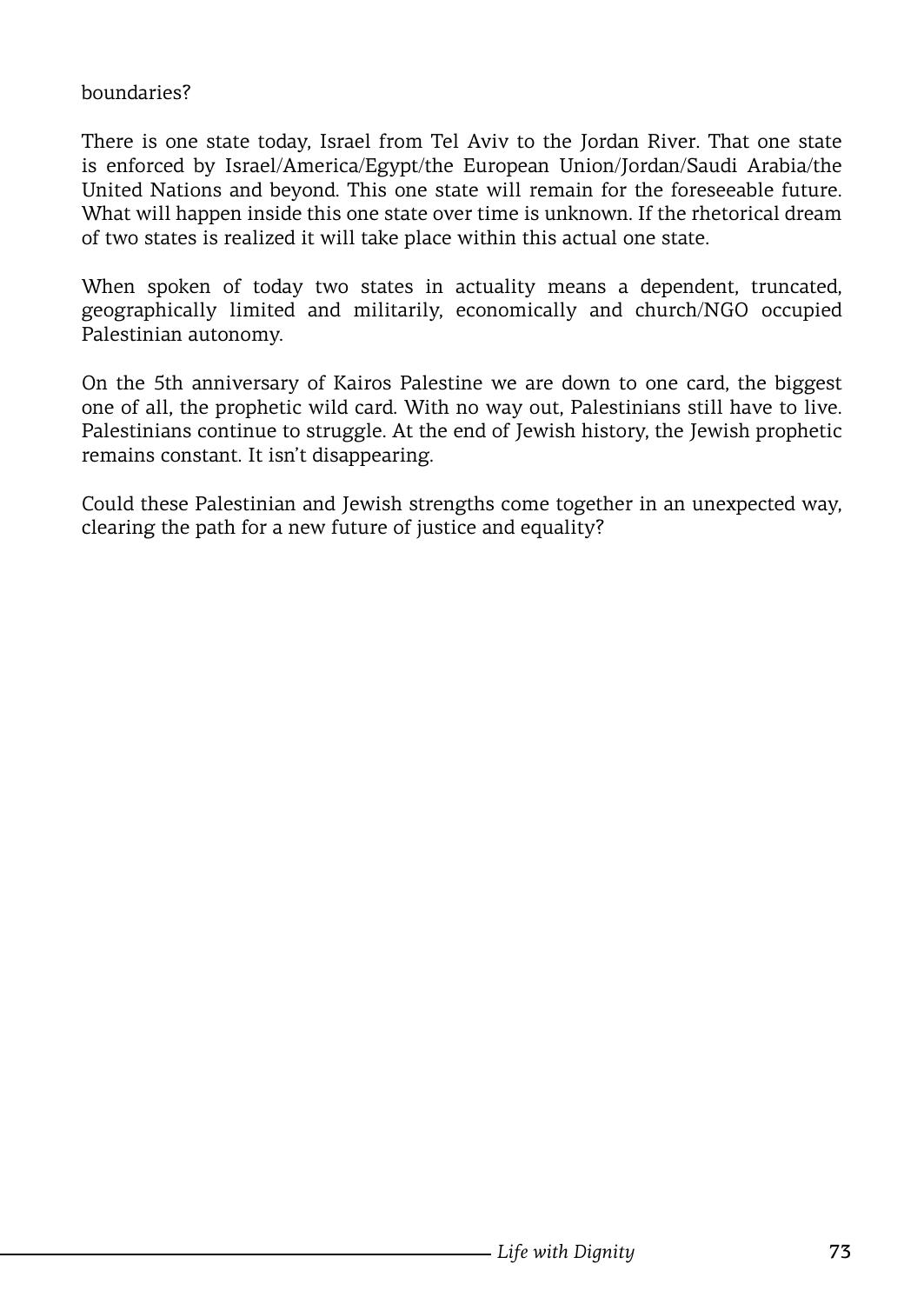#### boundaries?

There is one state today, Israel from Tel Aviv to the Jordan River. That one state is enforced by Israel/America/Egypt/the European Union/Jordan/Saudi Arabia/the United Nations and beyond. This one state will remain for the foreseeable future. What will happen inside this one state over time is unknown. If the rhetorical dream of two states is realized it will take place within this actual one state.

When spoken of today two states in actuality means a dependent, truncated, geographically limited and militarily, economically and church/NGO occupied Palestinian autonomy.

On the 5th anniversary of Kairos Palestine we are down to one card, the biggest one of all, the prophetic wild card. With no way out, Palestinians still have to live. Palestinians continue to struggle. At the end of Jewish history, the Jewish prophetic remains constant. It isn't disappearing.

Could these Palestinian and Jewish strengths come together in an unexpected way, clearing the path for a new future of justice and equality?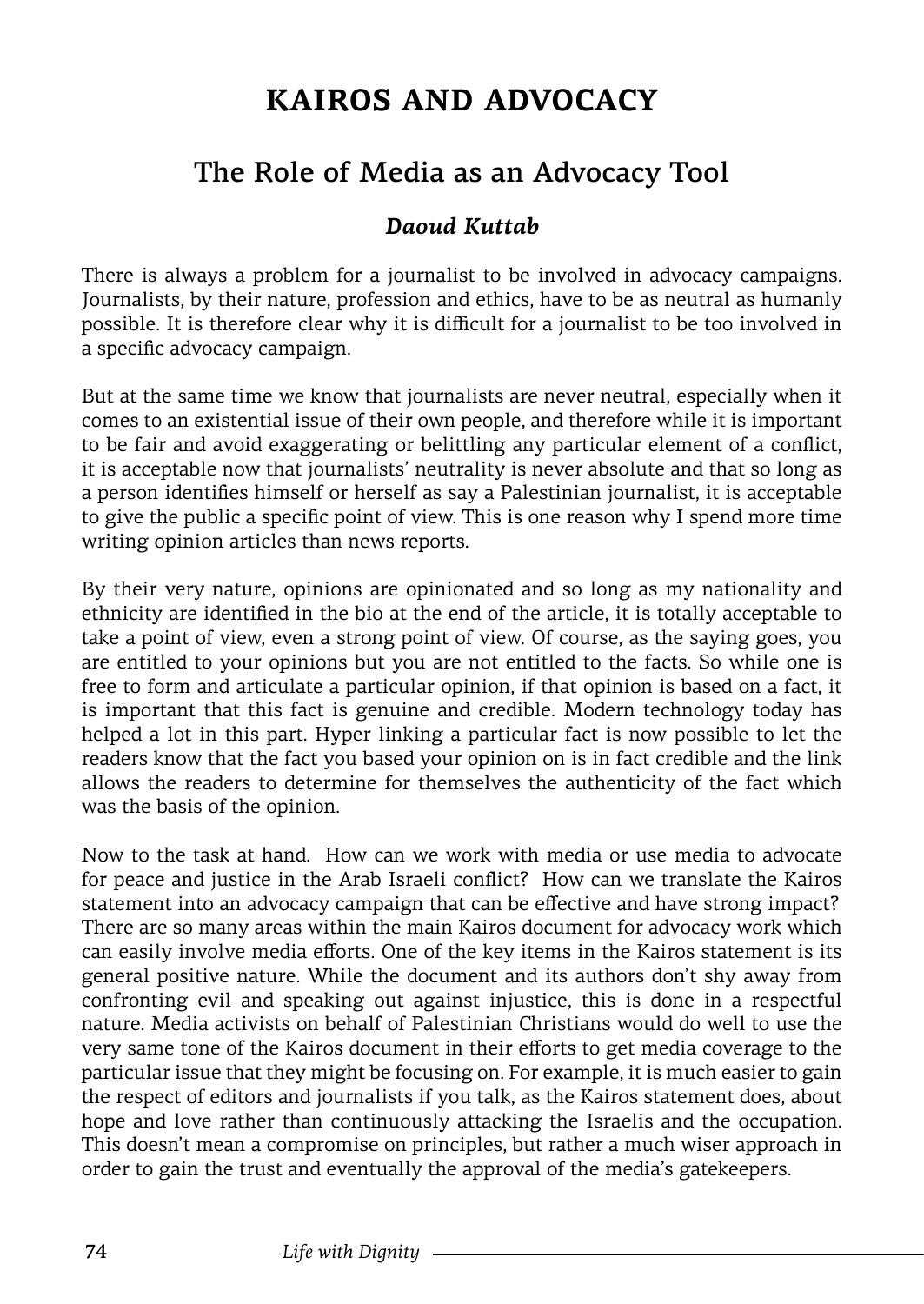# **KAIROS AND ADVOCACY**

## The Role of Media as an Advocacy Tool

## *Daoud Kuttab*

There is always a problem for a journalist to be involved in advocacy campaigns. Journalists, by their nature, profession and ethics, have to be as neutral as humanly possible. It is therefore clear why it is difficult for a journalist to be too involved in a specific advocacy campaign.

But at the same time we know that journalists are never neutral, especially when it comes to an existential issue of their own people, and therefore while it is important to be fair and avoid exaggerating or belittling any particular element of a conflict, it is acceptable now that journalists' neutrality is never absolute and that so long as a person identifies himself or herself as say a Palestinian journalist, it is acceptable to give the public a specific point of view. This is one reason why I spend more time writing opinion articles than news reports.

By their very nature, opinions are opinionated and so long as my nationality and ethnicity are identified in the bio at the end of the article, it is totally acceptable to take a point of view, even a strong point of view. Of course, as the saying goes, you are entitled to your opinions but you are not entitled to the facts. So while one is free to form and articulate a particular opinion, if that opinion is based on a fact, it is important that this fact is genuine and credible. Modern technology today has helped a lot in this part. Hyper linking a particular fact is now possible to let the readers know that the fact you based your opinion on is in fact credible and the link allows the readers to determine for themselves the authenticity of the fact which was the basis of the opinion.

Now to the task at hand. How can we work with media or use media to advocate for peace and justice in the Arab Israeli conflict? How can we translate the Kairos statement into an advocacy campaign that can be effective and have strong impact? There are so many areas within the main Kairos document for advocacy work which can easily involve media efforts. One of the key items in the Kairos statement is its general positive nature. While the document and its authors don't shy away from confronting evil and speaking out against injustice, this is done in a respectful nature. Media activists on behalf of Palestinian Christians would do well to use the very same tone of the Kairos document in their efforts to get media coverage to the particular issue that they might be focusing on. For example, it is much easier to gain the respect of editors and journalists if you talk, as the Kairos statement does, about hope and love rather than continuously attacking the Israelis and the occupation. This doesn't mean a compromise on principles, but rather a much wiser approach in order to gain the trust and eventually the approval of the media's gatekeepers.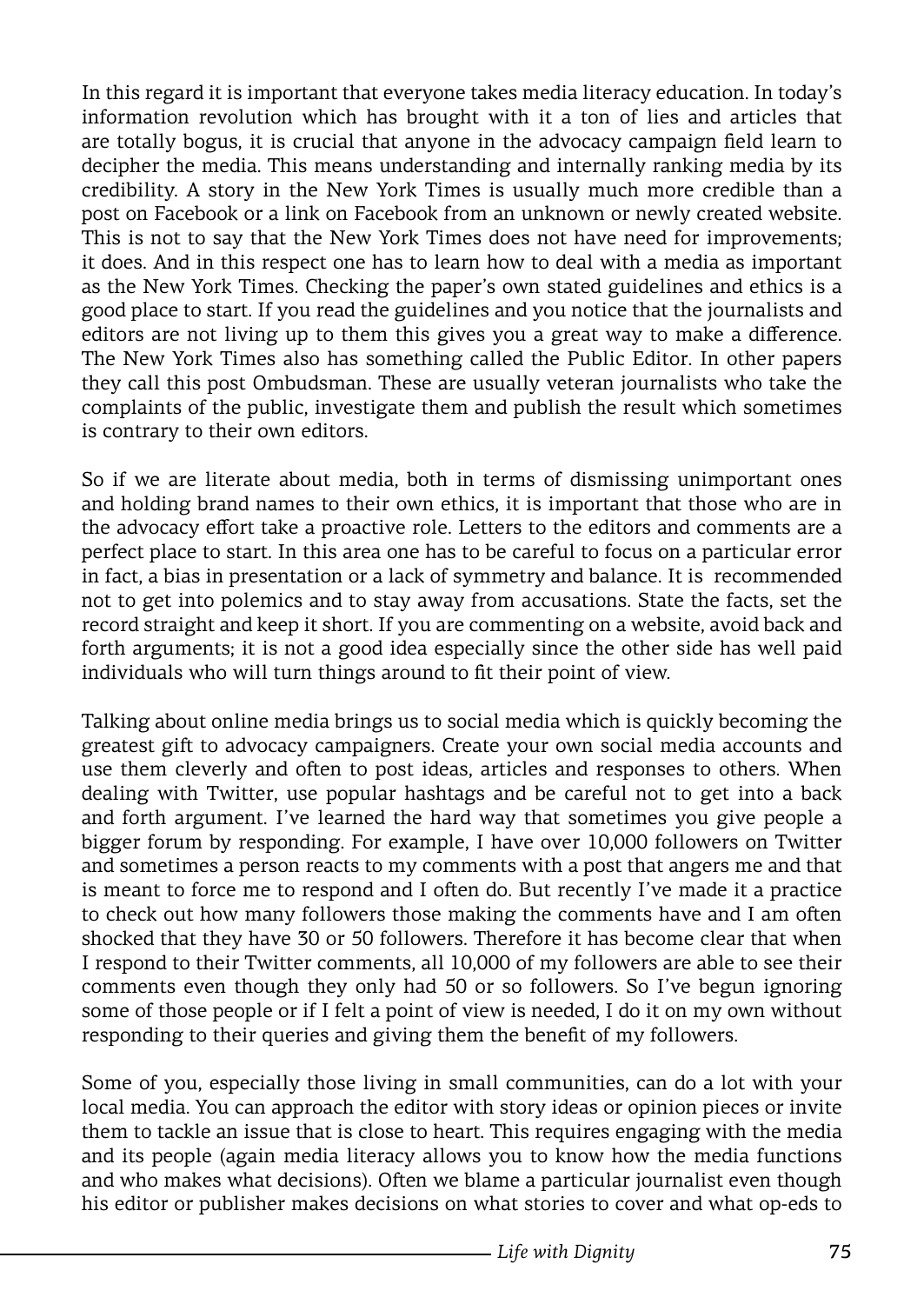In this regard it is important that everyone takes media literacy education. In today's information revolution which has brought with it a ton of lies and articles that are totally bogus, it is crucial that anyone in the advocacy campaign field learn to decipher the media. This means understanding and internally ranking media by its credibility. A story in the New York Times is usually much more credible than a post on Facebook or a link on Facebook from an unknown or newly created website. This is not to say that the New York Times does not have need for improvements; it does. And in this respect one has to learn how to deal with a media as important as the New York Times. Checking the paper's own stated guidelines and ethics is a good place to start. If you read the guidelines and you notice that the journalists and editors are not living up to them this gives you a great way to make a difference. The New York Times also has something called the Public Editor. In other papers they call this post Ombudsman. These are usually veteran journalists who take the complaints of the public, investigate them and publish the result which sometimes is contrary to their own editors.

So if we are literate about media, both in terms of dismissing unimportant ones and holding brand names to their own ethics, it is important that those who are in the advocacy effort take a proactive role. Letters to the editors and comments are a perfect place to start. In this area one has to be careful to focus on a particular error in fact, a bias in presentation or a lack of symmetry and balance. It is recommended not to get into polemics and to stay away from accusations. State the facts, set the record straight and keep it short. If you are commenting on a website, avoid back and forth arguments; it is not a good idea especially since the other side has well paid individuals who will turn things around to fit their point of view.

Talking about online media brings us to social media which is quickly becoming the greatest gift to advocacy campaigners. Create your own social media accounts and use them cleverly and often to post ideas, articles and responses to others. When dealing with Twitter, use popular hashtags and be careful not to get into a back and forth argument. I've learned the hard way that sometimes you give people a bigger forum by responding. For example, I have over 10,000 followers on Twitter and sometimes a person reacts to my comments with a post that angers me and that is meant to force me to respond and I often do. But recently I've made it a practice to check out how many followers those making the comments have and I am often shocked that they have 30 or 50 followers. Therefore it has become clear that when I respond to their Twitter comments, all 10,000 of my followers are able to see their comments even though they only had 50 or so followers. So I've begun ignoring some of those people or if I felt a point of view is needed, I do it on my own without responding to their queries and giving them the benefit of my followers.

Some of you, especially those living in small communities, can do a lot with your local media. You can approach the editor with story ideas or opinion pieces or invite them to tackle an issue that is close to heart. This requires engaging with the media and its people (again media literacy allows you to know how the media functions and who makes what decisions). Often we blame a particular journalist even though his editor or publisher makes decisions on what stories to cover and what op-eds to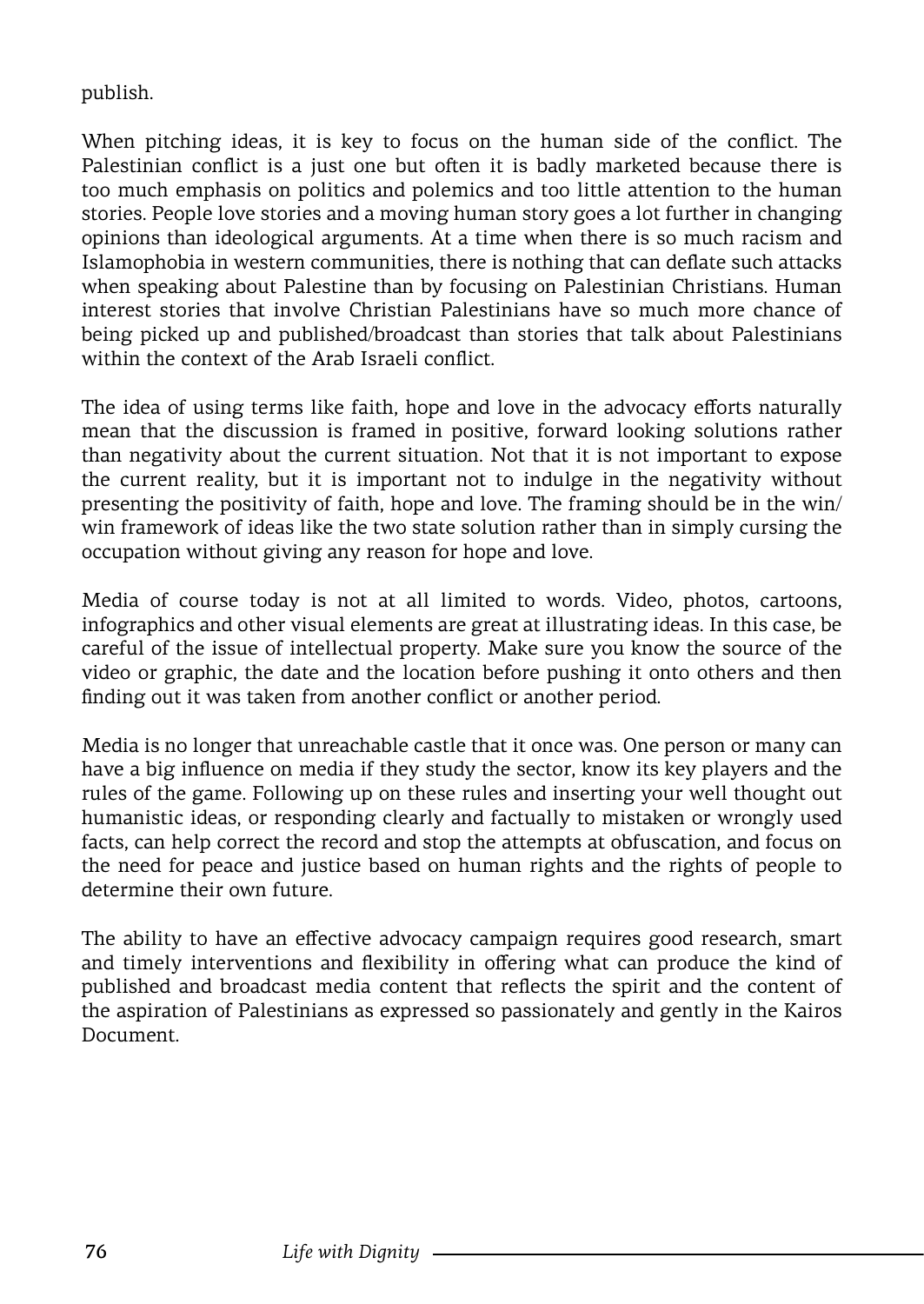#### publish.

When pitching ideas, it is key to focus on the human side of the conflict. The Palestinian conflict is a just one but often it is badly marketed because there is too much emphasis on politics and polemics and too little attention to the human stories. People love stories and a moving human story goes a lot further in changing opinions than ideological arguments. At a time when there is so much racism and Islamophobia in western communities, there is nothing that can deflate such attacks when speaking about Palestine than by focusing on Palestinian Christians. Human interest stories that involve Christian Palestinians have so much more chance of being picked up and published/broadcast than stories that talk about Palestinians within the context of the Arab Israeli conflict.

The idea of using terms like faith, hope and love in the advocacy efforts naturally mean that the discussion is framed in positive, forward looking solutions rather than negativity about the current situation. Not that it is not important to expose the current reality, but it is important not to indulge in the negativity without presenting the positivity of faith, hope and love. The framing should be in the win/ win framework of ideas like the two state solution rather than in simply cursing the occupation without giving any reason for hope and love.

Media of course today is not at all limited to words. Video, photos, cartoons, infographics and other visual elements are great at illustrating ideas. In this case, be careful of the issue of intellectual property. Make sure you know the source of the video or graphic, the date and the location before pushing it onto others and then finding out it was taken from another conflict or another period.

Media is no longer that unreachable castle that it once was. One person or many can have a big influence on media if they study the sector, know its key players and the rules of the game. Following up on these rules and inserting your well thought out humanistic ideas, or responding clearly and factually to mistaken or wrongly used facts, can help correct the record and stop the attempts at obfuscation, and focus on the need for peace and justice based on human rights and the rights of people to determine their own future.

The ability to have an effective advocacy campaign requires good research, smart and timely interventions and flexibility in offering what can produce the kind of published and broadcast media content that reflects the spirit and the content of the aspiration of Palestinians as expressed so passionately and gently in the Kairos Document.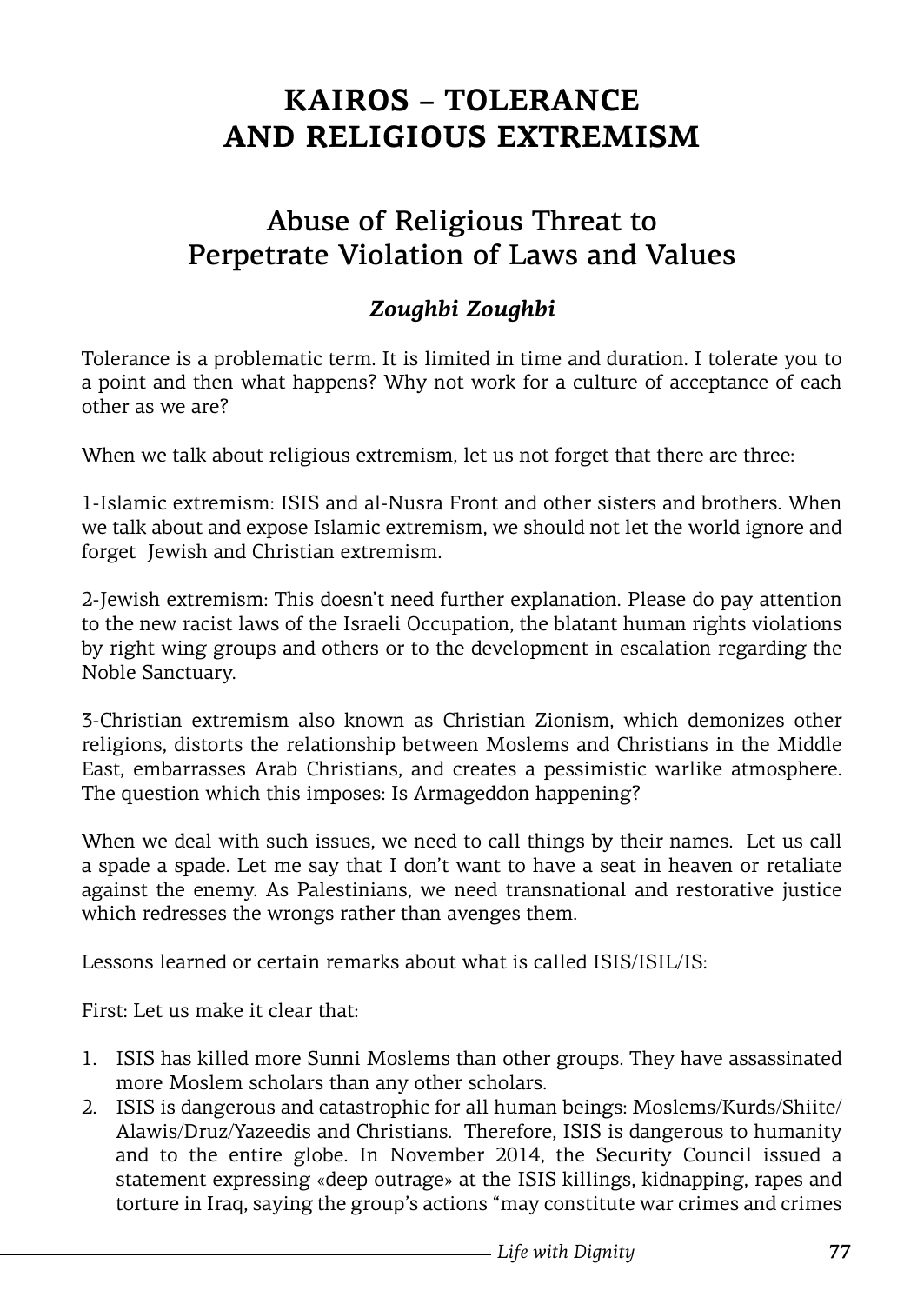# **KAIROS – TOLERANCE AND RELIGIOUS EXTREMISM**

## Abuse of Religious Threat to Perpetrate Violation of Laws and Values

## *Zoughbi Zoughbi*

Tolerance is a problematic term. It is limited in time and duration. I tolerate you to a point and then what happens? Why not work for a culture of acceptance of each other as we are?

When we talk about religious extremism, let us not forget that there are three:

1-Islamic extremism: ISIS and al-Nusra Front and other sisters and brothers. When we talk about and expose Islamic extremism, we should not let the world ignore and forget Jewish and Christian extremism.

2-Jewish extremism: This doesn't need further explanation. Please do pay attention to the new racist laws of the Israeli Occupation, the blatant human rights violations by right wing groups and others or to the development in escalation regarding the Noble Sanctuary.

3-Christian extremism also known as Christian Zionism, which demonizes other religions, distorts the relationship between Moslems and Christians in the Middle East, embarrasses Arab Christians, and creates a pessimistic warlike atmosphere. The question which this imposes: Is Armageddon happening?

When we deal with such issues, we need to call things by their names. Let us call a spade a spade. Let me say that I don't want to have a seat in heaven or retaliate against the enemy. As Palestinians, we need transnational and restorative justice which redresses the wrongs rather than avenges them.

Lessons learned or certain remarks about what is called ISIS/ISIL/IS:

First: Let us make it clear that:

- 1. ISIS has killed more Sunni Moslems than other groups. They have assassinated more Moslem scholars than any other scholars.
- 2. ISIS is dangerous and catastrophic for all human beings: Moslems/Kurds/Shiite/ Alawis/Druz/Yazeedis and Christians. Therefore, ISIS is dangerous to humanity and to the entire globe. In November 2014, the Security Council issued a statement expressing «deep outrage» at the ISIS killings, kidnapping, rapes and torture in Iraq, saying the group's actions "may constitute war crimes and crimes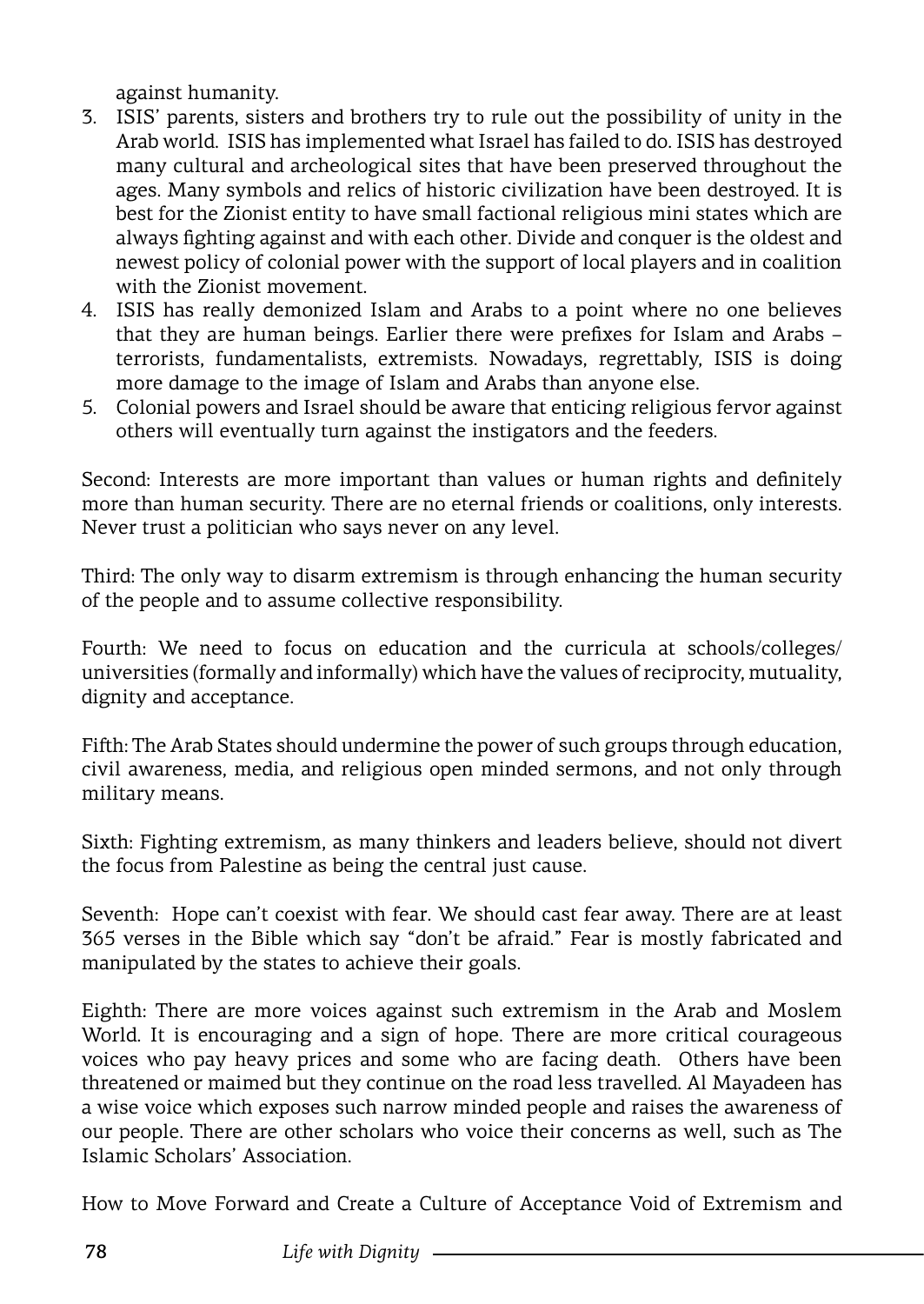against humanity.

- 3. ISIS' parents, sisters and brothers try to rule out the possibility of unity in the Arab world. ISIS has implemented what Israel has failed to do. ISIS has destroyed many cultural and archeological sites that have been preserved throughout the ages. Many symbols and relics of historic civilization have been destroyed. It is best for the Zionist entity to have small factional religious mini states which are always fighting against and with each other. Divide and conquer is the oldest and newest policy of colonial power with the support of local players and in coalition with the Zionist movement.
- 4. ISIS has really demonized Islam and Arabs to a point where no one believes that they are human beings. Earlier there were prefixes for Islam and Arabs – terrorists, fundamentalists, extremists. Nowadays, regrettably, ISIS is doing more damage to the image of Islam and Arabs than anyone else.
- 5. Colonial powers and Israel should be aware that enticing religious fervor against others will eventually turn against the instigators and the feeders.

Second: Interests are more important than values or human rights and definitely more than human security. There are no eternal friends or coalitions, only interests. Never trust a politician who says never on any level.

Third: The only way to disarm extremism is through enhancing the human security of the people and to assume collective responsibility.

Fourth: We need to focus on education and the curricula at schools/colleges/ universities (formally and informally) which have the values of reciprocity, mutuality, dignity and acceptance.

Fifth: The Arab States should undermine the power of such groups through education, civil awareness, media, and religious open minded sermons, and not only through military means.

Sixth: Fighting extremism, as many thinkers and leaders believe, should not divert the focus from Palestine as being the central just cause.

Seventh: Hope can't coexist with fear. We should cast fear away. There are at least 365 verses in the Bible which say "don't be afraid." Fear is mostly fabricated and manipulated by the states to achieve their goals.

Eighth: There are more voices against such extremism in the Arab and Moslem World. It is encouraging and a sign of hope. There are more critical courageous voices who pay heavy prices and some who are facing death. Others have been threatened or maimed but they continue on the road less travelled. Al Mayadeen has a wise voice which exposes such narrow minded people and raises the awareness of our people. There are other scholars who voice their concerns as well, such as The Islamic Scholars' Association.

How to Move Forward and Create a Culture of Acceptance Void of Extremism and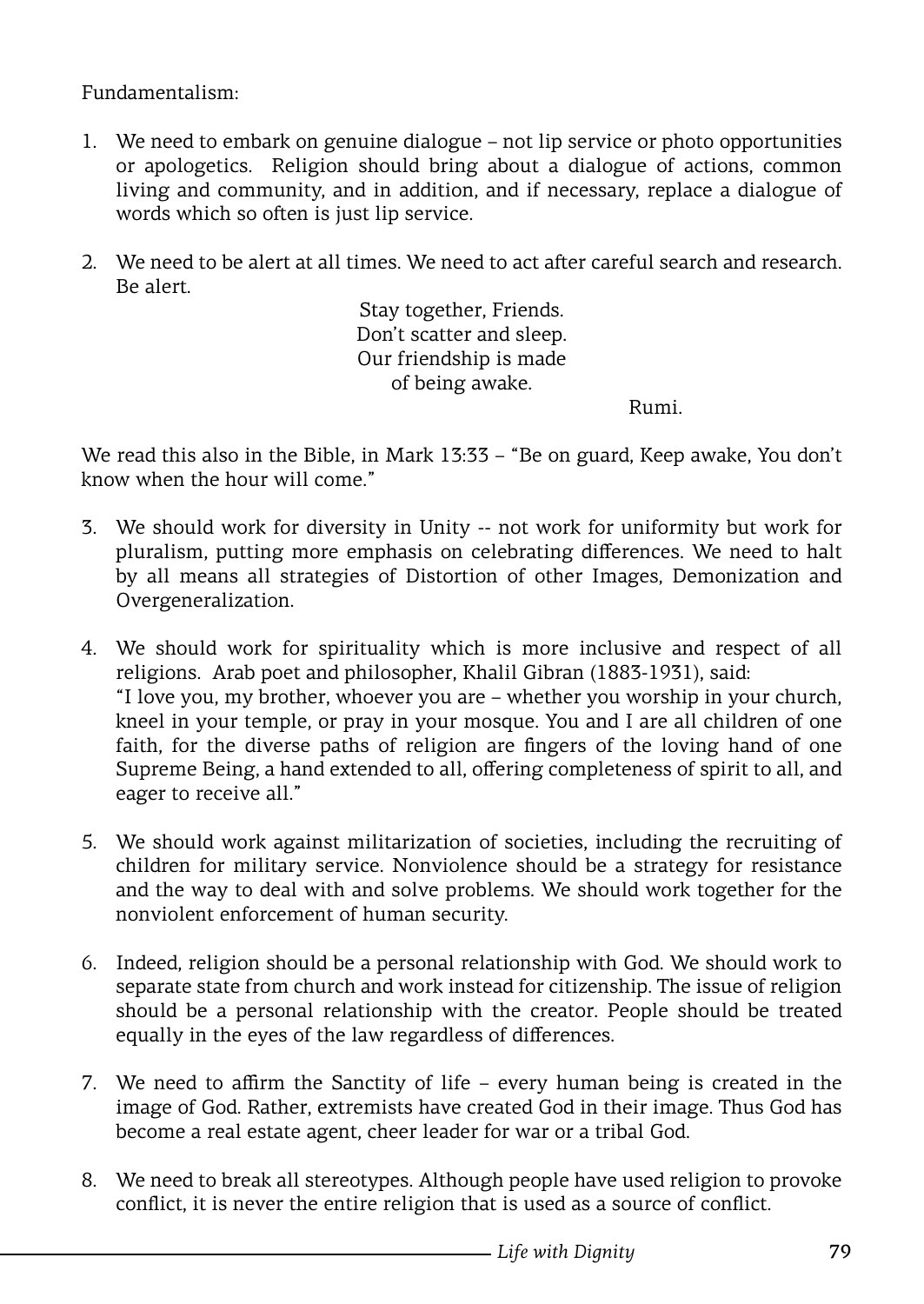Fundamentalism:

- 1. We need to embark on genuine dialogue not lip service or photo opportunities or apologetics. Religion should bring about a dialogue of actions, common living and community, and in addition, and if necessary, replace a dialogue of words which so often is just lip service.
- 2. We need to be alert at all times. We need to act after careful search and research. Be alert.

Stay together, Friends. Don't scatter and sleep. Our friendship is made of being awake.

Rumi.

We read this also in the Bible, in Mark 13:33 – "Be on guard, Keep awake, You don't know when the hour will come."

- 3. We should work for diversity in Unity -- not work for uniformity but work for pluralism, putting more emphasis on celebrating differences. We need to halt by all means all strategies of Distortion of other Images, Demonization and Overgeneralization.
- 4. We should work for spirituality which is more inclusive and respect of all religions. Arab poet and philosopher, Khalil Gibran (1883-1931), said: "I love you, my brother, whoever you are – whether you worship in your church, kneel in your temple, or pray in your mosque. You and I are all children of one faith, for the diverse paths of religion are fingers of the loving hand of one Supreme Being, a hand extended to all, offering completeness of spirit to all, and eager to receive all."
- 5. We should work against militarization of societies, including the recruiting of children for military service. Nonviolence should be a strategy for resistance and the way to deal with and solve problems. We should work together for the nonviolent enforcement of human security.
- 6. Indeed, religion should be a personal relationship with God. We should work to separate state from church and work instead for citizenship. The issue of religion should be a personal relationship with the creator. People should be treated equally in the eyes of the law regardless of differences.
- 7. We need to affirm the Sanctity of life every human being is created in the image of God. Rather, extremists have created God in their image. Thus God has become a real estate agent, cheer leader for war or a tribal God.
- 8. We need to break all stereotypes. Although people have used religion to provoke conflict, it is never the entire religion that is used as a source of conflict.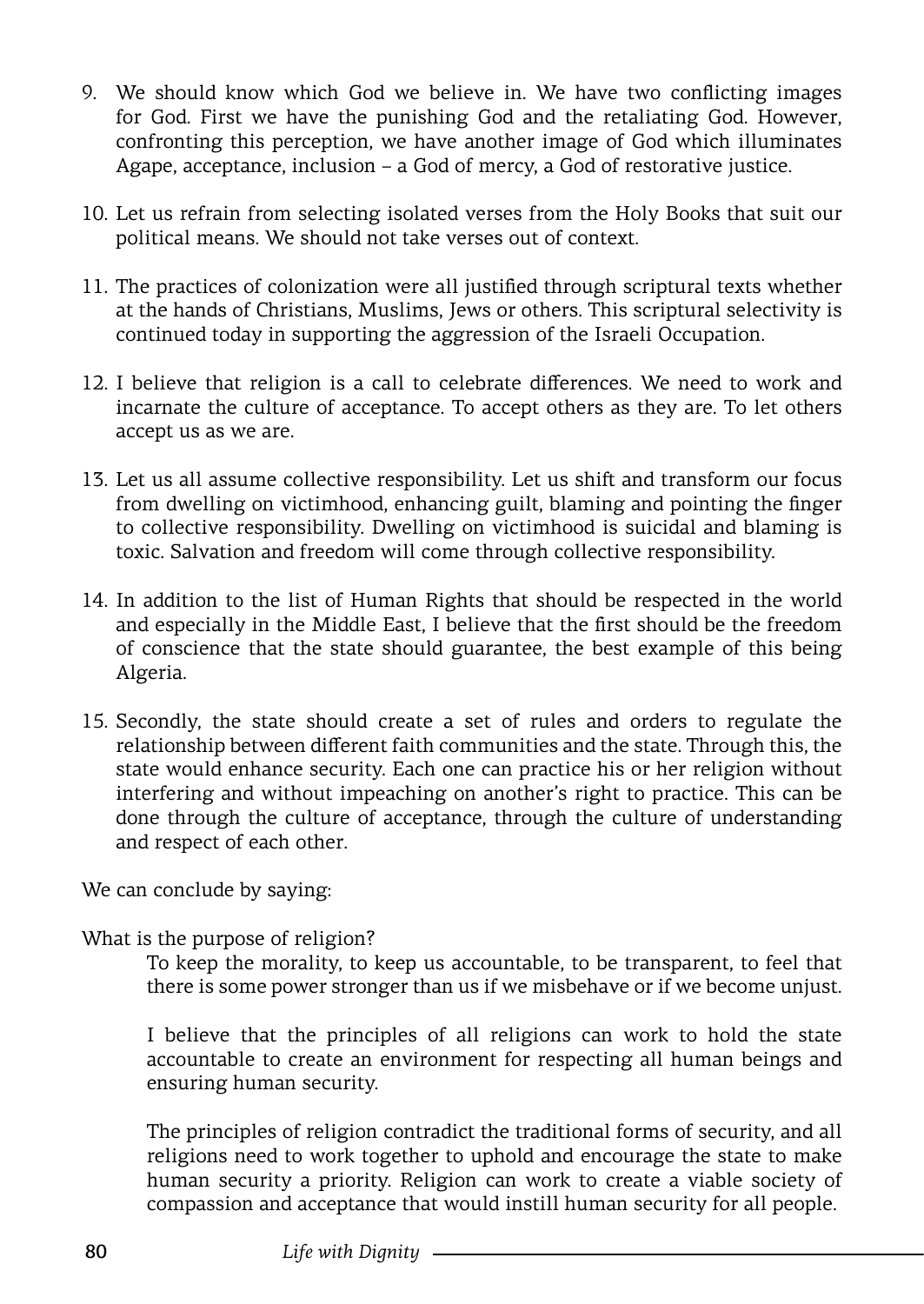- 9. We should know which God we believe in. We have two conflicting images for God. First we have the punishing God and the retaliating God. However, confronting this perception, we have another image of God which illuminates Agape, acceptance, inclusion – a God of mercy, a God of restorative justice.
- 10. Let us refrain from selecting isolated verses from the Holy Books that suit our political means. We should not take verses out of context.
- 11. The practices of colonization were all justified through scriptural texts whether at the hands of Christians, Muslims, Jews or others. This scriptural selectivity is continued today in supporting the aggression of the Israeli Occupation.
- 12. I believe that religion is a call to celebrate differences. We need to work and incarnate the culture of acceptance. To accept others as they are. To let others accept us as we are.
- 13. Let us all assume collective responsibility. Let us shift and transform our focus from dwelling on victimhood, enhancing guilt, blaming and pointing the finger to collective responsibility. Dwelling on victimhood is suicidal and blaming is toxic. Salvation and freedom will come through collective responsibility.
- 14. In addition to the list of Human Rights that should be respected in the world and especially in the Middle East, I believe that the first should be the freedom of conscience that the state should guarantee, the best example of this being Algeria.
- 15. Secondly, the state should create a set of rules and orders to regulate the relationship between different faith communities and the state. Through this, the state would enhance security. Each one can practice his or her religion without interfering and without impeaching on another's right to practice. This can be done through the culture of acceptance, through the culture of understanding and respect of each other.

We can conclude by saying:

What is the purpose of religion?

To keep the morality, to keep us accountable, to be transparent, to feel that there is some power stronger than us if we misbehave or if we become unjust.

I believe that the principles of all religions can work to hold the state accountable to create an environment for respecting all human beings and ensuring human security.

The principles of religion contradict the traditional forms of security, and all religions need to work together to uphold and encourage the state to make human security a priority. Religion can work to create a viable society of compassion and acceptance that would instill human security for all people.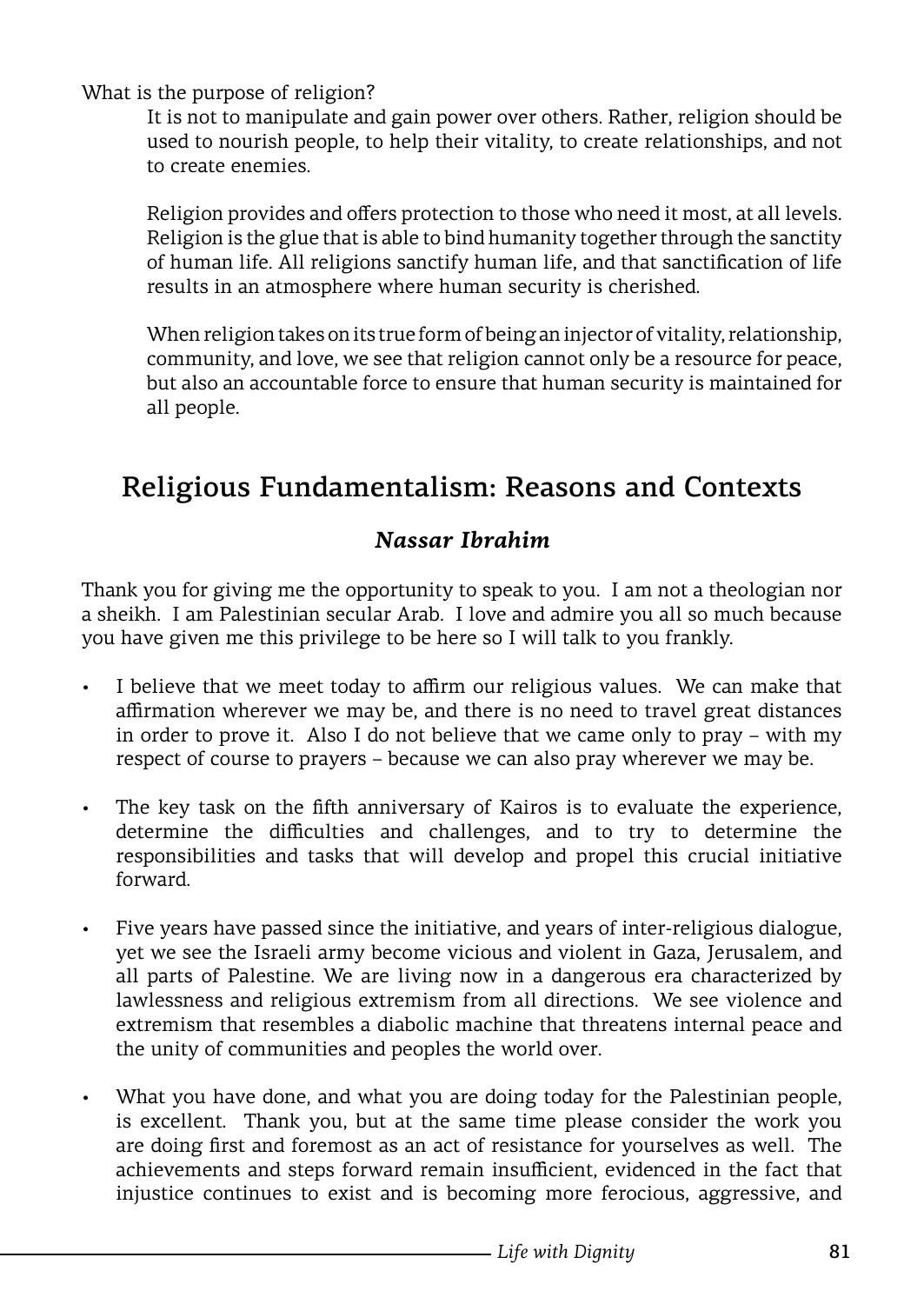What is the purpose of religion?

It is not to manipulate and gain power over others. Rather, religion should be used to nourish people, to help their vitality, to create relationships, and not to create enemies.

Religion provides and offers protection to those who need it most, at all levels. Religion is the glue that is able to bind humanity together through the sanctity of human life. All religions sanctify human life, and that sanctification of life results in an atmosphere where human security is cherished.

When religion takes on its true form of being an injector of vitality, relationship, community, and love, we see that religion cannot only be a resource for peace, but also an accountable force to ensure that human security is maintained for all people.

# Religious Fundamentalism: Reasons and Contexts

## *Nassar Ibrahim*

Thank you for giving me the opportunity to speak to you. I am not a theologian nor a sheikh. I am Palestinian secular Arab. I love and admire you all so much because you have given me this privilege to be here so I will talk to you frankly.

- I believe that we meet today to affirm our religious values. We can make that affirmation wherever we may be, and there is no need to travel great distances in order to prove it. Also I do not believe that we came only to pray – with my respect of course to prayers – because we can also pray wherever we may be.
- The key task on the fifth anniversary of Kairos is to evaluate the experience, determine the difficulties and challenges, and to try to determine the responsibilities and tasks that will develop and propel this crucial initiative forward.
- Five years have passed since the initiative, and years of inter-religious dialogue, yet we see the Israeli army become vicious and violent in Gaza, Jerusalem, and all parts of Palestine. We are living now in a dangerous era characterized by lawlessness and religious extremism from all directions. We see violence and extremism that resembles a diabolic machine that threatens internal peace and the unity of communities and peoples the world over.
- What you have done, and what you are doing today for the Palestinian people, is excellent. Thank you, but at the same time please consider the work you are doing first and foremost as an act of resistance for yourselves as well. The achievements and steps forward remain insufficient, evidenced in the fact that injustice continues to exist and is becoming more ferocious, aggressive, and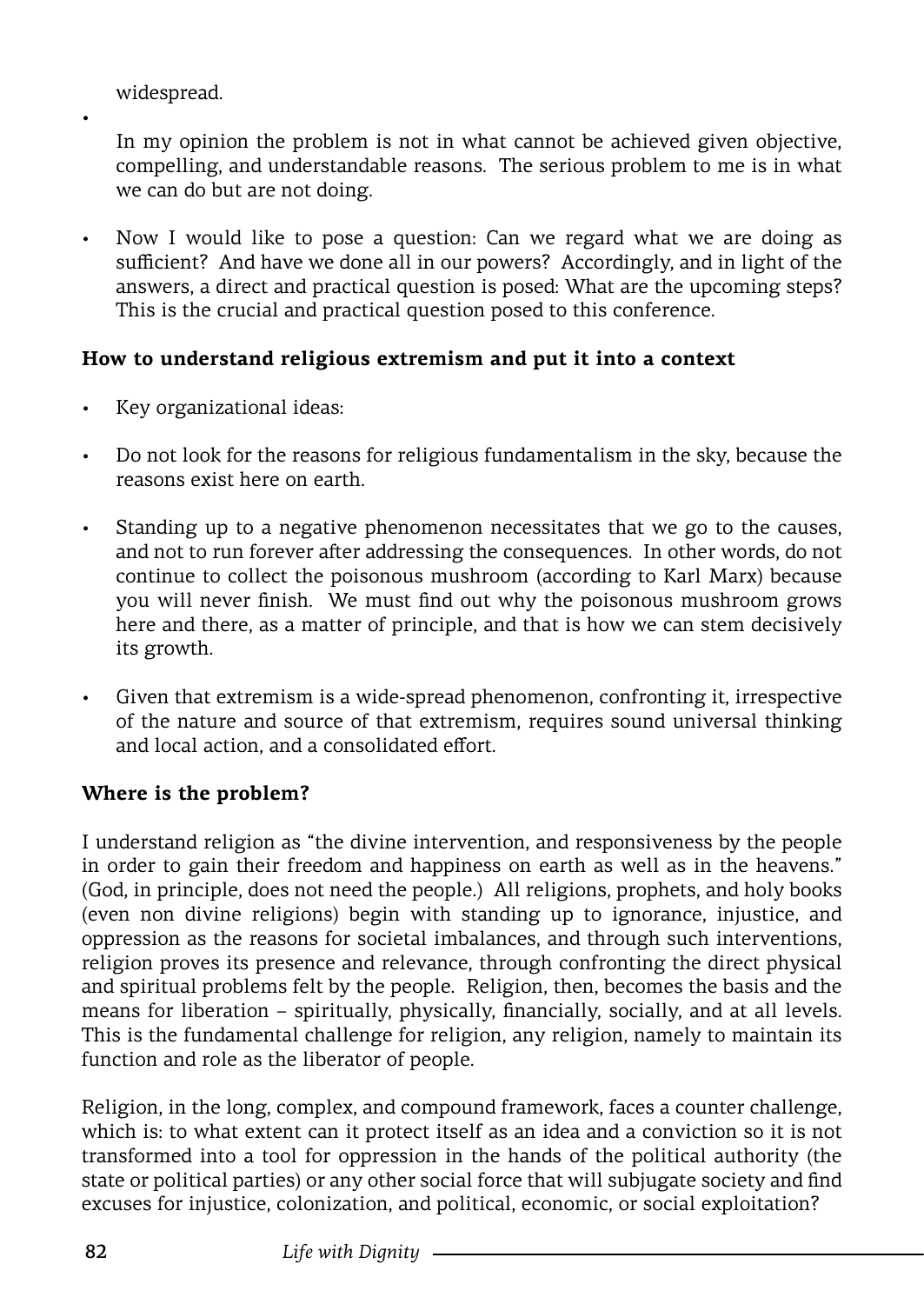widespread.

• 

In my opinion the problem is not in what cannot be achieved given objective, compelling, and understandable reasons. The serious problem to me is in what we can do but are not doing.

Now I would like to pose a question: Can we regard what we are doing as sufficient? And have we done all in our powers? Accordingly, and in light of the answers, a direct and practical question is posed: What are the upcoming steps? This is the crucial and practical question posed to this conference.

#### **How to understand religious extremism and put it into a context**

- Key organizational ideas:
- Do not look for the reasons for religious fundamentalism in the sky, because the reasons exist here on earth.
- Standing up to a negative phenomenon necessitates that we go to the causes, and not to run forever after addressing the consequences. In other words, do not continue to collect the poisonous mushroom (according to Karl Marx) because you will never finish. We must find out why the poisonous mushroom grows here and there, as a matter of principle, and that is how we can stem decisively its growth.
- • Given that extremism is a wide-spread phenomenon, confronting it, irrespective of the nature and source of that extremism, requires sound universal thinking and local action, and a consolidated effort.

### **Where is the problem?**

I understand religion as "the divine intervention, and responsiveness by the people in order to gain their freedom and happiness on earth as well as in the heavens." (God, in principle, does not need the people.) All religions, prophets, and holy books (even non divine religions) begin with standing up to ignorance, injustice, and oppression as the reasons for societal imbalances, and through such interventions, religion proves its presence and relevance, through confronting the direct physical and spiritual problems felt by the people. Religion, then, becomes the basis and the means for liberation – spiritually, physically, financially, socially, and at all levels. This is the fundamental challenge for religion, any religion, namely to maintain its function and role as the liberator of people.

Religion, in the long, complex, and compound framework, faces a counter challenge, which is: to what extent can it protect itself as an idea and a conviction so it is not transformed into a tool for oppression in the hands of the political authority (the state or political parties) or any other social force that will subjugate society and find excuses for injustice, colonization, and political, economic, or social exploitation?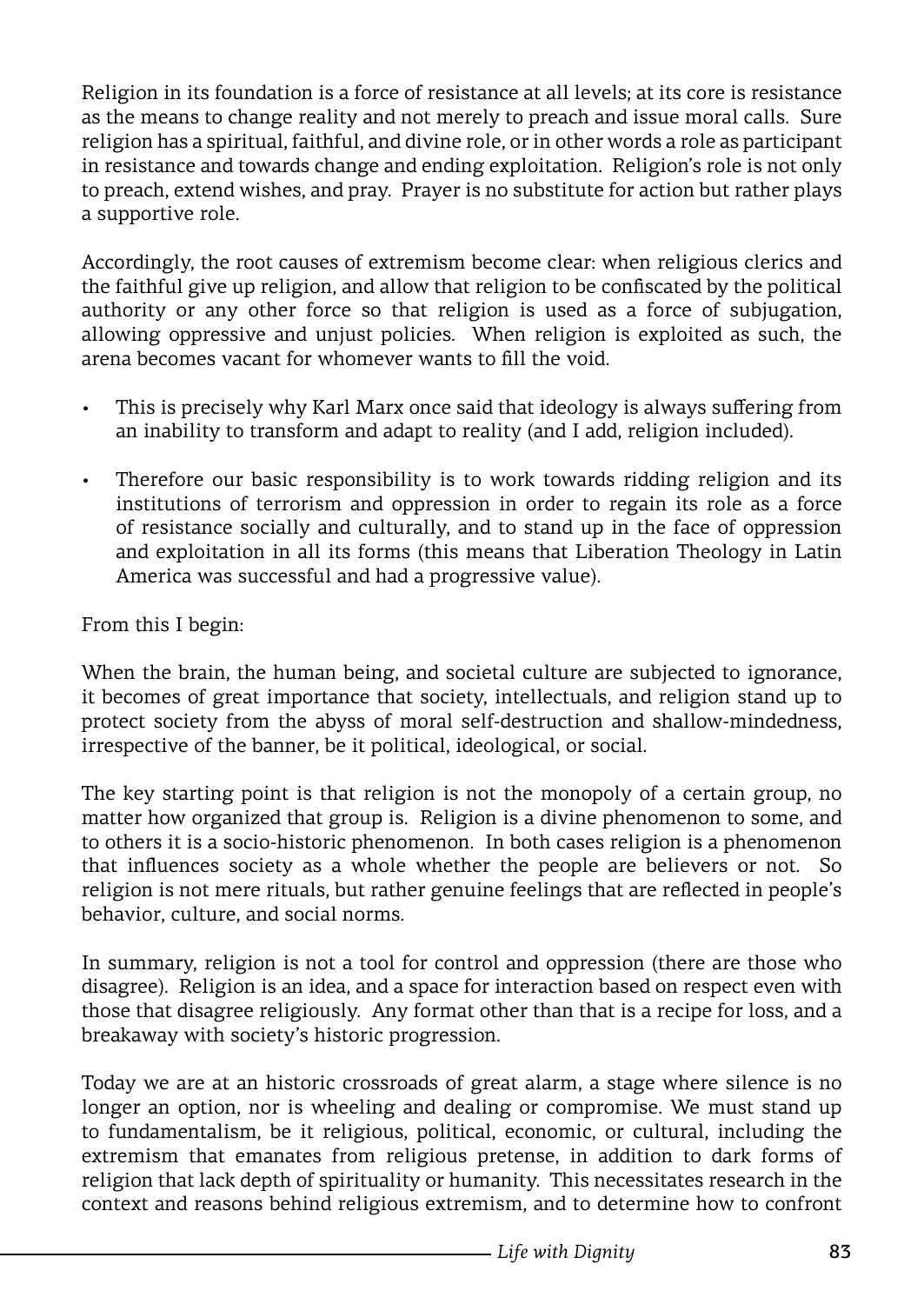Religion in its foundation is a force of resistance at all levels; at its core is resistance as the means to change reality and not merely to preach and issue moral calls. Sure religion has a spiritual, faithful, and divine role, or in other words a role as participant in resistance and towards change and ending exploitation. Religion's role is not only to preach, extend wishes, and pray. Prayer is no substitute for action but rather plays a supportive role.

Accordingly, the root causes of extremism become clear: when religious clerics and the faithful give up religion, and allow that religion to be confiscated by the political authority or any other force so that religion is used as a force of subjugation, allowing oppressive and unjust policies. When religion is exploited as such, the arena becomes vacant for whomever wants to fill the void.

- This is precisely why Karl Marx once said that ideology is always suffering from an inability to transform and adapt to reality (and I add, religion included).
- Therefore our basic responsibility is to work towards ridding religion and its institutions of terrorism and oppression in order to regain its role as a force of resistance socially and culturally, and to stand up in the face of oppression and exploitation in all its forms (this means that Liberation Theology in Latin America was successful and had a progressive value).

From this I begin:

When the brain, the human being, and societal culture are subjected to ignorance, it becomes of great importance that society, intellectuals, and religion stand up to protect society from the abyss of moral self-destruction and shallow-mindedness, irrespective of the banner, be it political, ideological, or social.

The key starting point is that religion is not the monopoly of a certain group, no matter how organized that group is. Religion is a divine phenomenon to some, and to others it is a socio-historic phenomenon. In both cases religion is a phenomenon that influences society as a whole whether the people are believers or not. So religion is not mere rituals, but rather genuine feelings that are reflected in people's behavior, culture, and social norms.

In summary, religion is not a tool for control and oppression (there are those who disagree). Religion is an idea, and a space for interaction based on respect even with those that disagree religiously. Any format other than that is a recipe for loss, and a breakaway with society's historic progression.

Today we are at an historic crossroads of great alarm, a stage where silence is no longer an option, nor is wheeling and dealing or compromise. We must stand up to fundamentalism, be it religious, political, economic, or cultural, including the extremism that emanates from religious pretense, in addition to dark forms of religion that lack depth of spirituality or humanity. This necessitates research in the context and reasons behind religious extremism, and to determine how to confront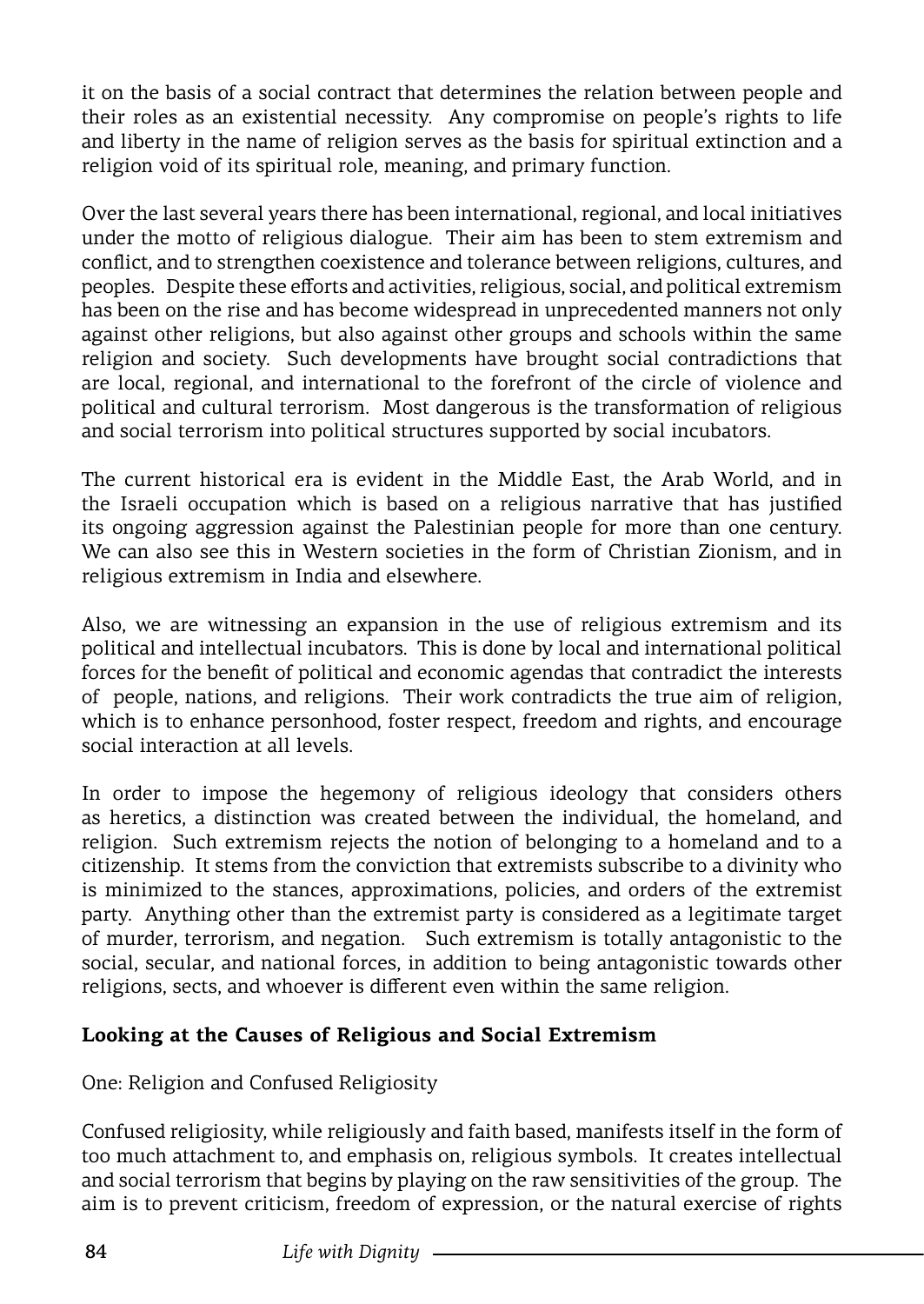it on the basis of a social contract that determines the relation between people and their roles as an existential necessity. Any compromise on people's rights to life and liberty in the name of religion serves as the basis for spiritual extinction and a religion void of its spiritual role, meaning, and primary function.

Over the last several years there has been international, regional, and local initiatives under the motto of religious dialogue. Their aim has been to stem extremism and conflict, and to strengthen coexistence and tolerance between religions, cultures, and peoples. Despite these efforts and activities, religious, social, and political extremism has been on the rise and has become widespread in unprecedented manners not only against other religions, but also against other groups and schools within the same religion and society. Such developments have brought social contradictions that are local, regional, and international to the forefront of the circle of violence and political and cultural terrorism. Most dangerous is the transformation of religious and social terrorism into political structures supported by social incubators.

The current historical era is evident in the Middle East, the Arab World, and in the Israeli occupation which is based on a religious narrative that has justified its ongoing aggression against the Palestinian people for more than one century. We can also see this in Western societies in the form of Christian Zionism, and in religious extremism in India and elsewhere.

Also, we are witnessing an expansion in the use of religious extremism and its political and intellectual incubators. This is done by local and international political forces for the benefit of political and economic agendas that contradict the interests of people, nations, and religions. Their work contradicts the true aim of religion, which is to enhance personhood, foster respect, freedom and rights, and encourage social interaction at all levels.

In order to impose the hegemony of religious ideology that considers others as heretics, a distinction was created between the individual, the homeland, and religion. Such extremism rejects the notion of belonging to a homeland and to a citizenship. It stems from the conviction that extremists subscribe to a divinity who is minimized to the stances, approximations, policies, and orders of the extremist party. Anything other than the extremist party is considered as a legitimate target of murder, terrorism, and negation. Such extremism is totally antagonistic to the social, secular, and national forces, in addition to being antagonistic towards other religions, sects, and whoever is different even within the same religion.

### **Looking at the Causes of Religious and Social Extremism**

One: Religion and Confused Religiosity

Confused religiosity, while religiously and faith based, manifests itself in the form of too much attachment to, and emphasis on, religious symbols. It creates intellectual and social terrorism that begins by playing on the raw sensitivities of the group. The aim is to prevent criticism, freedom of expression, or the natural exercise of rights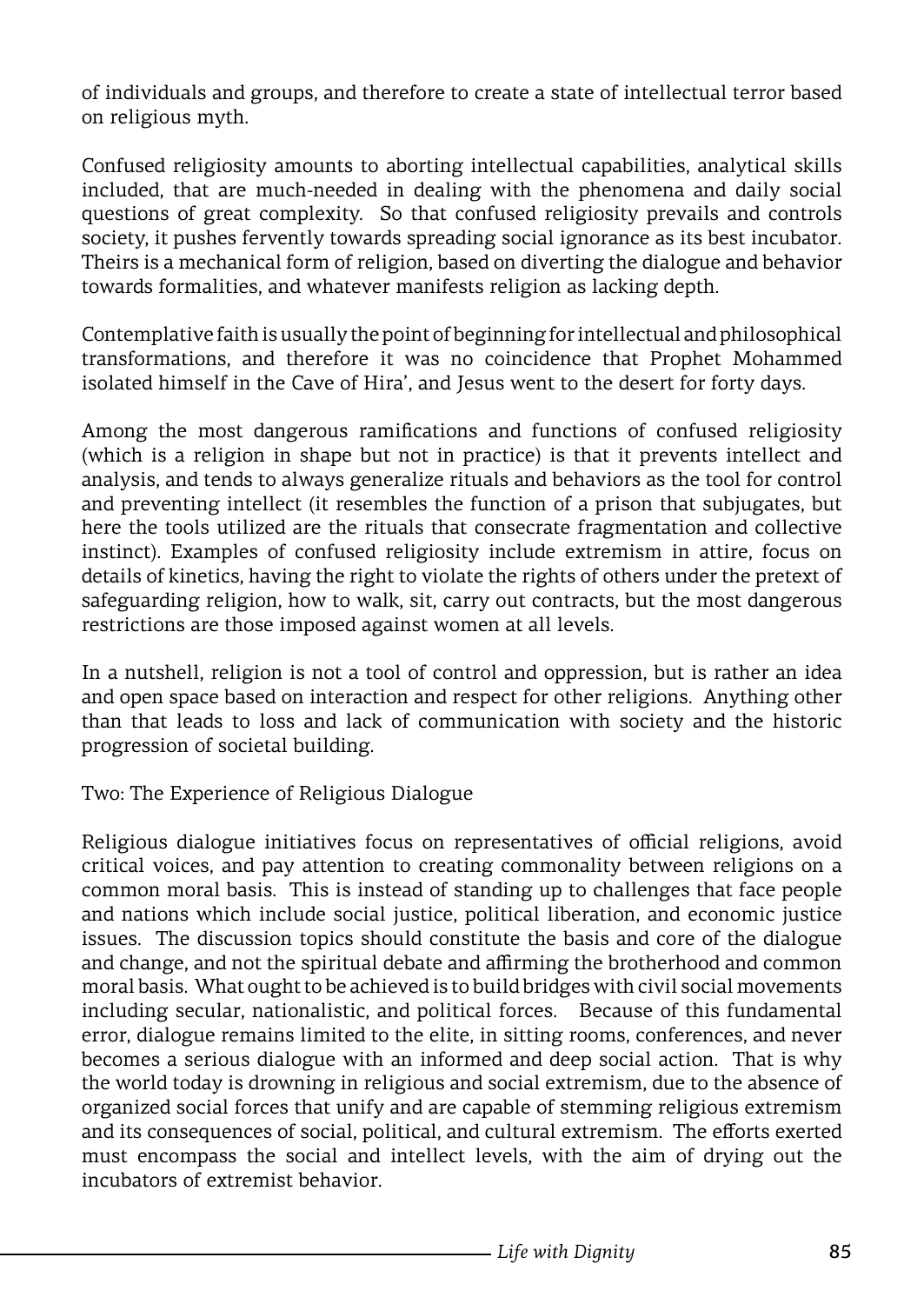of individuals and groups, and therefore to create a state of intellectual terror based on religious myth.

Confused religiosity amounts to aborting intellectual capabilities, analytical skills included, that are much-needed in dealing with the phenomena and daily social questions of great complexity. So that confused religiosity prevails and controls society, it pushes fervently towards spreading social ignorance as its best incubator. Theirs is a mechanical form of religion, based on diverting the dialogue and behavior towards formalities, and whatever manifests religion as lacking depth.

Contemplative faith is usually the point of beginning for intellectual and philosophical transformations, and therefore it was no coincidence that Prophet Mohammed isolated himself in the Cave of Hira', and Jesus went to the desert for forty days.

Among the most dangerous ramifications and functions of confused religiosity (which is a religion in shape but not in practice) is that it prevents intellect and analysis, and tends to always generalize rituals and behaviors as the tool for control and preventing intellect (it resembles the function of a prison that subjugates, but here the tools utilized are the rituals that consecrate fragmentation and collective instinct). Examples of confused religiosity include extremism in attire, focus on details of kinetics, having the right to violate the rights of others under the pretext of safeguarding religion, how to walk, sit, carry out contracts, but the most dangerous restrictions are those imposed against women at all levels.

In a nutshell, religion is not a tool of control and oppression, but is rather an idea and open space based on interaction and respect for other religions. Anything other than that leads to loss and lack of communication with society and the historic progression of societal building.

Two: The Experience of Religious Dialogue

Religious dialogue initiatives focus on representatives of official religions, avoid critical voices, and pay attention to creating commonality between religions on a common moral basis. This is instead of standing up to challenges that face people and nations which include social justice, political liberation, and economic justice issues. The discussion topics should constitute the basis and core of the dialogue and change, and not the spiritual debate and affirming the brotherhood and common moral basis. What ought to be achieved is to build bridges with civil social movements including secular, nationalistic, and political forces. Because of this fundamental error, dialogue remains limited to the elite, in sitting rooms, conferences, and never becomes a serious dialogue with an informed and deep social action. That is why the world today is drowning in religious and social extremism, due to the absence of organized social forces that unify and are capable of stemming religious extremism and its consequences of social, political, and cultural extremism. The efforts exerted must encompass the social and intellect levels, with the aim of drying out the incubators of extremist behavior.

*Life with Dignity* 85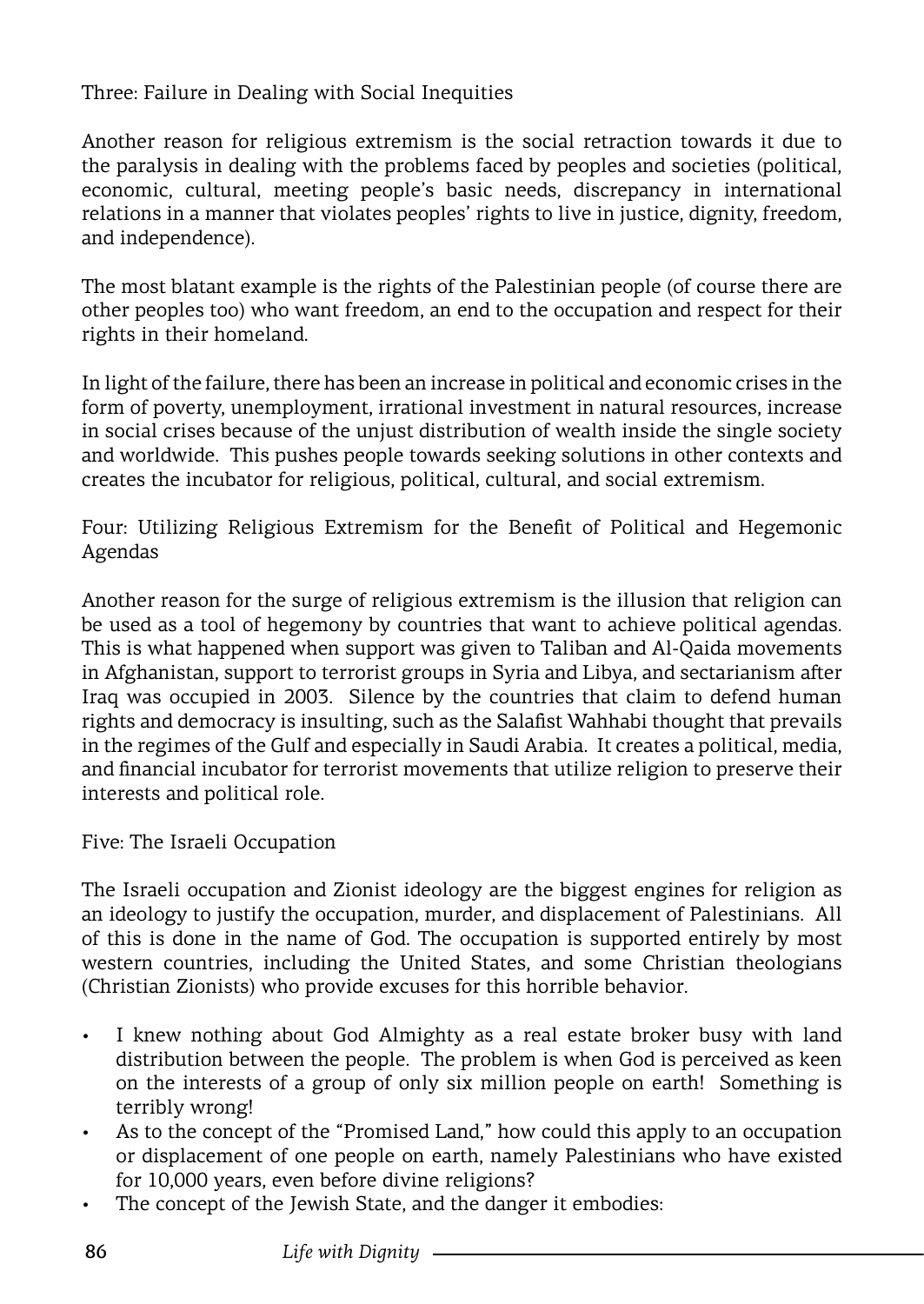Three: Failure in Dealing with Social Inequities

Another reason for religious extremism is the social retraction towards it due to the paralysis in dealing with the problems faced by peoples and societies (political, economic, cultural, meeting people's basic needs, discrepancy in international relations in a manner that violates peoples' rights to live in justice, dignity, freedom, and independence).

The most blatant example is the rights of the Palestinian people (of course there are other peoples too) who want freedom, an end to the occupation and respect for their rights in their homeland.

In light of the failure, there has been an increase in political and economic crises in the form of poverty, unemployment, irrational investment in natural resources, increase in social crises because of the unjust distribution of wealth inside the single society and worldwide. This pushes people towards seeking solutions in other contexts and creates the incubator for religious, political, cultural, and social extremism.

Four: Utilizing Religious Extremism for the Benefit of Political and Hegemonic Agendas

Another reason for the surge of religious extremism is the illusion that religion can be used as a tool of hegemony by countries that want to achieve political agendas. This is what happened when support was given to Taliban and Al-Qaida movements in Afghanistan, support to terrorist groups in Syria and Libya, and sectarianism after Iraq was occupied in 2003. Silence by the countries that claim to defend human rights and democracy is insulting, such as the Salafist Wahhabi thought that prevails in the regimes of the Gulf and especially in Saudi Arabia. It creates a political, media, and financial incubator for terrorist movements that utilize religion to preserve their interests and political role.

Five: The Israeli Occupation

The Israeli occupation and Zionist ideology are the biggest engines for religion as an ideology to justify the occupation, murder, and displacement of Palestinians. All of this is done in the name of God. The occupation is supported entirely by most western countries, including the United States, and some Christian theologians (Christian Zionists) who provide excuses for this horrible behavior.

- I knew nothing about God Almighty as a real estate broker busy with land distribution between the people. The problem is when God is perceived as keen on the interests of a group of only six million people on earth! Something is terribly wrong!
- • As to the concept of the "Promised Land," how could this apply to an occupation or displacement of one people on earth, namely Palestinians who have existed for 10,000 years, even before divine religions?
- • The concept of the Jewish State, and the danger it embodies: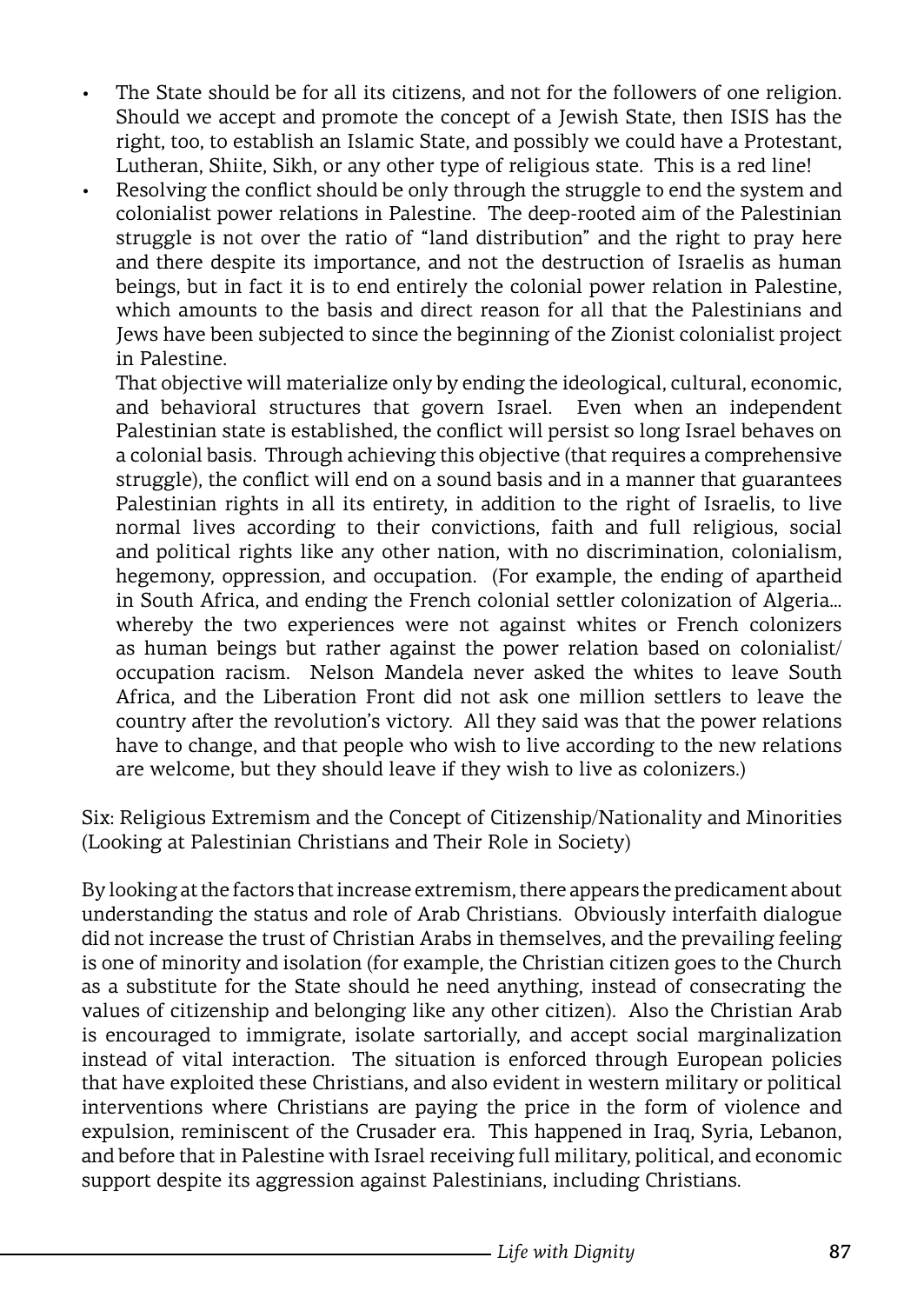- The State should be for all its citizens, and not for the followers of one religion. Should we accept and promote the concept of a Jewish State, then ISIS has the right, too, to establish an Islamic State, and possibly we could have a Protestant, Lutheran, Shiite, Sikh, or any other type of religious state. This is a red line!
- Resolving the conflict should be only through the struggle to end the system and colonialist power relations in Palestine. The deep-rooted aim of the Palestinian struggle is not over the ratio of "land distribution" and the right to pray here and there despite its importance, and not the destruction of Israelis as human beings, but in fact it is to end entirely the colonial power relation in Palestine, which amounts to the basis and direct reason for all that the Palestinians and Jews have been subjected to since the beginning of the Zionist colonialist project in Palestine.

That objective will materialize only by ending the ideological, cultural, economic, and behavioral structures that govern Israel. Even when an independent Palestinian state is established, the conflict will persist so long Israel behaves on a colonial basis. Through achieving this objective (that requires a comprehensive struggle), the conflict will end on a sound basis and in a manner that guarantees Palestinian rights in all its entirety, in addition to the right of Israelis, to live normal lives according to their convictions, faith and full religious, social and political rights like any other nation, with no discrimination, colonialism, hegemony, oppression, and occupation. (For example, the ending of apartheid in South Africa, and ending the French colonial settler colonization of Algeria… whereby the two experiences were not against whites or French colonizers as human beings but rather against the power relation based on colonialist/ occupation racism. Nelson Mandela never asked the whites to leave South Africa, and the Liberation Front did not ask one million settlers to leave the country after the revolution's victory. All they said was that the power relations have to change, and that people who wish to live according to the new relations are welcome, but they should leave if they wish to live as colonizers.)

Six: Religious Extremism and the Concept of Citizenship/Nationality and Minorities (Looking at Palestinian Christians and Their Role in Society)

By looking at the factors that increase extremism, there appears the predicament about understanding the status and role of Arab Christians. Obviously interfaith dialogue did not increase the trust of Christian Arabs in themselves, and the prevailing feeling is one of minority and isolation (for example, the Christian citizen goes to the Church as a substitute for the State should he need anything, instead of consecrating the values of citizenship and belonging like any other citizen). Also the Christian Arab is encouraged to immigrate, isolate sartorially, and accept social marginalization instead of vital interaction. The situation is enforced through European policies that have exploited these Christians, and also evident in western military or political interventions where Christians are paying the price in the form of violence and expulsion, reminiscent of the Crusader era. This happened in Iraq, Syria, Lebanon, and before that in Palestine with Israel receiving full military, political, and economic support despite its aggression against Palestinians, including Christians.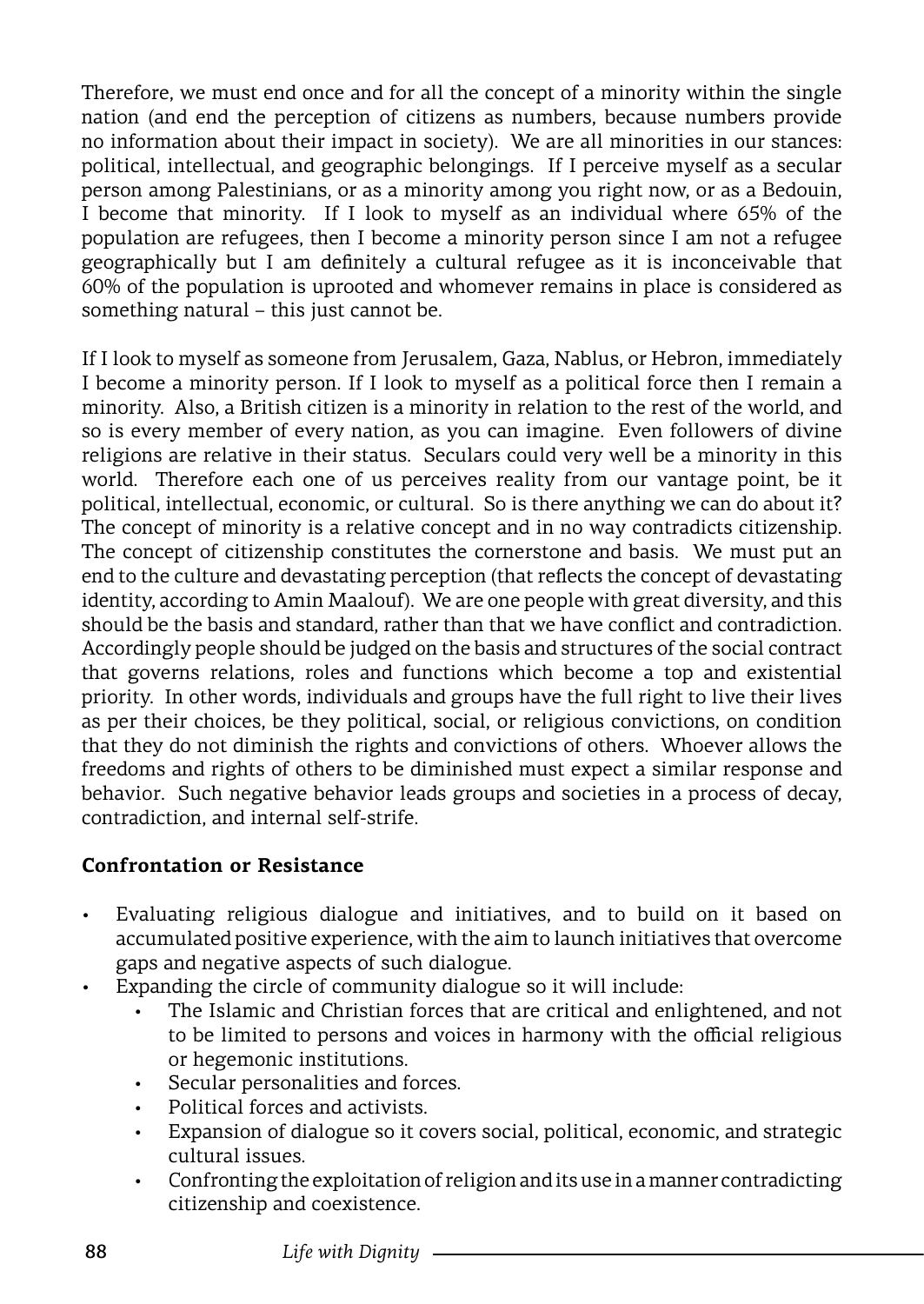Therefore, we must end once and for all the concept of a minority within the single nation (and end the perception of citizens as numbers, because numbers provide no information about their impact in society). We are all minorities in our stances: political, intellectual, and geographic belongings. If I perceive myself as a secular person among Palestinians, or as a minority among you right now, or as a Bedouin, I become that minority. If I look to myself as an individual where 65% of the population are refugees, then I become a minority person since I am not a refugee geographically but I am definitely a cultural refugee as it is inconceivable that 60% of the population is uprooted and whomever remains in place is considered as something natural – this just cannot be.

If I look to myself as someone from Jerusalem, Gaza, Nablus, or Hebron, immediately I become a minority person. If I look to myself as a political force then I remain a minority. Also, a British citizen is a minority in relation to the rest of the world, and so is every member of every nation, as you can imagine. Even followers of divine religions are relative in their status. Seculars could very well be a minority in this world. Therefore each one of us perceives reality from our vantage point, be it political, intellectual, economic, or cultural. So is there anything we can do about it? The concept of minority is a relative concept and in no way contradicts citizenship. The concept of citizenship constitutes the cornerstone and basis. We must put an end to the culture and devastating perception (that reflects the concept of devastating identity, according to Amin Maalouf). We are one people with great diversity, and this should be the basis and standard, rather than that we have conflict and contradiction. Accordingly people should be judged on the basis and structures of the social contract that governs relations, roles and functions which become a top and existential priority. In other words, individuals and groups have the full right to live their lives as per their choices, be they political, social, or religious convictions, on condition that they do not diminish the rights and convictions of others. Whoever allows the freedoms and rights of others to be diminished must expect a similar response and behavior. Such negative behavior leads groups and societies in a process of decay, contradiction, and internal self-strife.

### **Confrontation or Resistance**

- Evaluating religious dialogue and initiatives, and to build on it based on accumulated positive experience, with the aim to launch initiatives that overcome gaps and negative aspects of such dialogue.
- Expanding the circle of community dialogue so it will include:
	- The Islamic and Christian forces that are critical and enlightened, and not to be limited to persons and voices in harmony with the official religious or hegemonic institutions.
	- Secular personalities and forces.
	- Political forces and activists.
	- Expansion of dialogue so it covers social, political, economic, and strategic cultural issues.
	- Confronting the exploitation of religion and its use in a manner contradicting citizenship and coexistence.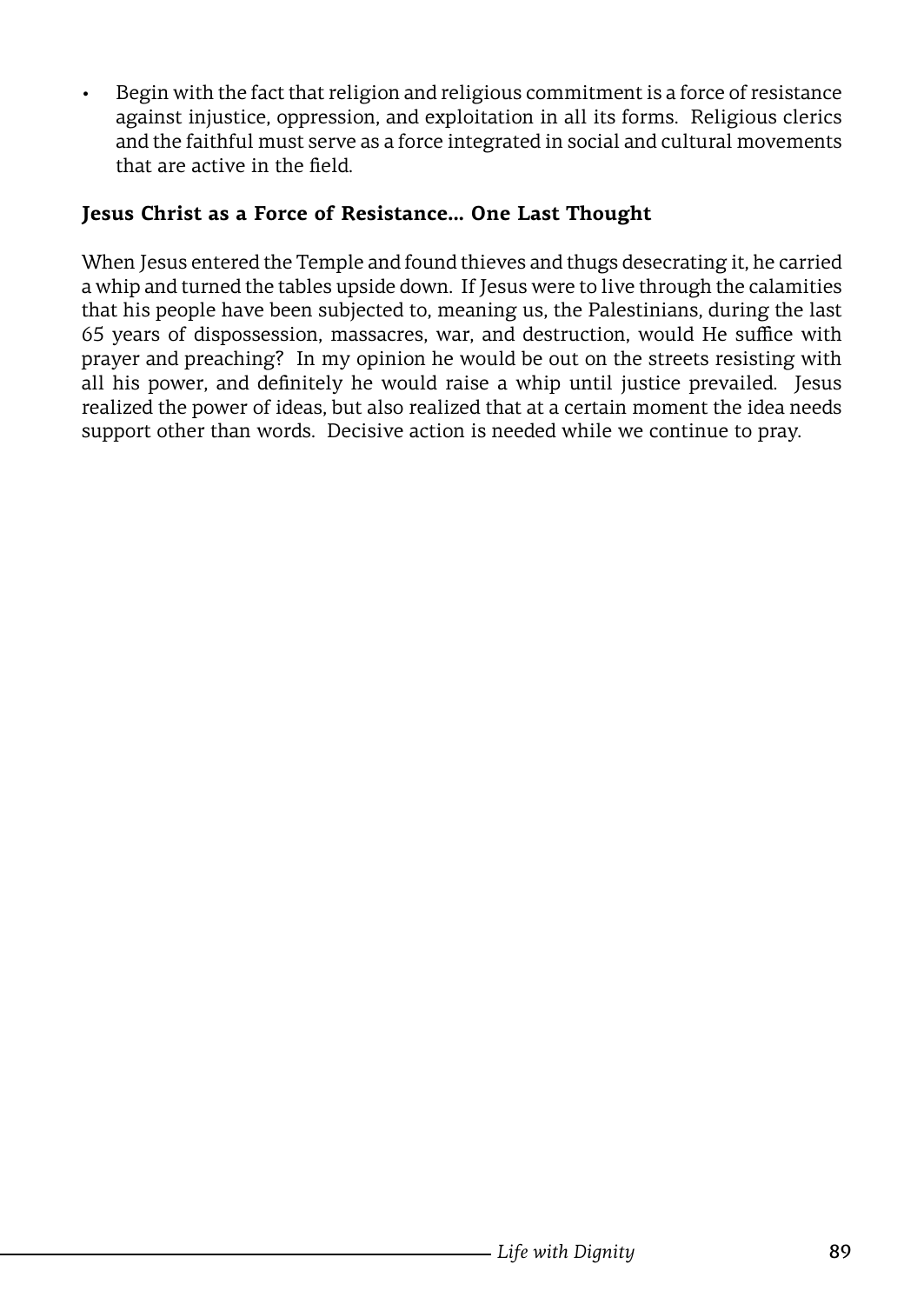Begin with the fact that religion and religious commitment is a force of resistance against injustice, oppression, and exploitation in all its forms. Religious clerics and the faithful must serve as a force integrated in social and cultural movements that are active in the field.

#### **Jesus Christ as a Force of Resistance… One Last Thought**

When Jesus entered the Temple and found thieves and thugs desecrating it, he carried a whip and turned the tables upside down. If Jesus were to live through the calamities that his people have been subjected to, meaning us, the Palestinians, during the last 65 years of dispossession, massacres, war, and destruction, would He suffice with prayer and preaching? In my opinion he would be out on the streets resisting with all his power, and definitely he would raise a whip until justice prevailed. Jesus realized the power of ideas, but also realized that at a certain moment the idea needs support other than words. Decisive action is needed while we continue to pray.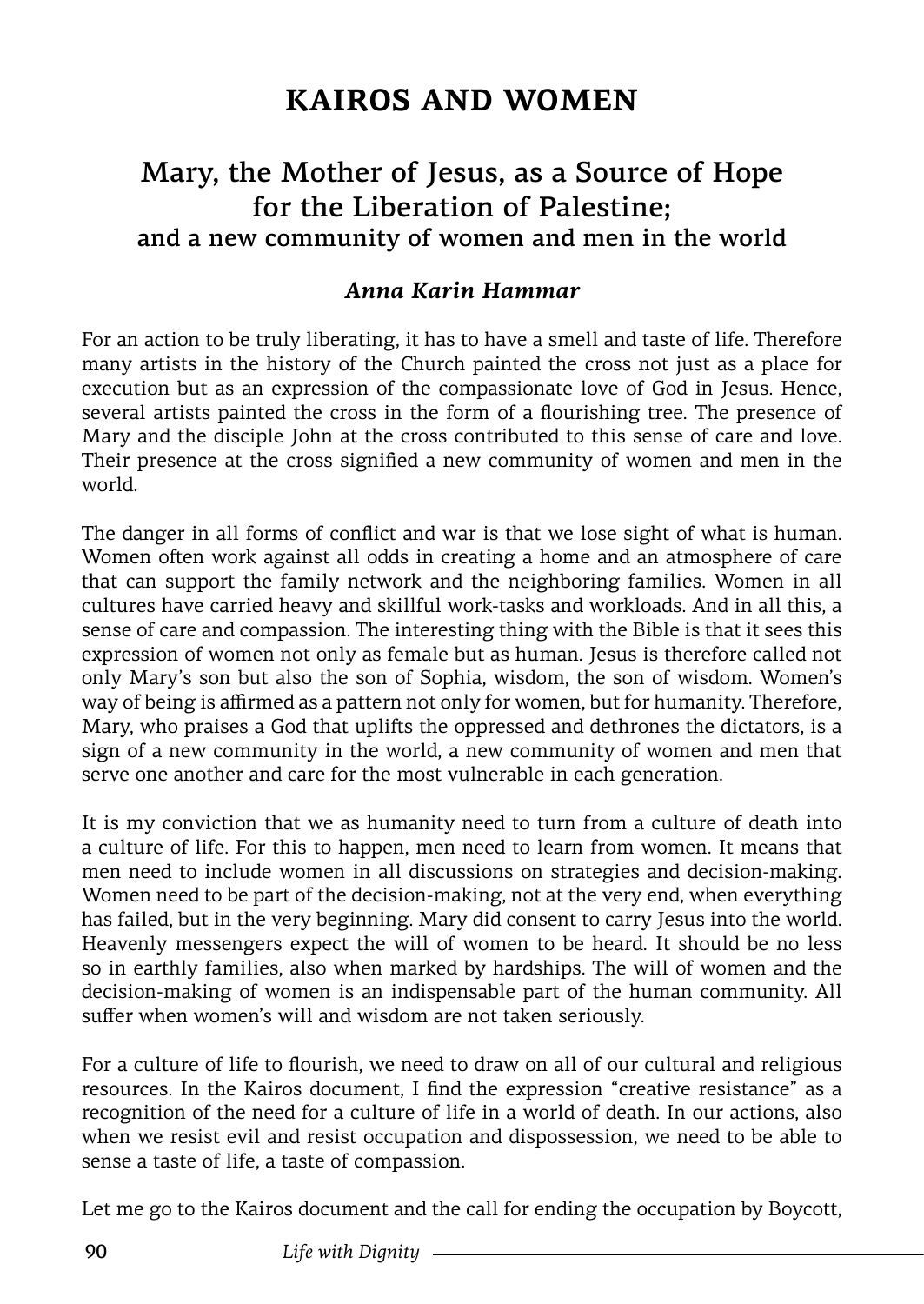# **KAIROS AND WOMEN**

## Mary, the Mother of Jesus, as a Source of Hope for the Liberation of Palestine; and a new community of women and men in the world

## *Anna Karin Hammar*

For an action to be truly liberating, it has to have a smell and taste of life. Therefore many artists in the history of the Church painted the cross not just as a place for execution but as an expression of the compassionate love of God in Jesus. Hence, several artists painted the cross in the form of a flourishing tree. The presence of Mary and the disciple John at the cross contributed to this sense of care and love. Their presence at the cross signified a new community of women and men in the world.

The danger in all forms of conflict and war is that we lose sight of what is human. Women often work against all odds in creating a home and an atmosphere of care that can support the family network and the neighboring families. Women in all cultures have carried heavy and skillful work-tasks and workloads. And in all this, a sense of care and compassion. The interesting thing with the Bible is that it sees this expression of women not only as female but as human. Jesus is therefore called not only Mary's son but also the son of Sophia, wisdom, the son of wisdom. Women's way of being is affirmed as a pattern not only for women, but for humanity. Therefore, Mary, who praises a God that uplifts the oppressed and dethrones the dictators, is a sign of a new community in the world, a new community of women and men that serve one another and care for the most vulnerable in each generation.

It is my conviction that we as humanity need to turn from a culture of death into a culture of life. For this to happen, men need to learn from women. It means that men need to include women in all discussions on strategies and decision-making. Women need to be part of the decision-making, not at the very end, when everything has failed, but in the very beginning. Mary did consent to carry Jesus into the world. Heavenly messengers expect the will of women to be heard. It should be no less so in earthly families, also when marked by hardships. The will of women and the decision-making of women is an indispensable part of the human community. All suffer when women's will and wisdom are not taken seriously.

For a culture of life to flourish, we need to draw on all of our cultural and religious resources. In the Kairos document, I find the expression "creative resistance" as a recognition of the need for a culture of life in a world of death. In our actions, also when we resist evil and resist occupation and dispossession, we need to be able to sense a taste of life, a taste of compassion.

Let me go to the Kairos document and the call for ending the occupation by Boycott,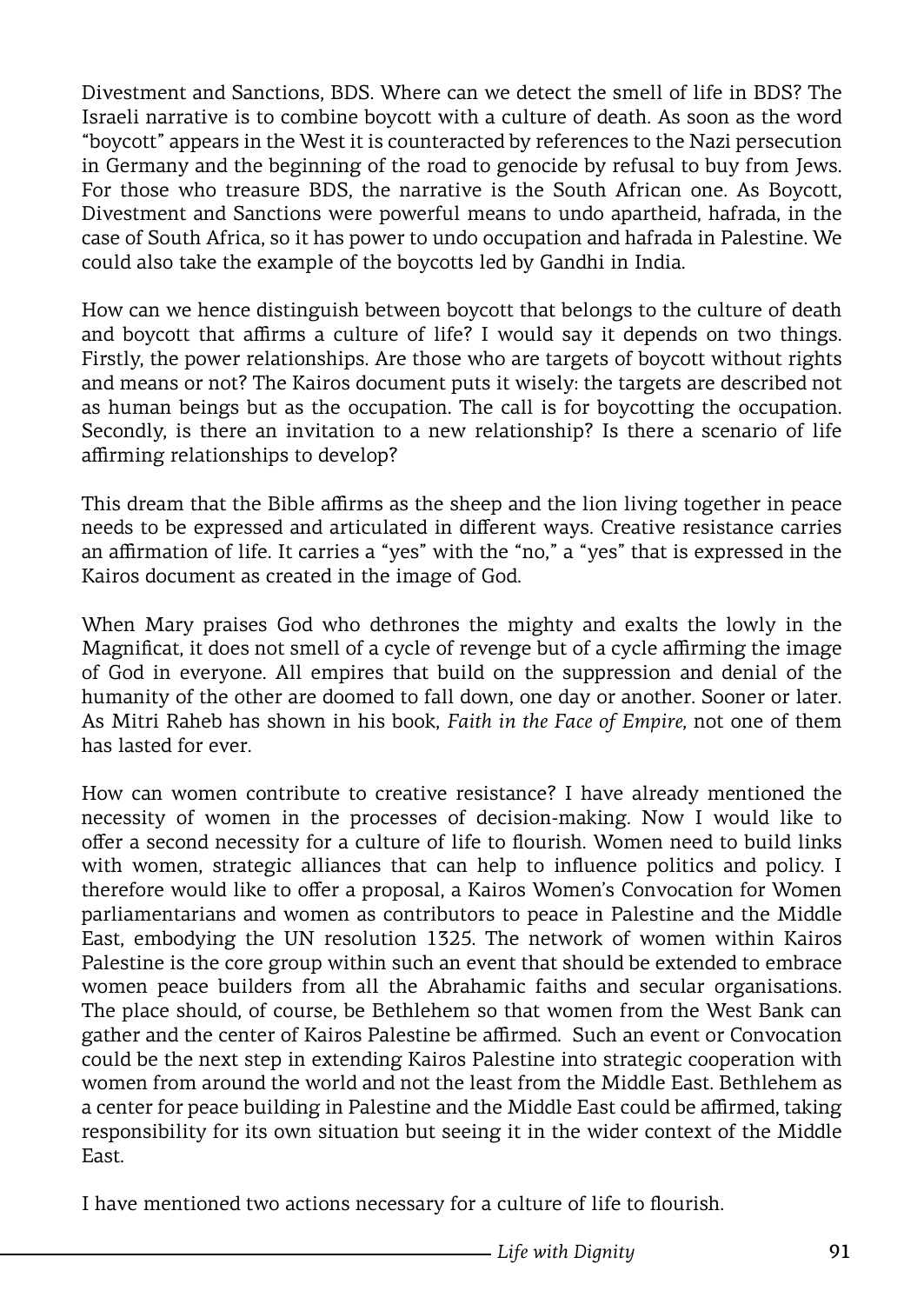Divestment and Sanctions, BDS. Where can we detect the smell of life in BDS? The Israeli narrative is to combine boycott with a culture of death. As soon as the word "boycott" appears in the West it is counteracted by references to the Nazi persecution in Germany and the beginning of the road to genocide by refusal to buy from Jews. For those who treasure BDS, the narrative is the South African one. As Boycott, Divestment and Sanctions were powerful means to undo apartheid, hafrada, in the case of South Africa, so it has power to undo occupation and hafrada in Palestine. We could also take the example of the boycotts led by Gandhi in India.

How can we hence distinguish between boycott that belongs to the culture of death and boycott that affirms a culture of life? I would say it depends on two things. Firstly, the power relationships. Are those who are targets of boycott without rights and means or not? The Kairos document puts it wisely: the targets are described not as human beings but as the occupation. The call is for boycotting the occupation. Secondly, is there an invitation to a new relationship? Is there a scenario of life affirming relationships to develop?

This dream that the Bible affirms as the sheep and the lion living together in peace needs to be expressed and articulated in different ways. Creative resistance carries an affirmation of life. It carries a "yes" with the "no," a "yes" that is expressed in the Kairos document as created in the image of God.

When Mary praises God who dethrones the mighty and exalts the lowly in the Magnificat, it does not smell of a cycle of revenge but of a cycle affirming the image of God in everyone. All empires that build on the suppression and denial of the humanity of the other are doomed to fall down, one day or another. Sooner or later. As Mitri Raheb has shown in his book, *Faith in the Face of Empire*, not one of them has lasted for ever.

How can women contribute to creative resistance? I have already mentioned the necessity of women in the processes of decision-making. Now I would like to offer a second necessity for a culture of life to flourish. Women need to build links with women, strategic alliances that can help to influence politics and policy. I therefore would like to offer a proposal, a Kairos Women's Convocation for Women parliamentarians and women as contributors to peace in Palestine and the Middle East, embodying the UN resolution 1325. The network of women within Kairos Palestine is the core group within such an event that should be extended to embrace women peace builders from all the Abrahamic faiths and secular organisations. The place should, of course, be Bethlehem so that women from the West Bank can gather and the center of Kairos Palestine be affirmed. Such an event or Convocation could be the next step in extending Kairos Palestine into strategic cooperation with women from around the world and not the least from the Middle East. Bethlehem as a center for peace building in Palestine and the Middle East could be affirmed, taking responsibility for its own situation but seeing it in the wider context of the Middle East.

I have mentioned two actions necessary for a culture of life to flourish.

*Life with Dignity* 91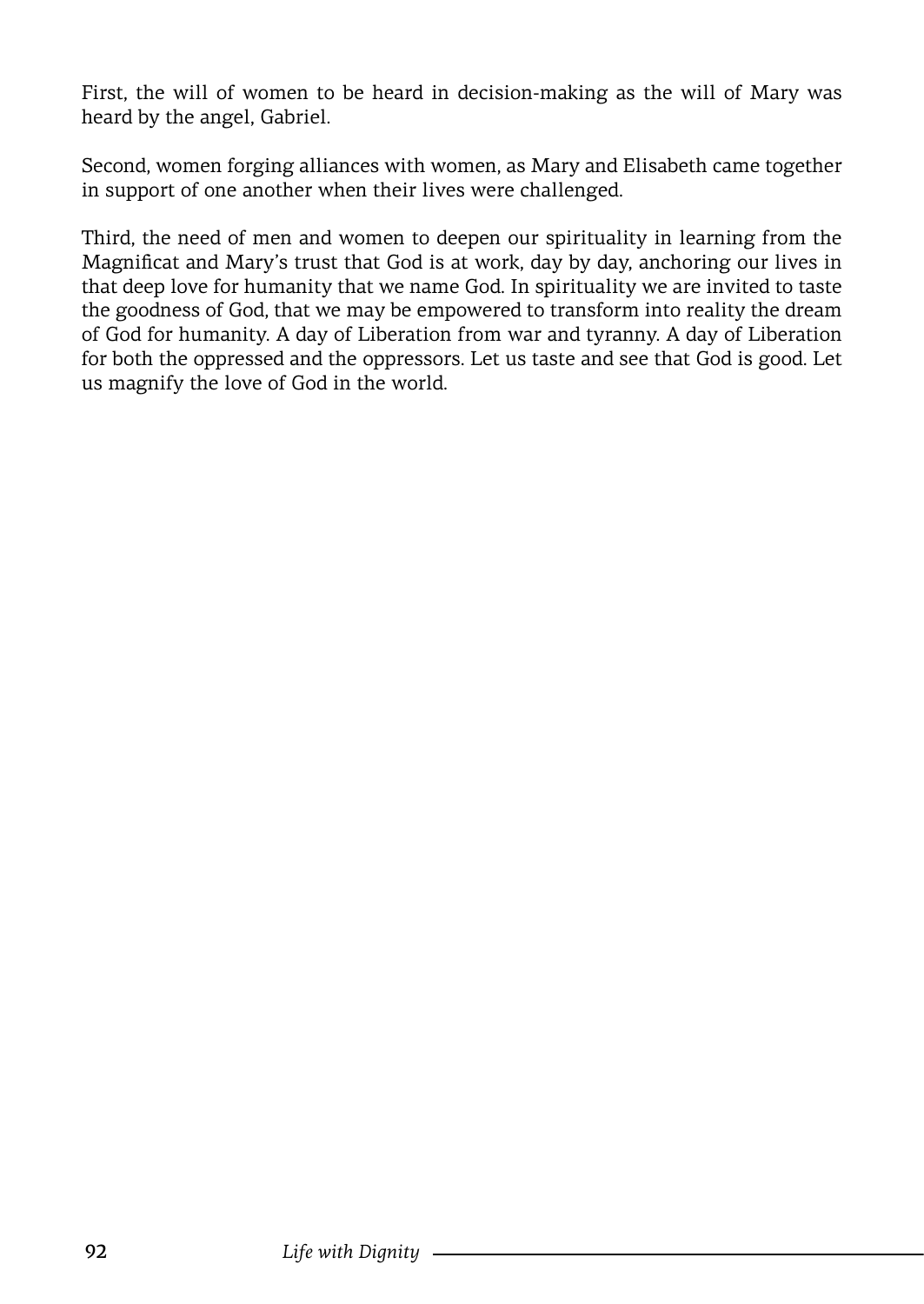First, the will of women to be heard in decision-making as the will of Mary was heard by the angel, Gabriel.

Second, women forging alliances with women, as Mary and Elisabeth came together in support of one another when their lives were challenged.

Third, the need of men and women to deepen our spirituality in learning from the Magnificat and Mary's trust that God is at work, day by day, anchoring our lives in that deep love for humanity that we name God. In spirituality we are invited to taste the goodness of God, that we may be empowered to transform into reality the dream of God for humanity. A day of Liberation from war and tyranny. A day of Liberation for both the oppressed and the oppressors. Let us taste and see that God is good. Let us magnify the love of God in the world.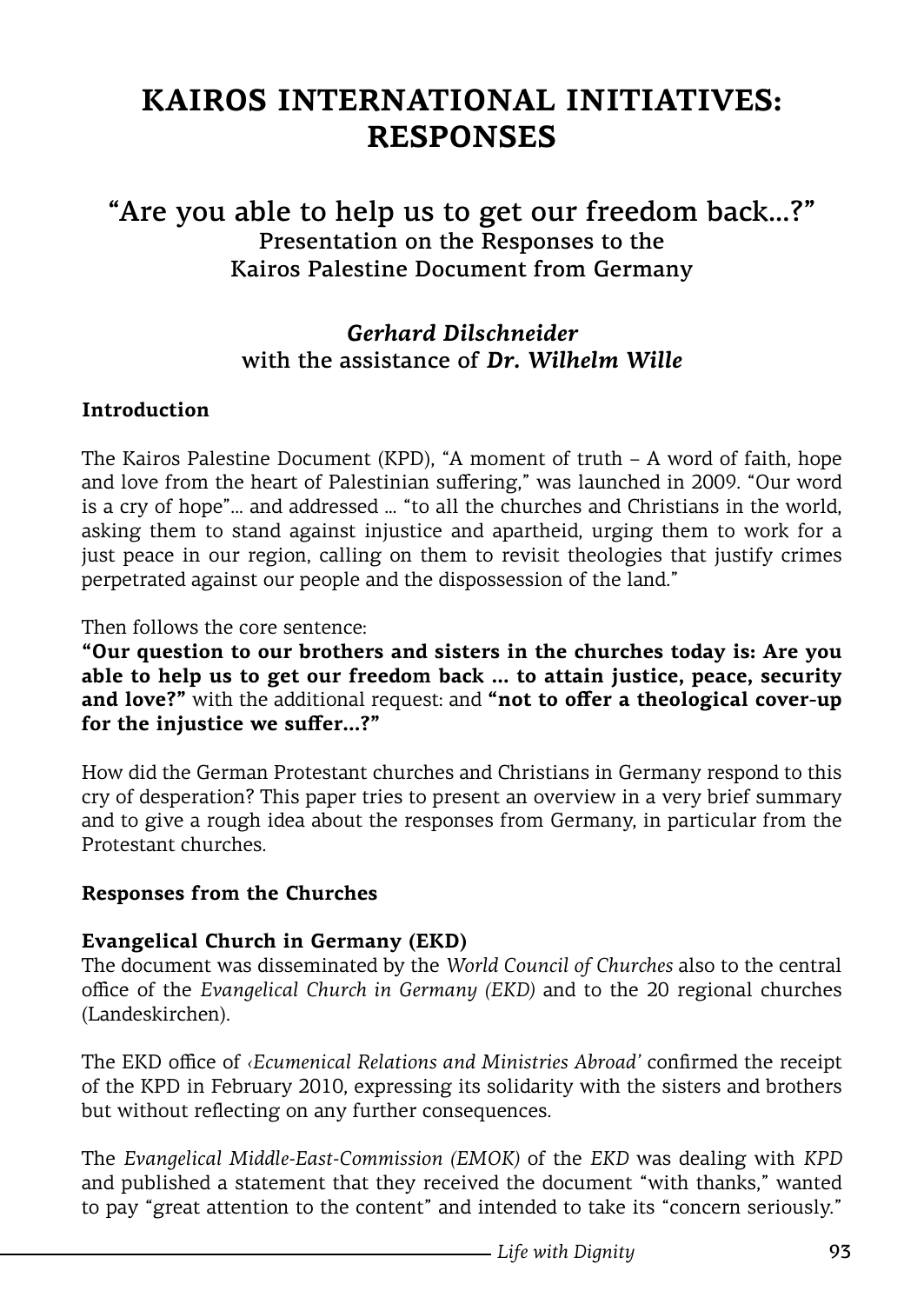# **KAIROS INTERNATIONAL INITIATIVES: RESPONSES**

## "Are you able to help us to get our freedom back...?" Presentation on the Responses to the Kairos Palestine Document from Germany

## *Gerhard Dilschneider* with the assistance of *Dr. Wilhelm Wille*

#### **Introduction**

The Kairos Palestine Document (KPD), "A moment of truth – A word of faith, hope and love from the heart of Palestinian suffering," was launched in 2009. "Our word is a cry of hope"... and addressed … "to all the churches and Christians in the world, asking them to stand against injustice and apartheid, urging them to work for a just peace in our region, calling on them to revisit theologies that justify crimes perpetrated against our people and the dispossession of the land."

Then follows the core sentence:

**"Our question to our brothers and sisters in the churches today is: Are you able to help us to get our freedom back ... to attain justice, peace, security and love?"** with the additional request: and **"not to offer a theological cover-up for the injustice we suffer...?"**

How did the German Protestant churches and Christians in Germany respond to this cry of desperation? This paper tries to present an overview in a very brief summary and to give a rough idea about the responses from Germany, in particular from the Protestant churches.

#### **Responses from the Churches**

#### **Evangelical Church in Germany (EKD)**

The document was disseminated by the *World Council of Churches* also to the central office of the *Evangelical Church in Germany (EKD)* and to the 20 regional churches (Landeskirchen).

The EKD office of *‹Ecumenical Relations and Ministries Abroad'* confirmed the receipt of the KPD in February 2010, expressing its solidarity with the sisters and brothers but without reflecting on any further consequences.

The *Evangelical Middle-East-Commission (EMOK)* of the *EKD* was dealing with *KPD* and published a statement that they received the document "with thanks," wanted to pay "great attention to the content" and intended to take its "concern seriously."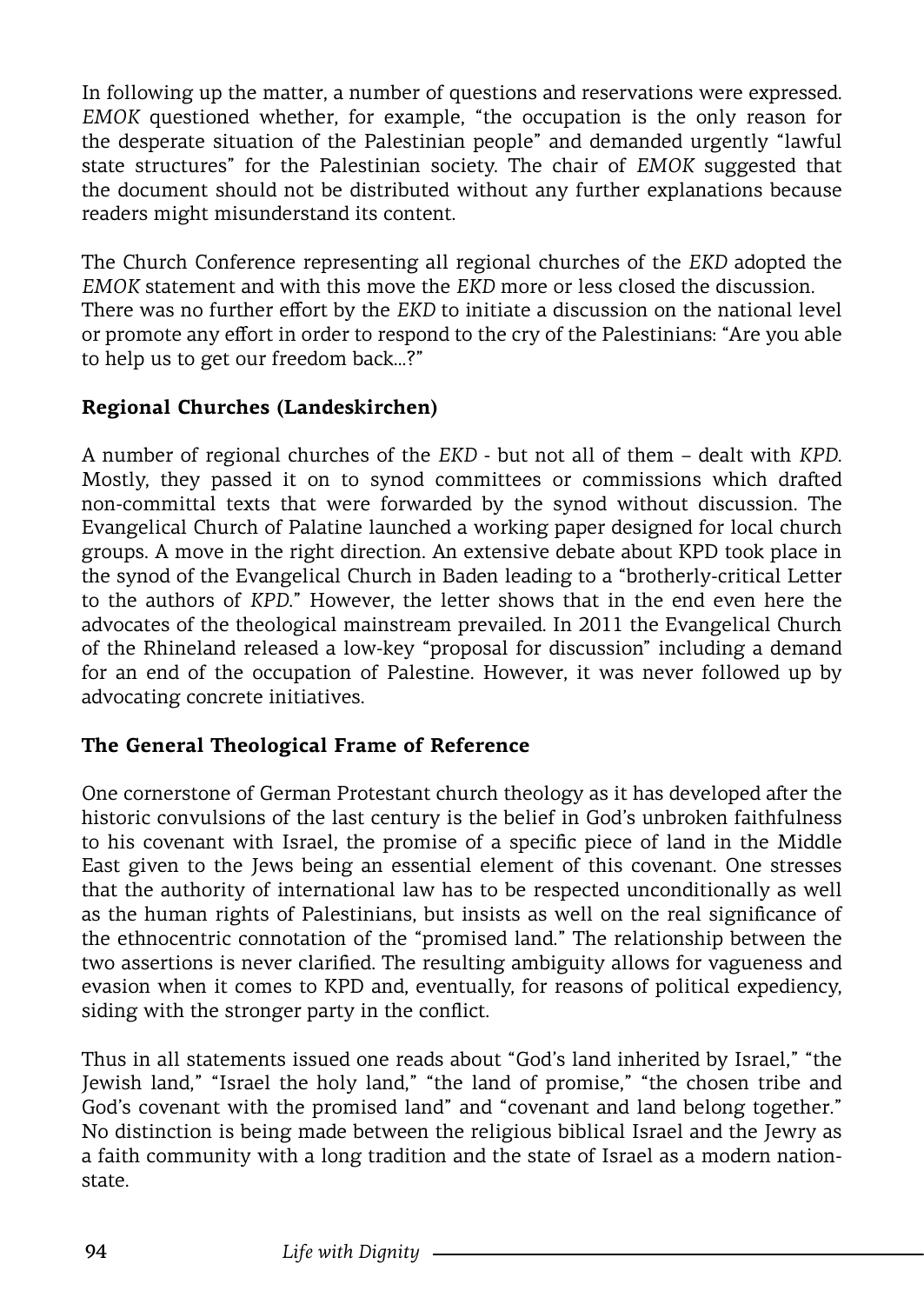In following up the matter, a number of questions and reservations were expressed. *EMOK* questioned whether, for example, "the occupation is the only reason for the desperate situation of the Palestinian people" and demanded urgently "lawful state structures" for the Palestinian society. The chair of *EMOK* suggested that the document should not be distributed without any further explanations because readers might misunderstand its content.

The Church Conference representing all regional churches of the *EKD* adopted the *EMOK* statement and with this move the *EKD* more or less closed the discussion. There was no further effort by the *EKD* to initiate a discussion on the national level or promote any effort in order to respond to the cry of the Palestinians: "Are you able to help us to get our freedom back...?"

### **Regional Churches (Landeskirchen)**

A number of regional churches of the *EKD* - but not all of them – dealt with *KPD*. Mostly, they passed it on to synod committees or commissions which drafted non-committal texts that were forwarded by the synod without discussion. The Evangelical Church of Palatine launched a working paper designed for local church groups. A move in the right direction. An extensive debate about KPD took place in the synod of the Evangelical Church in Baden leading to a "brotherly-critical Letter to the authors of *KPD*." However, the letter shows that in the end even here the advocates of the theological mainstream prevailed. In 2011 the Evangelical Church of the Rhineland released a low-key "proposal for discussion" including a demand for an end of the occupation of Palestine. However, it was never followed up by advocating concrete initiatives.

#### **The General Theological Frame of Reference**

One cornerstone of German Protestant church theology as it has developed after the historic convulsions of the last century is the belief in God's unbroken faithfulness to his covenant with Israel, the promise of a specific piece of land in the Middle East given to the Jews being an essential element of this covenant. One stresses that the authority of international law has to be respected unconditionally as well as the human rights of Palestinians, but insists as well on the real significance of the ethnocentric connotation of the "promised land." The relationship between the two assertions is never clarified. The resulting ambiguity allows for vagueness and evasion when it comes to KPD and, eventually, for reasons of political expediency, siding with the stronger party in the conflict.

Thus in all statements issued one reads about "God's land inherited by Israel," "the Jewish land," "Israel the holy land," "the land of promise," "the chosen tribe and God's covenant with the promised land" and "covenant and land belong together." No distinction is being made between the religious biblical Israel and the Jewry as a faith community with a long tradition and the state of Israel as a modern nationstate.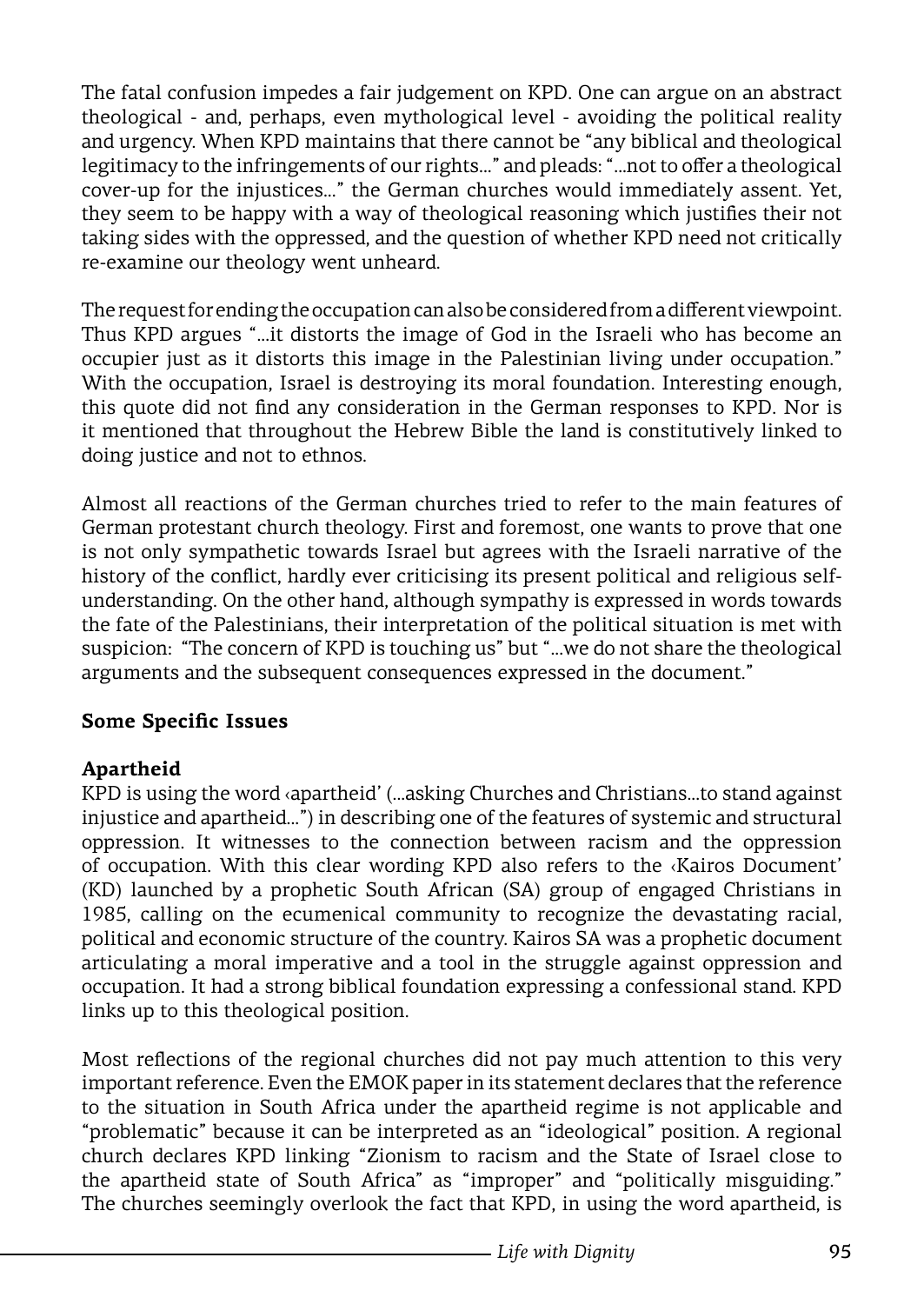The fatal confusion impedes a fair judgement on KPD. One can argue on an abstract theological - and, perhaps, even mythological level - avoiding the political reality and urgency. When KPD maintains that there cannot be "any biblical and theological legitimacy to the infringements of our rights..." and pleads: "...not to offer a theological cover-up for the injustices..." the German churches would immediately assent. Yet, they seem to be happy with a way of theological reasoning which justifies their not taking sides with the oppressed, and the question of whether KPD need not critically re-examine our theology went unheard.

The request for ending the occupation can also be considered from a different viewpoint. Thus KPD argues "...it distorts the image of God in the Israeli who has become an occupier just as it distorts this image in the Palestinian living under occupation." With the occupation, Israel is destroying its moral foundation. Interesting enough, this quote did not find any consideration in the German responses to KPD. Nor is it mentioned that throughout the Hebrew Bible the land is constitutively linked to doing justice and not to ethnos.

Almost all reactions of the German churches tried to refer to the main features of German protestant church theology. First and foremost, one wants to prove that one is not only sympathetic towards Israel but agrees with the Israeli narrative of the history of the conflict, hardly ever criticising its present political and religious selfunderstanding. On the other hand, although sympathy is expressed in words towards the fate of the Palestinians, their interpretation of the political situation is met with suspicion: "The concern of KPD is touching us" but "...we do not share the theological arguments and the subsequent consequences expressed in the document."

#### **Some Specific Issues**

#### **Apartheid**

KPD is using the word ‹apartheid' (...asking Churches and Christians...to stand against injustice and apartheid...") in describing one of the features of systemic and structural oppression. It witnesses to the connection between racism and the oppression of occupation. With this clear wording KPD also refers to the ‹Kairos Document' (KD) launched by a prophetic South African (SA) group of engaged Christians in 1985, calling on the ecumenical community to recognize the devastating racial, political and economic structure of the country. Kairos SA was a prophetic document articulating a moral imperative and a tool in the struggle against oppression and occupation. It had a strong biblical foundation expressing a confessional stand. KPD links up to this theological position.

Most reflections of the regional churches did not pay much attention to this very important reference. Even the EMOK paper in its statement declares that the reference to the situation in South Africa under the apartheid regime is not applicable and "problematic" because it can be interpreted as an "ideological" position. A regional church declares KPD linking "Zionism to racism and the State of Israel close to the apartheid state of South Africa" as "improper" and "politically misguiding." The churches seemingly overlook the fact that KPD, in using the word apartheid, is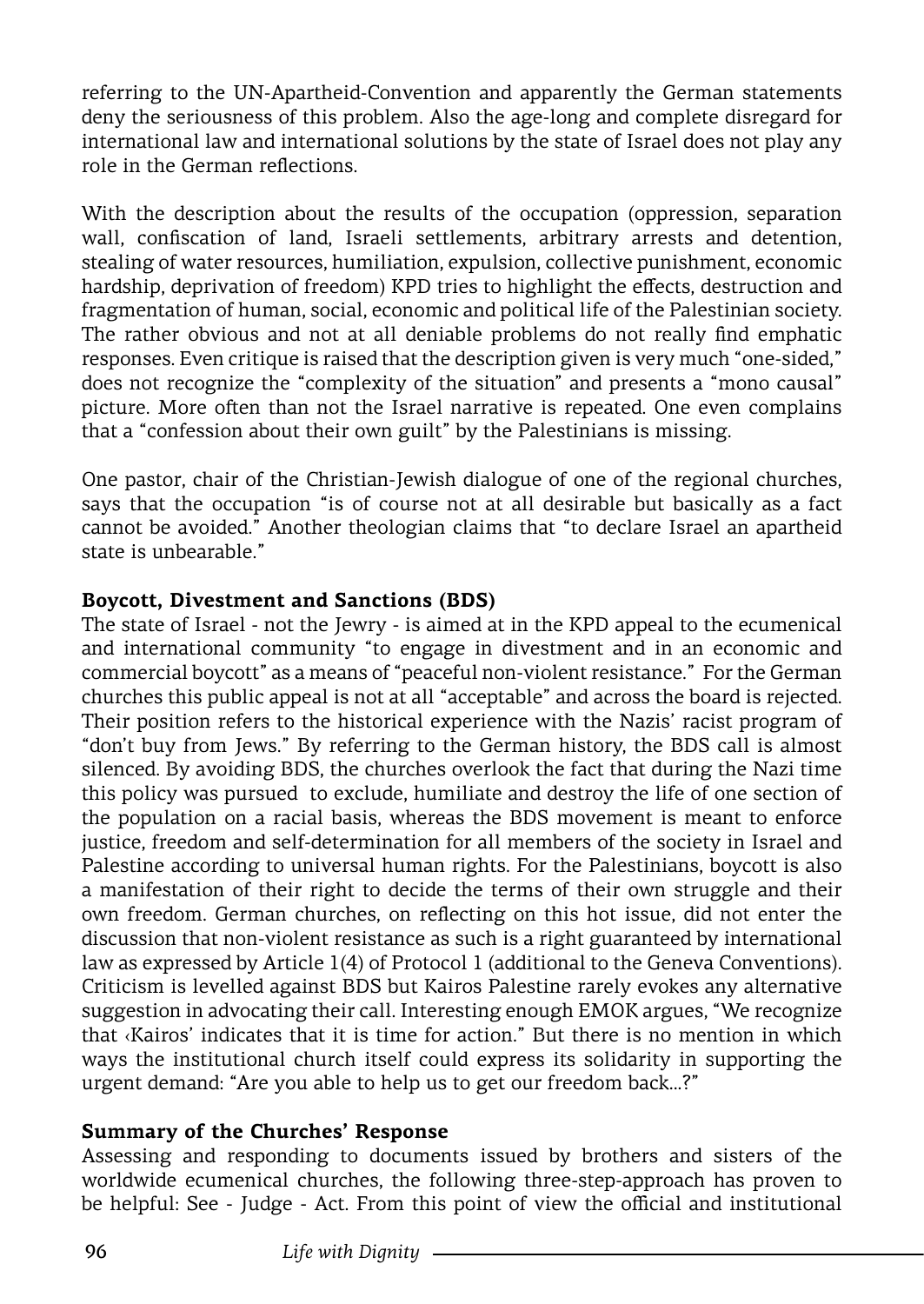referring to the UN-Apartheid-Convention and apparently the German statements deny the seriousness of this problem. Also the age-long and complete disregard for international law and international solutions by the state of Israel does not play any role in the German reflections.

With the description about the results of the occupation (oppression, separation wall, confiscation of land, Israeli settlements, arbitrary arrests and detention, stealing of water resources, humiliation, expulsion, collective punishment, economic hardship, deprivation of freedom) KPD tries to highlight the effects, destruction and fragmentation of human, social, economic and political life of the Palestinian society. The rather obvious and not at all deniable problems do not really find emphatic responses. Even critique is raised that the description given is very much "one-sided," does not recognize the "complexity of the situation" and presents a "mono causal" picture. More often than not the Israel narrative is repeated. One even complains that a "confession about their own guilt" by the Palestinians is missing.

One pastor, chair of the Christian-Jewish dialogue of one of the regional churches, says that the occupation "is of course not at all desirable but basically as a fact cannot be avoided." Another theologian claims that "to declare Israel an apartheid state is unbearable."

#### **Boycott, Divestment and Sanctions (BDS)**

The state of Israel - not the Jewry - is aimed at in the KPD appeal to the ecumenical and international community "to engage in divestment and in an economic and commercial boycott" as a means of "peaceful non-violent resistance." For the German churches this public appeal is not at all "acceptable" and across the board is rejected. Their position refers to the historical experience with the Nazis' racist program of "don't buy from Jews." By referring to the German history, the BDS call is almost silenced. By avoiding BDS, the churches overlook the fact that during the Nazi time this policy was pursued to exclude, humiliate and destroy the life of one section of the population on a racial basis, whereas the BDS movement is meant to enforce justice, freedom and self-determination for all members of the society in Israel and Palestine according to universal human rights. For the Palestinians, boycott is also a manifestation of their right to decide the terms of their own struggle and their own freedom. German churches, on reflecting on this hot issue, did not enter the discussion that non-violent resistance as such is a right guaranteed by international law as expressed by Article 1(4) of Protocol 1 (additional to the Geneva Conventions). Criticism is levelled against BDS but Kairos Palestine rarely evokes any alternative suggestion in advocating their call. Interesting enough EMOK argues, "We recognize that ‹Kairos' indicates that it is time for action." But there is no mention in which ways the institutional church itself could express its solidarity in supporting the urgent demand: "Are you able to help us to get our freedom back...?"

#### **Summary of the Churches' Response**

Assessing and responding to documents issued by brothers and sisters of the worldwide ecumenical churches, the following three-step-approach has proven to be helpful: See - Judge - Act. From this point of view the official and institutional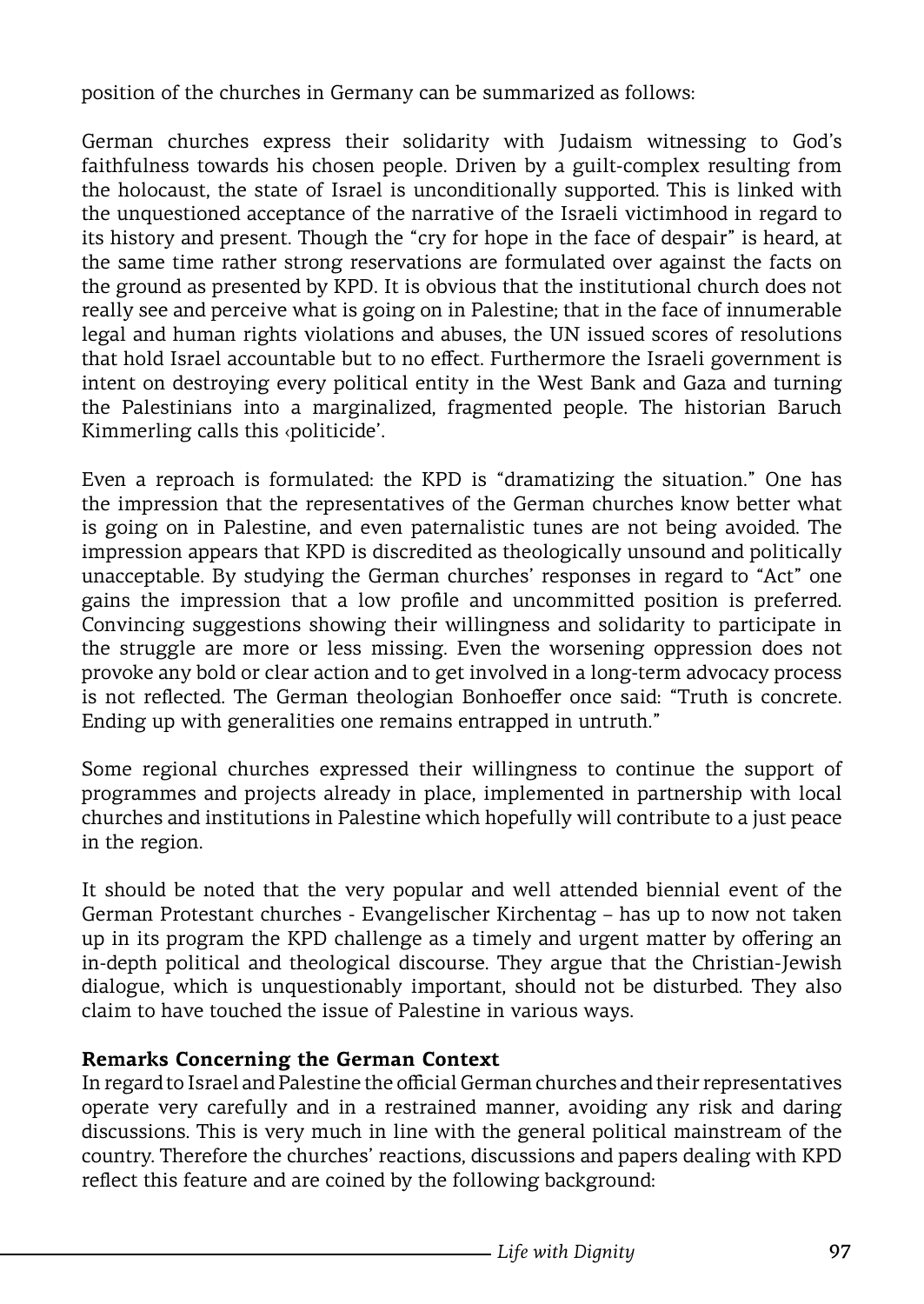position of the churches in Germany can be summarized as follows:

German churches express their solidarity with Judaism witnessing to God's faithfulness towards his chosen people. Driven by a guilt-complex resulting from the holocaust, the state of Israel is unconditionally supported. This is linked with the unquestioned acceptance of the narrative of the Israeli victimhood in regard to its history and present. Though the "cry for hope in the face of despair" is heard, at the same time rather strong reservations are formulated over against the facts on the ground as presented by KPD. It is obvious that the institutional church does not really see and perceive what is going on in Palestine; that in the face of innumerable legal and human rights violations and abuses, the UN issued scores of resolutions that hold Israel accountable but to no effect. Furthermore the Israeli government is intent on destroying every political entity in the West Bank and Gaza and turning the Palestinians into a marginalized, fragmented people. The historian Baruch Kimmerling calls this ‹politicide'.

Even a reproach is formulated: the KPD is "dramatizing the situation." One has the impression that the representatives of the German churches know better what is going on in Palestine, and even paternalistic tunes are not being avoided. The impression appears that KPD is discredited as theologically unsound and politically unacceptable. By studying the German churches' responses in regard to "Act" one gains the impression that a low profile and uncommitted position is preferred. Convincing suggestions showing their willingness and solidarity to participate in the struggle are more or less missing. Even the worsening oppression does not provoke any bold or clear action and to get involved in a long-term advocacy process is not reflected. The German theologian Bonhoeffer once said: "Truth is concrete. Ending up with generalities one remains entrapped in untruth."

Some regional churches expressed their willingness to continue the support of programmes and projects already in place, implemented in partnership with local churches and institutions in Palestine which hopefully will contribute to a just peace in the region.

It should be noted that the very popular and well attended biennial event of the German Protestant churches - Evangelischer Kirchentag – has up to now not taken up in its program the KPD challenge as a timely and urgent matter by offering an in-depth political and theological discourse. They argue that the Christian-Jewish dialogue, which is unquestionably important, should not be disturbed. They also claim to have touched the issue of Palestine in various ways.

### **Remarks Concerning the German Context**

In regard to Israel and Palestine the official German churches and their representatives operate very carefully and in a restrained manner, avoiding any risk and daring discussions. This is very much in line with the general political mainstream of the country. Therefore the churches' reactions, discussions and papers dealing with KPD reflect this feature and are coined by the following background: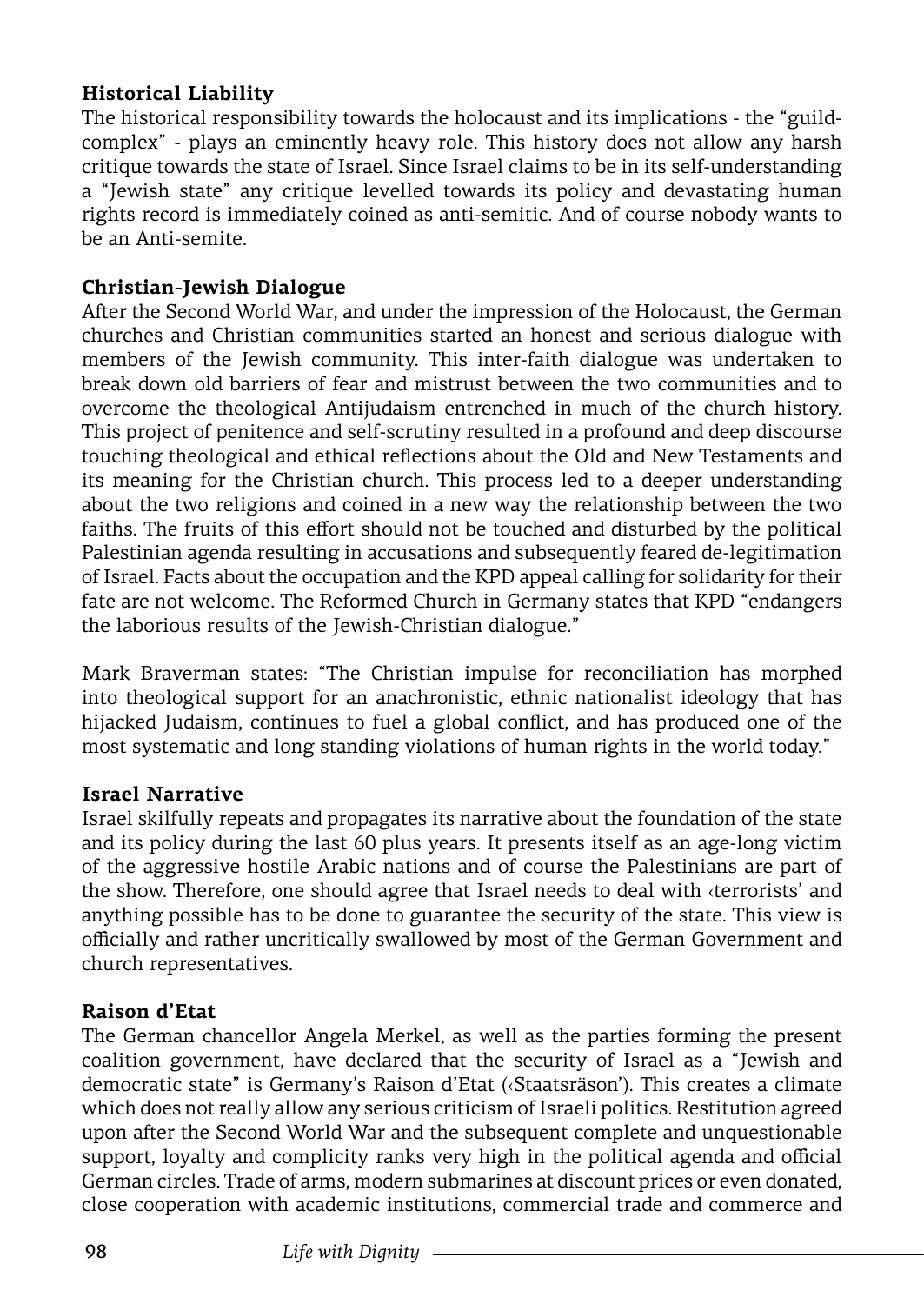#### **Historical Liability**

The historical responsibility towards the holocaust and its implications - the "guildcomplex" - plays an eminently heavy role. This history does not allow any harsh critique towards the state of Israel. Since Israel claims to be in its self-understanding a "Jewish state" any critique levelled towards its policy and devastating human rights record is immediately coined as anti-semitic. And of course nobody wants to be an Anti-semite.

#### **Christian-Jewish Dialogue**

After the Second World War, and under the impression of the Holocaust, the German churches and Christian communities started an honest and serious dialogue with members of the Jewish community. This inter-faith dialogue was undertaken to break down old barriers of fear and mistrust between the two communities and to overcome the theological Antijudaism entrenched in much of the church history. This project of penitence and self-scrutiny resulted in a profound and deep discourse touching theological and ethical reflections about the Old and New Testaments and its meaning for the Christian church. This process led to a deeper understanding about the two religions and coined in a new way the relationship between the two faiths. The fruits of this effort should not be touched and disturbed by the political Palestinian agenda resulting in accusations and subsequently feared de-legitimation of Israel. Facts about the occupation and the KPD appeal calling for solidarity for their fate are not welcome. The Reformed Church in Germany states that KPD "endangers the laborious results of the Jewish-Christian dialogue."

Mark Braverman states: "The Christian impulse for reconciliation has morphed into theological support for an anachronistic, ethnic nationalist ideology that has hijacked Judaism, continues to fuel a global conflict, and has produced one of the most systematic and long standing violations of human rights in the world today."

#### **Israel Narrative**

Israel skilfully repeats and propagates its narrative about the foundation of the state and its policy during the last 60 plus years. It presents itself as an age-long victim of the aggressive hostile Arabic nations and of course the Palestinians are part of the show. Therefore, one should agree that Israel needs to deal with ‹terrorists' and anything possible has to be done to guarantee the security of the state. This view is officially and rather uncritically swallowed by most of the German Government and church representatives.

#### **Raison d'Etat**

The German chancellor Angela Merkel, as well as the parties forming the present coalition government, have declared that the security of Israel as a "Jewish and democratic state" is Germany's Raison d'Etat (‹Staatsräson'). This creates a climate which does not really allow any serious criticism of Israeli politics. Restitution agreed upon after the Second World War and the subsequent complete and unquestionable support, loyalty and complicity ranks very high in the political agenda and official German circles. Trade of arms, modern submarines at discount prices or even donated, close cooperation with academic institutions, commercial trade and commerce and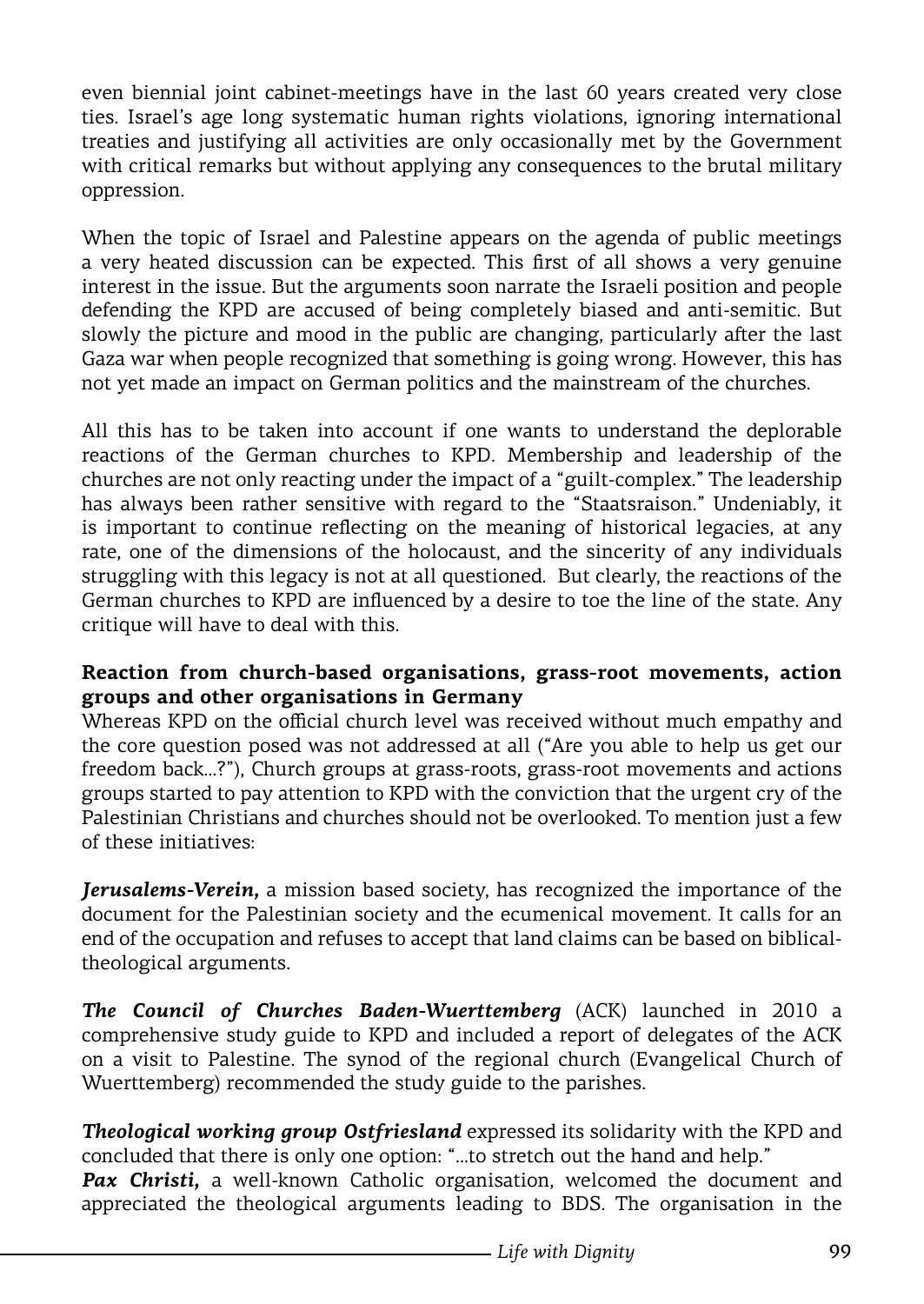even biennial joint cabinet-meetings have in the last 60 years created very close ties. Israel's age long systematic human rights violations, ignoring international treaties and justifying all activities are only occasionally met by the Government with critical remarks but without applying any consequences to the brutal military oppression.

When the topic of Israel and Palestine appears on the agenda of public meetings a very heated discussion can be expected. This first of all shows a very genuine interest in the issue. But the arguments soon narrate the Israeli position and people defending the KPD are accused of being completely biased and anti-semitic. But slowly the picture and mood in the public are changing, particularly after the last Gaza war when people recognized that something is going wrong. However, this has not yet made an impact on German politics and the mainstream of the churches.

All this has to be taken into account if one wants to understand the deplorable reactions of the German churches to KPD. Membership and leadership of the churches are not only reacting under the impact of a "guilt-complex." The leadership has always been rather sensitive with regard to the "Staatsraison." Undeniably, it is important to continue reflecting on the meaning of historical legacies, at any rate, one of the dimensions of the holocaust, and the sincerity of any individuals struggling with this legacy is not at all questioned. But clearly, the reactions of the German churches to KPD are influenced by a desire to toe the line of the state. Any critique will have to deal with this.

#### **Reaction from church-based organisations, grass-root movements, action groups and other organisations in Germany**

Whereas KPD on the official church level was received without much empathy and the core question posed was not addressed at all ("Are you able to help us get our freedom back...?"), Church groups at grass-roots, grass-root movements and actions groups started to pay attention to KPD with the conviction that the urgent cry of the Palestinian Christians and churches should not be overlooked. To mention just a few of these initiatives:

*Jerusalems-Verein,* a mission based society, has recognized the importance of the document for the Palestinian society and the ecumenical movement. It calls for an end of the occupation and refuses to accept that land claims can be based on biblicaltheological arguments.

*The Council of Churches Baden-Wuerttemberg* (ACK) launched in 2010 a comprehensive study guide to KPD and included a report of delegates of the ACK on a visit to Palestine. The synod of the regional church (Evangelical Church of Wuerttemberg) recommended the study guide to the parishes.

*Theological working group Ostfriesland* expressed its solidarity with the KPD and concluded that there is only one option: "...to stretch out the hand and help."

*Pax Christi,* a well-known Catholic organisation, welcomed the document and appreciated the theological arguments leading to BDS. The organisation in the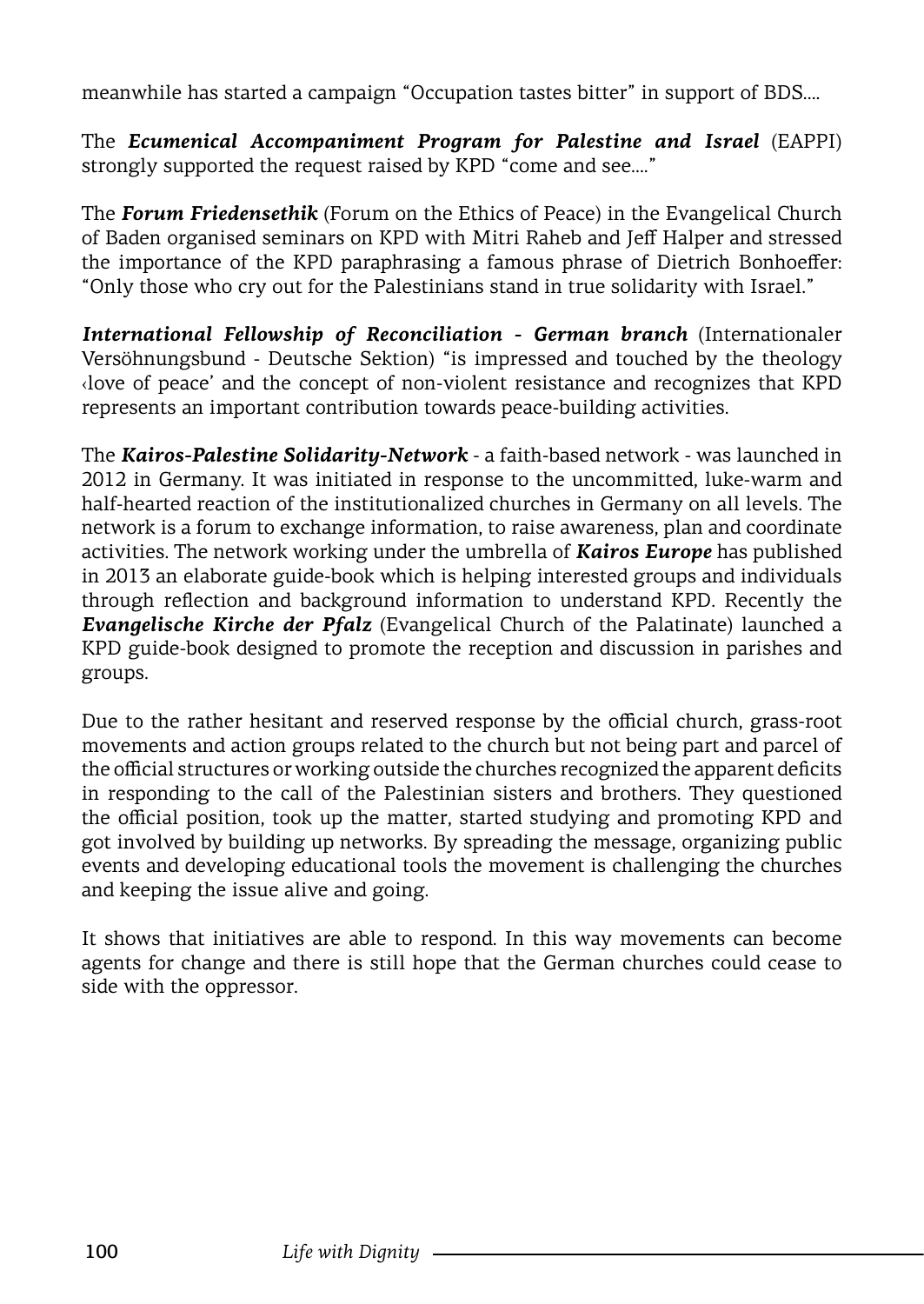meanwhile has started a campaign "Occupation tastes bitter" in support of BDS....

The *Ecumenical Accompaniment Program for Palestine and Israel* (EAPPI) strongly supported the request raised by KPD "come and see...."

The *Forum Friedensethik* (Forum on the Ethics of Peace) in the Evangelical Church of Baden organised seminars on KPD with Mitri Raheb and Jeff Halper and stressed the importance of the KPD paraphrasing a famous phrase of Dietrich Bonhoeffer: "Only those who cry out for the Palestinians stand in true solidarity with Israel."

*International Fellowship of Reconciliation - German branch* (Internationaler Versöhnungsbund - Deutsche Sektion) "is impressed and touched by the theology ‹love of peace' and the concept of non-violent resistance and recognizes that KPD represents an important contribution towards peace-building activities.

The *Kairos-Palestine Solidarity-Network* - a faith-based network - was launched in 2012 in Germany. It was initiated in response to the uncommitted, luke-warm and half-hearted reaction of the institutionalized churches in Germany on all levels. The network is a forum to exchange information, to raise awareness, plan and coordinate activities. The network working under the umbrella of *Kairos Europe* has published in 2013 an elaborate guide-book which is helping interested groups and individuals through reflection and background information to understand KPD. Recently the *Evangelische Kirche der Pfalz* (Evangelical Church of the Palatinate) launched a KPD guide-book designed to promote the reception and discussion in parishes and groups.

Due to the rather hesitant and reserved response by the official church, grass-root movements and action groups related to the church but not being part and parcel of the official structures or working outside the churches recognized the apparent deficits in responding to the call of the Palestinian sisters and brothers. They questioned the official position, took up the matter, started studying and promoting KPD and got involved by building up networks. By spreading the message, organizing public events and developing educational tools the movement is challenging the churches and keeping the issue alive and going.

It shows that initiatives are able to respond. In this way movements can become agents for change and there is still hope that the German churches could cease to side with the oppressor.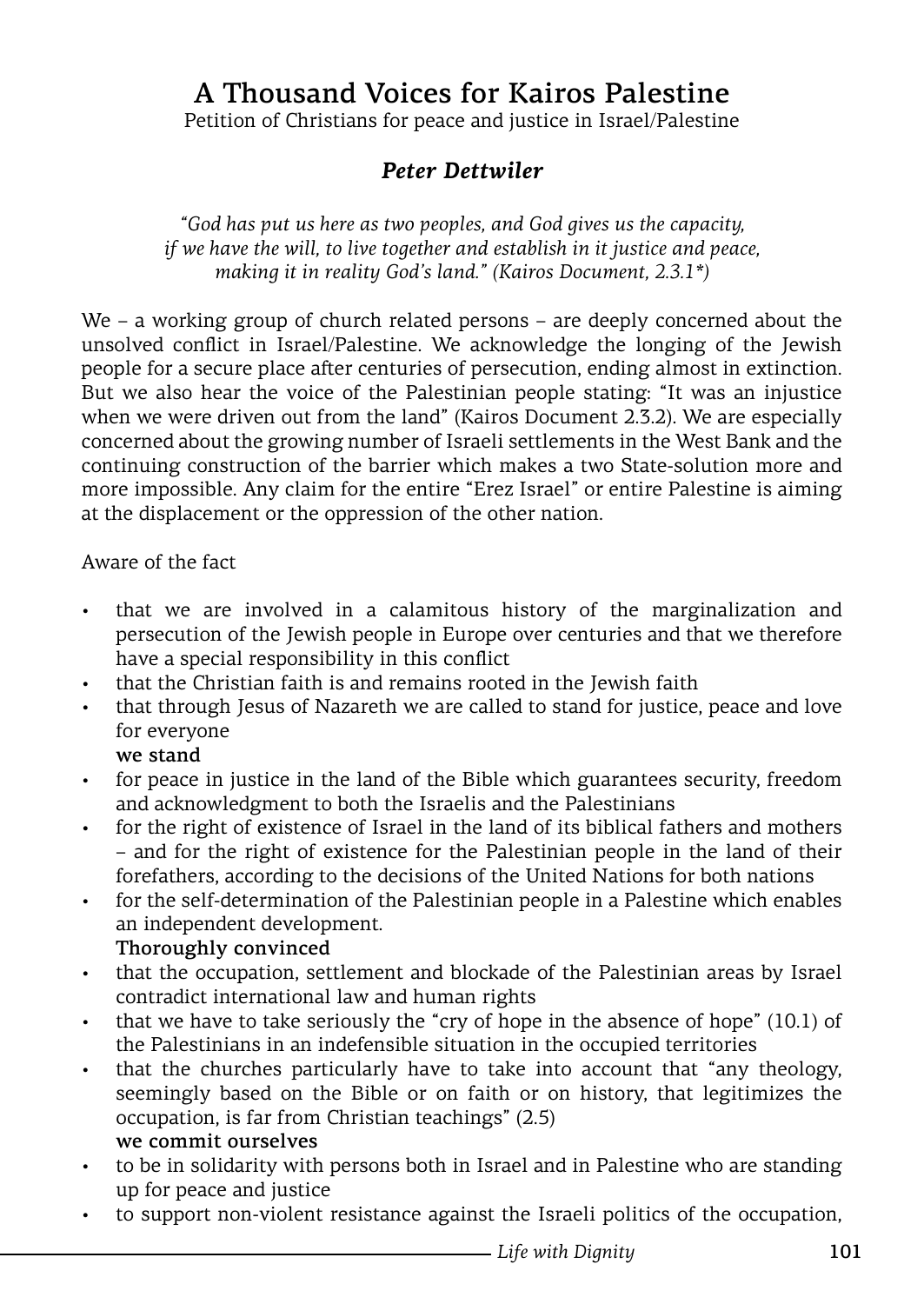## A Thousand Voices for Kairos Palestine

Petition of Christians for peace and justice in Israel/Palestine

## *Peter Dettwiler*

*"God has put us here as two peoples, and God gives us the capacity, if we have the will, to live together and establish in it justice and peace, making it in reality God's land." (Kairos Document, 2.3.1\*)*

We – a working group of church related persons – are deeply concerned about the unsolved conflict in Israel/Palestine. We acknowledge the longing of the Jewish people for a secure place after centuries of persecution, ending almost in extinction. But we also hear the voice of the Palestinian people stating: "It was an injustice when we were driven out from the land" (Kairos Document 2.3.2). We are especially concerned about the growing number of Israeli settlements in the West Bank and the continuing construction of the barrier which makes a two State-solution more and more impossible. Any claim for the entire "Erez Israel" or entire Palestine is aiming at the displacement or the oppression of the other nation.

Aware of the fact

- that we are involved in a calamitous history of the marginalization and persecution of the Jewish people in Europe over centuries and that we therefore have a special responsibility in this conflict
- that the Christian faith is and remains rooted in the Jewish faith
- that through Jesus of Nazareth we are called to stand for justice, peace and love for everyone

#### we stand

- for peace in justice in the land of the Bible which guarantees security, freedom and acknowledgment to both the Israelis and the Palestinians
- for the right of existence of Israel in the land of its biblical fathers and mothers – and for the right of existence for the Palestinian people in the land of their forefathers, according to the decisions of the United Nations for both nations
- for the self-determination of the Palestinian people in a Palestine which enables an independent development.

#### Thoroughly convinced

- that the occupation, settlement and blockade of the Palestinian areas by Israel contradict international law and human rights
- that we have to take seriously the "cry of hope in the absence of hope"  $(10.1)$  of the Palestinians in an indefensible situation in the occupied territories
- that the churches particularly have to take into account that "any theology, seemingly based on the Bible or on faith or on history, that legitimizes the occupation, is far from Christian teachings" (2.5) we commit ourselves
- to be in solidarity with persons both in Israel and in Palestine who are standing up for peace and justice
- to support non-violent resistance against the Israeli politics of the occupation,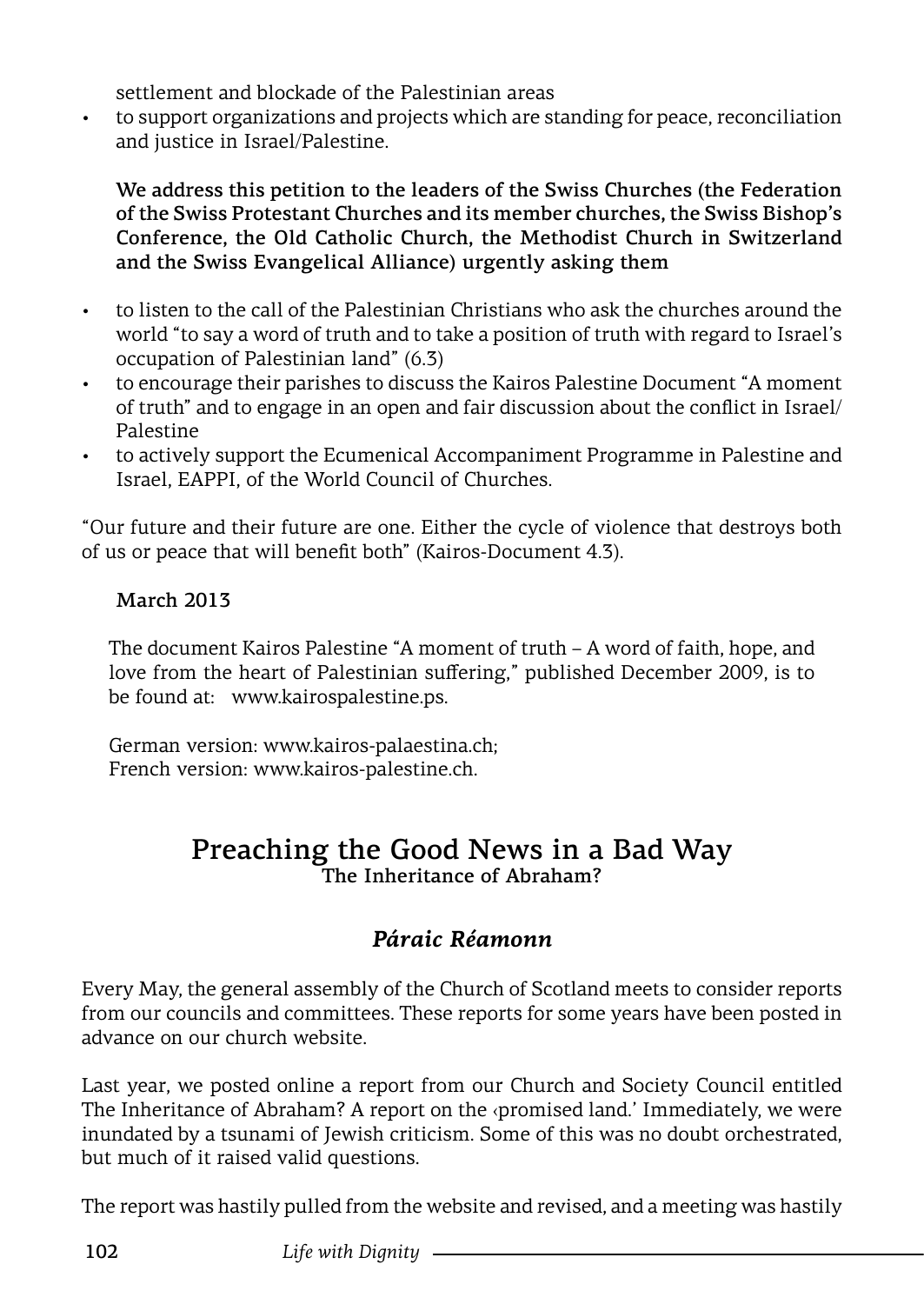settlement and blockade of the Palestinian areas

• to support organizations and projects which are standing for peace, reconciliation and justice in Israel/Palestine.

We address this petition to the leaders of the Swiss Churches (the Federation of the Swiss Protestant Churches and its member churches, the Swiss Bishop's Conference, the Old Catholic Church, the Methodist Church in Switzerland and the Swiss Evangelical Alliance) urgently asking them

- to listen to the call of the Palestinian Christians who ask the churches around the world "to say a word of truth and to take a position of truth with regard to Israel's occupation of Palestinian land" (6.3)
- to encourage their parishes to discuss the Kairos Palestine Document "A moment" of truth" and to engage in an open and fair discussion about the conflict in Israel/ Palestine
- • to actively support the Ecumenical Accompaniment Programme in Palestine and Israel, EAPPI, of the World Council of Churches.

"Our future and their future are one. Either the cycle of violence that destroys both of us or peace that will benefit both" (Kairos-Document 4.3).

#### March 2013

The document Kairos Palestine "A moment of truth – A word of faith, hope, and love from the heart of Palestinian suffering," published December 2009, is to be found at: www.kairospalestine.ps.

German version: www.kairos-palaestina.ch; French version: www.kairos-palestine.ch.

## Preaching the Good News in a Bad Way The Inheritance of Abraham?

## *Páraic Réamonn*

Every May, the general assembly of the Church of Scotland meets to consider reports from our councils and committees. These reports for some years have been posted in advance on our church website.

Last year, we posted online a report from our Church and Society Council entitled The Inheritance of Abraham? A report on the ‹promised land.' Immediately, we were inundated by a tsunami of Jewish criticism. Some of this was no doubt orchestrated, but much of it raised valid questions.

The report was hastily pulled from the website and revised, and a meeting was hastily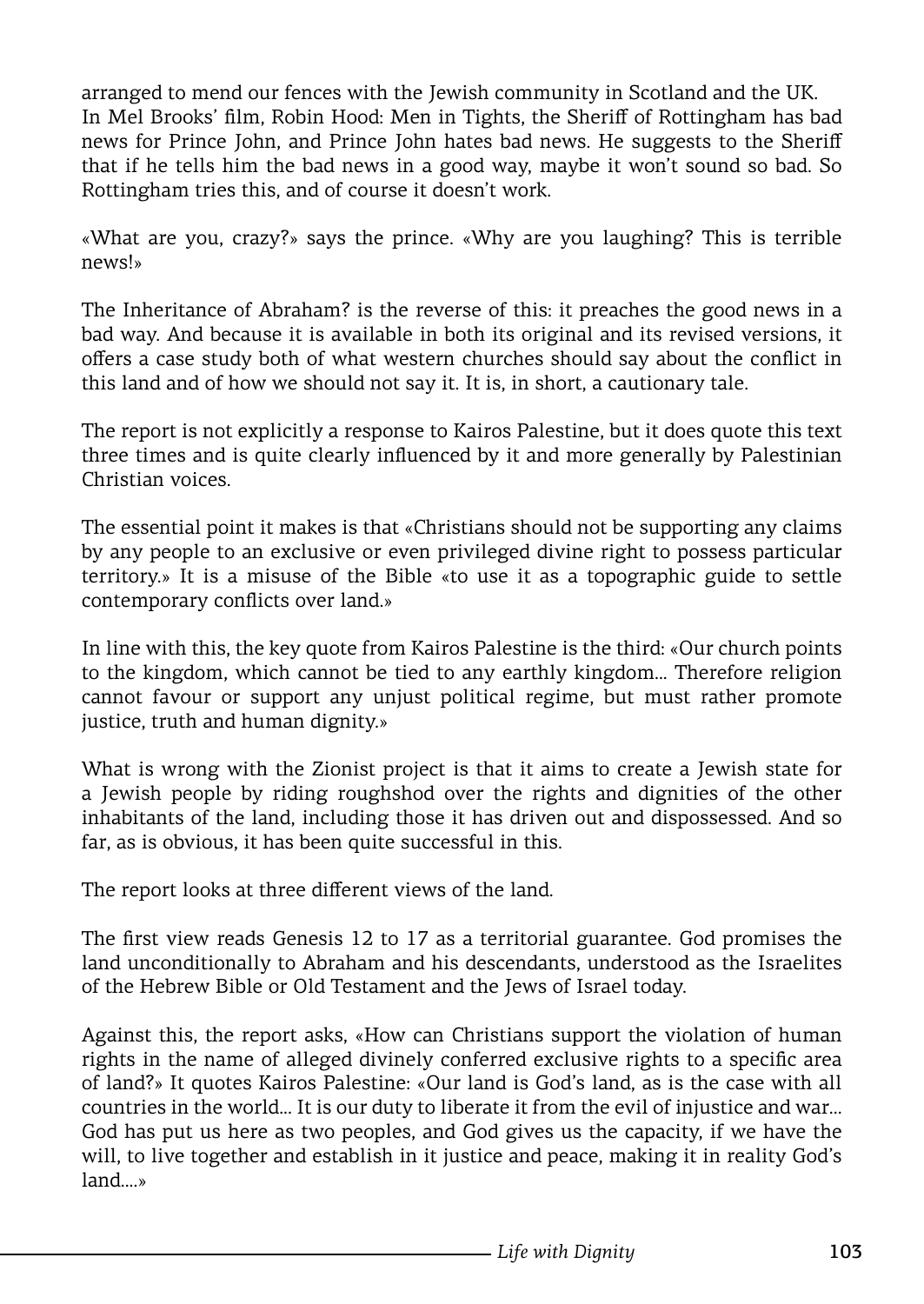arranged to mend our fences with the Jewish community in Scotland and the UK. In Mel Brooks' film, Robin Hood: Men in Tights, the Sheriff of Rottingham has bad news for Prince John, and Prince John hates bad news. He suggests to the Sheriff that if he tells him the bad news in a good way, maybe it won't sound so bad. So Rottingham tries this, and of course it doesn't work.

«What are you, crazy?» says the prince. «Why are you laughing? This is terrible news!»

The Inheritance of Abraham? is the reverse of this: it preaches the good news in a bad way. And because it is available in both its original and its revised versions, it offers a case study both of what western churches should say about the conflict in this land and of how we should not say it. It is, in short, a cautionary tale.

The report is not explicitly a response to Kairos Palestine, but it does quote this text three times and is quite clearly influenced by it and more generally by Palestinian Christian voices.

The essential point it makes is that «Christians should not be supporting any claims by any people to an exclusive or even privileged divine right to possess particular territory.» It is a misuse of the Bible «to use it as a topographic guide to settle contemporary conflicts over land.»

In line with this, the key quote from Kairos Palestine is the third: «Our church points to the kingdom, which cannot be tied to any earthly kingdom... Therefore religion cannot favour or support any unjust political regime, but must rather promote justice, truth and human dignity.»

What is wrong with the Zionist project is that it aims to create a Jewish state for a Jewish people by riding roughshod over the rights and dignities of the other inhabitants of the land, including those it has driven out and dispossessed. And so far, as is obvious, it has been quite successful in this.

The report looks at three different views of the land.

The first view reads Genesis 12 to 17 as a territorial guarantee. God promises the land unconditionally to Abraham and his descendants, understood as the Israelites of the Hebrew Bible or Old Testament and the Jews of Israel today.

Against this, the report asks, «How can Christians support the violation of human rights in the name of alleged divinely conferred exclusive rights to a specific area of land?» It quotes Kairos Palestine: «Our land is God's land, as is the case with all countries in the world... It is our duty to liberate it from the evil of injustice and war... God has put us here as two peoples, and God gives us the capacity, if we have the will, to live together and establish in it justice and peace, making it in reality God's land »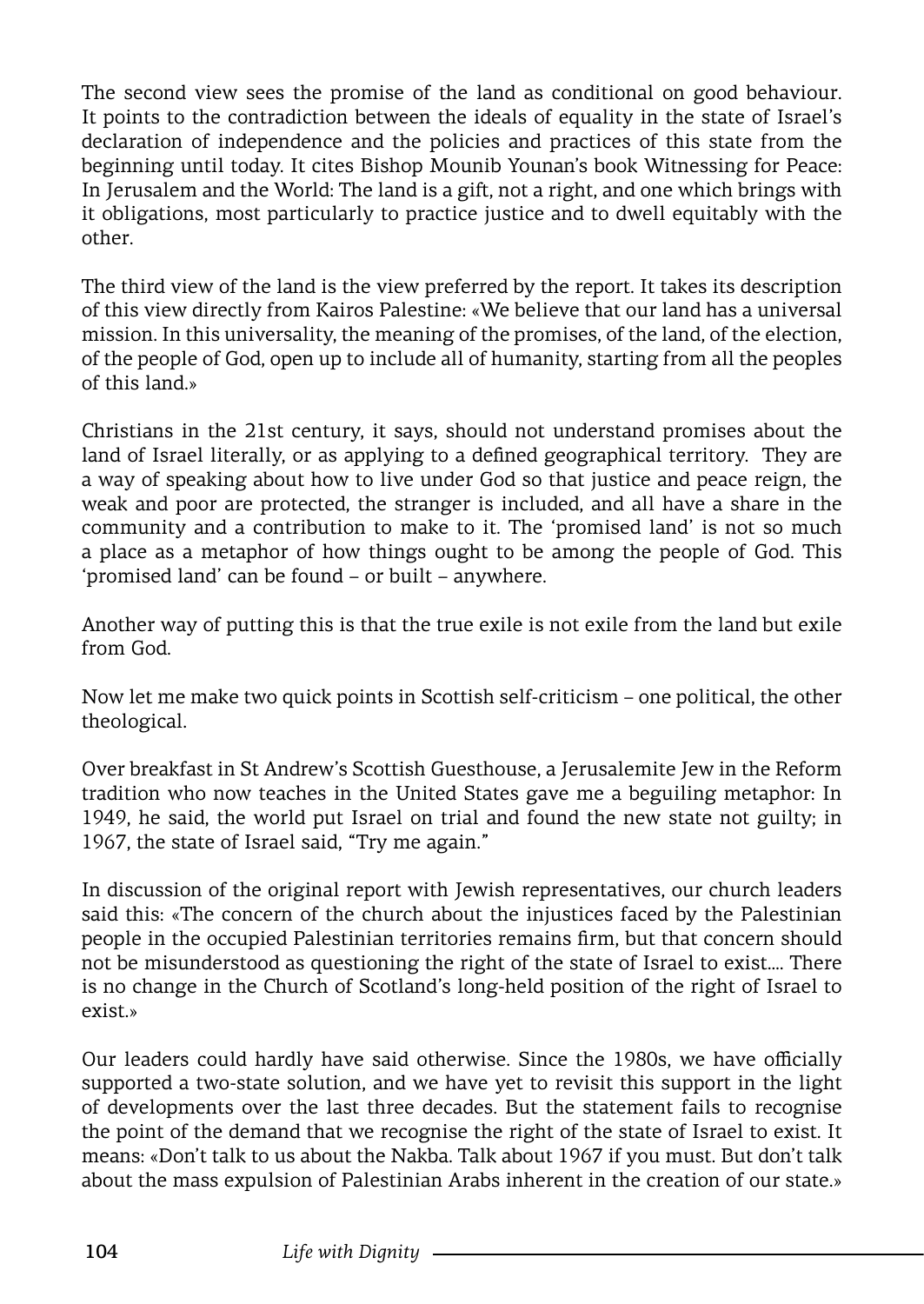The second view sees the promise of the land as conditional on good behaviour. It points to the contradiction between the ideals of equality in the state of Israel's declaration of independence and the policies and practices of this state from the beginning until today. It cites Bishop Mounib Younan's book Witnessing for Peace: In Jerusalem and the World: The land is a gift, not a right, and one which brings with it obligations, most particularly to practice justice and to dwell equitably with the other.

The third view of the land is the view preferred by the report. It takes its description of this view directly from Kairos Palestine: «We believe that our land has a universal mission. In this universality, the meaning of the promises, of the land, of the election, of the people of God, open up to include all of humanity, starting from all the peoples of this land.»

Christians in the 21st century, it says, should not understand promises about the land of Israel literally, or as applying to a defined geographical territory. They are a way of speaking about how to live under God so that justice and peace reign, the weak and poor are protected, the stranger is included, and all have a share in the community and a contribution to make to it. The 'promised land' is not so much a place as a metaphor of how things ought to be among the people of God. This 'promised land' can be found – or built – anywhere.

Another way of putting this is that the true exile is not exile from the land but exile from God.

Now let me make two quick points in Scottish self-criticism – one political, the other theological.

Over breakfast in St Andrew's Scottish Guesthouse, a Jerusalemite Jew in the Reform tradition who now teaches in the United States gave me a beguiling metaphor: In 1949, he said, the world put Israel on trial and found the new state not guilty; in 1967, the state of Israel said, "Try me again."

In discussion of the original report with Jewish representatives, our church leaders said this: «The concern of the church about the injustices faced by the Palestinian people in the occupied Palestinian territories remains firm, but that concern should not be misunderstood as questioning the right of the state of Israel to exist…. There is no change in the Church of Scotland's long-held position of the right of Israel to exist.»

Our leaders could hardly have said otherwise. Since the 1980s, we have officially supported a two-state solution, and we have yet to revisit this support in the light of developments over the last three decades. But the statement fails to recognise the point of the demand that we recognise the right of the state of Israel to exist. It means: «Don't talk to us about the Nakba. Talk about 1967 if you must. But don't talk about the mass expulsion of Palestinian Arabs inherent in the creation of our state.»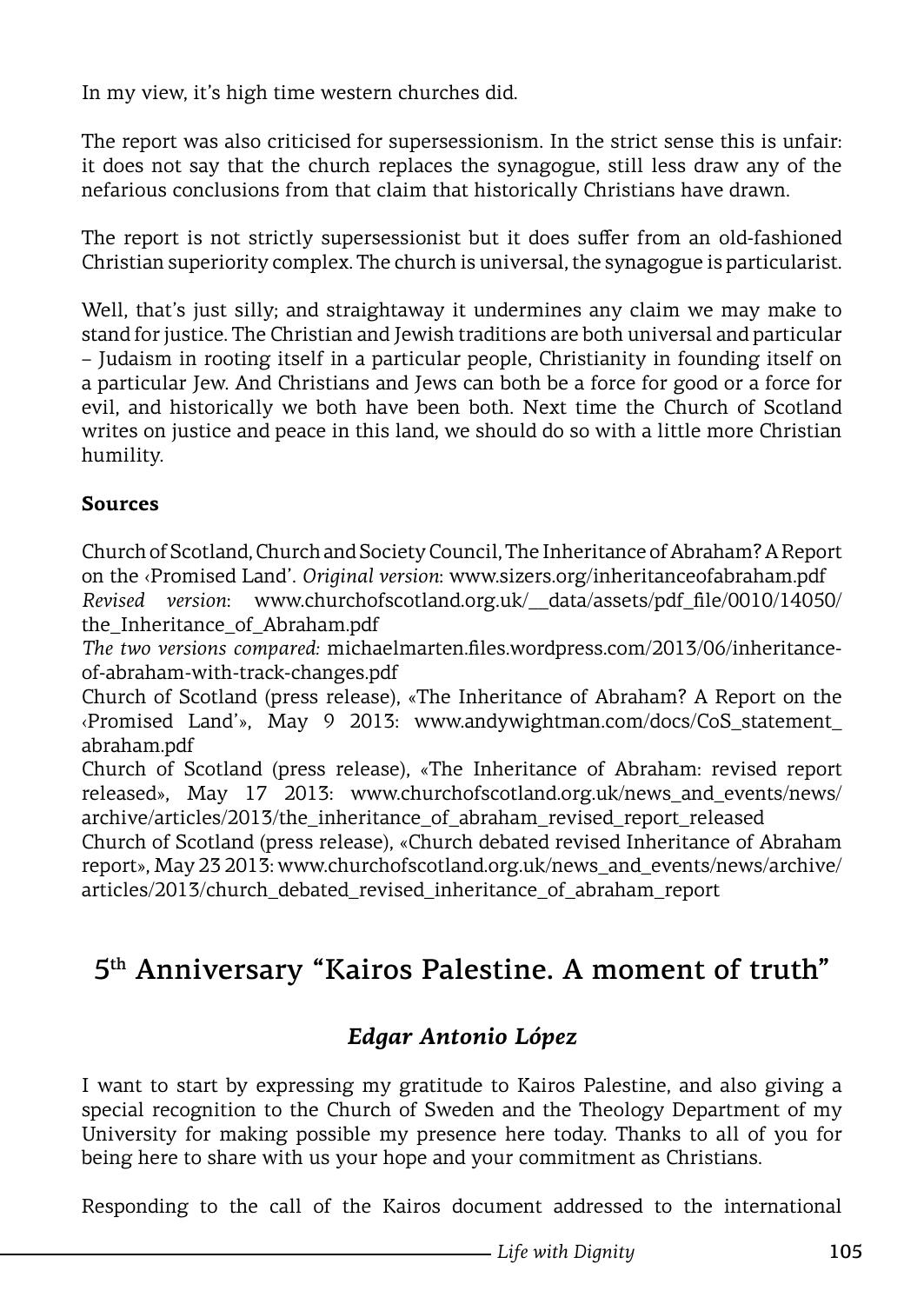In my view, it's high time western churches did.

The report was also criticised for supersessionism. In the strict sense this is unfair: it does not say that the church replaces the synagogue, still less draw any of the nefarious conclusions from that claim that historically Christians have drawn.

The report is not strictly supersessionist but it does suffer from an old-fashioned Christian superiority complex. The church is universal, the synagogue is particularist.

Well, that's just silly; and straightaway it undermines any claim we may make to stand for justice. The Christian and Jewish traditions are both universal and particular – Judaism in rooting itself in a particular people, Christianity in founding itself on a particular Jew. And Christians and Jews can both be a force for good or a force for evil, and historically we both have been both. Next time the Church of Scotland writes on justice and peace in this land, we should do so with a little more Christian humility.

#### **Sources**

Church of Scotland, Church and Society Council, The Inheritance of Abraham? A Report on the ‹Promised Land'. *Original version*: www.sizers.org/inheritanceofabraham.pdf *Revised version*: www.churchofscotland.org.uk/\_\_data/assets/pdf\_file/0010/14050/ the Inheritance of Abraham.pdf

*The two versions compared:* michaelmarten.files.wordpress.com/2013/06/inheritanceof-abraham-with-track-changes.pdf

Church of Scotland (press release), «The Inheritance of Abraham? A Report on the ‹Promised Land'», May 9 2013: www.andywightman.com/docs/CoS\_statement\_ abraham.pdf

Church of Scotland (press release), «The Inheritance of Abraham: revised report released», May 17 2013: www.churchofscotland.org.uk/news and events/news/ archive/articles/2013/the\_inheritance\_of\_abraham\_revised\_report\_released

Church of Scotland (press release), «Church debated revised Inheritance of Abraham report», May 23 2013: www.churchofscotland.org.uk/news\_and\_events/news/archive/ articles/2013/church\_debated\_revised\_inheritance\_of\_abraham\_report

## 5th Anniversary "Kairos Palestine. A moment of truth"

## *Edgar Antonio López*

I want to start by expressing my gratitude to Kairos Palestine, and also giving a special recognition to the Church of Sweden and the Theology Department of my University for making possible my presence here today. Thanks to all of you for being here to share with us your hope and your commitment as Christians.

Responding to the call of the Kairos document addressed to the international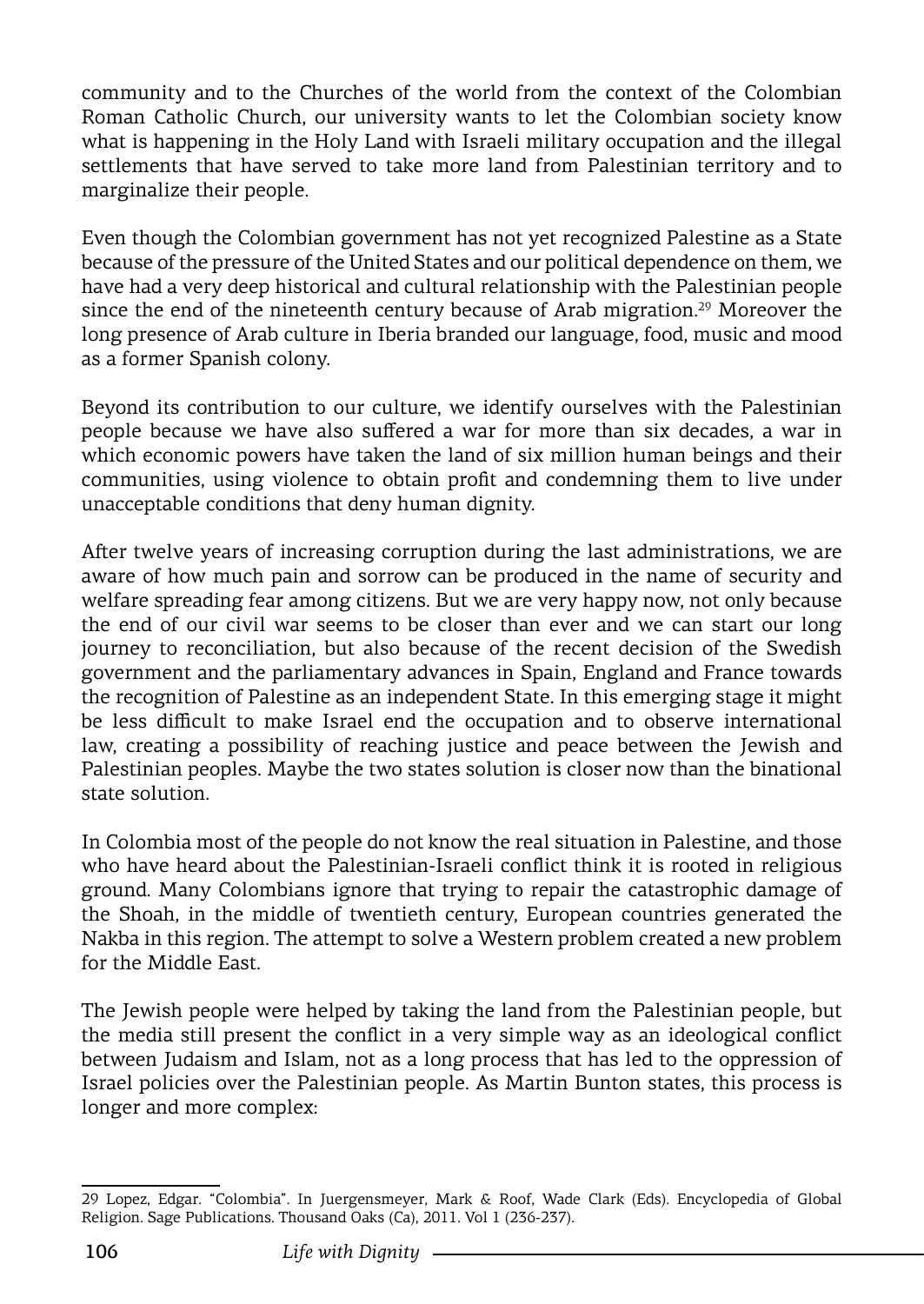community and to the Churches of the world from the context of the Colombian Roman Catholic Church, our university wants to let the Colombian society know what is happening in the Holy Land with Israeli military occupation and the illegal settlements that have served to take more land from Palestinian territory and to marginalize their people.

Even though the Colombian government has not yet recognized Palestine as a State because of the pressure of the United States and our political dependence on them, we have had a very deep historical and cultural relationship with the Palestinian people since the end of the nineteenth century because of Arab migration.<sup>29</sup> Moreover the long presence of Arab culture in Iberia branded our language, food, music and mood as a former Spanish colony.

Beyond its contribution to our culture, we identify ourselves with the Palestinian people because we have also suffered a war for more than six decades, a war in which economic powers have taken the land of six million human beings and their communities, using violence to obtain profit and condemning them to live under unacceptable conditions that deny human dignity.

After twelve years of increasing corruption during the last administrations, we are aware of how much pain and sorrow can be produced in the name of security and welfare spreading fear among citizens. But we are very happy now, not only because the end of our civil war seems to be closer than ever and we can start our long journey to reconciliation, but also because of the recent decision of the Swedish government and the parliamentary advances in Spain, England and France towards the recognition of Palestine as an independent State. In this emerging stage it might be less difficult to make Israel end the occupation and to observe international law, creating a possibility of reaching justice and peace between the Jewish and Palestinian peoples. Maybe the two states solution is closer now than the binational state solution.

In Colombia most of the people do not know the real situation in Palestine, and those who have heard about the Palestinian-Israeli conflict think it is rooted in religious ground. Many Colombians ignore that trying to repair the catastrophic damage of the Shoah, in the middle of twentieth century, European countries generated the Nakba in this region. The attempt to solve a Western problem created a new problem for the Middle East.

The Jewish people were helped by taking the land from the Palestinian people, but the media still present the conflict in a very simple way as an ideological conflict between Judaism and Islam, not as a long process that has led to the oppression of Israel policies over the Palestinian people. As Martin Bunton states, this process is longer and more complex:

<sup>29</sup> Lopez, Edgar. "Colombia". In Juergensmeyer, Mark & Roof, Wade Clark (Eds). Encyclopedia of Global Religion. Sage Publications. Thousand Oaks (Ca), 2011. Vol 1 (236-237).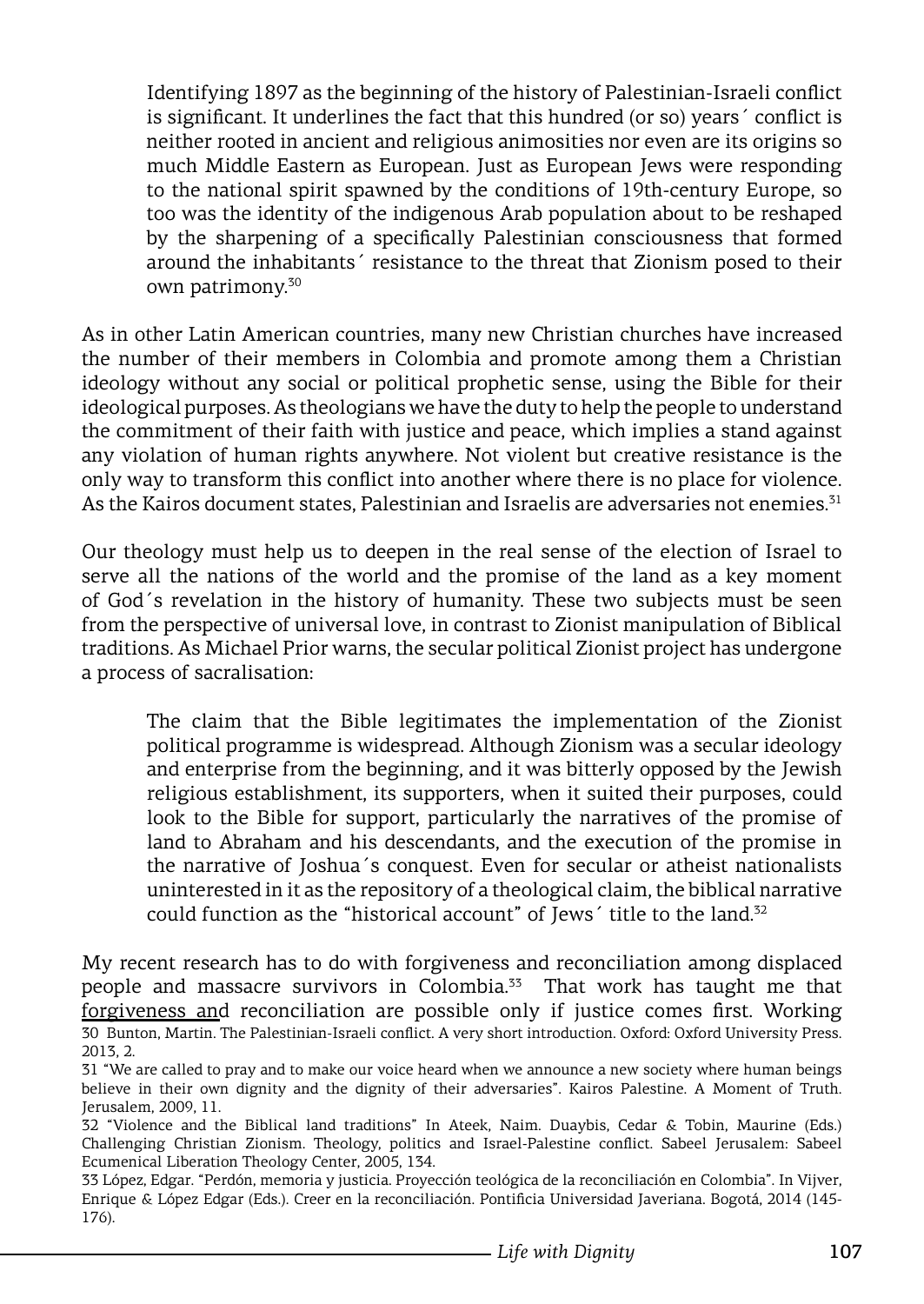Identifying 1897 as the beginning of the history of Palestinian-Israeli conflict is significant. It underlines the fact that this hundred (or so) years´ conflict is neither rooted in ancient and religious animosities nor even are its origins so much Middle Eastern as European. Just as European Jews were responding to the national spirit spawned by the conditions of 19th-century Europe, so too was the identity of the indigenous Arab population about to be reshaped by the sharpening of a specifically Palestinian consciousness that formed around the inhabitants´ resistance to the threat that Zionism posed to their own patrimony.30

As in other Latin American countries, many new Christian churches have increased the number of their members in Colombia and promote among them a Christian ideology without any social or political prophetic sense, using the Bible for their ideological purposes. As theologians we have the duty to help the people to understand the commitment of their faith with justice and peace, which implies a stand against any violation of human rights anywhere. Not violent but creative resistance is the only way to transform this conflict into another where there is no place for violence. As the Kairos document states. Palestinian and Israelis are adversaries not enemies.<sup>31</sup>

Our theology must help us to deepen in the real sense of the election of Israel to serve all the nations of the world and the promise of the land as a key moment of God´s revelation in the history of humanity. These two subjects must be seen from the perspective of universal love, in contrast to Zionist manipulation of Biblical traditions. As Michael Prior warns, the secular political Zionist project has undergone a process of sacralisation:

The claim that the Bible legitimates the implementation of the Zionist political programme is widespread. Although Zionism was a secular ideology and enterprise from the beginning, and it was bitterly opposed by the Jewish religious establishment, its supporters, when it suited their purposes, could look to the Bible for support, particularly the narratives of the promise of land to Abraham and his descendants, and the execution of the promise in the narrative of Joshua´s conquest. Even for secular or atheist nationalists uninterested in it as the repository of a theological claim, the biblical narrative could function as the "historical account" of Jews' title to the land.<sup>32</sup>

My recent research has to do with forgiveness and reconciliation among displaced people and massacre survivors in Colombia.33 That work has taught me that forgiveness and reconciliation are possible only if justice comes first. Working 30 Bunton, Martin. The Palestinian-Israeli conflict. A very short introduction. Oxford: Oxford University Press. 2013, 2.

<sup>31 &</sup>quot;We are called to pray and to make our voice heard when we announce a new society where human beings believe in their own dignity and the dignity of their adversaries". Kairos Palestine. A Moment of Truth. Jerusalem, 2009, 11.

<sup>32 &</sup>quot;Violence and the Biblical land traditions" In Ateek, Naim. Duaybis, Cedar & Tobin, Maurine (Eds.) Challenging Christian Zionism. Theology, politics and Israel-Palestine conflict. Sabeel Jerusalem: Sabeel Ecumenical Liberation Theology Center, 2005, 134.

<sup>33</sup> López, Edgar. "Perdón, memoria y justicia. Proyección teológica de la reconciliación en Colombia". In Vijver, Enrique & López Edgar (Eds.). Creer en la reconciliación. Pontificia Universidad Javeriana. Bogotá, 2014 (145- 176).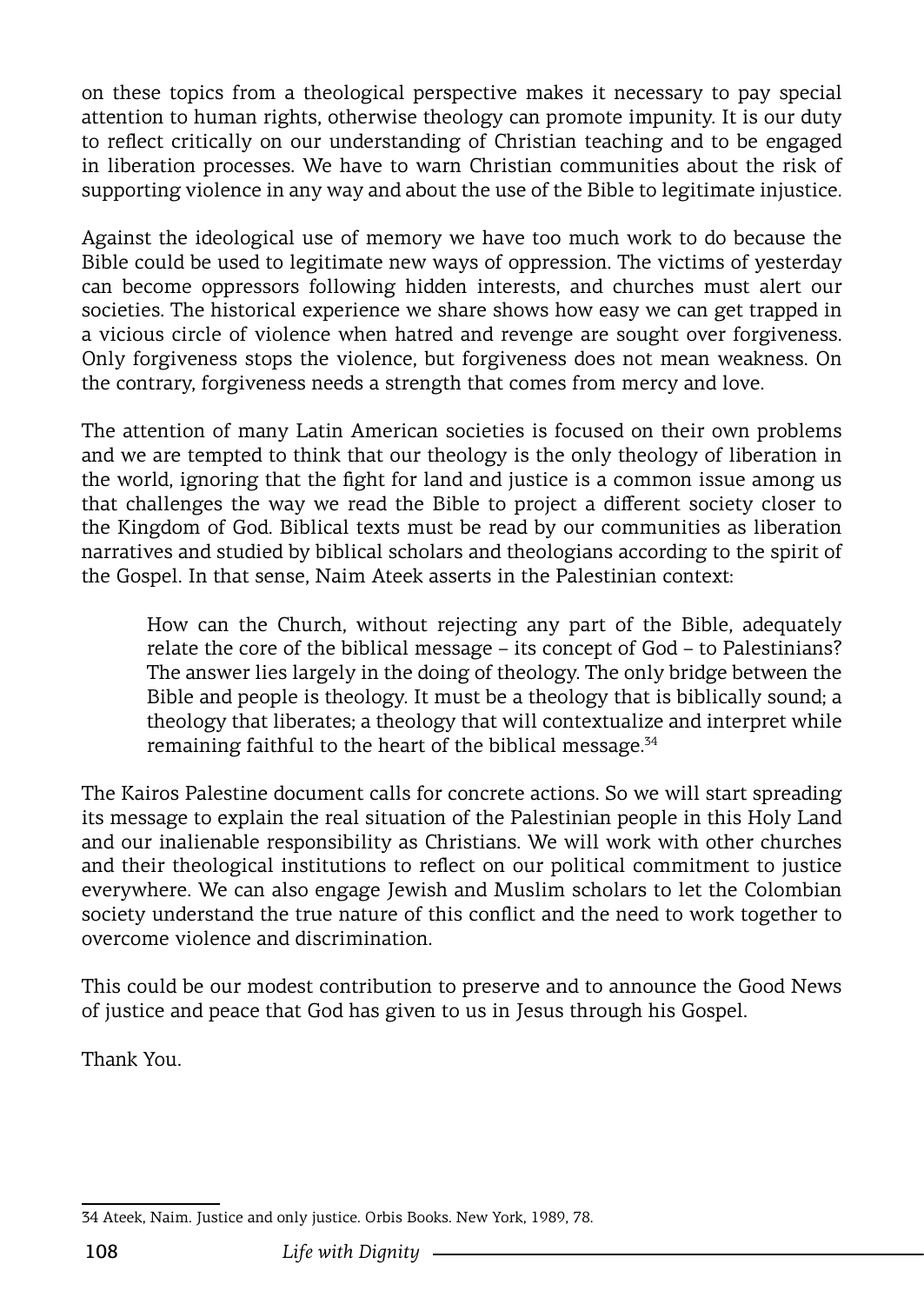on these topics from a theological perspective makes it necessary to pay special attention to human rights, otherwise theology can promote impunity. It is our duty to reflect critically on our understanding of Christian teaching and to be engaged in liberation processes. We have to warn Christian communities about the risk of supporting violence in any way and about the use of the Bible to legitimate injustice.

Against the ideological use of memory we have too much work to do because the Bible could be used to legitimate new ways of oppression. The victims of yesterday can become oppressors following hidden interests, and churches must alert our societies. The historical experience we share shows how easy we can get trapped in a vicious circle of violence when hatred and revenge are sought over forgiveness. Only forgiveness stops the violence, but forgiveness does not mean weakness. On the contrary, forgiveness needs a strength that comes from mercy and love.

The attention of many Latin American societies is focused on their own problems and we are tempted to think that our theology is the only theology of liberation in the world, ignoring that the fight for land and justice is a common issue among us that challenges the way we read the Bible to project a different society closer to the Kingdom of God. Biblical texts must be read by our communities as liberation narratives and studied by biblical scholars and theologians according to the spirit of the Gospel. In that sense, Naim Ateek asserts in the Palestinian context:

How can the Church, without rejecting any part of the Bible, adequately relate the core of the biblical message – its concept of God – to Palestinians? The answer lies largely in the doing of theology. The only bridge between the Bible and people is theology. It must be a theology that is biblically sound; a theology that liberates; a theology that will contextualize and interpret while remaining faithful to the heart of the biblical message. $34$ 

The Kairos Palestine document calls for concrete actions. So we will start spreading its message to explain the real situation of the Palestinian people in this Holy Land and our inalienable responsibility as Christians. We will work with other churches and their theological institutions to reflect on our political commitment to justice everywhere. We can also engage Jewish and Muslim scholars to let the Colombian society understand the true nature of this conflict and the need to work together to overcome violence and discrimination.

This could be our modest contribution to preserve and to announce the Good News of justice and peace that God has given to us in Jesus through his Gospel.

Thank You.

<sup>34</sup> Ateek, Naim. Justice and only justice. Orbis Books. New York, 1989, 78.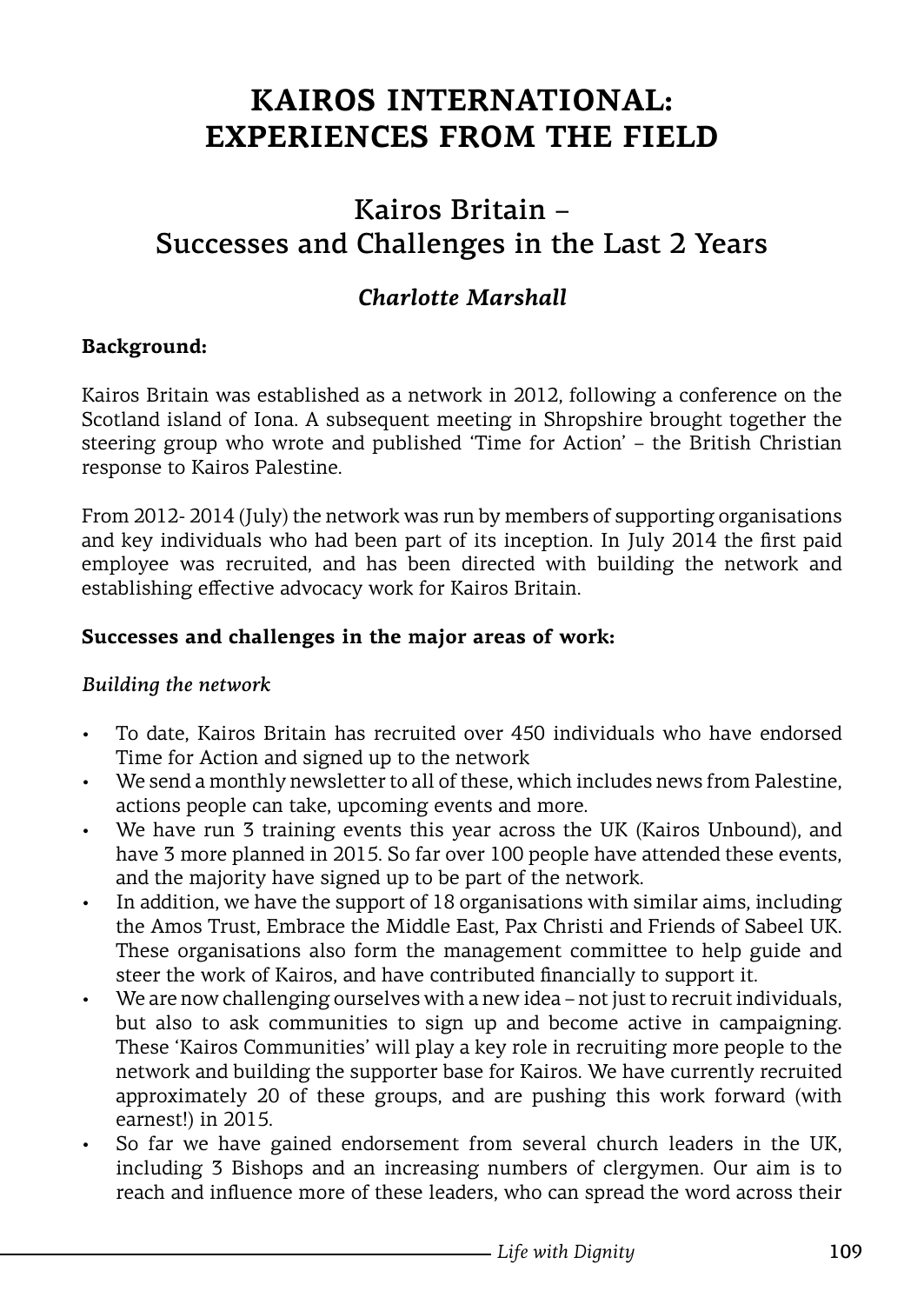# **KAIROS INTERNATIONAL: EXPERIENCES FROM THE FIELD**

# Kairos Britain – Successes and Challenges in the Last 2 Years

### *Charlotte Marshall*

### **Background:**

Kairos Britain was established as a network in 2012, following a conference on the Scotland island of Iona. A subsequent meeting in Shropshire brought together the steering group who wrote and published 'Time for Action' – the British Christian response to Kairos Palestine.

From 2012- 2014 (July) the network was run by members of supporting organisations and key individuals who had been part of its inception. In July 2014 the first paid employee was recruited, and has been directed with building the network and establishing effective advocacy work for Kairos Britain.

#### **Successes and challenges in the major areas of work:**

#### *Building the network*

- To date, Kairos Britain has recruited over 450 individuals who have endorsed Time for Action and signed up to the network
- We send a monthly newsletter to all of these, which includes news from Palestine, actions people can take, upcoming events and more.
- We have run 3 training events this year across the UK (Kairos Unbound), and have 3 more planned in 2015. So far over 100 people have attended these events, and the majority have signed up to be part of the network.
- In addition, we have the support of 18 organisations with similar aims, including the Amos Trust, Embrace the Middle East, Pax Christi and Friends of Sabeel UK. These organisations also form the management committee to help guide and steer the work of Kairos, and have contributed financially to support it.
- We are now challenging ourselves with a new idea  $-$  not just to recruit individuals, but also to ask communities to sign up and become active in campaigning. These 'Kairos Communities' will play a key role in recruiting more people to the network and building the supporter base for Kairos. We have currently recruited approximately 20 of these groups, and are pushing this work forward (with earnest!) in 2015.
- So far we have gained endorsement from several church leaders in the UK, including 3 Bishops and an increasing numbers of clergymen. Our aim is to reach and influence more of these leaders, who can spread the word across their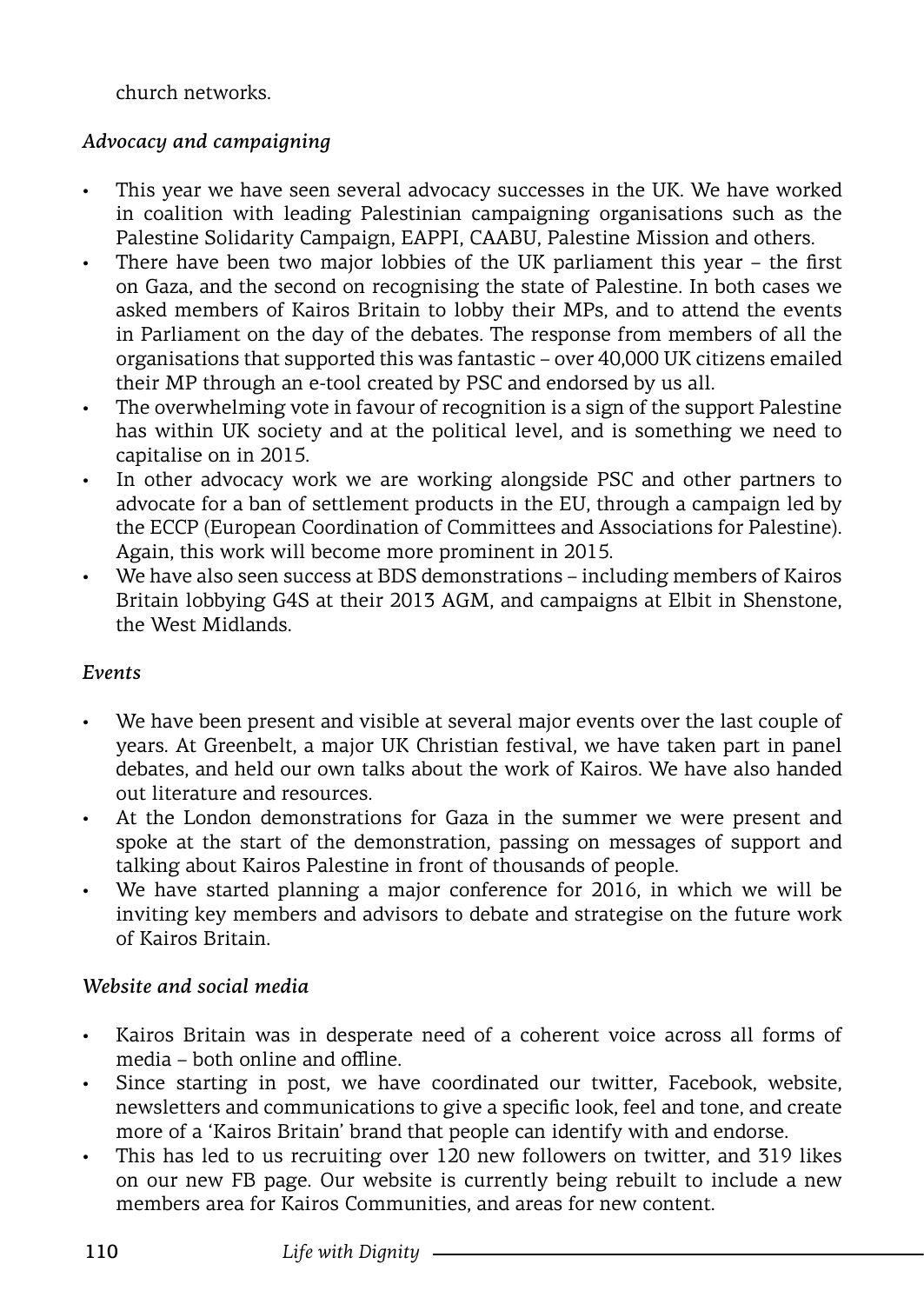church networks.

#### *Advocacy and campaigning*

- This year we have seen several advocacy successes in the UK. We have worked in coalition with leading Palestinian campaigning organisations such as the Palestine Solidarity Campaign, EAPPI, CAABU, Palestine Mission and others.
- There have been two major lobbies of the UK parliament this year  $-$  the first on Gaza, and the second on recognising the state of Palestine. In both cases we asked members of Kairos Britain to lobby their MPs, and to attend the events in Parliament on the day of the debates. The response from members of all the organisations that supported this was fantastic – over 40,000 UK citizens emailed their MP through an e-tool created by PSC and endorsed by us all.
- The overwhelming vote in favour of recognition is a sign of the support Palestine has within UK society and at the political level, and is something we need to capitalise on in 2015.
- In other advocacy work we are working alongside PSC and other partners to advocate for a ban of settlement products in the EU, through a campaign led by the ECCP (European Coordination of Committees and Associations for Palestine). Again, this work will become more prominent in 2015.
- We have also seen success at BDS demonstrations including members of Kairos Britain lobbying G4S at their 2013 AGM, and campaigns at Elbit in Shenstone, the West Midlands.

#### *Events*

- We have been present and visible at several major events over the last couple of years. At Greenbelt, a major UK Christian festival, we have taken part in panel debates, and held our own talks about the work of Kairos. We have also handed out literature and resources.
- At the London demonstrations for Gaza in the summer we were present and spoke at the start of the demonstration, passing on messages of support and talking about Kairos Palestine in front of thousands of people.
- We have started planning a major conference for 2016, in which we will be inviting key members and advisors to debate and strategise on the future work of Kairos Britain.

#### *Website and social media*

- Kairos Britain was in desperate need of a coherent voice across all forms of media – both online and offline.
- Since starting in post, we have coordinated our twitter, Facebook, website, newsletters and communications to give a specific look, feel and tone, and create more of a 'Kairos Britain' brand that people can identify with and endorse.
- • This has led to us recruiting over 120 new followers on twitter, and 319 likes on our new FB page. Our website is currently being rebuilt to include a new members area for Kairos Communities, and areas for new content.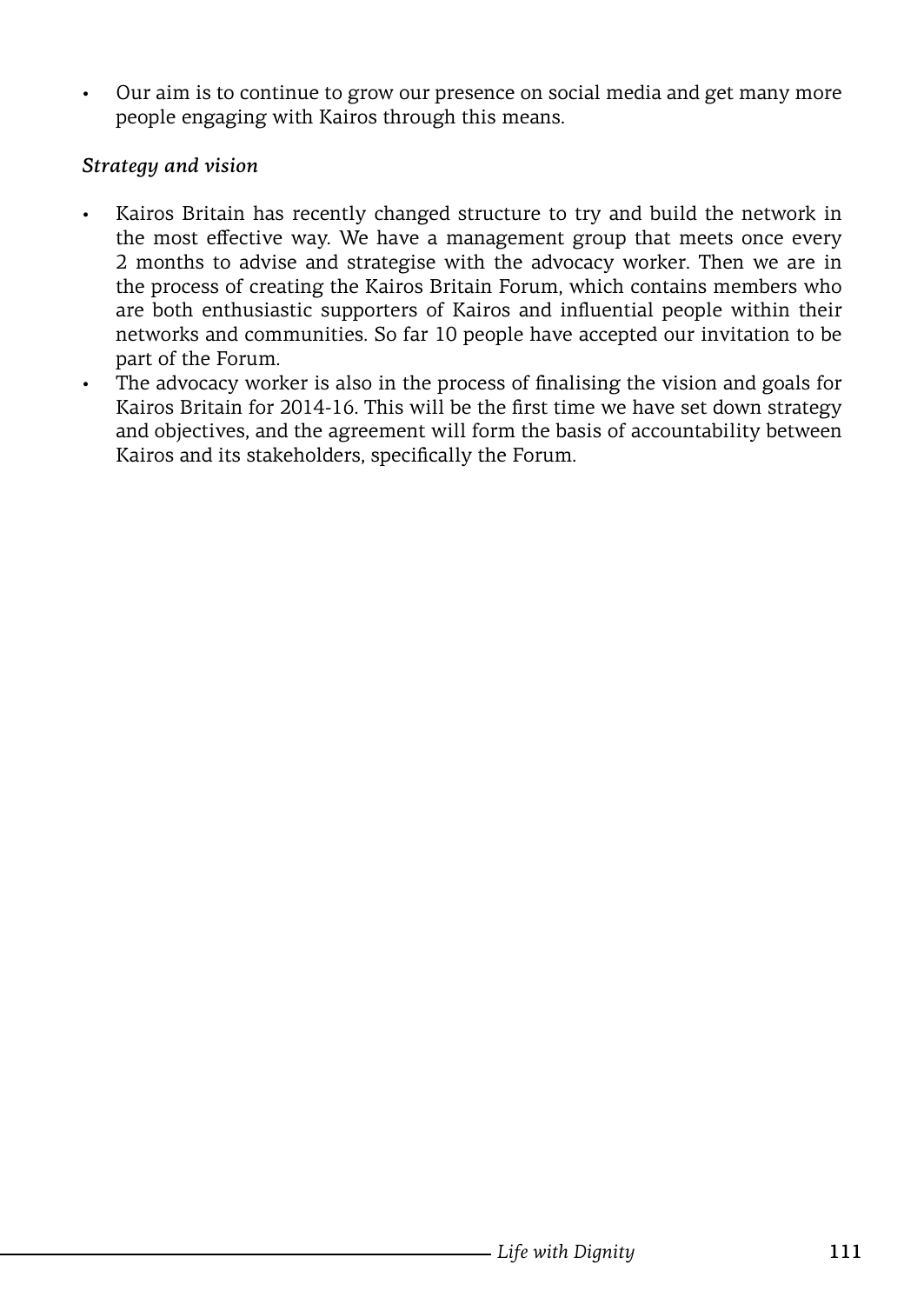Our aim is to continue to grow our presence on social media and get many more people engaging with Kairos through this means.

#### *Strategy and vision*

- Kairos Britain has recently changed structure to try and build the network in the most effective way. We have a management group that meets once every 2 months to advise and strategise with the advocacy worker. Then we are in the process of creating the Kairos Britain Forum, which contains members who are both enthusiastic supporters of Kairos and influential people within their networks and communities. So far 10 people have accepted our invitation to be part of the Forum.
- The advocacy worker is also in the process of finalising the vision and goals for Kairos Britain for 2014-16. This will be the first time we have set down strategy and objectives, and the agreement will form the basis of accountability between Kairos and its stakeholders, specifically the Forum.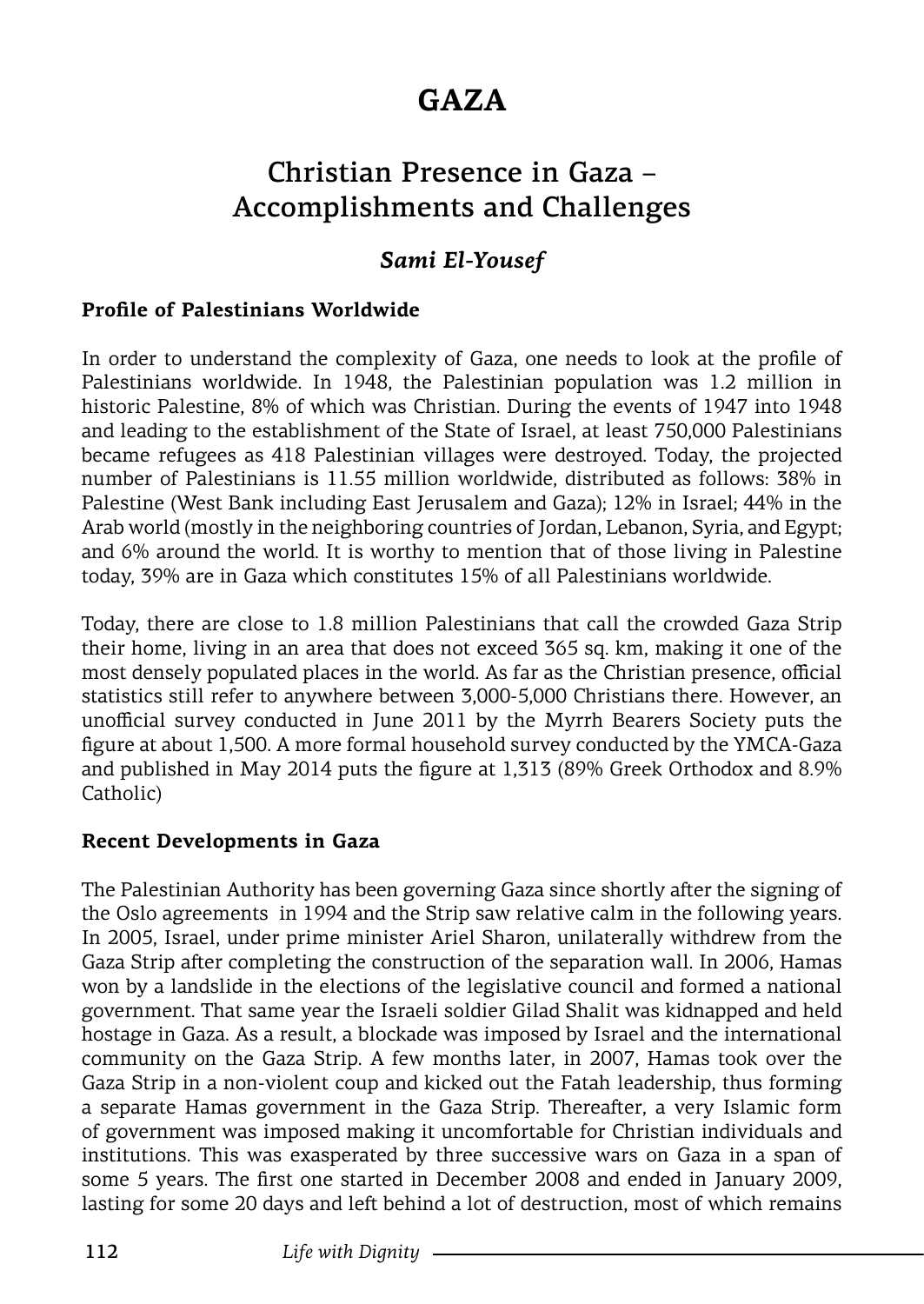# **GAZA**

# Christian Presence in Gaza – Accomplishments and Challenges

## *Sami El-Yousef*

### **Profile of Palestinians Worldwide**

In order to understand the complexity of Gaza, one needs to look at the profile of Palestinians worldwide. In 1948, the Palestinian population was 1.2 million in historic Palestine, 8% of which was Christian. During the events of 1947 into 1948 and leading to the establishment of the State of Israel, at least 750,000 Palestinians became refugees as 418 Palestinian villages were destroyed. Today, the projected number of Palestinians is 11.55 million worldwide, distributed as follows: 38% in Palestine (West Bank including East Jerusalem and Gaza); 12% in Israel; 44% in the Arab world (mostly in the neighboring countries of Jordan, Lebanon, Syria, and Egypt; and 6% around the world. It is worthy to mention that of those living in Palestine today, 39% are in Gaza which constitutes 15% of all Palestinians worldwide.

Today, there are close to 1.8 million Palestinians that call the crowded Gaza Strip their home, living in an area that does not exceed 365 sq. km, making it one of the most densely populated places in the world. As far as the Christian presence, official statistics still refer to anywhere between 3,000-5,000 Christians there. However, an unofficial survey conducted in June 2011 by the Myrrh Bearers Society puts the figure at about 1,500. A more formal household survey conducted by the YMCA-Gaza and published in May 2014 puts the figure at 1,313 (89% Greek Orthodox and 8.9% Catholic)

### **Recent Developments in Gaza**

The Palestinian Authority has been governing Gaza since shortly after the signing of the Oslo agreements in 1994 and the Strip saw relative calm in the following years. In 2005, Israel, under prime minister Ariel Sharon, unilaterally withdrew from the Gaza Strip after completing the construction of the separation wall. In 2006, Hamas won by a landslide in the elections of the legislative council and formed a national government. That same year the Israeli soldier Gilad Shalit was kidnapped and held hostage in Gaza. As a result, a blockade was imposed by Israel and the international community on the Gaza Strip. A few months later, in 2007, Hamas took over the Gaza Strip in a non-violent coup and kicked out the Fatah leadership, thus forming a separate Hamas government in the Gaza Strip. Thereafter, a very Islamic form of government was imposed making it uncomfortable for Christian individuals and institutions. This was exasperated by three successive wars on Gaza in a span of some 5 years. The first one started in December 2008 and ended in January 2009, lasting for some 20 days and left behind a lot of destruction, most of which remains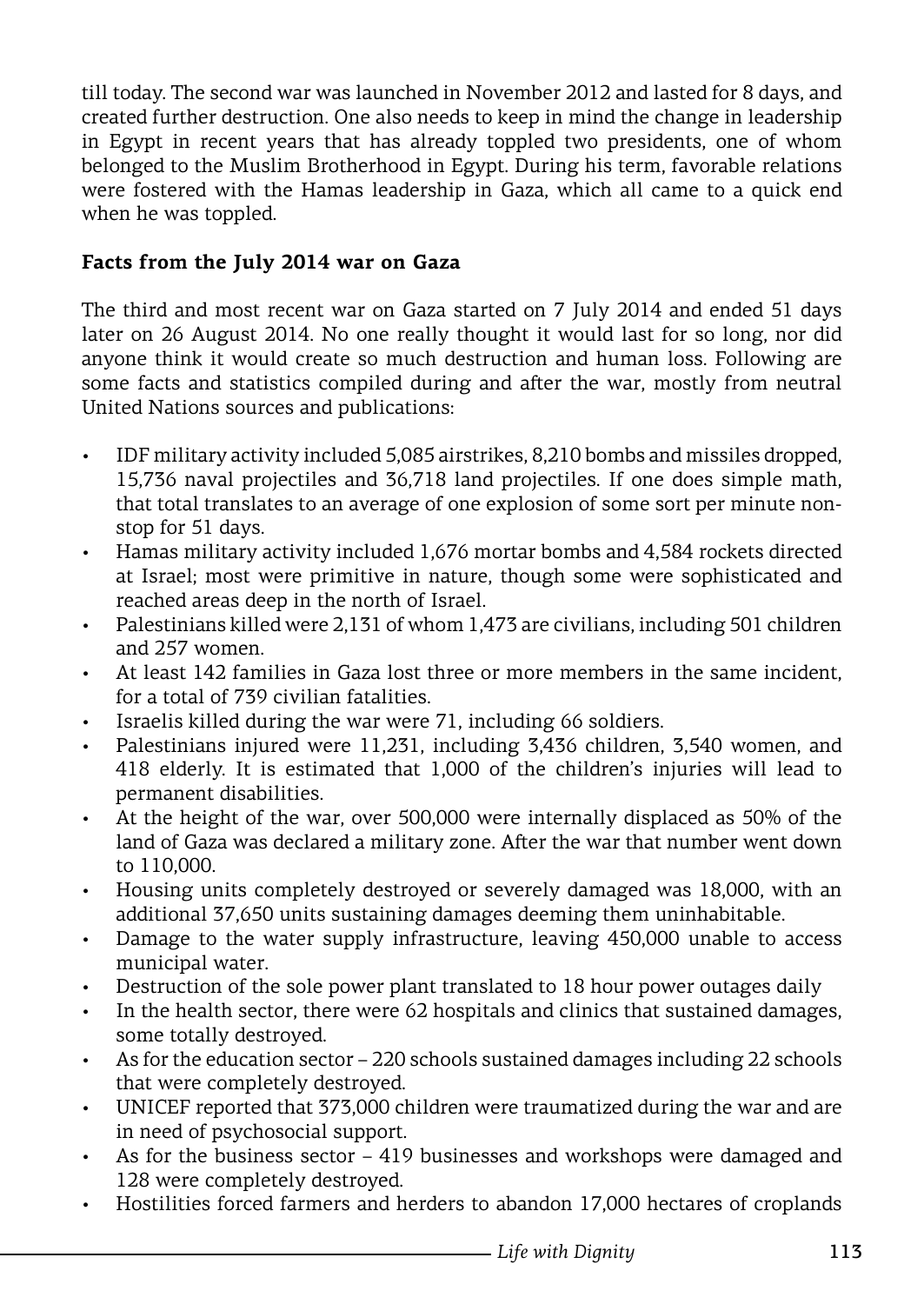till today. The second war was launched in November 2012 and lasted for 8 days, and created further destruction. One also needs to keep in mind the change in leadership in Egypt in recent years that has already toppled two presidents, one of whom belonged to the Muslim Brotherhood in Egypt. During his term, favorable relations were fostered with the Hamas leadership in Gaza, which all came to a quick end when he was toppled.

### **Facts from the July 2014 war on Gaza**

The third and most recent war on Gaza started on 7 July 2014 and ended 51 days later on 26 August 2014. No one really thought it would last for so long, nor did anyone think it would create so much destruction and human loss. Following are some facts and statistics compiled during and after the war, mostly from neutral United Nations sources and publications:

- IDF military activity included  $5,085$  airstrikes,  $8,210$  bombs and missiles dropped, 15,736 naval projectiles and 36,718 land projectiles. If one does simple math, that total translates to an average of one explosion of some sort per minute nonstop for 51 days.
- • Hamas military activity included 1,676 mortar bombs and 4,584 rockets directed at Israel; most were primitive in nature, though some were sophisticated and reached areas deep in the north of Israel.
- Palestinians killed were  $2.131$  of whom  $1.473$  are civilians, including 501 children and 257 women.
- At least 142 families in Gaza lost three or more members in the same incident. for a total of 739 civilian fatalities.
- Israelis killed during the war were 71, including 66 soldiers.
- Palestinians injured were 11,231, including 3,436 children, 3,540 women, and 418 elderly. It is estimated that 1,000 of the children's injuries will lead to permanent disabilities.
- At the height of the war, over 500,000 were internally displaced as 50% of the land of Gaza was declared a military zone. After the war that number went down to 110,000.
- Housing units completely destroyed or severely damaged was 18,000, with an additional 37,650 units sustaining damages deeming them uninhabitable.
- Damage to the water supply infrastructure, leaving 450,000 unable to access municipal water.
- Destruction of the sole power plant translated to 18 hour power outages daily
- In the health sector, there were  $62$  hospitals and clinics that sustained damages, some totally destroyed.
- As for the education sector  $-220$  schools sustained damages including 22 schools that were completely destroyed.
- • UNICEF reported that 373,000 children were traumatized during the war and are in need of psychosocial support.
- • As for the business sector 419 businesses and workshops were damaged and 128 were completely destroyed.
- Hostilities forced farmers and herders to abandon 17,000 hectares of croplands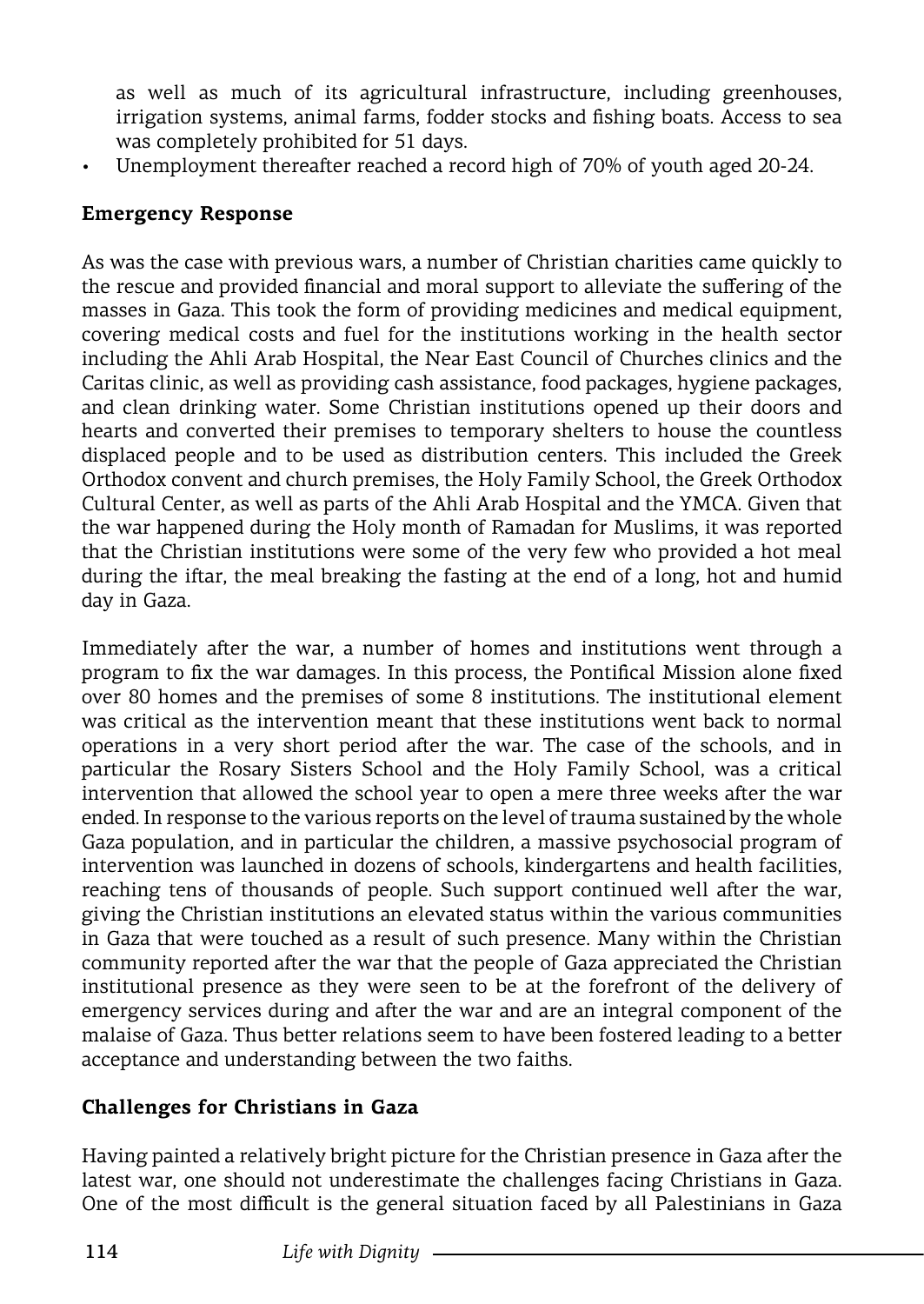as well as much of its agricultural infrastructure, including greenhouses, irrigation systems, animal farms, fodder stocks and fishing boats. Access to sea was completely prohibited for 51 days.

• Unemployment thereafter reached a record high of 70% of youth aged 20-24.

### **Emergency Response**

As was the case with previous wars, a number of Christian charities came quickly to the rescue and provided financial and moral support to alleviate the suffering of the masses in Gaza. This took the form of providing medicines and medical equipment, covering medical costs and fuel for the institutions working in the health sector including the Ahli Arab Hospital, the Near East Council of Churches clinics and the Caritas clinic, as well as providing cash assistance, food packages, hygiene packages, and clean drinking water. Some Christian institutions opened up their doors and hearts and converted their premises to temporary shelters to house the countless displaced people and to be used as distribution centers. This included the Greek Orthodox convent and church premises, the Holy Family School, the Greek Orthodox Cultural Center, as well as parts of the Ahli Arab Hospital and the YMCA. Given that the war happened during the Holy month of Ramadan for Muslims, it was reported that the Christian institutions were some of the very few who provided a hot meal during the iftar, the meal breaking the fasting at the end of a long, hot and humid day in Gaza.

Immediately after the war, a number of homes and institutions went through a program to fix the war damages. In this process, the Pontifical Mission alone fixed over 80 homes and the premises of some 8 institutions. The institutional element was critical as the intervention meant that these institutions went back to normal operations in a very short period after the war. The case of the schools, and in particular the Rosary Sisters School and the Holy Family School, was a critical intervention that allowed the school year to open a mere three weeks after the war ended. In response to the various reports on the level of trauma sustained by the whole Gaza population, and in particular the children, a massive psychosocial program of intervention was launched in dozens of schools, kindergartens and health facilities, reaching tens of thousands of people. Such support continued well after the war, giving the Christian institutions an elevated status within the various communities in Gaza that were touched as a result of such presence. Many within the Christian community reported after the war that the people of Gaza appreciated the Christian institutional presence as they were seen to be at the forefront of the delivery of emergency services during and after the war and are an integral component of the malaise of Gaza. Thus better relations seem to have been fostered leading to a better acceptance and understanding between the two faiths.

### **Challenges for Christians in Gaza**

Having painted a relatively bright picture for the Christian presence in Gaza after the latest war, one should not underestimate the challenges facing Christians in Gaza. One of the most difficult is the general situation faced by all Palestinians in Gaza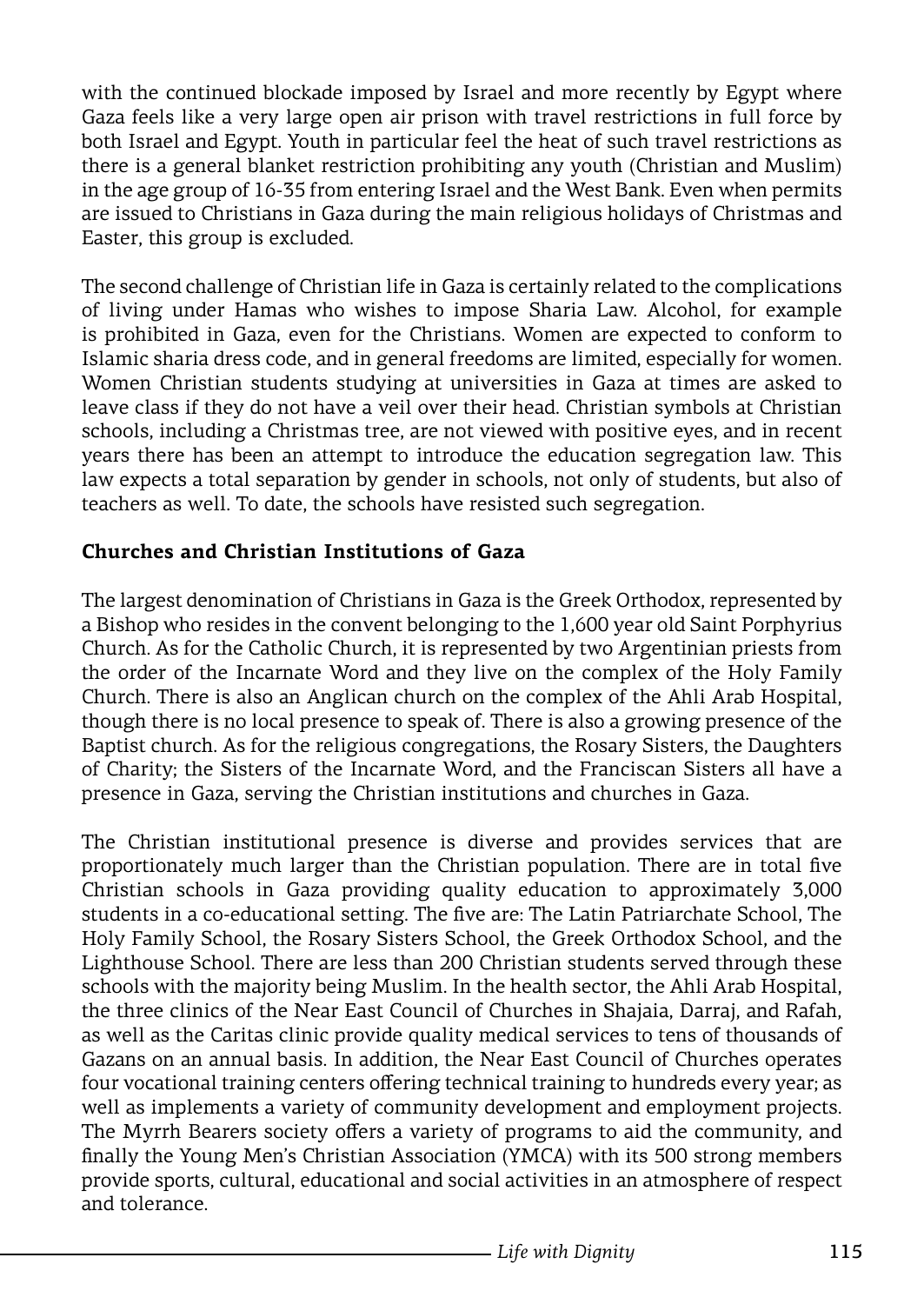with the continued blockade imposed by Israel and more recently by Egypt where Gaza feels like a very large open air prison with travel restrictions in full force by both Israel and Egypt. Youth in particular feel the heat of such travel restrictions as there is a general blanket restriction prohibiting any youth (Christian and Muslim) in the age group of 16-35 from entering Israel and the West Bank. Even when permits are issued to Christians in Gaza during the main religious holidays of Christmas and Easter, this group is excluded.

The second challenge of Christian life in Gaza is certainly related to the complications of living under Hamas who wishes to impose Sharia Law. Alcohol, for example is prohibited in Gaza, even for the Christians. Women are expected to conform to Islamic sharia dress code, and in general freedoms are limited, especially for women. Women Christian students studying at universities in Gaza at times are asked to leave class if they do not have a veil over their head. Christian symbols at Christian schools, including a Christmas tree, are not viewed with positive eyes, and in recent years there has been an attempt to introduce the education segregation law. This law expects a total separation by gender in schools, not only of students, but also of teachers as well. To date, the schools have resisted such segregation.

### **Churches and Christian Institutions of Gaza**

The largest denomination of Christians in Gaza is the Greek Orthodox, represented by a Bishop who resides in the convent belonging to the 1,600 year old Saint Porphyrius Church. As for the Catholic Church, it is represented by two Argentinian priests from the order of the Incarnate Word and they live on the complex of the Holy Family Church. There is also an Anglican church on the complex of the Ahli Arab Hospital, though there is no local presence to speak of. There is also a growing presence of the Baptist church. As for the religious congregations, the Rosary Sisters, the Daughters of Charity; the Sisters of the Incarnate Word, and the Franciscan Sisters all have a presence in Gaza, serving the Christian institutions and churches in Gaza.

The Christian institutional presence is diverse and provides services that are proportionately much larger than the Christian population. There are in total five Christian schools in Gaza providing quality education to approximately 3,000 students in a co-educational setting. The five are: The Latin Patriarchate School, The Holy Family School, the Rosary Sisters School, the Greek Orthodox School, and the Lighthouse School. There are less than 200 Christian students served through these schools with the majority being Muslim. In the health sector, the Ahli Arab Hospital, the three clinics of the Near East Council of Churches in Shajaia, Darraj, and Rafah, as well as the Caritas clinic provide quality medical services to tens of thousands of Gazans on an annual basis. In addition, the Near East Council of Churches operates four vocational training centers offering technical training to hundreds every year; as well as implements a variety of community development and employment projects. The Myrrh Bearers society offers a variety of programs to aid the community, and finally the Young Men's Christian Association (YMCA) with its 500 strong members provide sports, cultural, educational and social activities in an atmosphere of respect and tolerance.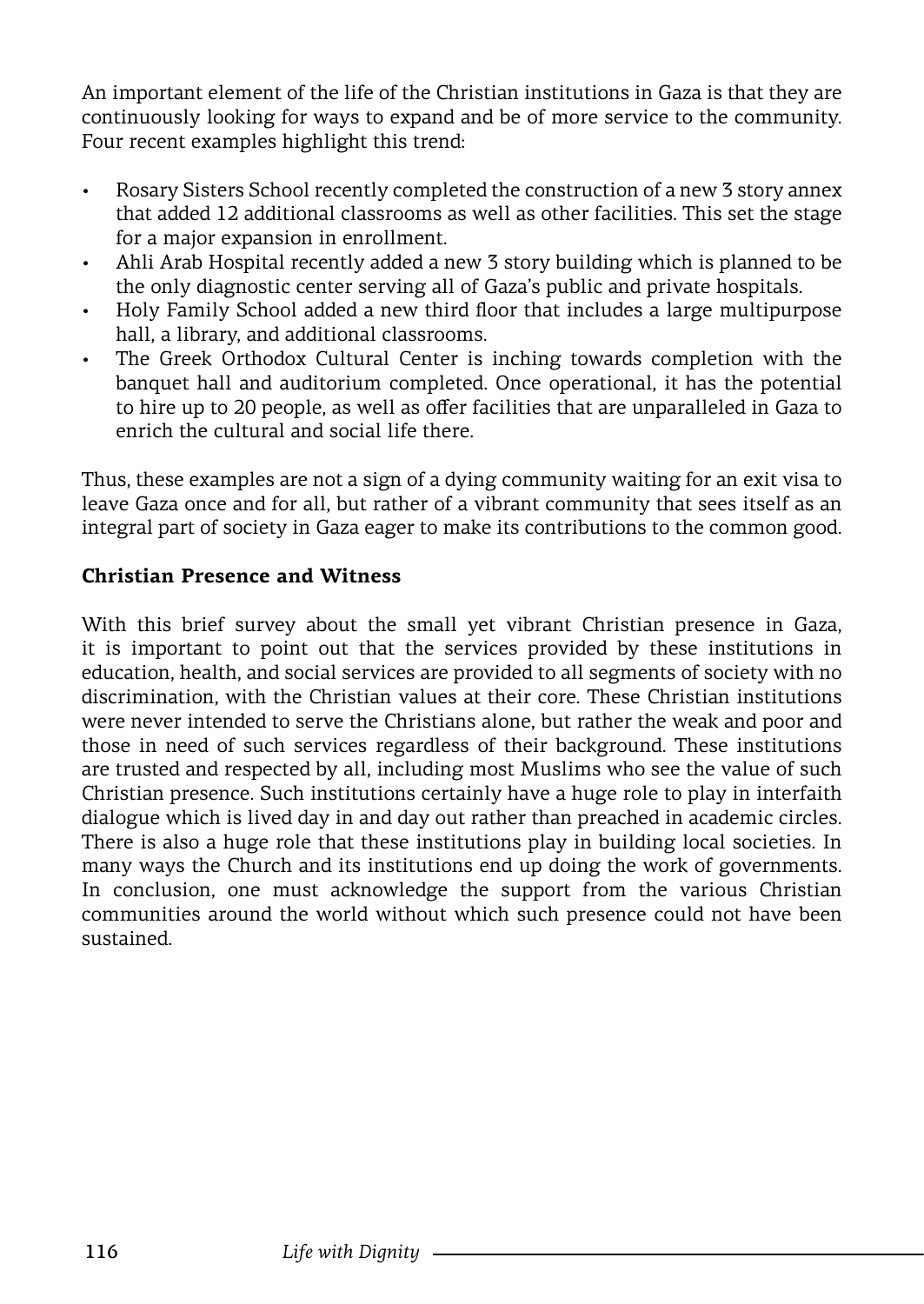An important element of the life of the Christian institutions in Gaza is that they are continuously looking for ways to expand and be of more service to the community. Four recent examples highlight this trend:

- Rosary Sisters School recently completed the construction of a new 3 story annex that added 12 additional classrooms as well as other facilities. This set the stage for a major expansion in enrollment.
- Ahli Arab Hospital recently added a new 3 story building which is planned to be the only diagnostic center serving all of Gaza's public and private hospitals.
- Holy Family School added a new third floor that includes a large multipurpose hall, a library, and additional classrooms.
- The Greek Orthodox Cultural Center is inching towards completion with the banquet hall and auditorium completed. Once operational, it has the potential to hire up to 20 people, as well as offer facilities that are unparalleled in Gaza to enrich the cultural and social life there.

Thus, these examples are not a sign of a dying community waiting for an exit visa to leave Gaza once and for all, but rather of a vibrant community that sees itself as an integral part of society in Gaza eager to make its contributions to the common good.

#### **Christian Presence and Witness**

With this brief survey about the small yet vibrant Christian presence in Gaza, it is important to point out that the services provided by these institutions in education, health, and social services are provided to all segments of society with no discrimination, with the Christian values at their core. These Christian institutions were never intended to serve the Christians alone, but rather the weak and poor and those in need of such services regardless of their background. These institutions are trusted and respected by all, including most Muslims who see the value of such Christian presence. Such institutions certainly have a huge role to play in interfaith dialogue which is lived day in and day out rather than preached in academic circles. There is also a huge role that these institutions play in building local societies. In many ways the Church and its institutions end up doing the work of governments. In conclusion, one must acknowledge the support from the various Christian communities around the world without which such presence could not have been sustained.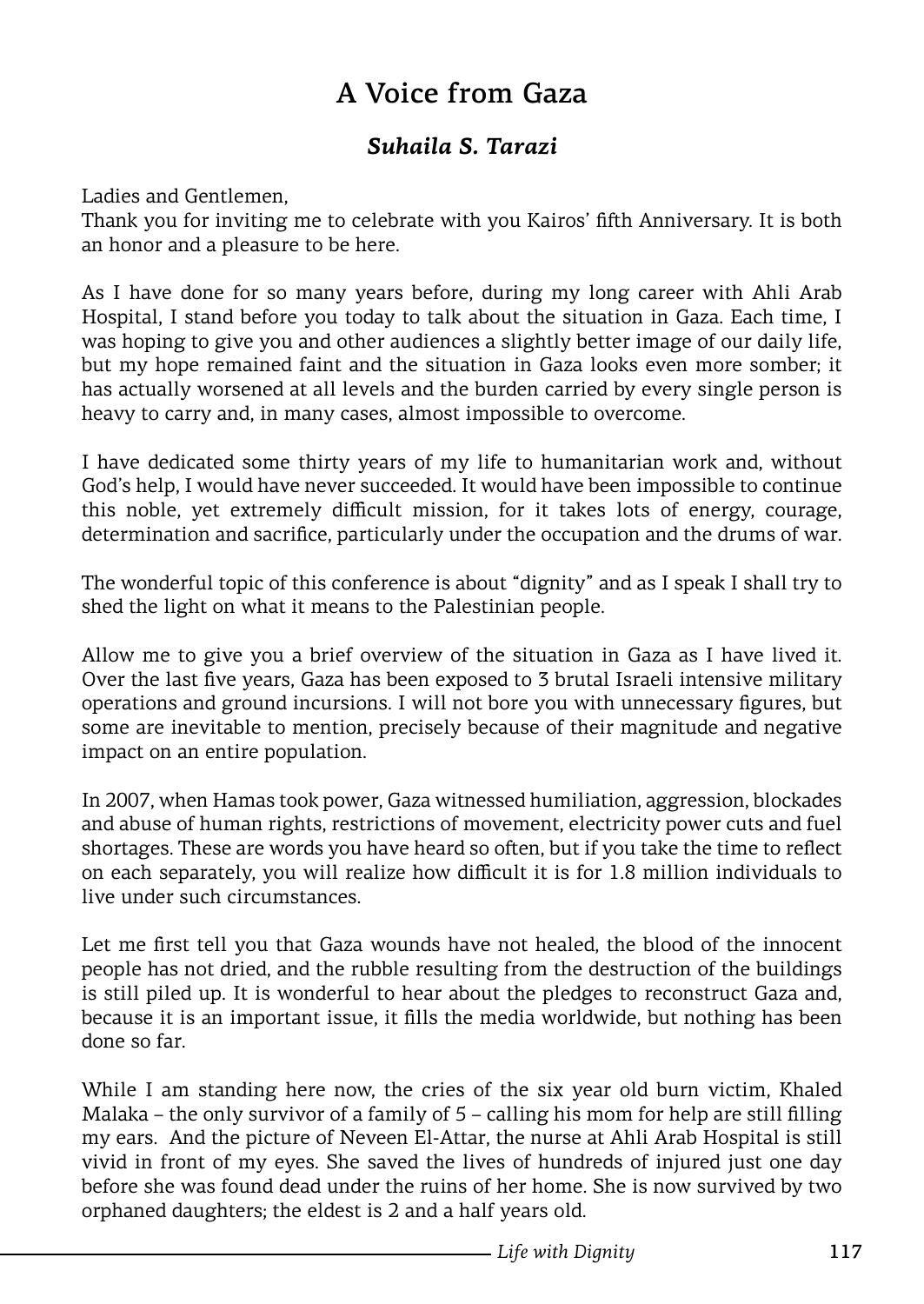# A Voice from Gaza

## *Suhaila S. Tarazi*

Ladies and Gentlemen,

Thank you for inviting me to celebrate with you Kairos' fifth Anniversary. It is both an honor and a pleasure to be here.

As I have done for so many years before, during my long career with Ahli Arab Hospital, I stand before you today to talk about the situation in Gaza. Each time, I was hoping to give you and other audiences a slightly better image of our daily life, but my hope remained faint and the situation in Gaza looks even more somber; it has actually worsened at all levels and the burden carried by every single person is heavy to carry and, in many cases, almost impossible to overcome.

I have dedicated some thirty years of my life to humanitarian work and, without God's help, I would have never succeeded. It would have been impossible to continue this noble, yet extremely difficult mission, for it takes lots of energy, courage, determination and sacrifice, particularly under the occupation and the drums of war.

The wonderful topic of this conference is about "dignity" and as I speak I shall try to shed the light on what it means to the Palestinian people.

Allow me to give you a brief overview of the situation in Gaza as I have lived it. Over the last five years, Gaza has been exposed to 3 brutal Israeli intensive military operations and ground incursions. I will not bore you with unnecessary figures, but some are inevitable to mention, precisely because of their magnitude and negative impact on an entire population.

In 2007, when Hamas took power, Gaza witnessed humiliation, aggression, blockades and abuse of human rights, restrictions of movement, electricity power cuts and fuel shortages. These are words you have heard so often, but if you take the time to reflect on each separately, you will realize how difficult it is for 1.8 million individuals to live under such circumstances.

Let me first tell you that Gaza wounds have not healed, the blood of the innocent people has not dried, and the rubble resulting from the destruction of the buildings is still piled up. It is wonderful to hear about the pledges to reconstruct Gaza and, because it is an important issue, it fills the media worldwide, but nothing has been done so far.

While I am standing here now, the cries of the six year old burn victim, Khaled Malaka – the only survivor of a family of 5 – calling his mom for help are still filling my ears. And the picture of Neveen El-Attar, the nurse at Ahli Arab Hospital is still vivid in front of my eyes. She saved the lives of hundreds of injured just one day before she was found dead under the ruins of her home. She is now survived by two orphaned daughters; the eldest is 2 and a half years old.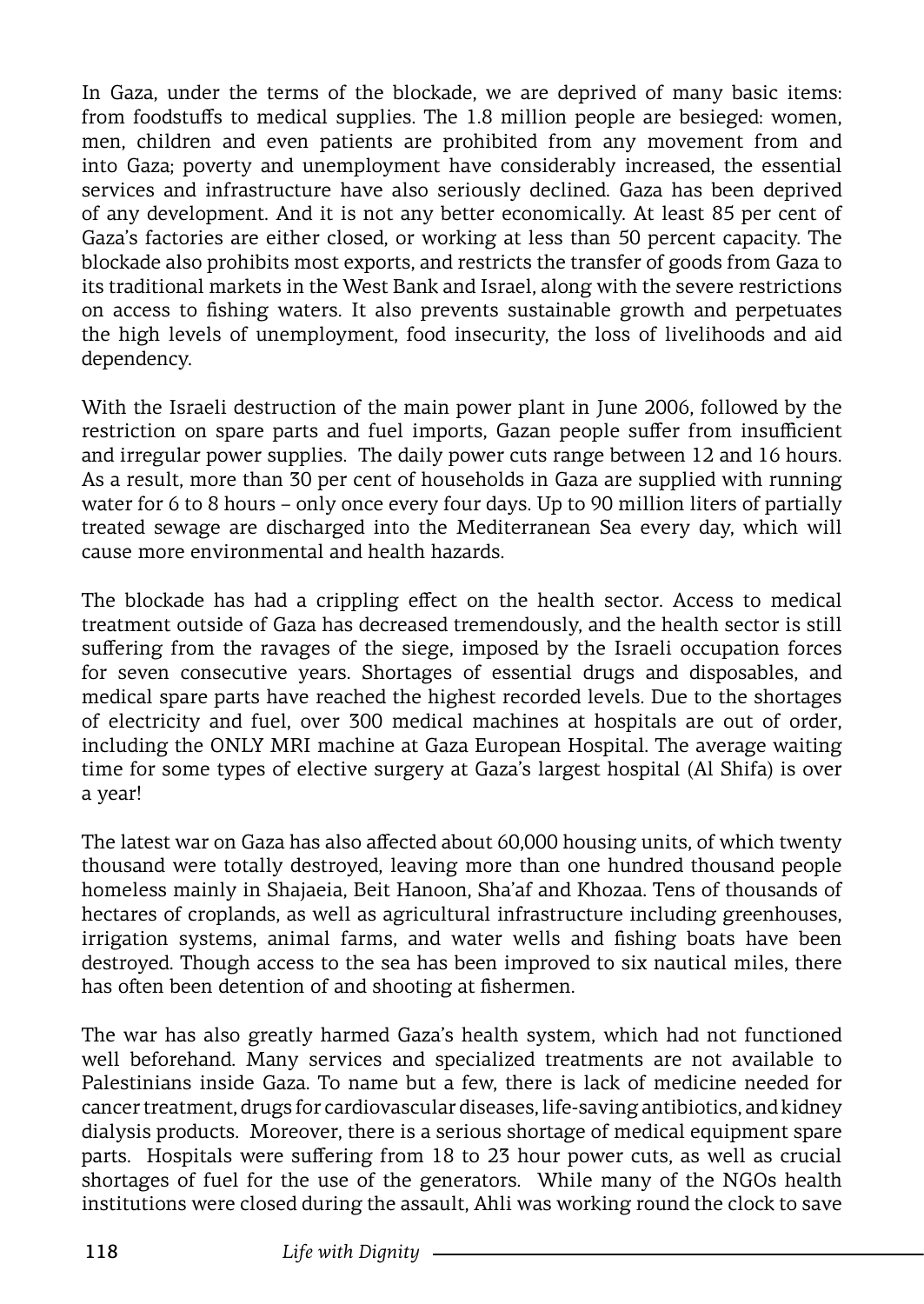In Gaza, under the terms of the blockade, we are deprived of many basic items: from foodstuffs to medical supplies. The 1.8 million people are besieged: women, men, children and even patients are prohibited from any movement from and into Gaza; poverty and unemployment have considerably increased, the essential services and infrastructure have also seriously declined. Gaza has been deprived of any development. And it is not any better economically. At least 85 per cent of Gaza's factories are either closed, or working at less than 50 percent capacity. The blockade also prohibits most exports, and restricts the transfer of goods from Gaza to its traditional markets in the West Bank and Israel, along with the severe restrictions on access to fishing waters. It also prevents sustainable growth and perpetuates the high levels of unemployment, food insecurity, the loss of livelihoods and aid dependency.

With the Israeli destruction of the main power plant in June 2006, followed by the restriction on spare parts and fuel imports, Gazan people suffer from insufficient and irregular power supplies. The daily power cuts range between 12 and 16 hours. As a result, more than 30 per cent of households in Gaza are supplied with running water for 6 to 8 hours – only once every four days. Up to 90 million liters of partially treated sewage are discharged into the Mediterranean Sea every day, which will cause more environmental and health hazards.

The blockade has had a crippling effect on the health sector. Access to medical treatment outside of Gaza has decreased tremendously, and the health sector is still suffering from the ravages of the siege, imposed by the Israeli occupation forces for seven consecutive years. Shortages of essential drugs and disposables, and medical spare parts have reached the highest recorded levels. Due to the shortages of electricity and fuel, over 300 medical machines at hospitals are out of order, including the ONLY MRI machine at Gaza European Hospital. The average waiting time for some types of elective surgery at Gaza's largest hospital (Al Shifa) is over a year!

The latest war on Gaza has also affected about 60,000 housing units, of which twenty thousand were totally destroyed, leaving more than one hundred thousand people homeless mainly in Shajaeia, Beit Hanoon, Sha'af and Khozaa. Tens of thousands of hectares of croplands, as well as agricultural infrastructure including greenhouses, irrigation systems, animal farms, and water wells and fishing boats have been destroyed. Though access to the sea has been improved to six nautical miles, there has often been detention of and shooting at fishermen.

The war has also greatly harmed Gaza's health system, which had not functioned well beforehand. Many services and specialized treatments are not available to Palestinians inside Gaza. To name but a few, there is lack of medicine needed for cancer treatment, drugs for cardiovascular diseases, life-saving antibiotics, and kidney dialysis products. Moreover, there is a serious shortage of medical equipment spare parts. Hospitals were suffering from 18 to 23 hour power cuts, as well as crucial shortages of fuel for the use of the generators. While many of the NGOs health institutions were closed during the assault, Ahli was working round the clock to save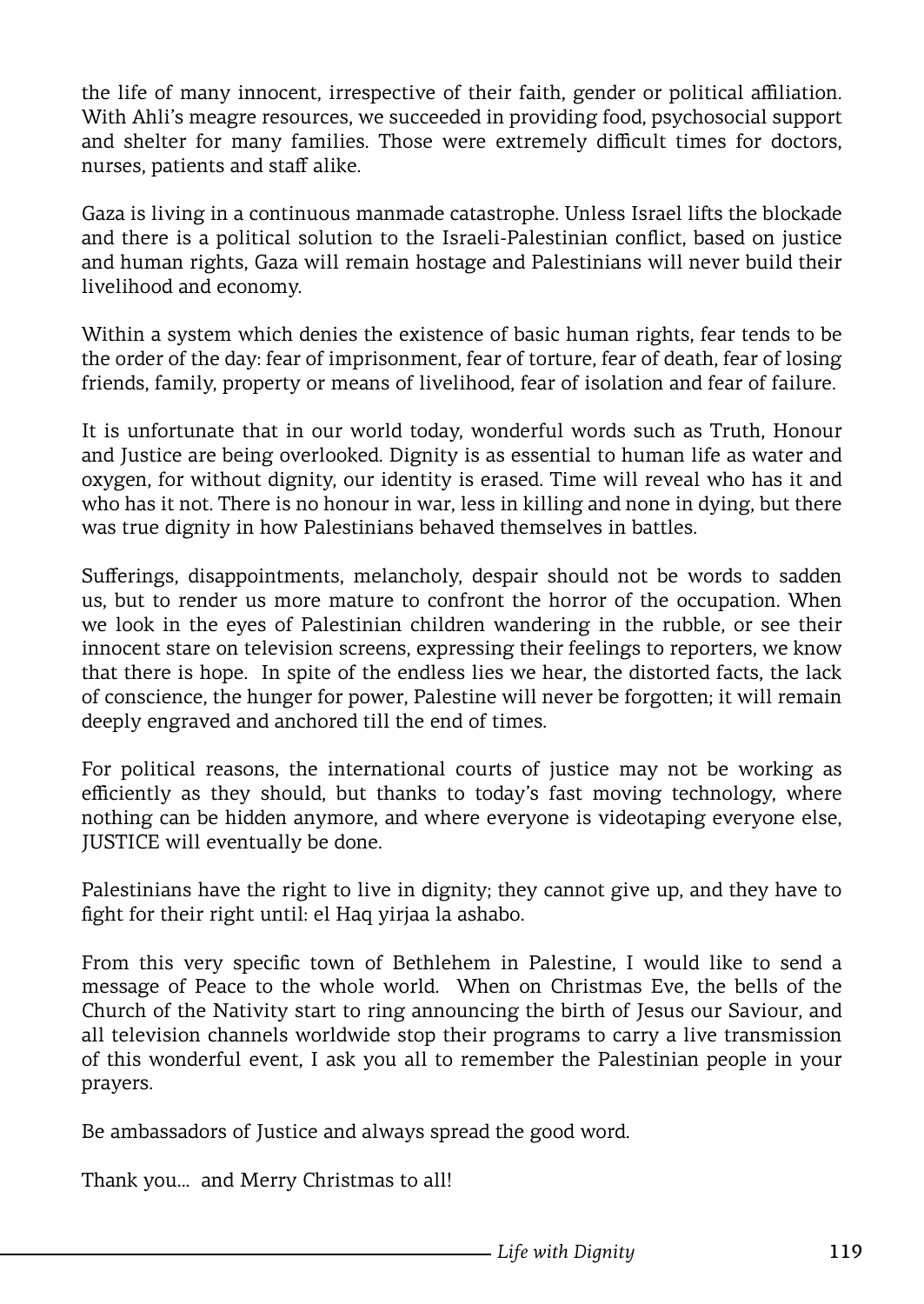the life of many innocent, irrespective of their faith, gender or political affiliation. With Ahli's meagre resources, we succeeded in providing food, psychosocial support and shelter for many families. Those were extremely difficult times for doctors, nurses, patients and staff alike.

Gaza is living in a continuous manmade catastrophe. Unless Israel lifts the blockade and there is a political solution to the Israeli-Palestinian conflict, based on justice and human rights, Gaza will remain hostage and Palestinians will never build their livelihood and economy.

Within a system which denies the existence of basic human rights, fear tends to be the order of the day: fear of imprisonment, fear of torture, fear of death, fear of losing friends, family, property or means of livelihood, fear of isolation and fear of failure.

It is unfortunate that in our world today, wonderful words such as Truth, Honour and Justice are being overlooked. Dignity is as essential to human life as water and oxygen, for without dignity, our identity is erased. Time will reveal who has it and who has it not. There is no honour in war, less in killing and none in dying, but there was true dignity in how Palestinians behaved themselves in battles.

Sufferings, disappointments, melancholy, despair should not be words to sadden us, but to render us more mature to confront the horror of the occupation. When we look in the eyes of Palestinian children wandering in the rubble, or see their innocent stare on television screens, expressing their feelings to reporters, we know that there is hope. In spite of the endless lies we hear, the distorted facts, the lack of conscience, the hunger for power, Palestine will never be forgotten; it will remain deeply engraved and anchored till the end of times.

For political reasons, the international courts of justice may not be working as efficiently as they should, but thanks to today's fast moving technology, where nothing can be hidden anymore, and where everyone is videotaping everyone else, JUSTICE will eventually be done.

Palestinians have the right to live in dignity; they cannot give up, and they have to fight for their right until: el Haq yirjaa la ashabo.

From this very specific town of Bethlehem in Palestine, I would like to send a message of Peace to the whole world. When on Christmas Eve, the bells of the Church of the Nativity start to ring announcing the birth of Jesus our Saviour, and all television channels worldwide stop their programs to carry a live transmission of this wonderful event, I ask you all to remember the Palestinian people in your prayers.

Be ambassadors of Justice and always spread the good word.

Thank you... and Merry Christmas to all!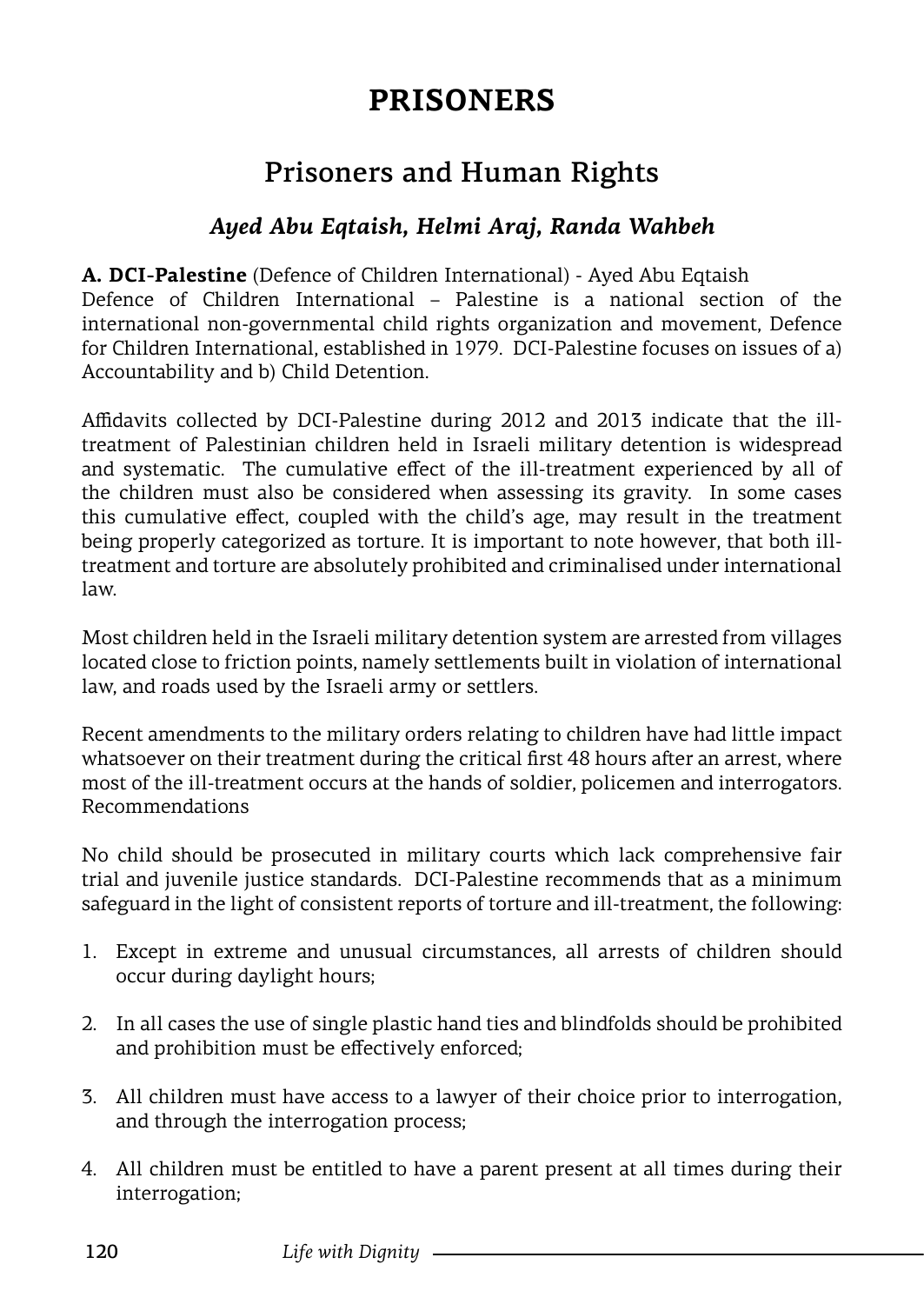# **PRISONERS**

# Prisoners and Human Rights

## *Ayed Abu Eqtaish, Helmi Araj, Randa Wahbeh*

**A. DCI-Palestine** (Defence of Children International) - Ayed Abu Eqtaish Defence of Children International – Palestine is a national section of the international non-governmental child rights organization and movement, Defence for Children International, established in 1979. DCI-Palestine focuses on issues of a) Accountability and b) Child Detention.

Affidavits collected by DCI-Palestine during 2012 and 2013 indicate that the illtreatment of Palestinian children held in Israeli military detention is widespread and systematic. The cumulative effect of the ill-treatment experienced by all of the children must also be considered when assessing its gravity. In some cases this cumulative effect, coupled with the child's age, may result in the treatment being properly categorized as torture. It is important to note however, that both illtreatment and torture are absolutely prohibited and criminalised under international law.

Most children held in the Israeli military detention system are arrested from villages located close to friction points, namely settlements built in violation of international law, and roads used by the Israeli army or settlers.

Recent amendments to the military orders relating to children have had little impact whatsoever on their treatment during the critical first 48 hours after an arrest, where most of the ill-treatment occurs at the hands of soldier, policemen and interrogators. Recommendations

No child should be prosecuted in military courts which lack comprehensive fair trial and juvenile justice standards. DCI-Palestine recommends that as a minimum safeguard in the light of consistent reports of torture and ill-treatment, the following:

- 1. Except in extreme and unusual circumstances, all arrests of children should occur during daylight hours;
- 2. In all cases the use of single plastic hand ties and blindfolds should be prohibited and prohibition must be effectively enforced;
- 3. All children must have access to a lawyer of their choice prior to interrogation, and through the interrogation process;
- 4. All children must be entitled to have a parent present at all times during their interrogation;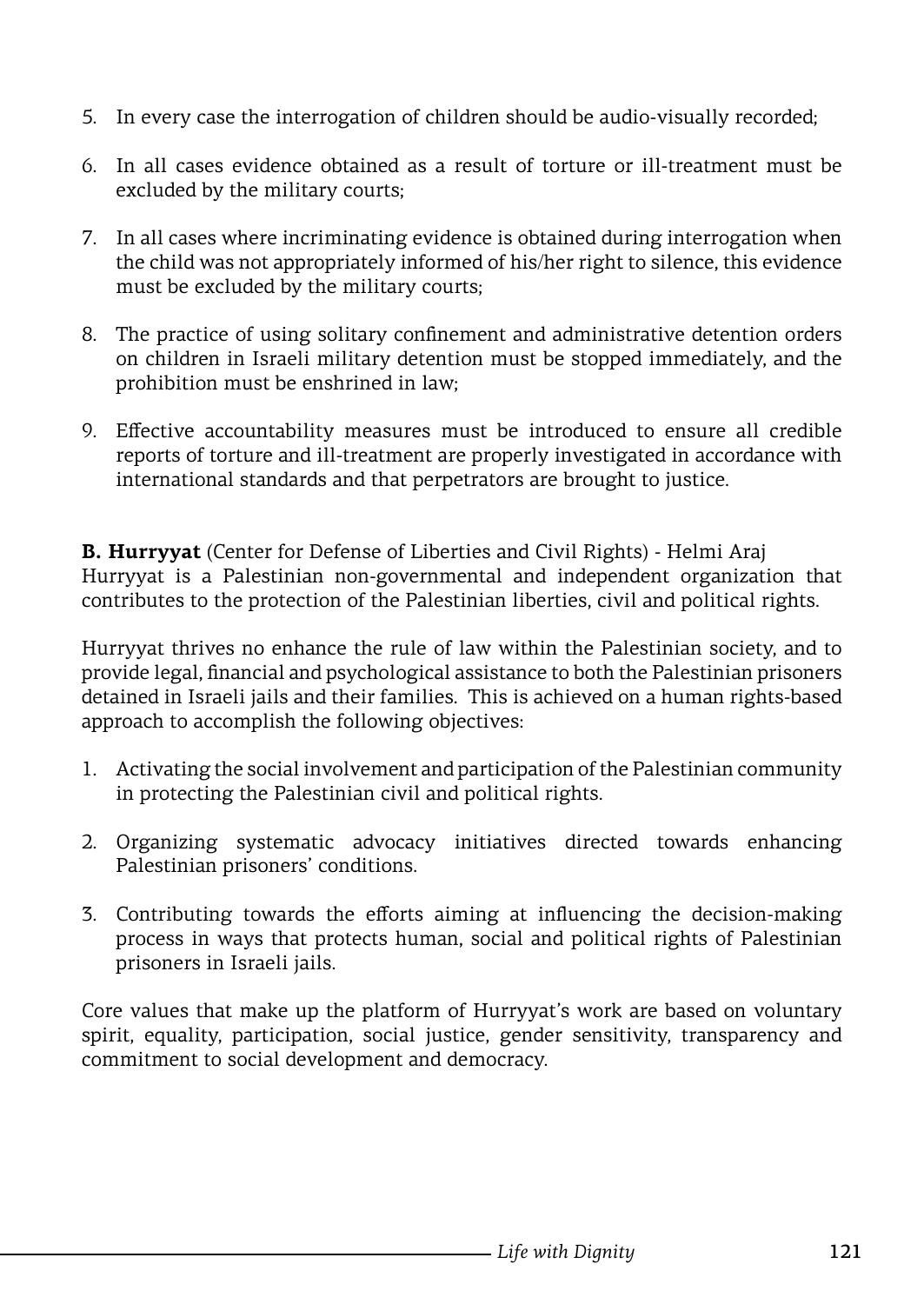- 5. In every case the interrogation of children should be audio-visually recorded;
- 6. In all cases evidence obtained as a result of torture or ill-treatment must be excluded by the military courts;
- 7. In all cases where incriminating evidence is obtained during interrogation when the child was not appropriately informed of his/her right to silence, this evidence must be excluded by the military courts;
- 8. The practice of using solitary confinement and administrative detention orders on children in Israeli military detention must be stopped immediately, and the prohibition must be enshrined in law;
- 9. Effective accountability measures must be introduced to ensure all credible reports of torture and ill-treatment are properly investigated in accordance with international standards and that perpetrators are brought to justice.

**B. Hurryyat** (Center for Defense of Liberties and Civil Rights) - Helmi Araj Hurryyat is a Palestinian non-governmental and independent organization that contributes to the protection of the Palestinian liberties, civil and political rights.

Hurryyat thrives no enhance the rule of law within the Palestinian society, and to provide legal, financial and psychological assistance to both the Palestinian prisoners detained in Israeli jails and their families. This is achieved on a human rights-based approach to accomplish the following objectives:

- 1. Activating the social involvement and participation of the Palestinian community in protecting the Palestinian civil and political rights.
- 2. Organizing systematic advocacy initiatives directed towards enhancing Palestinian prisoners' conditions.
- 3. Contributing towards the efforts aiming at influencing the decision-making process in ways that protects human, social and political rights of Palestinian prisoners in Israeli jails.

Core values that make up the platform of Hurryyat's work are based on voluntary spirit, equality, participation, social justice, gender sensitivity, transparency and commitment to social development and democracy.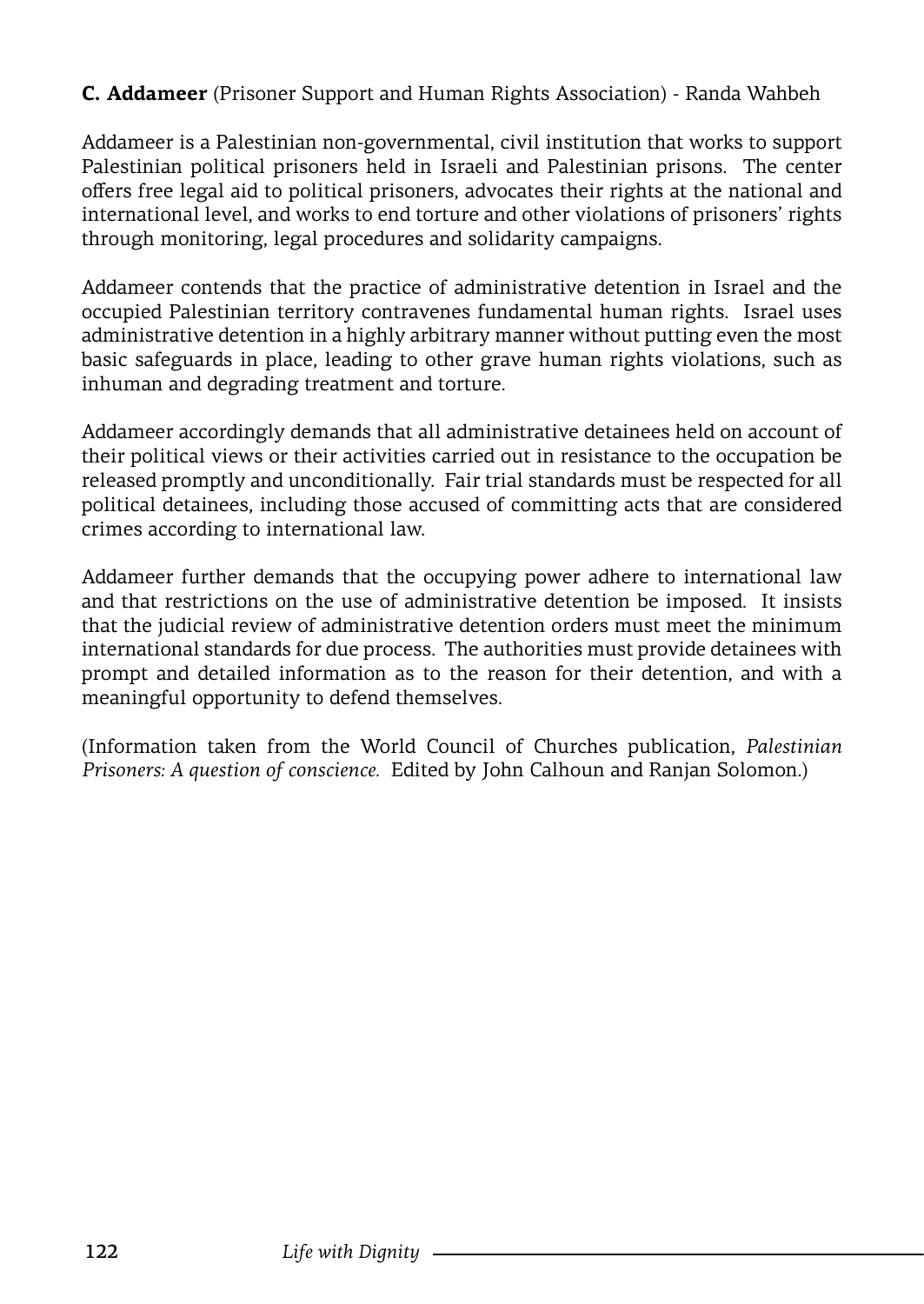#### **C. Addameer** (Prisoner Support and Human Rights Association) - Randa Wahbeh

Addameer is a Palestinian non-governmental, civil institution that works to support Palestinian political prisoners held in Israeli and Palestinian prisons. The center offers free legal aid to political prisoners, advocates their rights at the national and international level, and works to end torture and other violations of prisoners' rights through monitoring, legal procedures and solidarity campaigns.

Addameer contends that the practice of administrative detention in Israel and the occupied Palestinian territory contravenes fundamental human rights. Israel uses administrative detention in a highly arbitrary manner without putting even the most basic safeguards in place, leading to other grave human rights violations, such as inhuman and degrading treatment and torture.

Addameer accordingly demands that all administrative detainees held on account of their political views or their activities carried out in resistance to the occupation be released promptly and unconditionally. Fair trial standards must be respected for all political detainees, including those accused of committing acts that are considered crimes according to international law.

Addameer further demands that the occupying power adhere to international law and that restrictions on the use of administrative detention be imposed. It insists that the judicial review of administrative detention orders must meet the minimum international standards for due process. The authorities must provide detainees with prompt and detailed information as to the reason for their detention, and with a meaningful opportunity to defend themselves.

(Information taken from the World Council of Churches publication, *Palestinian Prisoners: A question of conscience.* Edited by John Calhoun and Ranjan Solomon.)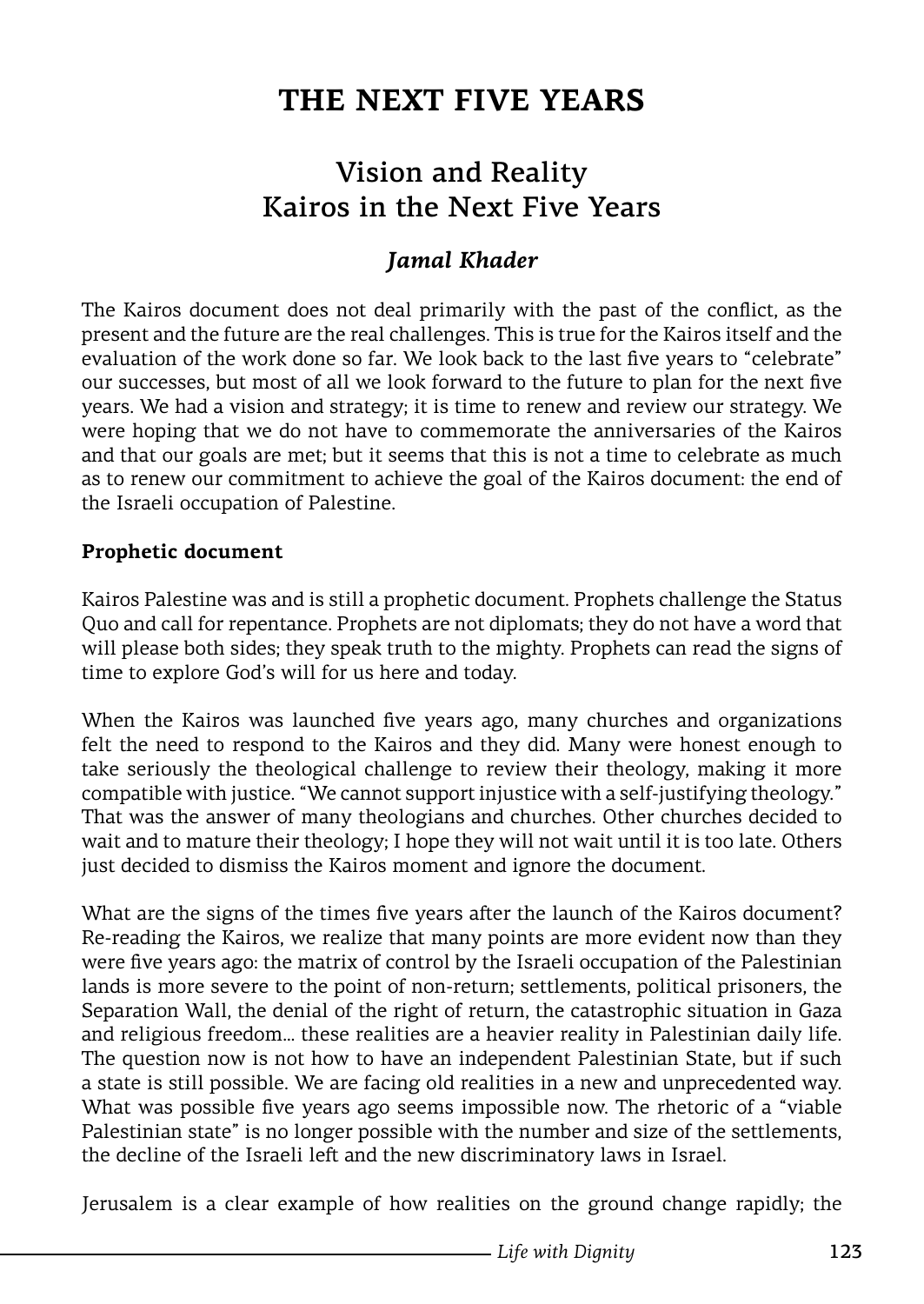# **THE NEXT FIVE YEARS**

# Vision and Reality Kairos in the Next Five Years

## *Jamal Khader*

The Kairos document does not deal primarily with the past of the conflict, as the present and the future are the real challenges. This is true for the Kairos itself and the evaluation of the work done so far. We look back to the last five years to "celebrate" our successes, but most of all we look forward to the future to plan for the next five years. We had a vision and strategy; it is time to renew and review our strategy. We were hoping that we do not have to commemorate the anniversaries of the Kairos and that our goals are met; but it seems that this is not a time to celebrate as much as to renew our commitment to achieve the goal of the Kairos document: the end of the Israeli occupation of Palestine.

#### **Prophetic document**

Kairos Palestine was and is still a prophetic document. Prophets challenge the Status Quo and call for repentance. Prophets are not diplomats; they do not have a word that will please both sides; they speak truth to the mighty. Prophets can read the signs of time to explore God's will for us here and today.

When the Kairos was launched five years ago, many churches and organizations felt the need to respond to the Kairos and they did. Many were honest enough to take seriously the theological challenge to review their theology, making it more compatible with justice. "We cannot support injustice with a self-justifying theology." That was the answer of many theologians and churches. Other churches decided to wait and to mature their theology; I hope they will not wait until it is too late. Others just decided to dismiss the Kairos moment and ignore the document.

What are the signs of the times five years after the launch of the Kairos document? Re-reading the Kairos, we realize that many points are more evident now than they were five years ago: the matrix of control by the Israeli occupation of the Palestinian lands is more severe to the point of non-return; settlements, political prisoners, the Separation Wall, the denial of the right of return, the catastrophic situation in Gaza and religious freedom… these realities are a heavier reality in Palestinian daily life. The question now is not how to have an independent Palestinian State, but if such a state is still possible. We are facing old realities in a new and unprecedented way. What was possible five years ago seems impossible now. The rhetoric of a "viable Palestinian state" is no longer possible with the number and size of the settlements, the decline of the Israeli left and the new discriminatory laws in Israel.

Jerusalem is a clear example of how realities on the ground change rapidly; the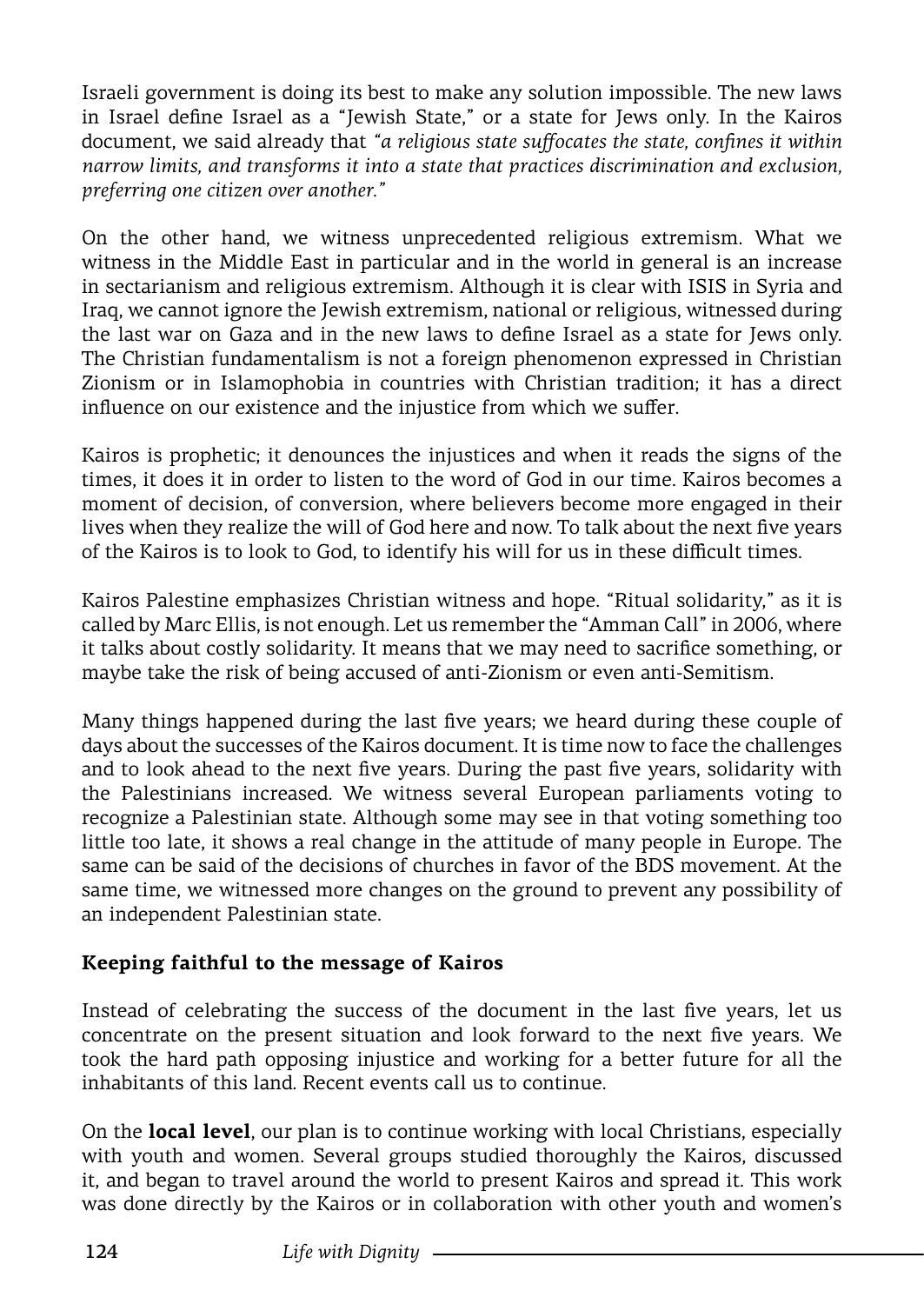Israeli government is doing its best to make any solution impossible. The new laws in Israel define Israel as a "Jewish State," or a state for Jews only. In the Kairos document, we said already that *"a religious state suffocates the state, confines it within narrow limits, and transforms it into a state that practices discrimination and exclusion, preferring one citizen over another."*

On the other hand, we witness unprecedented religious extremism. What we witness in the Middle East in particular and in the world in general is an increase in sectarianism and religious extremism. Although it is clear with ISIS in Syria and Iraq, we cannot ignore the Jewish extremism, national or religious, witnessed during the last war on Gaza and in the new laws to define Israel as a state for Jews only. The Christian fundamentalism is not a foreign phenomenon expressed in Christian Zionism or in Islamophobia in countries with Christian tradition; it has a direct influence on our existence and the injustice from which we suffer.

Kairos is prophetic; it denounces the injustices and when it reads the signs of the times, it does it in order to listen to the word of God in our time. Kairos becomes a moment of decision, of conversion, where believers become more engaged in their lives when they realize the will of God here and now. To talk about the next five years of the Kairos is to look to God, to identify his will for us in these difficult times.

Kairos Palestine emphasizes Christian witness and hope. "Ritual solidarity," as it is called by Marc Ellis, is not enough. Let us remember the "Amman Call" in 2006, where it talks about costly solidarity. It means that we may need to sacrifice something, or maybe take the risk of being accused of anti-Zionism or even anti-Semitism.

Many things happened during the last five years; we heard during these couple of days about the successes of the Kairos document. It is time now to face the challenges and to look ahead to the next five years. During the past five years, solidarity with the Palestinians increased. We witness several European parliaments voting to recognize a Palestinian state. Although some may see in that voting something too little too late, it shows a real change in the attitude of many people in Europe. The same can be said of the decisions of churches in favor of the BDS movement. At the same time, we witnessed more changes on the ground to prevent any possibility of an independent Palestinian state.

### **Keeping faithful to the message of Kairos**

Instead of celebrating the success of the document in the last five years, let us concentrate on the present situation and look forward to the next five years. We took the hard path opposing injustice and working for a better future for all the inhabitants of this land. Recent events call us to continue.

On the **local level**, our plan is to continue working with local Christians, especially with youth and women. Several groups studied thoroughly the Kairos, discussed it, and began to travel around the world to present Kairos and spread it. This work was done directly by the Kairos or in collaboration with other youth and women's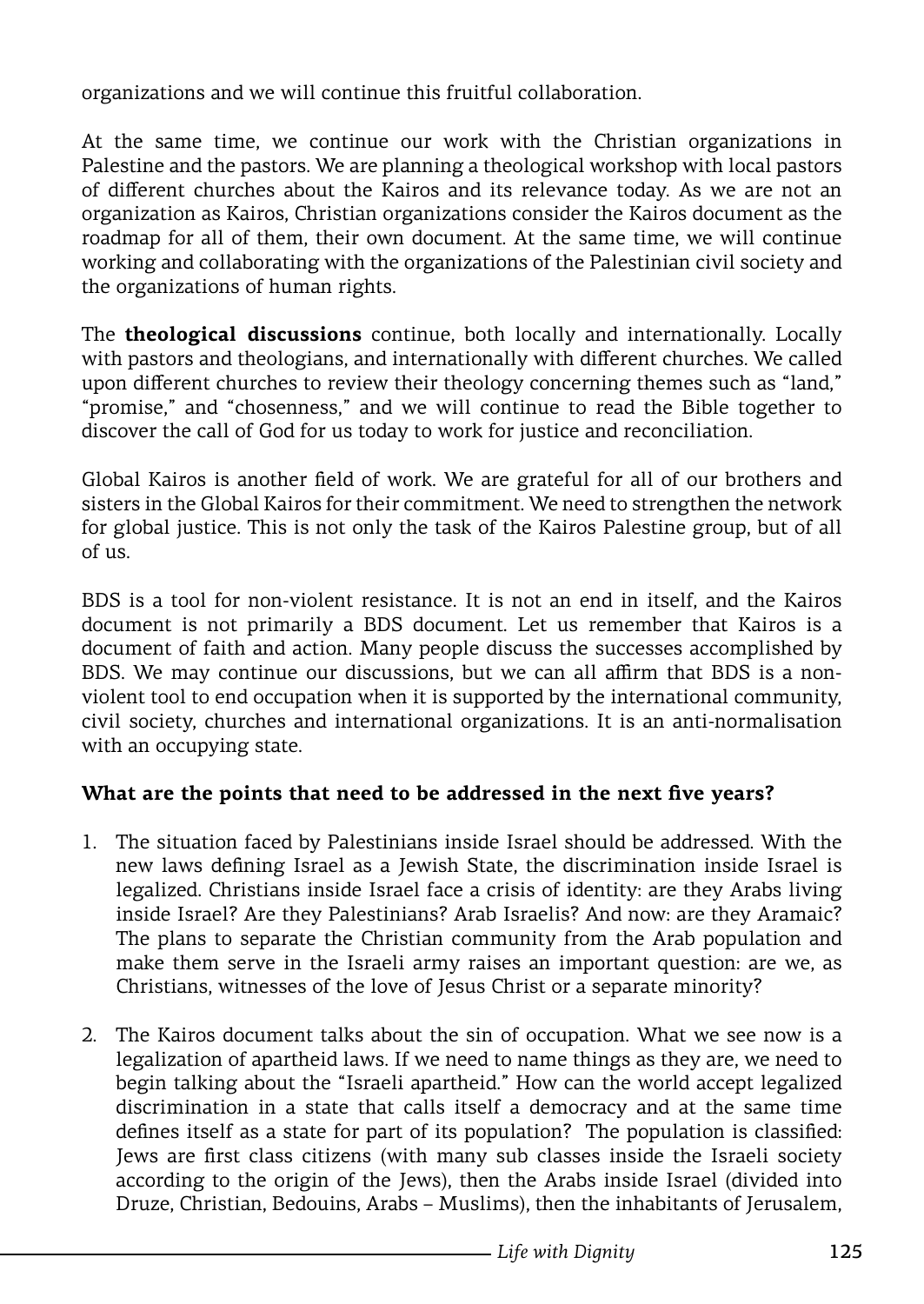organizations and we will continue this fruitful collaboration.

At the same time, we continue our work with the Christian organizations in Palestine and the pastors. We are planning a theological workshop with local pastors of different churches about the Kairos and its relevance today. As we are not an organization as Kairos, Christian organizations consider the Kairos document as the roadmap for all of them, their own document. At the same time, we will continue working and collaborating with the organizations of the Palestinian civil society and the organizations of human rights.

The **theological discussions** continue, both locally and internationally. Locally with pastors and theologians, and internationally with different churches. We called upon different churches to review their theology concerning themes such as "land," "promise," and "chosenness," and we will continue to read the Bible together to discover the call of God for us today to work for justice and reconciliation.

Global Kairos is another field of work. We are grateful for all of our brothers and sisters in the Global Kairos for their commitment. We need to strengthen the network for global justice. This is not only the task of the Kairos Palestine group, but of all  $of$  us.

BDS is a tool for non-violent resistance. It is not an end in itself, and the Kairos document is not primarily a BDS document. Let us remember that Kairos is a document of faith and action. Many people discuss the successes accomplished by BDS. We may continue our discussions, but we can all affirm that BDS is a nonviolent tool to end occupation when it is supported by the international community, civil society, churches and international organizations. It is an anti-normalisation with an occupying state.

### **What are the points that need to be addressed in the next five years?**

- 1. The situation faced by Palestinians inside Israel should be addressed. With the new laws defining Israel as a Jewish State, the discrimination inside Israel is legalized. Christians inside Israel face a crisis of identity: are they Arabs living inside Israel? Are they Palestinians? Arab Israelis? And now: are they Aramaic? The plans to separate the Christian community from the Arab population and make them serve in the Israeli army raises an important question: are we, as Christians, witnesses of the love of Jesus Christ or a separate minority?
- 2. The Kairos document talks about the sin of occupation. What we see now is a legalization of apartheid laws. If we need to name things as they are, we need to begin talking about the "Israeli apartheid." How can the world accept legalized discrimination in a state that calls itself a democracy and at the same time defines itself as a state for part of its population? The population is classified: Jews are first class citizens (with many sub classes inside the Israeli society according to the origin of the Jews), then the Arabs inside Israel (divided into Druze, Christian, Bedouins, Arabs – Muslims), then the inhabitants of Jerusalem,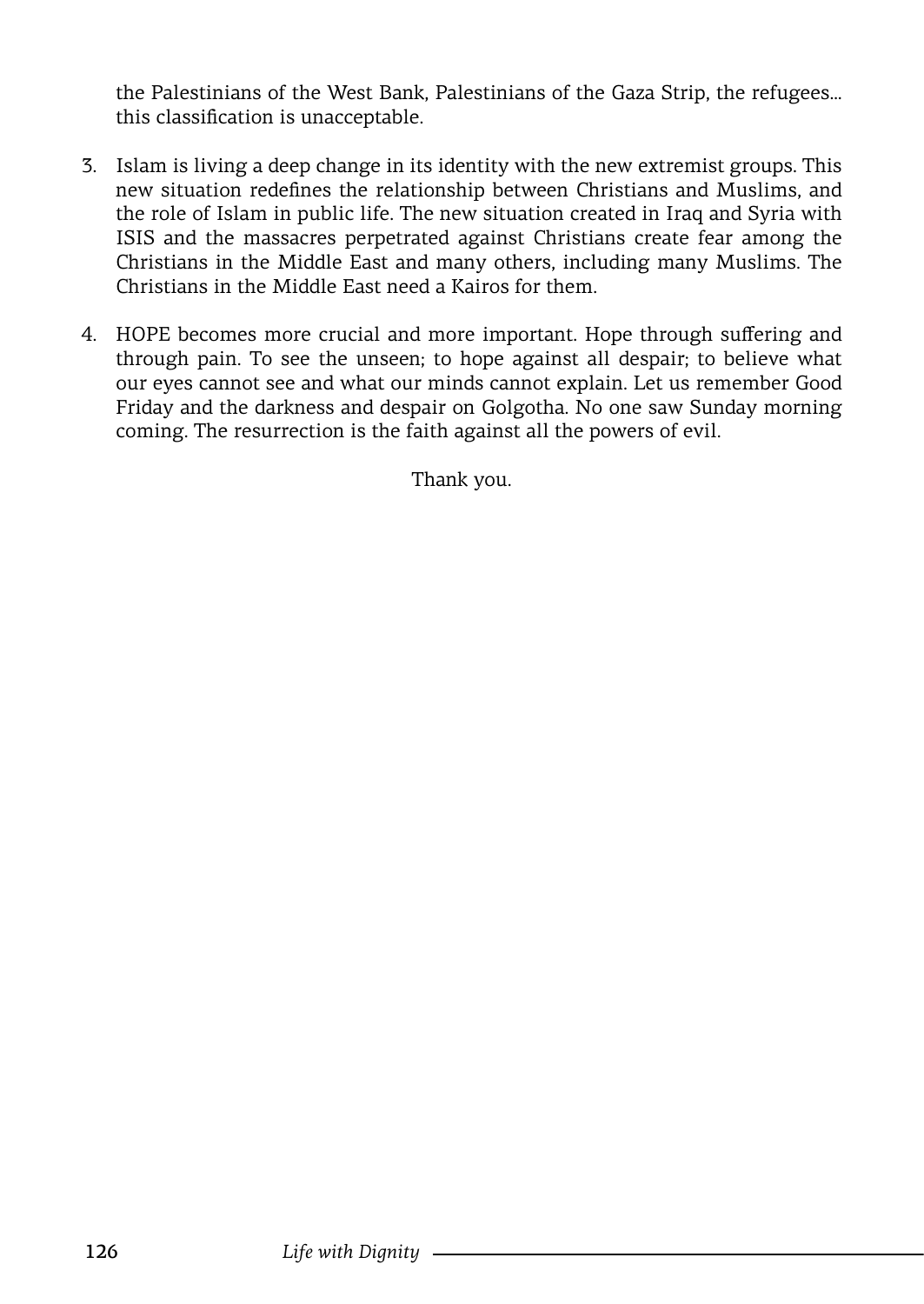the Palestinians of the West Bank, Palestinians of the Gaza Strip, the refugees… this classification is unacceptable.

- 3. Islam is living a deep change in its identity with the new extremist groups. This new situation redefines the relationship between Christians and Muslims, and the role of Islam in public life. The new situation created in Iraq and Syria with ISIS and the massacres perpetrated against Christians create fear among the Christians in the Middle East and many others, including many Muslims. The Christians in the Middle East need a Kairos for them.
- 4. HOPE becomes more crucial and more important. Hope through suffering and through pain. To see the unseen; to hope against all despair; to believe what our eyes cannot see and what our minds cannot explain. Let us remember Good Friday and the darkness and despair on Golgotha. No one saw Sunday morning coming. The resurrection is the faith against all the powers of evil.

Thank you.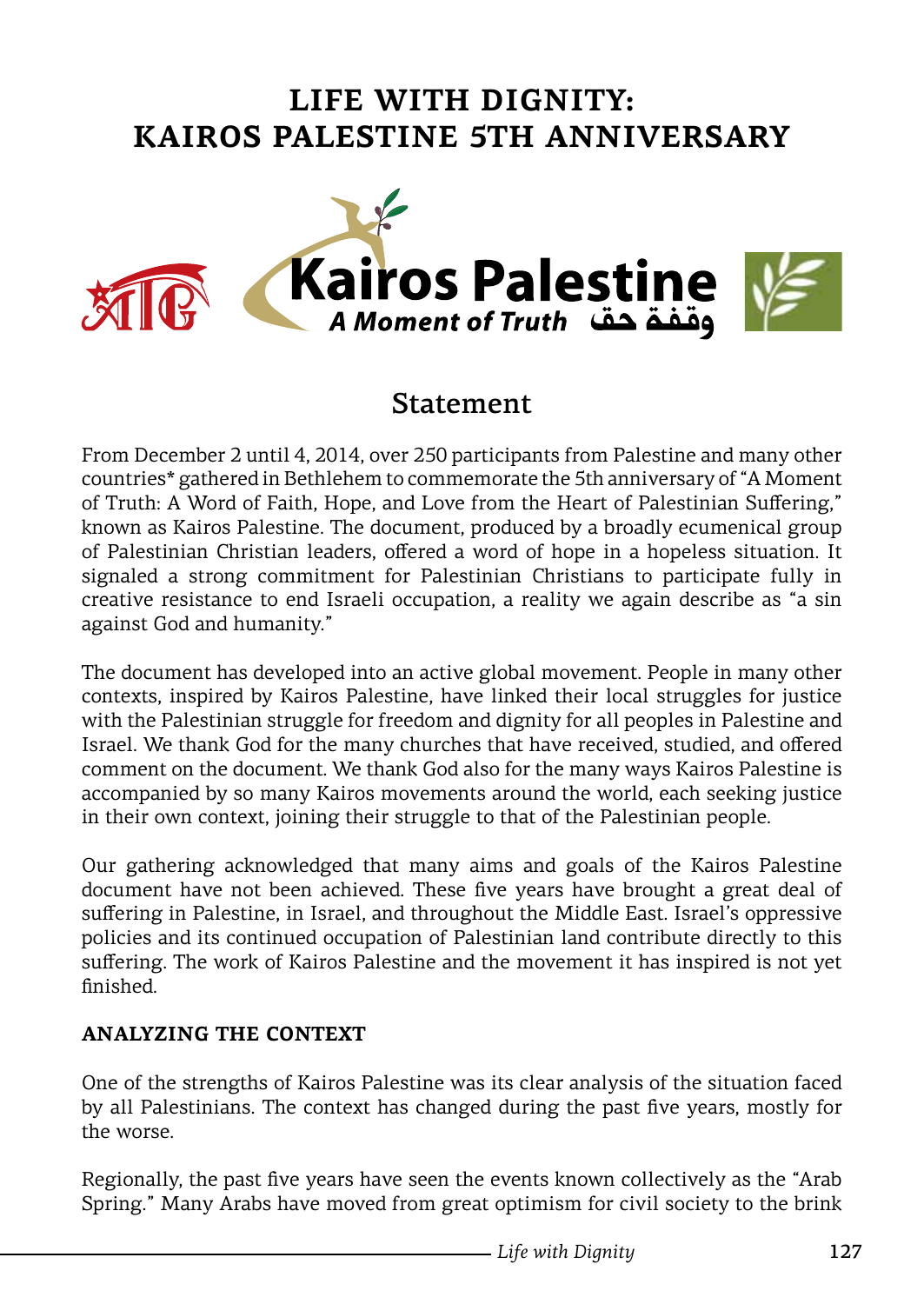# **Life with Dignity: Kairos Palestine 5th Anniversary**



## Statement

From December 2 until 4, 2014, over 250 participants from Palestine and many other countries\* gathered in Bethlehem to commemorate the 5th anniversary of "A Moment of Truth: A Word of Faith, Hope, and Love from the Heart of Palestinian Suffering," known as Kairos Palestine. The document, produced by a broadly ecumenical group of Palestinian Christian leaders, offered a word of hope in a hopeless situation. It signaled a strong commitment for Palestinian Christians to participate fully in creative resistance to end Israeli occupation, a reality we again describe as "a sin against God and humanity."

The document has developed into an active global movement. People in many other contexts, inspired by Kairos Palestine, have linked their local struggles for justice with the Palestinian struggle for freedom and dignity for all peoples in Palestine and Israel. We thank God for the many churches that have received, studied, and offered comment on the document. We thank God also for the many ways Kairos Palestine is accompanied by so many Kairos movements around the world, each seeking justice in their own context, joining their struggle to that of the Palestinian people.

Our gathering acknowledged that many aims and goals of the Kairos Palestine document have not been achieved. These five years have brought a great deal of suffering in Palestine, in Israel, and throughout the Middle East. Israel's oppressive policies and its continued occupation of Palestinian land contribute directly to this suffering. The work of Kairos Palestine and the movement it has inspired is not yet finished.

#### **ANALYZING THE CONTEXT**

One of the strengths of Kairos Palestine was its clear analysis of the situation faced by all Palestinians. The context has changed during the past five years, mostly for the worse.

Regionally, the past five years have seen the events known collectively as the "Arab Spring." Many Arabs have moved from great optimism for civil society to the brink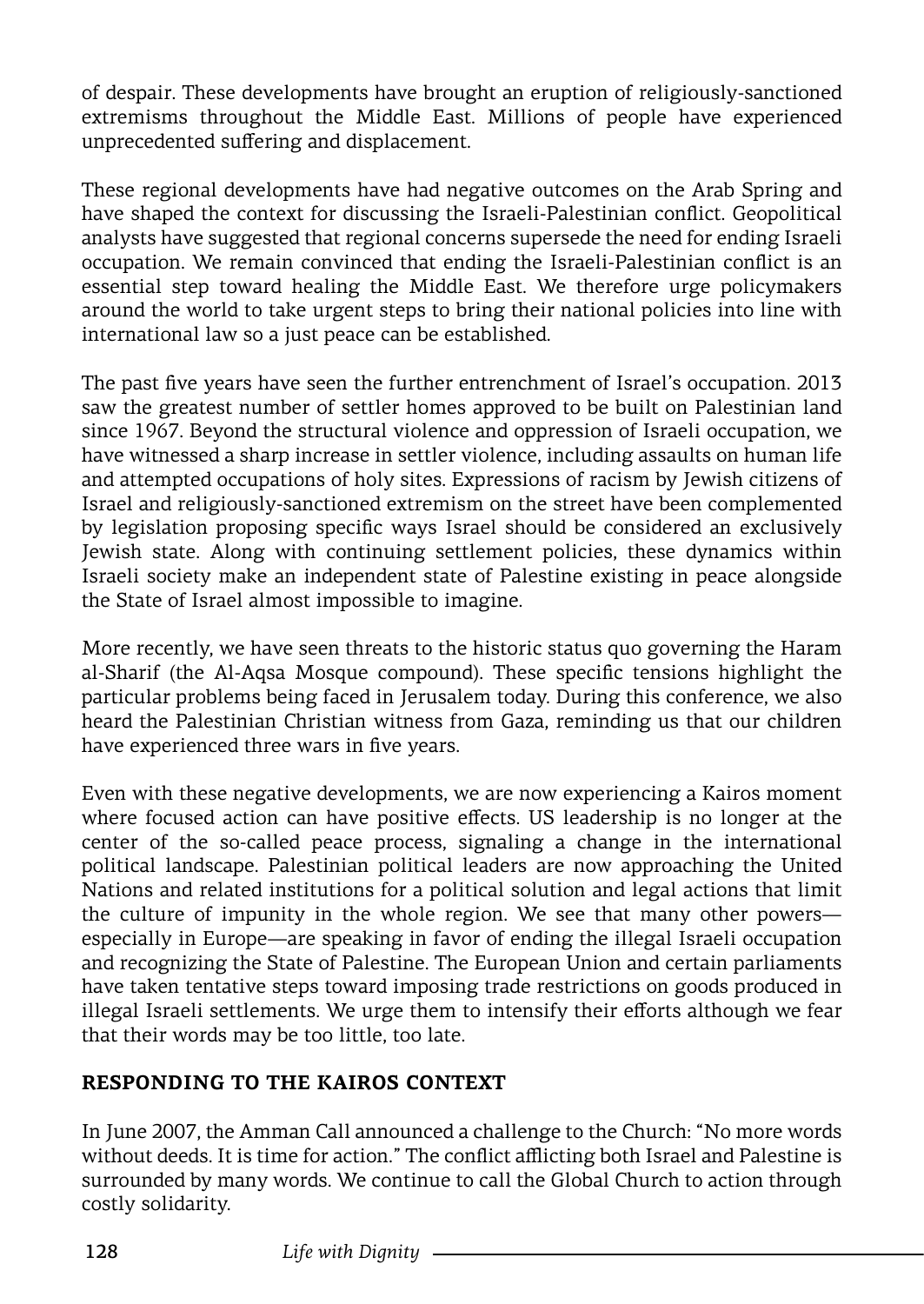of despair. These developments have brought an eruption of religiously-sanctioned extremisms throughout the Middle East. Millions of people have experienced unprecedented suffering and displacement.

These regional developments have had negative outcomes on the Arab Spring and have shaped the context for discussing the Israeli-Palestinian conflict. Geopolitical analysts have suggested that regional concerns supersede the need for ending Israeli occupation. We remain convinced that ending the Israeli-Palestinian conflict is an essential step toward healing the Middle East. We therefore urge policymakers around the world to take urgent steps to bring their national policies into line with international law so a just peace can be established.

The past five years have seen the further entrenchment of Israel's occupation. 2013 saw the greatest number of settler homes approved to be built on Palestinian land since 1967. Beyond the structural violence and oppression of Israeli occupation, we have witnessed a sharp increase in settler violence, including assaults on human life and attempted occupations of holy sites. Expressions of racism by Jewish citizens of Israel and religiously-sanctioned extremism on the street have been complemented by legislation proposing specific ways Israel should be considered an exclusively Jewish state. Along with continuing settlement policies, these dynamics within Israeli society make an independent state of Palestine existing in peace alongside the State of Israel almost impossible to imagine.

More recently, we have seen threats to the historic status quo governing the Haram al-Sharif (the Al-Aqsa Mosque compound). These specific tensions highlight the particular problems being faced in Jerusalem today. During this conference, we also heard the Palestinian Christian witness from Gaza, reminding us that our children have experienced three wars in five years.

Even with these negative developments, we are now experiencing a Kairos moment where focused action can have positive effects. US leadership is no longer at the center of the so-called peace process, signaling a change in the international political landscape. Palestinian political leaders are now approaching the United Nations and related institutions for a political solution and legal actions that limit the culture of impunity in the whole region. We see that many other powers especially in Europe—are speaking in favor of ending the illegal Israeli occupation and recognizing the State of Palestine. The European Union and certain parliaments have taken tentative steps toward imposing trade restrictions on goods produced in illegal Israeli settlements. We urge them to intensify their efforts although we fear that their words may be too little, too late.

### **RESPONDING TO THE KAIROS CONTEXT**

In June 2007, the Amman Call announced a challenge to the Church: "No more words without deeds. It is time for action." The conflict afflicting both Israel and Palestine is surrounded by many words. We continue to call the Global Church to action through costly solidarity.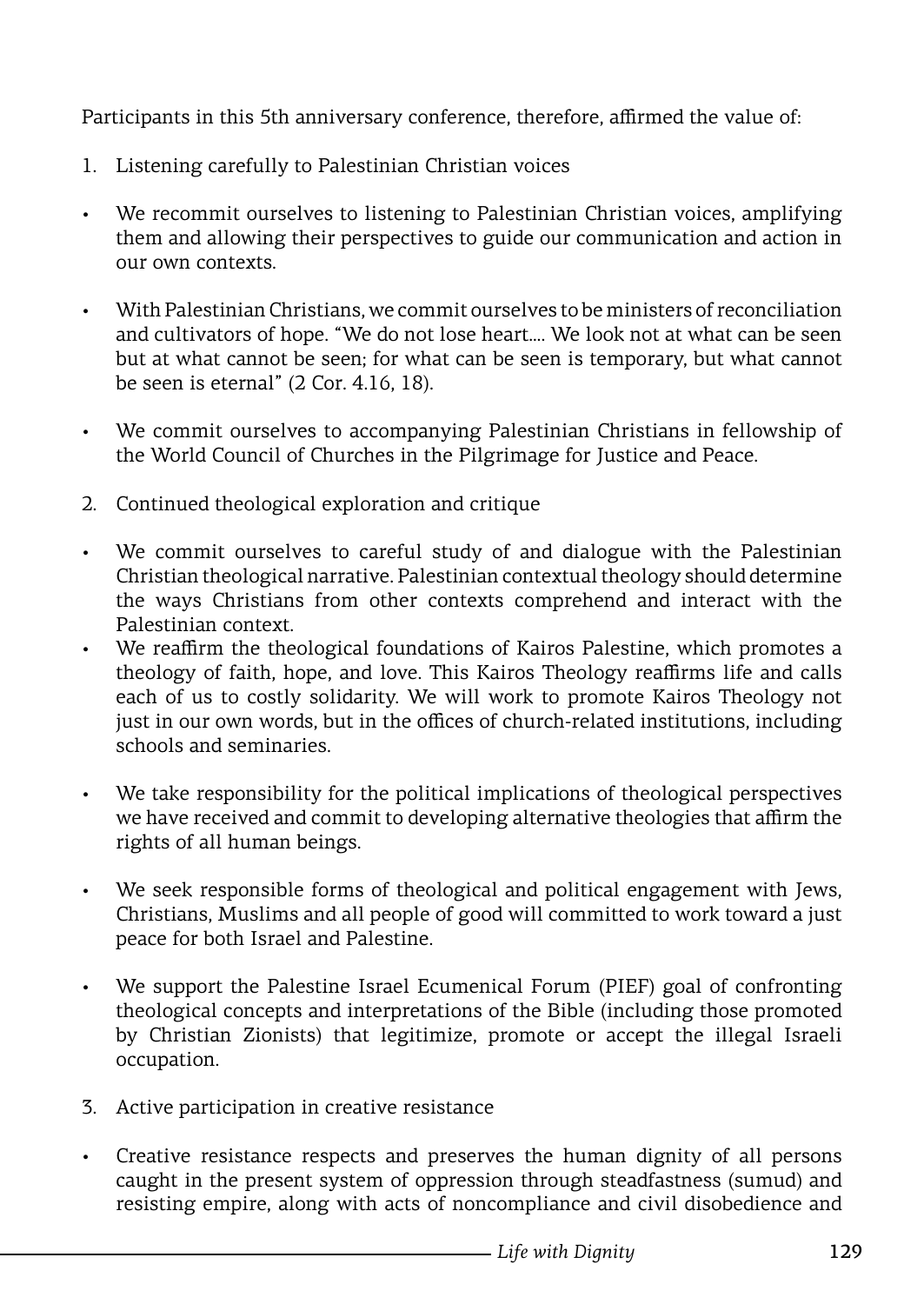Participants in this 5th anniversary conference, therefore, affirmed the value of:

- 1. Listening carefully to Palestinian Christian voices
- We recommit ourselves to listening to Palestinian Christian voices, amplifying them and allowing their perspectives to guide our communication and action in our own contexts.
- • With Palestinian Christians, we commit ourselves to be ministers of reconciliation and cultivators of hope. "We do not lose heart…. We look not at what can be seen but at what cannot be seen; for what can be seen is temporary, but what cannot be seen is eternal" (2 Cor. 4.16, 18).
- • We commit ourselves to accompanying Palestinian Christians in fellowship of the World Council of Churches in the Pilgrimage for Justice and Peace.
- 2. Continued theological exploration and critique
- • We commit ourselves to careful study of and dialogue with the Palestinian Christian theological narrative. Palestinian contextual theology should determine the ways Christians from other contexts comprehend and interact with the Palestinian context.
- We reaffirm the theological foundations of Kairos Palestine, which promotes a theology of faith, hope, and love. This Kairos Theology reaffirms life and calls each of us to costly solidarity. We will work to promote Kairos Theology not just in our own words, but in the offices of church-related institutions, including schools and seminaries.
- • We take responsibility for the political implications of theological perspectives we have received and commit to developing alternative theologies that affirm the rights of all human beings.
- We seek responsible forms of theological and political engagement with Jews, Christians, Muslims and all people of good will committed to work toward a just peace for both Israel and Palestine.
- We support the Palestine Israel Ecumenical Forum (PIEF) goal of confronting theological concepts and interpretations of the Bible (including those promoted by Christian Zionists) that legitimize, promote or accept the illegal Israeli occupation.
- 3. Active participation in creative resistance
- • Creative resistance respects and preserves the human dignity of all persons caught in the present system of oppression through steadfastness (sumud) and resisting empire, along with acts of noncompliance and civil disobedience and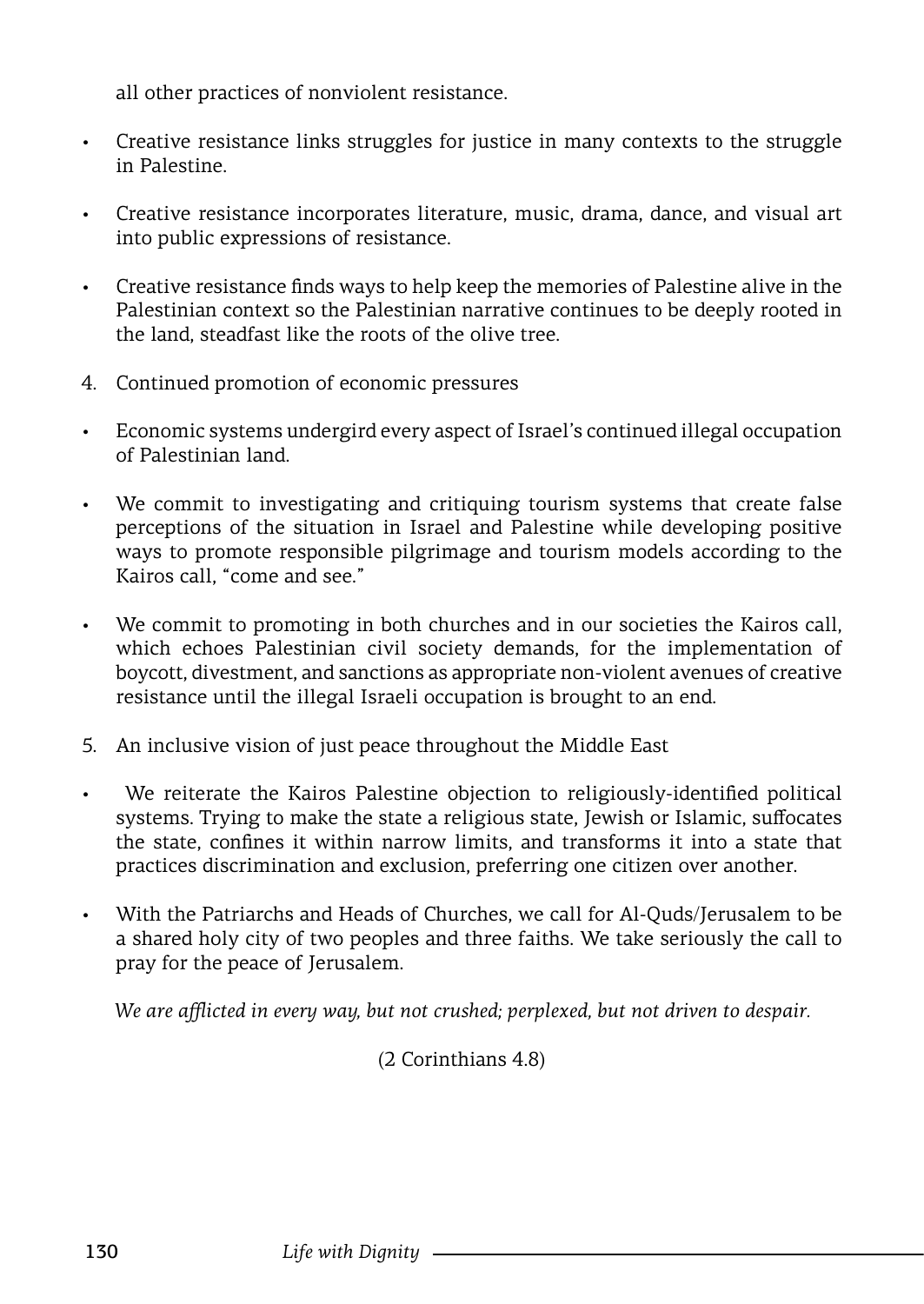all other practices of nonviolent resistance.

- Creative resistance links struggles for justice in many contexts to the struggle in Palestine.
- • Creative resistance incorporates literature, music, drama, dance, and visual art into public expressions of resistance.
- • Creative resistance finds ways to help keep the memories of Palestine alive in the Palestinian context so the Palestinian narrative continues to be deeply rooted in the land, steadfast like the roots of the olive tree.
- 4. Continued promotion of economic pressures
- • Economic systems undergird every aspect of Israel's continued illegal occupation of Palestinian land.
- We commit to investigating and critiquing tourism systems that create false perceptions of the situation in Israel and Palestine while developing positive ways to promote responsible pilgrimage and tourism models according to the Kairos call, "come and see."
- We commit to promoting in both churches and in our societies the Kairos call, which echoes Palestinian civil society demands, for the implementation of boycott, divestment, and sanctions as appropriate non-violent avenues of creative resistance until the illegal Israeli occupation is brought to an end.
- 5. An inclusive vision of just peace throughout the Middle East
- We reiterate the Kairos Palestine objection to religiously-identified political systems. Trying to make the state a religious state, Jewish or Islamic, suffocates the state, confines it within narrow limits, and transforms it into a state that practices discrimination and exclusion, preferring one citizen over another.
- • With the Patriarchs and Heads of Churches, we call for Al-Quds/Jerusalem to be a shared holy city of two peoples and three faiths. We take seriously the call to pray for the peace of Jerusalem.

*We are afflicted in every way, but not crushed; perplexed, but not driven to despair.*

(2 Corinthians 4.8)